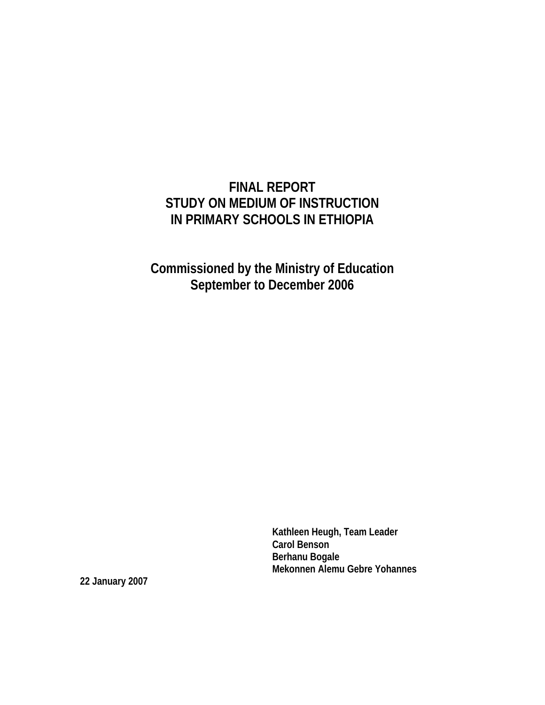# **FINAL REPORT STUDY ON MEDIUM OF INSTRUCTION IN PRIMARY SCHOOLS IN ETHIOPIA**

**Commissioned by the Ministry of Education September to December 2006** 

> **Kathleen Heugh, Team Leader Carol Benson Berhanu Bogale Mekonnen Alemu Gebre Yohannes**

**22 January 2007**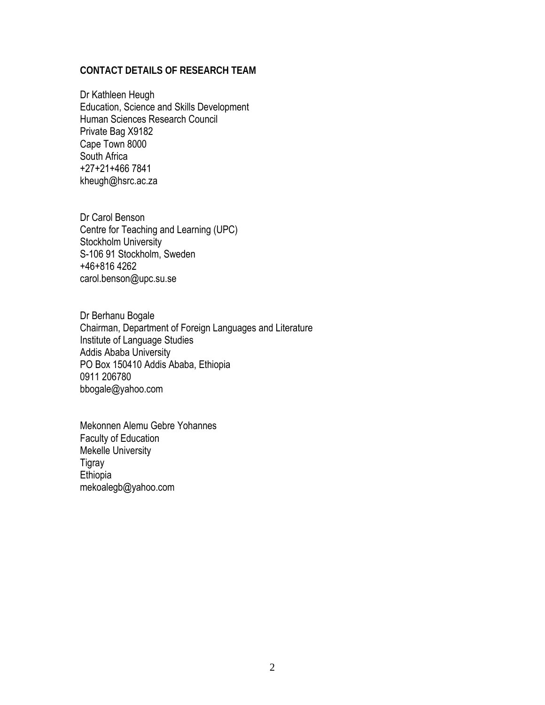#### **CONTACT DETAILS OF RESEARCH TEAM**

Dr Kathleen Heugh Education, Science and Skills Development Human Sciences Research Council Private Bag X9182 Cape Town 8000 South Africa +27+21+466 7841 kheugh@hsrc.ac.za

Dr Carol Benson Centre for Teaching and Learning (UPC) Stockholm University S-106 91 Stockholm, Sweden +46+816 4262 carol.benson@upc.su.se

Dr Berhanu Bogale Chairman, Department of Foreign Languages and Literature Institute of Language Studies Addis Ababa University PO Box 150410 Addis Ababa, Ethiopia 0911 206780 bbogale@yahoo.com

Mekonnen Alemu Gebre Yohannes Faculty of Education Mekelle University Tigray Ethiopia mekoalegb@yahoo.com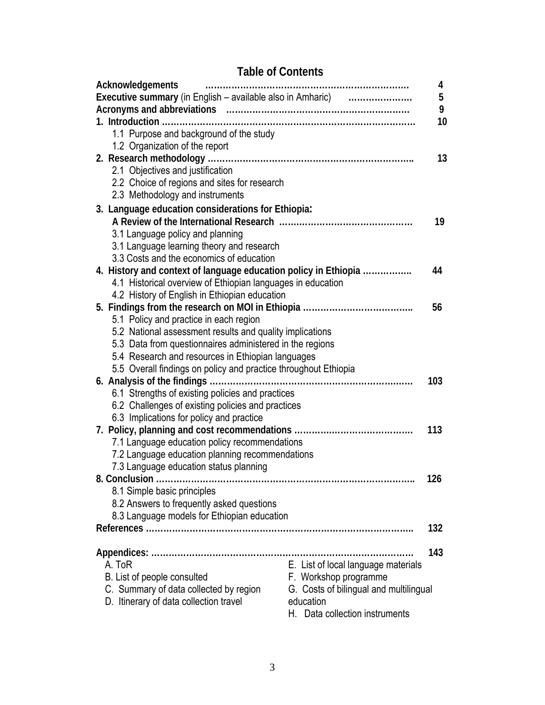# **Table of Contents**

| Acknowledgements                                                | 4                                      |
|-----------------------------------------------------------------|----------------------------------------|
| Executive summary (in English - available also in Amharic)      | 5                                      |
|                                                                 | 9                                      |
|                                                                 | 10                                     |
| 1.1 Purpose and background of the study                         |                                        |
| 1.2 Organization of the report                                  |                                        |
|                                                                 | 13                                     |
| 2.1 Objectives and justification                                |                                        |
| 2.2 Choice of regions and sites for research                    |                                        |
| 2.3 Methodology and instruments                                 |                                        |
| 3. Language education considerations for Ethiopia:              |                                        |
|                                                                 | 19                                     |
| 3.1 Language policy and planning                                |                                        |
| 3.1 Language learning theory and research                       |                                        |
| 3.3 Costs and the economics of education                        |                                        |
| 4. History and context of language education policy in Ethiopia | 44                                     |
| 4.1 Historical overview of Ethiopian languages in education     |                                        |
| 4.2 History of English in Ethiopian education                   |                                        |
|                                                                 | 56                                     |
| 5.1 Policy and practice in each region                          |                                        |
| 5.2 National assessment results and quality implications        |                                        |
| 5.3 Data from questionnaires administered in the regions        |                                        |
| 5.4 Research and resources in Ethiopian languages               |                                        |
| 5.5 Overall findings on policy and practice throughout Ethiopia |                                        |
|                                                                 | 103                                    |
| 6.1 Strengths of existing policies and practices                |                                        |
| 6.2 Challenges of existing policies and practices               |                                        |
| 6.3 Implications for policy and practice                        |                                        |
|                                                                 | 113                                    |
| 7.1 Language education policy recommendations                   |                                        |
| 7.2 Language education planning recommendations                 |                                        |
| 7.3 Language education status planning                          |                                        |
| 8. Conclusion                                                   | 126                                    |
| 8.1 Simple basic principles                                     |                                        |
| 8.2 Answers to frequently asked questions                       |                                        |
| 8.3 Language models for Ethiopian education                     |                                        |
|                                                                 | 132                                    |
|                                                                 |                                        |
|                                                                 | 143                                    |
| A. ToR                                                          | E. List of local language materials    |
| B. List of people consulted                                     | F. Workshop programme                  |
| C. Summary of data collected by region                          | G. Costs of bilingual and multilingual |
| D. Itinerary of data collection travel                          | education                              |
|                                                                 | H. Data collection instruments         |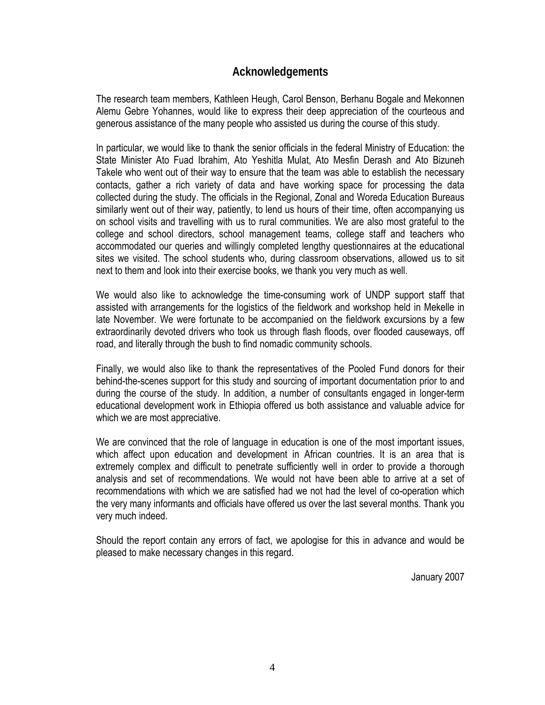### **Acknowledgements**

The research team members, Kathleen Heugh, Carol Benson, Berhanu Bogale and Mekonnen Alemu Gebre Yohannes, would like to express their deep appreciation of the courteous and generous assistance of the many people who assisted us during the course of this study.

In particular, we would like to thank the senior officials in the federal Ministry of Education: the State Minister Ato Fuad Ibrahim, Ato Yeshitla Mulat, Ato Mesfin Derash and Ato Bizuneh Takele who went out of their way to ensure that the team was able to establish the necessary contacts, gather a rich variety of data and have working space for processing the data collected during the study. The officials in the Regional, Zonal and Woreda Education Bureaus similarly went out of their way, patiently, to lend us hours of their time, often accompanying us on school visits and travelling with us to rural communities. We are also most grateful to the college and school directors, school management teams, college staff and teachers who accommodated our queries and willingly completed lengthy questionnaires at the educational sites we visited. The school students who, during classroom observations, allowed us to sit next to them and look into their exercise books, we thank you very much as well.

We would also like to acknowledge the time-consuming work of UNDP support staff that assisted with arrangements for the logistics of the fieldwork and workshop held in Mekelle in late November. We were fortunate to be accompanied on the fieldwork excursions by a few extraordinarily devoted drivers who took us through flash floods, over flooded causeways, off road, and literally through the bush to find nomadic community schools.

Finally, we would also like to thank the representatives of the Pooled Fund donors for their behind-the-scenes support for this study and sourcing of important documentation prior to and during the course of the study. In addition, a number of consultants engaged in longer-term educational development work in Ethiopia offered us both assistance and valuable advice for which we are most appreciative.

We are convinced that the role of language in education is one of the most important issues, which affect upon education and development in African countries. It is an area that is extremely complex and difficult to penetrate sufficiently well in order to provide a thorough analysis and set of recommendations. We would not have been able to arrive at a set of recommendations with which we are satisfied had we not had the level of co-operation which the very many informants and officials have offered us over the last several months. Thank you very much indeed.

Should the report contain any errors of fact, we apologise for this in advance and would be pleased to make necessary changes in this regard.

January 2007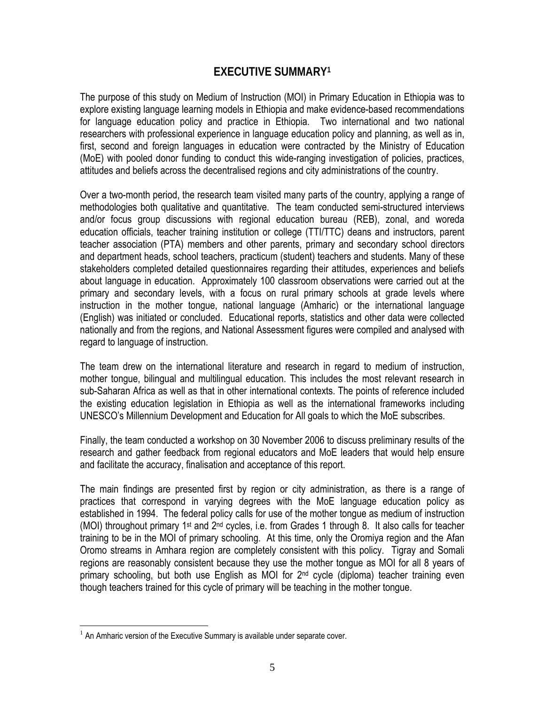## **EXECUTIVE SUMMARY1**

The purpose of this study on Medium of Instruction (MOI) in Primary Education in Ethiopia was to explore existing language learning models in Ethiopia and make evidence-based recommendations for language education policy and practice in Ethiopia. Two international and two national researchers with professional experience in language education policy and planning, as well as in, first, second and foreign languages in education were contracted by the Ministry of Education (MoE) with pooled donor funding to conduct this wide-ranging investigation of policies, practices, attitudes and beliefs across the decentralised regions and city administrations of the country.

Over a two-month period, the research team visited many parts of the country, applying a range of methodologies both qualitative and quantitative. The team conducted semi-structured interviews and/or focus group discussions with regional education bureau (REB), zonal, and woreda education officials, teacher training institution or college (TTI/TTC) deans and instructors, parent teacher association (PTA) members and other parents, primary and secondary school directors and department heads, school teachers, practicum (student) teachers and students. Many of these stakeholders completed detailed questionnaires regarding their attitudes, experiences and beliefs about language in education. Approximately 100 classroom observations were carried out at the primary and secondary levels, with a focus on rural primary schools at grade levels where instruction in the mother tongue, national language (Amharic) or the international language (English) was initiated or concluded. Educational reports, statistics and other data were collected nationally and from the regions, and National Assessment figures were compiled and analysed with regard to language of instruction.

The team drew on the international literature and research in regard to medium of instruction, mother tongue, bilingual and multilingual education. This includes the most relevant research in sub-Saharan Africa as well as that in other international contexts. The points of reference included the existing education legislation in Ethiopia as well as the international frameworks including UNESCO's Millennium Development and Education for All goals to which the MoE subscribes.

Finally, the team conducted a workshop on 30 November 2006 to discuss preliminary results of the research and gather feedback from regional educators and MoE leaders that would help ensure and facilitate the accuracy, finalisation and acceptance of this report.

The main findings are presented first by region or city administration, as there is a range of practices that correspond in varying degrees with the MoE language education policy as established in 1994. The federal policy calls for use of the mother tongue as medium of instruction (MOI) throughout primary 1st and 2nd cycles, i.e. from Grades 1 through 8. It also calls for teacher training to be in the MOI of primary schooling. At this time, only the Oromiya region and the Afan Oromo streams in Amhara region are completely consistent with this policy. Tigray and Somali regions are reasonably consistent because they use the mother tongue as MOI for all 8 years of primary schooling, but both use English as MOI for 2<sup>nd</sup> cycle (diploma) teacher training even though teachers trained for this cycle of primary will be teaching in the mother tongue.

 $\overline{a}$ 

 $1$  An Amharic version of the Executive Summary is available under separate cover.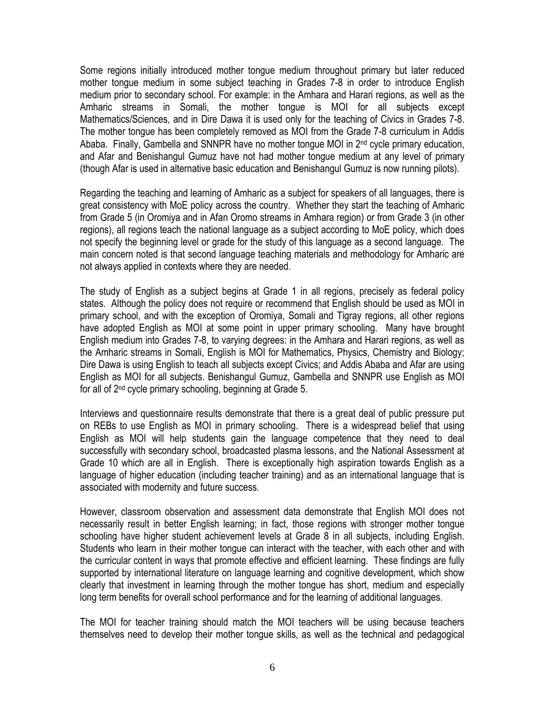Some regions initially introduced mother tongue medium throughout primary but later reduced mother tongue medium in some subject teaching in Grades 7-8 in order to introduce English medium prior to secondary school. For example: in the Amhara and Harari regions, as well as the Amharic streams in Somali, the mother tongue is MOI for all subjects except Mathematics/Sciences, and in Dire Dawa it is used only for the teaching of Civics in Grades 7-8. The mother tongue has been completely removed as MOI from the Grade 7-8 curriculum in Addis Ababa. Finally, Gambella and SNNPR have no mother tongue MOI in  $2<sup>nd</sup>$  cycle primary education, and Afar and Benishangul Gumuz have not had mother tongue medium at any level of primary (though Afar is used in alternative basic education and Benishangul Gumuz is now running pilots).

Regarding the teaching and learning of Amharic as a subject for speakers of all languages, there is great consistency with MoE policy across the country. Whether they start the teaching of Amharic from Grade 5 (in Oromiya and in Afan Oromo streams in Amhara region) or from Grade 3 (in other regions), all regions teach the national language as a subject according to MoE policy, which does not specify the beginning level or grade for the study of this language as a second language. The main concern noted is that second language teaching materials and methodology for Amharic are not always applied in contexts where they are needed.

The study of English as a subject begins at Grade 1 in all regions, precisely as federal policy states. Although the policy does not require or recommend that English should be used as MOI in primary school, and with the exception of Oromiya, Somali and Tigray regions, all other regions have adopted English as MOI at some point in upper primary schooling. Many have brought English medium into Grades 7-8, to varying degrees: in the Amhara and Harari regions, as well as the Amharic streams in Somali, English is MOI for Mathematics, Physics, Chemistry and Biology; Dire Dawa is using English to teach all subjects except Civics; and Addis Ababa and Afar are using English as MOI for all subjects. Benishangul Gumuz, Gambella and SNNPR use English as MOI for all of 2nd cycle primary schooling, beginning at Grade 5.

Interviews and questionnaire results demonstrate that there is a great deal of public pressure put on REBs to use English as MOI in primary schooling. There is a widespread belief that using English as MOI will help students gain the language competence that they need to deal successfully with secondary school, broadcasted plasma lessons, and the National Assessment at Grade 10 which are all in English. There is exceptionally high aspiration towards English as a language of higher education (including teacher training) and as an international language that is associated with modernity and future success.

However, classroom observation and assessment data demonstrate that English MOI does not necessarily result in better English learning; in fact, those regions with stronger mother tongue schooling have higher student achievement levels at Grade 8 in all subjects, including English. Students who learn in their mother tongue can interact with the teacher, with each other and with the curricular content in ways that promote effective and efficient learning. These findings are fully supported by international literature on language learning and cognitive development, which show clearly that investment in learning through the mother tongue has short, medium and especially long term benefits for overall school performance and for the learning of additional languages.

The MOI for teacher training should match the MOI teachers will be using because teachers themselves need to develop their mother tongue skills, as well as the technical and pedagogical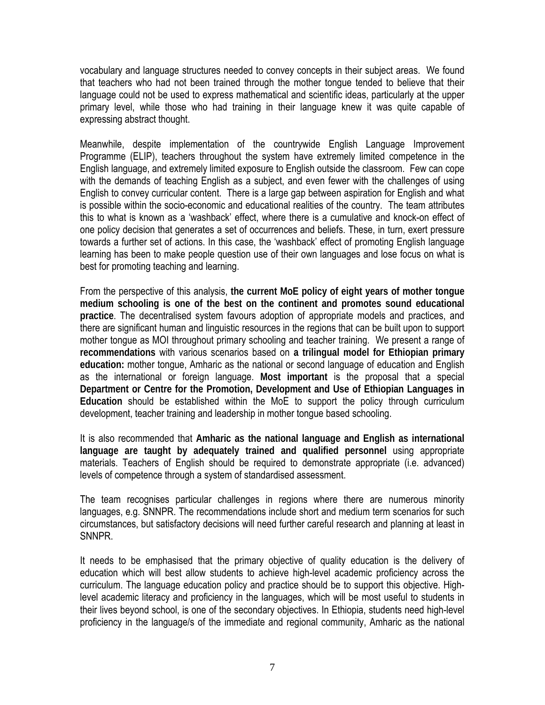vocabulary and language structures needed to convey concepts in their subject areas. We found that teachers who had not been trained through the mother tongue tended to believe that their language could not be used to express mathematical and scientific ideas, particularly at the upper primary level, while those who had training in their language knew it was quite capable of expressing abstract thought.

Meanwhile, despite implementation of the countrywide English Language Improvement Programme (ELIP), teachers throughout the system have extremely limited competence in the English language, and extremely limited exposure to English outside the classroom. Few can cope with the demands of teaching English as a subject, and even fewer with the challenges of using English to convey curricular content. There is a large gap between aspiration for English and what is possible within the socio-economic and educational realities of the country. The team attributes this to what is known as a 'washback' effect, where there is a cumulative and knock-on effect of one policy decision that generates a set of occurrences and beliefs. These, in turn, exert pressure towards a further set of actions. In this case, the 'washback' effect of promoting English language learning has been to make people question use of their own languages and lose focus on what is best for promoting teaching and learning.

From the perspective of this analysis, **the current MoE policy of eight years of mother tongue medium schooling is one of the best on the continent and promotes sound educational practice**. The decentralised system favours adoption of appropriate models and practices, and there are significant human and linguistic resources in the regions that can be built upon to support mother tongue as MOI throughout primary schooling and teacher training. We present a range of **recommendations** with various scenarios based on **a trilingual model for Ethiopian primary education:** mother tongue, Amharic as the national or second language of education and English as the international or foreign language. **Most important** is the proposal that a special **Department or Centre for the Promotion, Development and Use of Ethiopian Languages in Education** should be established within the MoE to support the policy through curriculum development, teacher training and leadership in mother tongue based schooling.

It is also recommended that **Amharic as the national language and English as international language are taught by adequately trained and qualified personnel** using appropriate materials. Teachers of English should be required to demonstrate appropriate (i.e. advanced) levels of competence through a system of standardised assessment.

The team recognises particular challenges in regions where there are numerous minority languages, e.g. SNNPR. The recommendations include short and medium term scenarios for such circumstances, but satisfactory decisions will need further careful research and planning at least in SNNPR.

It needs to be emphasised that the primary objective of quality education is the delivery of education which will best allow students to achieve high-level academic proficiency across the curriculum. The language education policy and practice should be to support this objective. Highlevel academic literacy and proficiency in the languages, which will be most useful to students in their lives beyond school, is one of the secondary objectives. In Ethiopia, students need high-level proficiency in the language/s of the immediate and regional community, Amharic as the national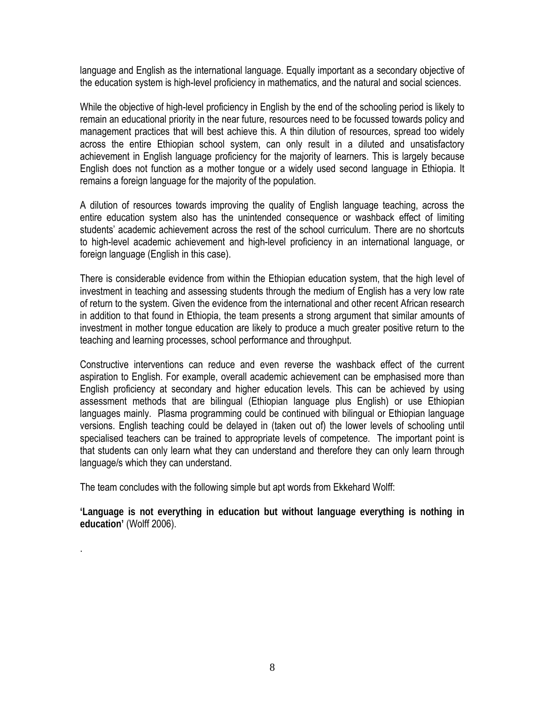language and English as the international language. Equally important as a secondary objective of the education system is high-level proficiency in mathematics, and the natural and social sciences.

While the objective of high-level proficiency in English by the end of the schooling period is likely to remain an educational priority in the near future, resources need to be focussed towards policy and management practices that will best achieve this. A thin dilution of resources, spread too widely across the entire Ethiopian school system, can only result in a diluted and unsatisfactory achievement in English language proficiency for the majority of learners. This is largely because English does not function as a mother tongue or a widely used second language in Ethiopia. It remains a foreign language for the majority of the population.

A dilution of resources towards improving the quality of English language teaching, across the entire education system also has the unintended consequence or washback effect of limiting students' academic achievement across the rest of the school curriculum. There are no shortcuts to high-level academic achievement and high-level proficiency in an international language, or foreign language (English in this case).

There is considerable evidence from within the Ethiopian education system, that the high level of investment in teaching and assessing students through the medium of English has a very low rate of return to the system. Given the evidence from the international and other recent African research in addition to that found in Ethiopia, the team presents a strong argument that similar amounts of investment in mother tongue education are likely to produce a much greater positive return to the teaching and learning processes, school performance and throughput.

Constructive interventions can reduce and even reverse the washback effect of the current aspiration to English. For example, overall academic achievement can be emphasised more than English proficiency at secondary and higher education levels. This can be achieved by using assessment methods that are bilingual (Ethiopian language plus English) or use Ethiopian languages mainly. Plasma programming could be continued with bilingual or Ethiopian language versions. English teaching could be delayed in (taken out of) the lower levels of schooling until specialised teachers can be trained to appropriate levels of competence. The important point is that students can only learn what they can understand and therefore they can only learn through language/s which they can understand.

The team concludes with the following simple but apt words from Ekkehard Wolff:

.

**'Language is not everything in education but without language everything is nothing in education'** (Wolff 2006).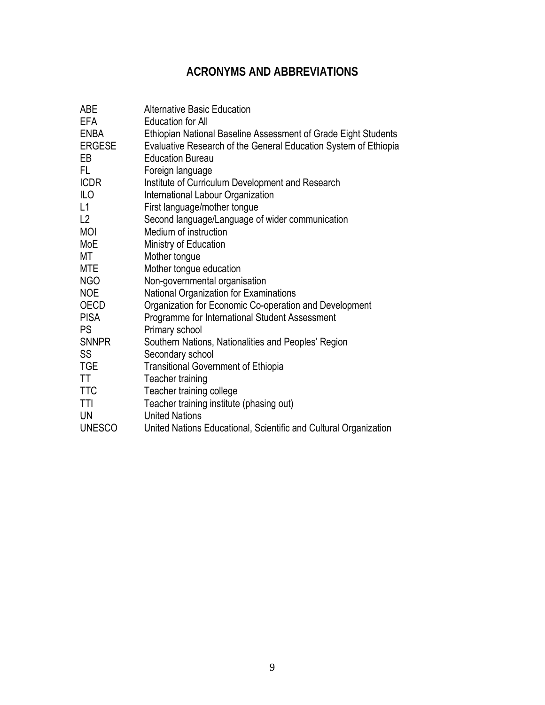## **ACRONYMS AND ABBREVIATIONS**

| <b>ABE</b>    | <b>Alternative Basic Education</b>                               |
|---------------|------------------------------------------------------------------|
| <b>EFA</b>    | <b>Education for All</b>                                         |
| <b>ENBA</b>   | Ethiopian National Baseline Assessment of Grade Eight Students   |
| ERGESE        | Evaluative Research of the General Education System of Ethiopia  |
| EB            | <b>Education Bureau</b>                                          |
| FL.           | Foreign language                                                 |
| <b>ICDR</b>   | Institute of Curriculum Development and Research                 |
| ILO           | International Labour Organization                                |
| L1            | First language/mother tongue                                     |
| L2            | Second language/Language of wider communication                  |
| MOI           | Medium of instruction                                            |
| MoE           | Ministry of Education                                            |
| МT            | Mother tongue                                                    |
| MTE           | Mother tongue education                                          |
| <b>NGO</b>    | Non-governmental organisation                                    |
| <b>NOE</b>    | National Organization for Examinations                           |
| <b>OECD</b>   | Organization for Economic Co-operation and Development           |
| <b>PISA</b>   | Programme for International Student Assessment                   |
| <b>PS</b>     | Primary school                                                   |
| <b>SNNPR</b>  | Southern Nations, Nationalities and Peoples' Region              |
| SS            | Secondary school                                                 |
| <b>TGE</b>    | <b>Transitional Government of Ethiopia</b>                       |
| TT            | Teacher training                                                 |
| <b>TTC</b>    | Teacher training college                                         |
| TTI           | Teacher training institute (phasing out)                         |
| UN            | <b>United Nations</b>                                            |
| <b>UNESCO</b> | United Nations Educational, Scientific and Cultural Organization |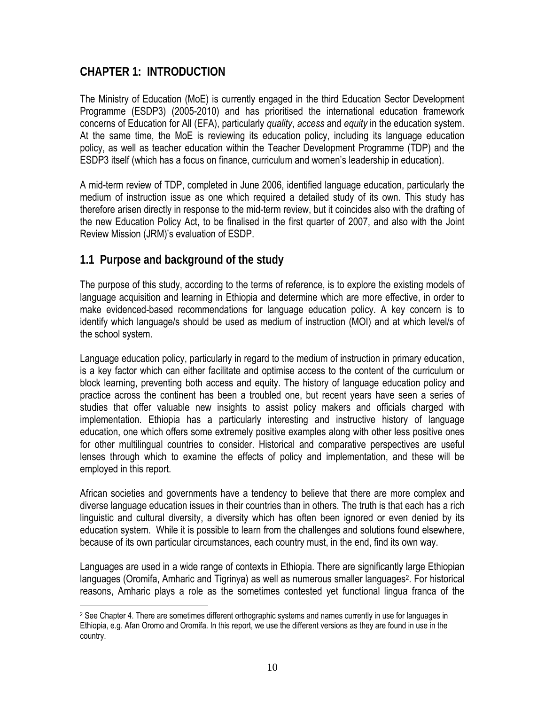## **CHAPTER 1: INTRODUCTION**

The Ministry of Education (MoE) is currently engaged in the third Education Sector Development Programme (ESDP3) (2005-2010) and has prioritised the international education framework concerns of Education for All (EFA), particularly *quality*, *access* and *equity* in the education system. At the same time, the MoE is reviewing its education policy, including its language education policy, as well as teacher education within the Teacher Development Programme (TDP) and the ESDP3 itself (which has a focus on finance, curriculum and women's leadership in education).

A mid-term review of TDP, completed in June 2006, identified language education, particularly the medium of instruction issue as one which required a detailed study of its own. This study has therefore arisen directly in response to the mid-term review, but it coincides also with the drafting of the new Education Policy Act, to be finalised in the first quarter of 2007, and also with the Joint Review Mission (JRM)'s evaluation of ESDP.

## **1.1 Purpose and background of the study**

 $\overline{a}$ 

The purpose of this study, according to the terms of reference, is to explore the existing models of language acquisition and learning in Ethiopia and determine which are more effective, in order to make evidenced-based recommendations for language education policy. A key concern is to identify which language/s should be used as medium of instruction (MOI) and at which level/s of the school system.

Language education policy, particularly in regard to the medium of instruction in primary education, is a key factor which can either facilitate and optimise access to the content of the curriculum or block learning, preventing both access and equity. The history of language education policy and practice across the continent has been a troubled one, but recent years have seen a series of studies that offer valuable new insights to assist policy makers and officials charged with implementation. Ethiopia has a particularly interesting and instructive history of language education, one which offers some extremely positive examples along with other less positive ones for other multilingual countries to consider. Historical and comparative perspectives are useful lenses through which to examine the effects of policy and implementation, and these will be employed in this report.

African societies and governments have a tendency to believe that there are more complex and diverse language education issues in their countries than in others. The truth is that each has a rich linguistic and cultural diversity, a diversity which has often been ignored or even denied by its education system. While it is possible to learn from the challenges and solutions found elsewhere, because of its own particular circumstances, each country must, in the end, find its own way.

Languages are used in a wide range of contexts in Ethiopia. There are significantly large Ethiopian languages (Oromifa, Amharic and Tigrinya) as well as numerous smaller languages<sup>2</sup>. For historical reasons, Amharic plays a role as the sometimes contested yet functional lingua franca of the

<sup>&</sup>lt;sup>2</sup> See Chapter 4. There are sometimes different orthographic systems and names currently in use for languages in Ethiopia, e.g. Afan Oromo and Oromifa. In this report, we use the different versions as they are found in use in the country.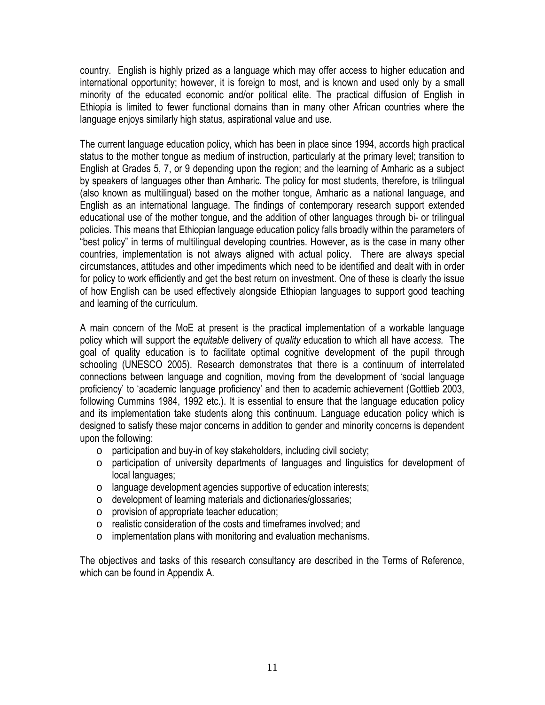country. English is highly prized as a language which may offer access to higher education and international opportunity; however, it is foreign to most, and is known and used only by a small minority of the educated economic and/or political elite. The practical diffusion of English in Ethiopia is limited to fewer functional domains than in many other African countries where the language enjoys similarly high status, aspirational value and use.

The current language education policy, which has been in place since 1994, accords high practical status to the mother tongue as medium of instruction, particularly at the primary level; transition to English at Grades 5, 7, or 9 depending upon the region; and the learning of Amharic as a subject by speakers of languages other than Amharic. The policy for most students, therefore, is trilingual (also known as multilingual) based on the mother tongue, Amharic as a national language, and English as an international language. The findings of contemporary research support extended educational use of the mother tongue, and the addition of other languages through bi- or trilingual policies. This means that Ethiopian language education policy falls broadly within the parameters of "best policy" in terms of multilingual developing countries. However, as is the case in many other countries, implementation is not always aligned with actual policy. There are always special circumstances, attitudes and other impediments which need to be identified and dealt with in order for policy to work efficiently and get the best return on investment. One of these is clearly the issue of how English can be used effectively alongside Ethiopian languages to support good teaching and learning of the curriculum.

A main concern of the MoE at present is the practical implementation of a workable language policy which will support the *equitable* delivery of *quality* education to which all have *access.* The goal of quality education is to facilitate optimal cognitive development of the pupil through schooling (UNESCO 2005). Research demonstrates that there is a continuum of interrelated connections between language and cognition, moving from the development of 'social language proficiency' to 'academic language proficiency' and then to academic achievement (Gottlieb 2003, following Cummins 1984, 1992 etc.). It is essential to ensure that the language education policy and its implementation take students along this continuum. Language education policy which is designed to satisfy these major concerns in addition to gender and minority concerns is dependent upon the following:

- o participation and buy-in of key stakeholders, including civil society;
- $\circ$  participation of university departments of languages and linguistics for development of local languages;
- o language development agencies supportive of education interests;
- o development of learning materials and dictionaries/glossaries;
- o provision of appropriate teacher education;
- o realistic consideration of the costs and timeframes involved; and
- o implementation plans with monitoring and evaluation mechanisms.

The objectives and tasks of this research consultancy are described in the Terms of Reference, which can be found in Appendix A.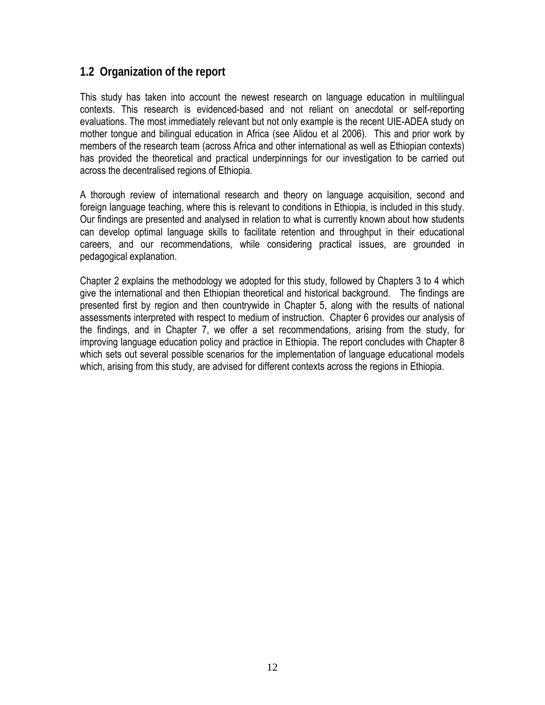## **1.2 Organization of the report**

This study has taken into account the newest research on language education in multilingual contexts. This research is evidenced-based and not reliant on anecdotal or self-reporting evaluations. The most immediately relevant but not only example is the recent UIE-ADEA study on mother tongue and bilingual education in Africa (see Alidou et al 2006). This and prior work by members of the research team (across Africa and other international as well as Ethiopian contexts) has provided the theoretical and practical underpinnings for our investigation to be carried out across the decentralised regions of Ethiopia.

A thorough review of international research and theory on language acquisition, second and foreign language teaching, where this is relevant to conditions in Ethiopia, is included in this study. Our findings are presented and analysed in relation to what is currently known about how students can develop optimal language skills to facilitate retention and throughput in their educational careers, and our recommendations, while considering practical issues, are grounded in pedagogical explanation.

Chapter 2 explains the methodology we adopted for this study, followed by Chapters 3 to 4 which give the international and then Ethiopian theoretical and historical background. The findings are presented first by region and then countrywide in Chapter 5, along with the results of national assessments interpreted with respect to medium of instruction. Chapter 6 provides our analysis of the findings, and in Chapter 7, we offer a set recommendations, arising from the study, for improving language education policy and practice in Ethiopia. The report concludes with Chapter 8 which sets out several possible scenarios for the implementation of language educational models which, arising from this study, are advised for different contexts across the regions in Ethiopia.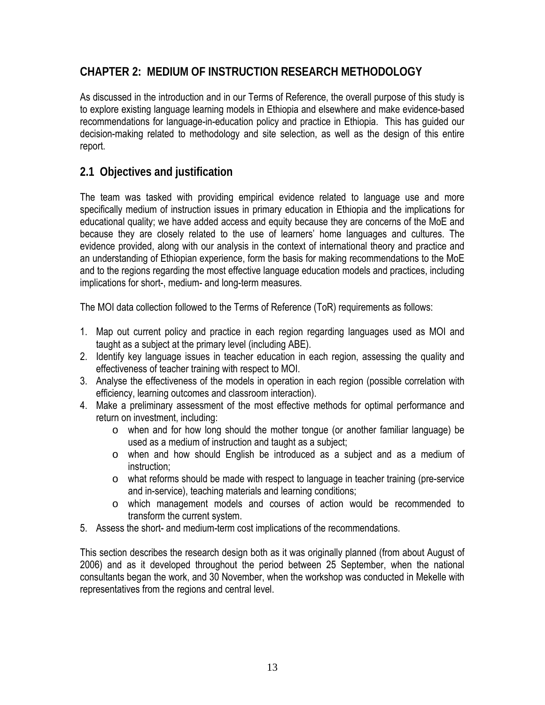## **CHAPTER 2: MEDIUM OF INSTRUCTION RESEARCH METHODOLOGY**

As discussed in the introduction and in our Terms of Reference, the overall purpose of this study is to explore existing language learning models in Ethiopia and elsewhere and make evidence-based recommendations for language-in-education policy and practice in Ethiopia. This has guided our decision-making related to methodology and site selection, as well as the design of this entire report.

## **2.1 Objectives and justification**

The team was tasked with providing empirical evidence related to language use and more specifically medium of instruction issues in primary education in Ethiopia and the implications for educational quality; we have added access and equity because they are concerns of the MoE and because they are closely related to the use of learners' home languages and cultures. The evidence provided, along with our analysis in the context of international theory and practice and an understanding of Ethiopian experience, form the basis for making recommendations to the MoE and to the regions regarding the most effective language education models and practices, including implications for short-, medium- and long-term measures.

The MOI data collection followed to the Terms of Reference (ToR) requirements as follows:

- 1. Map out current policy and practice in each region regarding languages used as MOI and taught as a subject at the primary level (including ABE).
- 2. Identify key language issues in teacher education in each region, assessing the quality and effectiveness of teacher training with respect to MOI.
- 3. Analyse the effectiveness of the models in operation in each region (possible correlation with efficiency, learning outcomes and classroom interaction).
- 4. Make a preliminary assessment of the most effective methods for optimal performance and return on investment, including:
	- o when and for how long should the mother tongue (or another familiar language) be used as a medium of instruction and taught as a subject;
	- o when and how should English be introduced as a subject and as a medium of instruction;
	- o what reforms should be made with respect to language in teacher training (pre-service and in-service), teaching materials and learning conditions;
	- o which management models and courses of action would be recommended to transform the current system.
- 5. Assess the short- and medium-term cost implications of the recommendations.

This section describes the research design both as it was originally planned (from about August of 2006) and as it developed throughout the period between 25 September, when the national consultants began the work, and 30 November, when the workshop was conducted in Mekelle with representatives from the regions and central level.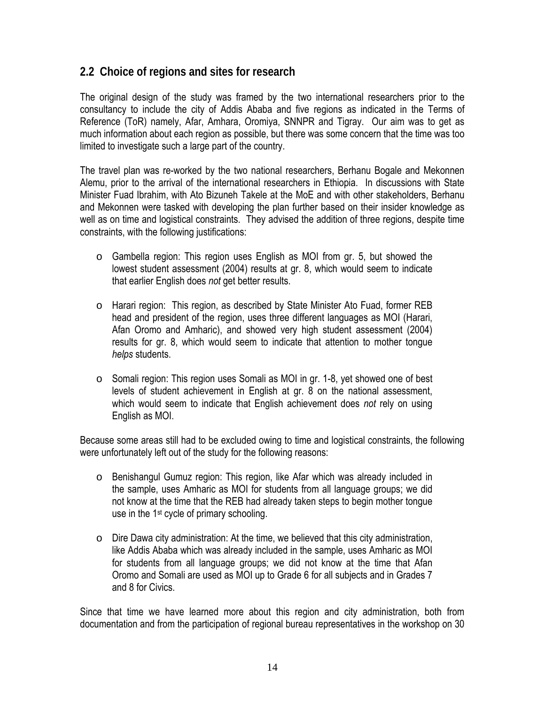## **2.2 Choice of regions and sites for research**

The original design of the study was framed by the two international researchers prior to the consultancy to include the city of Addis Ababa and five regions as indicated in the Terms of Reference (ToR) namely, Afar, Amhara, Oromiya, SNNPR and Tigray. Our aim was to get as much information about each region as possible, but there was some concern that the time was too limited to investigate such a large part of the country.

The travel plan was re-worked by the two national researchers, Berhanu Bogale and Mekonnen Alemu, prior to the arrival of the international researchers in Ethiopia. In discussions with State Minister Fuad Ibrahim, with Ato Bizuneh Takele at the MoE and with other stakeholders, Berhanu and Mekonnen were tasked with developing the plan further based on their insider knowledge as well as on time and logistical constraints. They advised the addition of three regions, despite time constraints, with the following justifications:

- o Gambella region: This region uses English as MOI from gr. 5, but showed the lowest student assessment (2004) results at gr. 8, which would seem to indicate that earlier English does *not* get better results.
- o Harari region: This region, as described by State Minister Ato Fuad, former REB head and president of the region, uses three different languages as MOI (Harari, Afan Oromo and Amharic), and showed very high student assessment (2004) results for gr. 8, which would seem to indicate that attention to mother tongue *helps* students.
- $\circ$  Somali region: This region uses Somali as MOI in gr. 1-8, yet showed one of best levels of student achievement in English at gr. 8 on the national assessment, which would seem to indicate that English achievement does *not* rely on using English as MOI.

Because some areas still had to be excluded owing to time and logistical constraints, the following were unfortunately left out of the study for the following reasons:

- $\circ$  Benishangul Gumuz region: This region, like Afar which was already included in the sample, uses Amharic as MOI for students from all language groups; we did not know at the time that the REB had already taken steps to begin mother tongue use in the 1<sup>st</sup> cycle of primary schooling.
- o Dire Dawa city administration: At the time, we believed that this city administration, like Addis Ababa which was already included in the sample, uses Amharic as MOI for students from all language groups; we did not know at the time that Afan Oromo and Somali are used as MOI up to Grade 6 for all subjects and in Grades 7 and 8 for Civics.

Since that time we have learned more about this region and city administration, both from documentation and from the participation of regional bureau representatives in the workshop on 30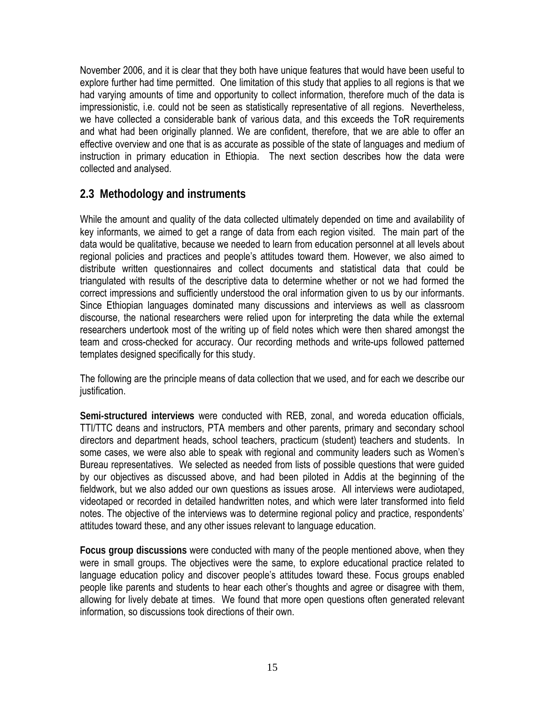November 2006, and it is clear that they both have unique features that would have been useful to explore further had time permitted. One limitation of this study that applies to all regions is that we had varying amounts of time and opportunity to collect information, therefore much of the data is impressionistic, i.e. could not be seen as statistically representative of all regions. Nevertheless, we have collected a considerable bank of various data, and this exceeds the ToR requirements and what had been originally planned. We are confident, therefore, that we are able to offer an effective overview and one that is as accurate as possible of the state of languages and medium of instruction in primary education in Ethiopia. The next section describes how the data were collected and analysed.

## **2.3 Methodology and instruments**

While the amount and quality of the data collected ultimately depended on time and availability of key informants, we aimed to get a range of data from each region visited. The main part of the data would be qualitative, because we needed to learn from education personnel at all levels about regional policies and practices and people's attitudes toward them. However, we also aimed to distribute written questionnaires and collect documents and statistical data that could be triangulated with results of the descriptive data to determine whether or not we had formed the correct impressions and sufficiently understood the oral information given to us by our informants. Since Ethiopian languages dominated many discussions and interviews as well as classroom discourse, the national researchers were relied upon for interpreting the data while the external researchers undertook most of the writing up of field notes which were then shared amongst the team and cross-checked for accuracy. Our recording methods and write-ups followed patterned templates designed specifically for this study.

The following are the principle means of data collection that we used, and for each we describe our justification.

**Semi-structured interviews** were conducted with REB, zonal, and woreda education officials, TTI/TTC deans and instructors, PTA members and other parents, primary and secondary school directors and department heads, school teachers, practicum (student) teachers and students. In some cases, we were also able to speak with regional and community leaders such as Women's Bureau representatives. We selected as needed from lists of possible questions that were guided by our objectives as discussed above, and had been piloted in Addis at the beginning of the fieldwork, but we also added our own questions as issues arose. All interviews were audiotaped, videotaped or recorded in detailed handwritten notes, and which were later transformed into field notes. The objective of the interviews was to determine regional policy and practice, respondents' attitudes toward these, and any other issues relevant to language education.

**Focus group discussions** were conducted with many of the people mentioned above, when they were in small groups. The objectives were the same, to explore educational practice related to language education policy and discover people's attitudes toward these. Focus groups enabled people like parents and students to hear each other's thoughts and agree or disagree with them, allowing for lively debate at times. We found that more open questions often generated relevant information, so discussions took directions of their own.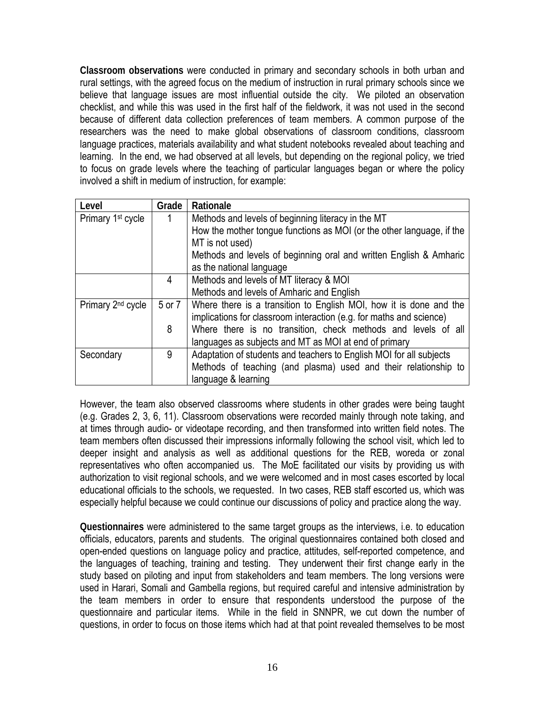**Classroom observations** were conducted in primary and secondary schools in both urban and rural settings, with the agreed focus on the medium of instruction in rural primary schools since we believe that language issues are most influential outside the city. We piloted an observation checklist, and while this was used in the first half of the fieldwork, it was not used in the second because of different data collection preferences of team members. A common purpose of the researchers was the need to make global observations of classroom conditions, classroom language practices, materials availability and what student notebooks revealed about teaching and learning. In the end, we had observed at all levels, but depending on the regional policy, we tried to focus on grade levels where the teaching of particular languages began or where the policy involved a shift in medium of instruction, for example:

| Level                         | Grade  | Rationale                                                             |  |
|-------------------------------|--------|-----------------------------------------------------------------------|--|
| Primary 1 <sup>st</sup> cycle |        | Methods and levels of beginning literacy in the MT                    |  |
|                               |        | How the mother tongue functions as MOI (or the other language, if the |  |
|                               |        | MT is not used)                                                       |  |
|                               |        | Methods and levels of beginning oral and written English & Amharic    |  |
|                               |        | as the national language                                              |  |
|                               | 4      | Methods and levels of MT literacy & MOI                               |  |
|                               |        | Methods and levels of Amharic and English                             |  |
| Primary 2 <sup>nd</sup> cycle | 5 or 7 | Where there is a transition to English MOI, how it is done and the    |  |
|                               |        | implications for classroom interaction (e.g. for maths and science)   |  |
|                               | 8      | Where there is no transition, check methods and levels of all         |  |
|                               |        | languages as subjects and MT as MOI at end of primary                 |  |
| Secondary                     | 9      | Adaptation of students and teachers to English MOI for all subjects   |  |
|                               |        | Methods of teaching (and plasma) used and their relationship to       |  |
|                               |        | language & learning                                                   |  |

However, the team also observed classrooms where students in other grades were being taught (e.g. Grades 2, 3, 6, 11). Classroom observations were recorded mainly through note taking, and at times through audio- or videotape recording, and then transformed into written field notes. The team members often discussed their impressions informally following the school visit, which led to deeper insight and analysis as well as additional questions for the REB, woreda or zonal representatives who often accompanied us. The MoE facilitated our visits by providing us with authorization to visit regional schools, and we were welcomed and in most cases escorted by local educational officials to the schools, we requested. In two cases, REB staff escorted us, which was especially helpful because we could continue our discussions of policy and practice along the way.

**Questionnaires** were administered to the same target groups as the interviews, i.e. to education officials, educators, parents and students. The original questionnaires contained both closed and open-ended questions on language policy and practice, attitudes, self-reported competence, and the languages of teaching, training and testing. They underwent their first change early in the study based on piloting and input from stakeholders and team members. The long versions were used in Harari, Somali and Gambella regions, but required careful and intensive administration by the team members in order to ensure that respondents understood the purpose of the questionnaire and particular items. While in the field in SNNPR, we cut down the number of questions, in order to focus on those items which had at that point revealed themselves to be most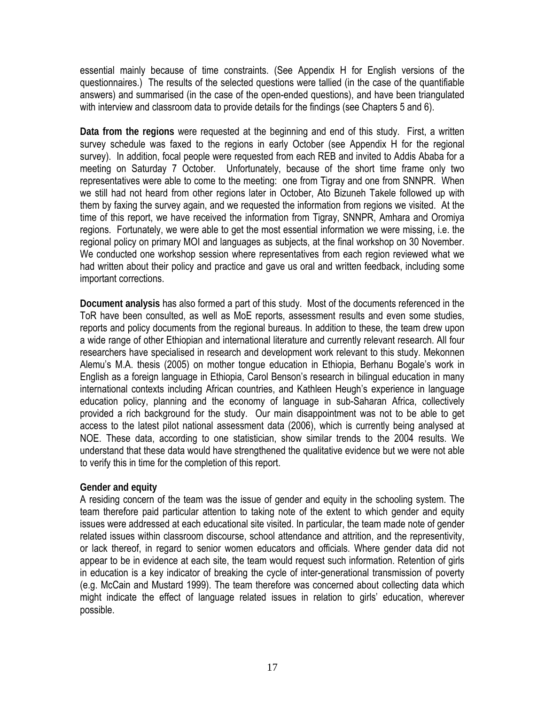essential mainly because of time constraints. (See Appendix H for English versions of the questionnaires.) The results of the selected questions were tallied (in the case of the quantifiable answers) and summarised (in the case of the open-ended questions), and have been triangulated with interview and classroom data to provide details for the findings (see Chapters 5 and 6).

**Data from the regions** were requested at the beginning and end of this study. First, a written survey schedule was faxed to the regions in early October (see Appendix H for the regional survey). In addition, focal people were requested from each REB and invited to Addis Ababa for a meeting on Saturday 7 October. Unfortunately, because of the short time frame only two representatives were able to come to the meeting: one from Tigray and one from SNNPR. When we still had not heard from other regions later in October, Ato Bizuneh Takele followed up with them by faxing the survey again, and we requested the information from regions we visited. At the time of this report, we have received the information from Tigray, SNNPR, Amhara and Oromiya regions. Fortunately, we were able to get the most essential information we were missing, i.e. the regional policy on primary MOI and languages as subjects, at the final workshop on 30 November. We conducted one workshop session where representatives from each region reviewed what we had written about their policy and practice and gave us oral and written feedback, including some important corrections.

**Document analysis** has also formed a part of this study. Most of the documents referenced in the ToR have been consulted, as well as MoE reports, assessment results and even some studies, reports and policy documents from the regional bureaus. In addition to these, the team drew upon a wide range of other Ethiopian and international literature and currently relevant research. All four researchers have specialised in research and development work relevant to this study. Mekonnen Alemu's M.A. thesis (2005) on mother tongue education in Ethiopia, Berhanu Bogale's work in English as a foreign language in Ethiopia, Carol Benson's research in bilingual education in many international contexts including African countries, and Kathleen Heugh's experience in language education policy, planning and the economy of language in sub-Saharan Africa, collectively provided a rich background for the study. Our main disappointment was not to be able to get access to the latest pilot national assessment data (2006), which is currently being analysed at NOE. These data, according to one statistician, show similar trends to the 2004 results. We understand that these data would have strengthened the qualitative evidence but we were not able to verify this in time for the completion of this report.

#### **Gender and equity**

A residing concern of the team was the issue of gender and equity in the schooling system. The team therefore paid particular attention to taking note of the extent to which gender and equity issues were addressed at each educational site visited. In particular, the team made note of gender related issues within classroom discourse, school attendance and attrition, and the representivity, or lack thereof, in regard to senior women educators and officials. Where gender data did not appear to be in evidence at each site, the team would request such information. Retention of girls in education is a key indicator of breaking the cycle of inter-generational transmission of poverty (e.g. McCain and Mustard 1999). The team therefore was concerned about collecting data which might indicate the effect of language related issues in relation to girls' education, wherever possible.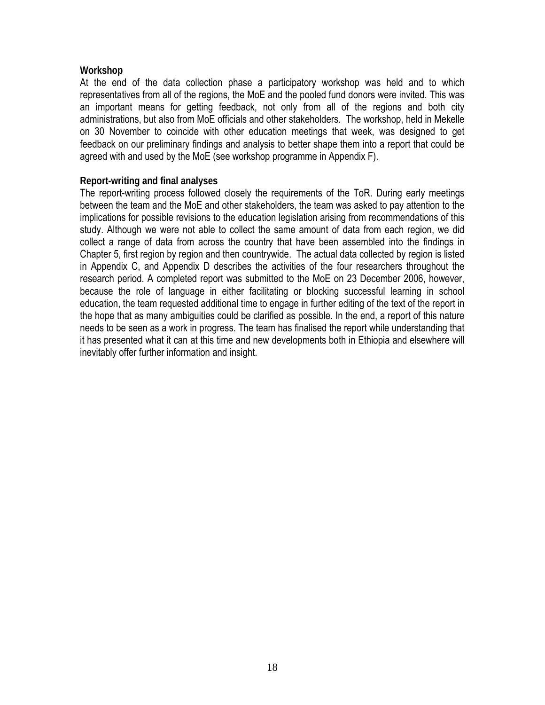#### **Workshop**

At the end of the data collection phase a participatory workshop was held and to which representatives from all of the regions, the MoE and the pooled fund donors were invited. This was an important means for getting feedback, not only from all of the regions and both city administrations, but also from MoE officials and other stakeholders. The workshop, held in Mekelle on 30 November to coincide with other education meetings that week, was designed to get feedback on our preliminary findings and analysis to better shape them into a report that could be agreed with and used by the MoE (see workshop programme in Appendix F).

#### **Report-writing and final analyses**

The report-writing process followed closely the requirements of the ToR. During early meetings between the team and the MoE and other stakeholders, the team was asked to pay attention to the implications for possible revisions to the education legislation arising from recommendations of this study. Although we were not able to collect the same amount of data from each region, we did collect a range of data from across the country that have been assembled into the findings in Chapter 5, first region by region and then countrywide. The actual data collected by region is listed in Appendix C, and Appendix D describes the activities of the four researchers throughout the research period. A completed report was submitted to the MoE on 23 December 2006, however, because the role of language in either facilitating or blocking successful learning in school education, the team requested additional time to engage in further editing of the text of the report in the hope that as many ambiguities could be clarified as possible. In the end, a report of this nature needs to be seen as a work in progress. The team has finalised the report while understanding that it has presented what it can at this time and new developments both in Ethiopia and elsewhere will inevitably offer further information and insight.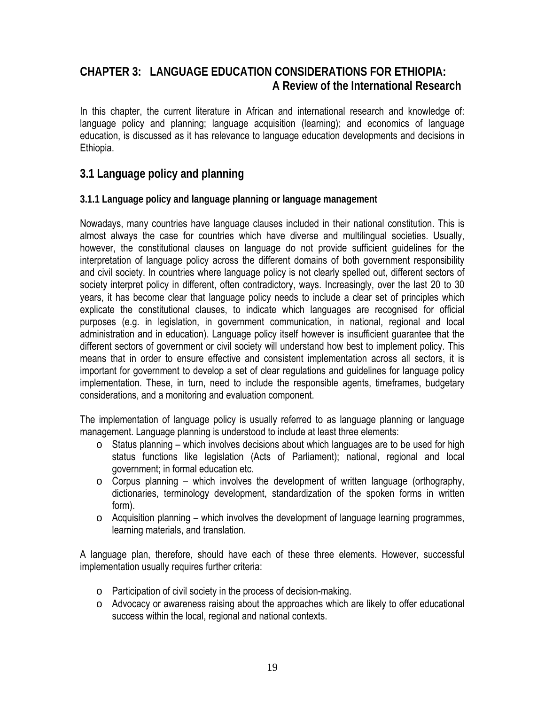## **CHAPTER 3: LANGUAGE EDUCATION CONSIDERATIONS FOR ETHIOPIA: A Review of the International Research**

In this chapter, the current literature in African and international research and knowledge of: language policy and planning; language acquisition (learning); and economics of language education, is discussed as it has relevance to language education developments and decisions in Ethiopia.

## **3.1 Language policy and planning**

#### **3.1.1 Language policy and language planning or language management**

Nowadays, many countries have language clauses included in their national constitution. This is almost always the case for countries which have diverse and multilingual societies. Usually, however, the constitutional clauses on language do not provide sufficient guidelines for the interpretation of language policy across the different domains of both government responsibility and civil society. In countries where language policy is not clearly spelled out, different sectors of society interpret policy in different, often contradictory, ways. Increasingly, over the last 20 to 30 years, it has become clear that language policy needs to include a clear set of principles which explicate the constitutional clauses, to indicate which languages are recognised for official purposes (e.g. in legislation, in government communication, in national, regional and local administration and in education). Language policy itself however is insufficient guarantee that the different sectors of government or civil society will understand how best to implement policy. This means that in order to ensure effective and consistent implementation across all sectors, it is important for government to develop a set of clear regulations and guidelines for language policy implementation. These, in turn, need to include the responsible agents, timeframes, budgetary considerations, and a monitoring and evaluation component.

The implementation of language policy is usually referred to as language planning or language management. Language planning is understood to include at least three elements:

- $\circ$  Status planning which involves decisions about which languages are to be used for high status functions like legislation (Acts of Parliament); national, regional and local government; in formal education etc.
- $\circ$  Corpus planning which involves the development of written language (orthography, dictionaries, terminology development, standardization of the spoken forms in written form).
- $\circ$  Acquisition planning which involves the development of language learning programmes, learning materials, and translation.

A language plan, therefore, should have each of these three elements. However, successful implementation usually requires further criteria:

- o Participation of civil society in the process of decision-making.
- o Advocacy or awareness raising about the approaches which are likely to offer educational success within the local, regional and national contexts.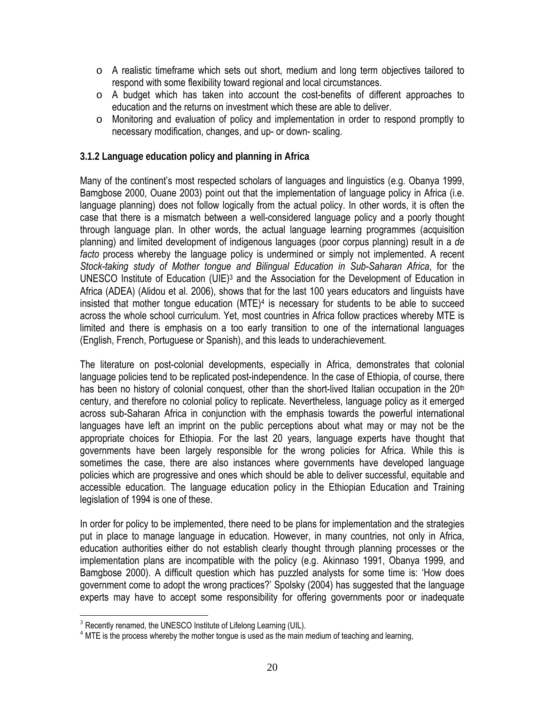- $\circ$  A realistic timeframe which sets out short, medium and long term objectives tailored to respond with some flexibility toward regional and local circumstances.
- $\circ$  A budget which has taken into account the cost-benefits of different approaches to education and the returns on investment which these are able to deliver.
- $\circ$  Monitoring and evaluation of policy and implementation in order to respond promptly to necessary modification, changes, and up- or down- scaling.

#### **3.1.2 Language education policy and planning in Africa**

Many of the continent's most respected scholars of languages and linguistics (e.g. Obanya 1999, Bamgbose 2000, Ouane 2003) point out that the implementation of language policy in Africa (i.e. language planning) does not follow logically from the actual policy. In other words, it is often the case that there is a mismatch between a well-considered language policy and a poorly thought through language plan. In other words, the actual language learning programmes (acquisition planning) and limited development of indigenous languages (poor corpus planning) result in a *de facto* process whereby the language policy is undermined or simply not implemented. A recent *Stock-taking study of Mother tongue and Bilingual Education in Sub-Saharan Africa*, for the UNESCO Institute of Education (UIE)3 and the Association for the Development of Education in Africa (ADEA) (Alidou et al. 2006), shows that for the last 100 years educators and linguists have insisted that mother tongue education (MTE)4 is necessary for students to be able to succeed across the whole school curriculum. Yet, most countries in Africa follow practices whereby MTE is limited and there is emphasis on a too early transition to one of the international languages (English, French, Portuguese or Spanish), and this leads to underachievement.

The literature on post-colonial developments, especially in Africa, demonstrates that colonial language policies tend to be replicated post-independence. In the case of Ethiopia, of course, there has been no history of colonial conquest, other than the short-lived Italian occupation in the  $20<sup>th</sup>$ century, and therefore no colonial policy to replicate. Nevertheless, language policy as it emerged across sub-Saharan Africa in conjunction with the emphasis towards the powerful international languages have left an imprint on the public perceptions about what may or may not be the appropriate choices for Ethiopia. For the last 20 years, language experts have thought that governments have been largely responsible for the wrong policies for Africa. While this is sometimes the case, there are also instances where governments have developed language policies which are progressive and ones which should be able to deliver successful, equitable and accessible education. The language education policy in the Ethiopian Education and Training legislation of 1994 is one of these.

In order for policy to be implemented, there need to be plans for implementation and the strategies put in place to manage language in education. However, in many countries, not only in Africa, education authorities either do not establish clearly thought through planning processes or the implementation plans are incompatible with the policy (e.g. Akinnaso 1991, Obanya 1999, and Bamgbose 2000). A difficult question which has puzzled analysts for some time is: 'How does government come to adopt the wrong practices?' Spolsky (2004) has suggested that the language experts may have to accept some responsibility for offering governments poor or inadequate

1

<sup>&</sup>lt;sup>3</sup> Recently renamed, the UNESCO Institute of Lifelong Learning (UIL).

 $4$  MTE is the process whereby the mother tongue is used as the main medium of teaching and learning,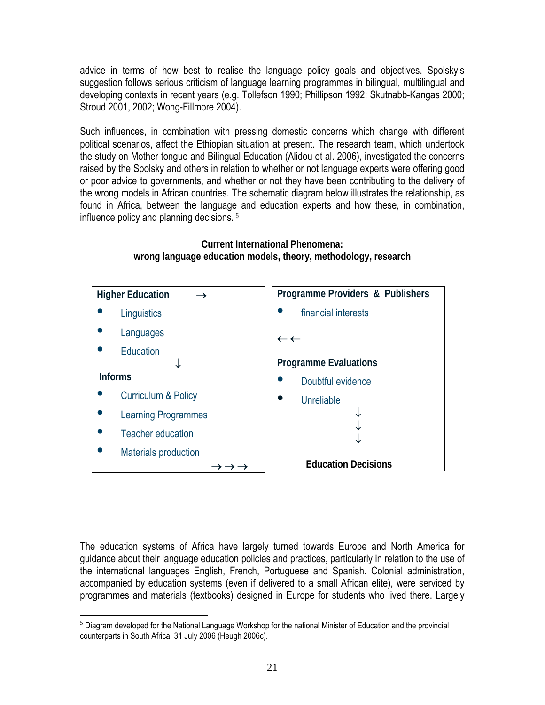advice in terms of how best to realise the language policy goals and objectives. Spolsky's suggestion follows serious criticism of language learning programmes in bilingual, multilingual and developing contexts in recent years (e.g. Tollefson 1990; Phillipson 1992; Skutnabb-Kangas 2000; Stroud 2001, 2002; Wong-Fillmore 2004).

Such influences, in combination with pressing domestic concerns which change with different political scenarios, affect the Ethiopian situation at present. The research team, which undertook the study on Mother tongue and Bilingual Education (Alidou et al. 2006), investigated the concerns raised by the Spolsky and others in relation to whether or not language experts were offering good or poor advice to governments, and whether or not they have been contributing to the delivery of the wrong models in African countries. The schematic diagram below illustrates the relationship, as found in Africa, between the language and education experts and how these, in combination, influence policy and planning decisions. 5



**Current International Phenomena: wrong language education models, theory, methodology, research** 

The education systems of Africa have largely turned towards Europe and North America for guidance about their language education policies and practices, particularly in relation to the use of the international languages English, French, Portuguese and Spanish. Colonial administration, accompanied by education systems (even if delivered to a small African elite), were serviced by programmes and materials (textbooks) designed in Europe for students who lived there. Largely

<sup>1</sup>  $<sup>5</sup>$  Diagram developed for the National Language Workshop for the national Minister of Education and the provincial</sup> counterparts in South Africa, 31 July 2006 (Heugh 2006c).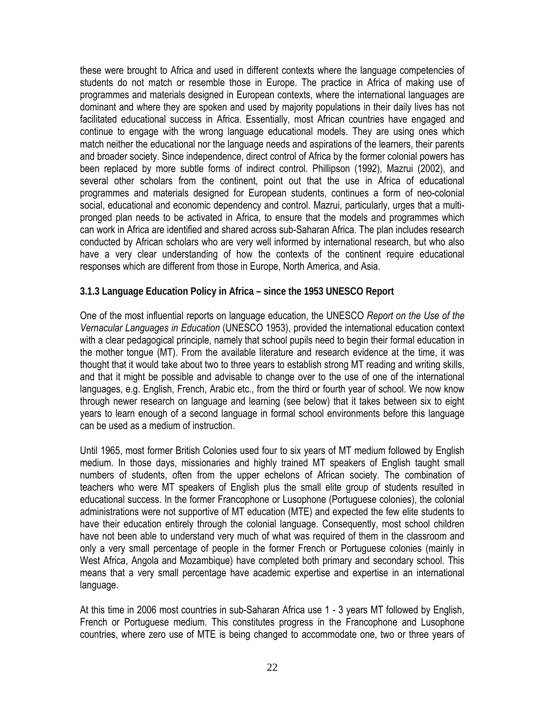these were brought to Africa and used in different contexts where the language competencies of students do not match or resemble those in Europe. The practice in Africa of making use of programmes and materials designed in European contexts, where the international languages are dominant and where they are spoken and used by majority populations in their daily lives has not facilitated educational success in Africa. Essentially, most African countries have engaged and continue to engage with the wrong language educational models. They are using ones which match neither the educational nor the language needs and aspirations of the learners, their parents and broader society. Since independence, direct control of Africa by the former colonial powers has been replaced by more subtle forms of indirect control. Phillipson (1992), Mazrui (2002), and several other scholars from the continent, point out that the use in Africa of educational programmes and materials designed for European students, continues a form of neo-colonial social, educational and economic dependency and control. Mazrui, particularly, urges that a multipronged plan needs to be activated in Africa, to ensure that the models and programmes which can work in Africa are identified and shared across sub-Saharan Africa. The plan includes research conducted by African scholars who are very well informed by international research, but who also have a very clear understanding of how the contexts of the continent require educational responses which are different from those in Europe, North America, and Asia.

#### **3.1.3 Language Education Policy in Africa – since the 1953 UNESCO Report**

One of the most influential reports on language education, the UNESCO *Report on the Use of the Vernacular Languages in Education* (UNESCO 1953), provided the international education context with a clear pedagogical principle, namely that school pupils need to begin their formal education in the mother tongue (MT). From the available literature and research evidence at the time, it was thought that it would take about two to three years to establish strong MT reading and writing skills, and that it might be possible and advisable to change over to the use of one of the international languages, e.g. English, French, Arabic etc., from the third or fourth year of school. We now know through newer research on language and learning (see below) that it takes between six to eight years to learn enough of a second language in formal school environments before this language can be used as a medium of instruction.

Until 1965, most former British Colonies used four to six years of MT medium followed by English medium. In those days, missionaries and highly trained MT speakers of English taught small numbers of students, often from the upper echelons of African society. The combination of teachers who were MT speakers of English plus the small elite group of students resulted in educational success. In the former Francophone or Lusophone (Portuguese colonies), the colonial administrations were not supportive of MT education (MTE) and expected the few elite students to have their education entirely through the colonial language. Consequently, most school children have not been able to understand very much of what was required of them in the classroom and only a very small percentage of people in the former French or Portuguese colonies (mainly in West Africa, Angola and Mozambique) have completed both primary and secondary school. This means that a very small percentage have academic expertise and expertise in an international language.

At this time in 2006 most countries in sub-Saharan Africa use 1 - 3 years MT followed by English, French or Portuguese medium. This constitutes progress in the Francophone and Lusophone countries, where zero use of MTE is being changed to accommodate one, two or three years of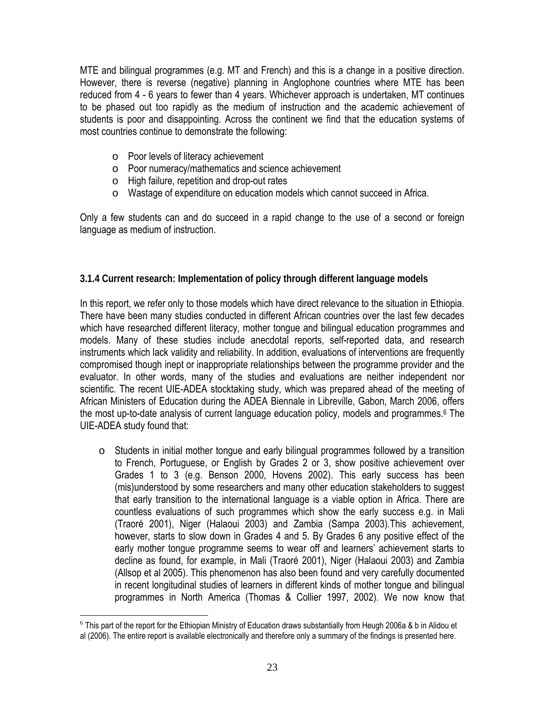MTE and bilingual programmes (e.g. MT and French) and this is a change in a positive direction. However, there is reverse (negative) planning in Anglophone countries where MTE has been reduced from 4 - 6 years to fewer than 4 years. Whichever approach is undertaken, MT continues to be phased out too rapidly as the medium of instruction and the academic achievement of students is poor and disappointing. Across the continent we find that the education systems of most countries continue to demonstrate the following:

- o Poor levels of literacy achievement
- o Poor numeracy/mathematics and science achievement
- o High failure, repetition and drop-out rates
- o Wastage of expenditure on education models which cannot succeed in Africa.

Only a few students can and do succeed in a rapid change to the use of a second or foreign language as medium of instruction.

#### **3.1.4 Current research: Implementation of policy through different language models**

In this report, we refer only to those models which have direct relevance to the situation in Ethiopia. There have been many studies conducted in different African countries over the last few decades which have researched different literacy, mother tongue and bilingual education programmes and models. Many of these studies include anecdotal reports, self-reported data, and research instruments which lack validity and reliability. In addition, evaluations of interventions are frequently compromised though inept or inappropriate relationships between the programme provider and the evaluator. In other words, many of the studies and evaluations are neither independent nor scientific. The recent UIE-ADEA stocktaking study, which was prepared ahead of the meeting of African Ministers of Education during the ADEA Biennale in Libreville, Gabon, March 2006, offers the most up-to-date analysis of current language education policy, models and programmes.6 The UIE-ADEA study found that:

o Students in initial mother tongue and early bilingual programmes followed by a transition to French, Portuguese, or English by Grades 2 or 3, show positive achievement over Grades 1 to 3 (e.g. Benson 2000, Hovens 2002). This early success has been (mis)understood by some researchers and many other education stakeholders to suggest that early transition to the international language is a viable option in Africa. There are countless evaluations of such programmes which show the early success e.g. in Mali (Traoré 2001), Niger (Halaoui 2003) and Zambia (Sampa 2003).This achievement, however, starts to slow down in Grades 4 and 5. By Grades 6 any positive effect of the early mother tongue programme seems to wear off and learners' achievement starts to decline as found, for example, in Mali (Traoré 2001), Niger (Halaoui 2003) and Zambia (Allsop et al 2005). This phenomenon has also been found and very carefully documented in recent longitudinal studies of learners in different kinds of mother tongue and bilingual programmes in North America (Thomas & Collier 1997, 2002). We now know that

 $\overline{a}$  $6$  This part of the report for the Ethiopian Ministry of Education draws substantially from Heugh 2006a & b in Alidou et al (2006). The entire report is available electronically and therefore only a summary of the findings is presented here.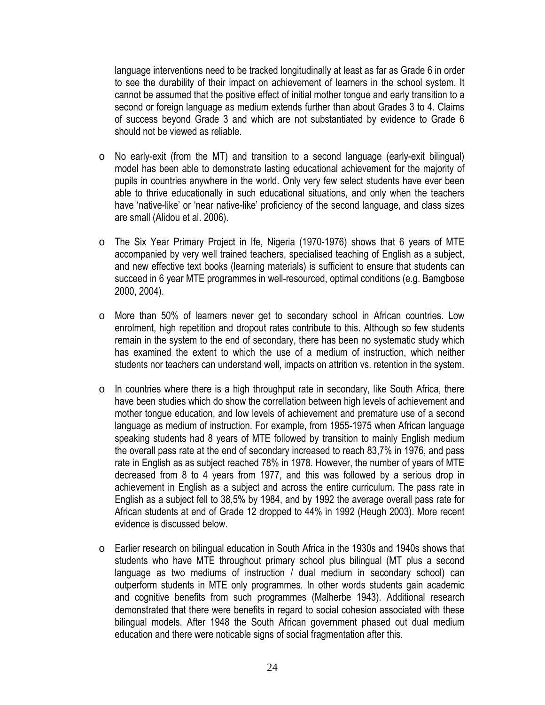language interventions need to be tracked longitudinally at least as far as Grade 6 in order to see the durability of their impact on achievement of learners in the school system. It cannot be assumed that the positive effect of initial mother tongue and early transition to a second or foreign language as medium extends further than about Grades 3 to 4. Claims of success beyond Grade 3 and which are not substantiated by evidence to Grade 6 should not be viewed as reliable.

- o No early-exit (from the MT) and transition to a second language (early-exit bilingual) model has been able to demonstrate lasting educational achievement for the majority of pupils in countries anywhere in the world. Only very few select students have ever been able to thrive educationally in such educational situations, and only when the teachers have 'native-like' or 'near native-like' proficiency of the second language, and class sizes are small (Alidou et al. 2006).
- o The Six Year Primary Project in Ife, Nigeria (1970-1976) shows that 6 years of MTE accompanied by very well trained teachers, specialised teaching of English as a subject, and new effective text books (learning materials) is sufficient to ensure that students can succeed in 6 year MTE programmes in well-resourced, optimal conditions (e.g. Bamgbose 2000, 2004).
- o More than 50% of learners never get to secondary school in African countries. Low enrolment, high repetition and dropout rates contribute to this. Although so few students remain in the system to the end of secondary, there has been no systematic study which has examined the extent to which the use of a medium of instruction, which neither students nor teachers can understand well, impacts on attrition vs. retention in the system.
- $\circ$  In countries where there is a high throughput rate in secondary, like South Africa, there have been studies which do show the correllation between high levels of achievement and mother tongue education, and low levels of achievement and premature use of a second language as medium of instruction. For example, from 1955-1975 when African language speaking students had 8 years of MTE followed by transition to mainly English medium the overall pass rate at the end of secondary increased to reach 83,7% in 1976, and pass rate in English as as subject reached 78% in 1978. However, the number of years of MTE decreased from 8 to 4 years from 1977, and this was followed by a serious drop in achievement in English as a subject and across the entire curriculum. The pass rate in English as a subject fell to 38,5% by 1984, and by 1992 the average overall pass rate for African students at end of Grade 12 dropped to 44% in 1992 (Heugh 2003). More recent evidence is discussed below.
- o Earlier research on bilingual education in South Africa in the 1930s and 1940s shows that students who have MTE throughout primary school plus bilingual (MT plus a second language as two mediums of instruction / dual medium in secondary school) can outperform students in MTE only programmes. In other words students gain academic and cognitive benefits from such programmes (Malherbe 1943). Additional research demonstrated that there were benefits in regard to social cohesion associated with these bilingual models. After 1948 the South African government phased out dual medium education and there were noticable signs of social fragmentation after this.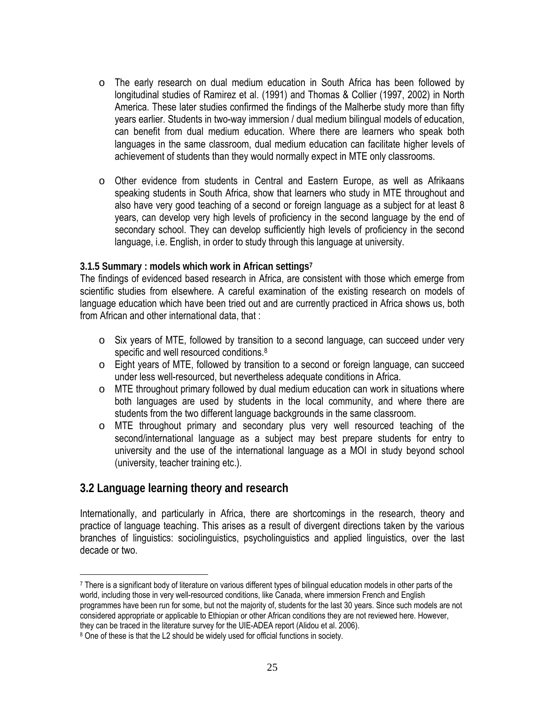- o The early research on dual medium education in South Africa has been followed by longitudinal studies of Ramirez et al. (1991) and Thomas & Collier (1997, 2002) in North America. These later studies confirmed the findings of the Malherbe study more than fifty years earlier. Students in two-way immersion / dual medium bilingual models of education, can benefit from dual medium education. Where there are learners who speak both languages in the same classroom, dual medium education can facilitate higher levels of achievement of students than they would normally expect in MTE only classrooms.
- o Other evidence from students in Central and Eastern Europe, as well as Afrikaans speaking students in South Africa, show that learners who study in MTE throughout and also have very good teaching of a second or foreign language as a subject for at least 8 years, can develop very high levels of proficiency in the second language by the end of secondary school. They can develop sufficiently high levels of proficiency in the second language, i.e. English, in order to study through this language at university.

#### **3.1.5 Summary : models which work in African settings7**

The findings of evidenced based research in Africa, are consistent with those which emerge from scientific studies from elsewhere. A careful examination of the existing research on models of language education which have been tried out and are currently practiced in Africa shows us, both from African and other international data, that :

- o Six years of MTE, followed by transition to a second language, can succeed under very specific and well resourced conditions.<sup>8</sup>
- o Eight years of MTE, followed by transition to a second or foreign language, can succeed under less well-resourced, but nevertheless adequate conditions in Africa.
- $\circ$  MTE throughout primary followed by dual medium education can work in situations where both languages are used by students in the local community, and where there are students from the two different language backgrounds in the same classroom.
- o MTE throughout primary and secondary plus very well resourced teaching of the second/international language as a subject may best prepare students for entry to university and the use of the international language as a MOI in study beyond school (university, teacher training etc.).

## **3.2 Language learning theory and research**

 $\overline{a}$ 

Internationally, and particularly in Africa, there are shortcomings in the research, theory and practice of language teaching. This arises as a result of divergent directions taken by the various branches of linguistics: sociolinguistics, psycholinguistics and applied linguistics, over the last decade or two.

<sup>7</sup> There is a significant body of literature on various different types of bilingual education models in other parts of the world, including those in very well-resourced conditions, like Canada, where immersion French and English programmes have been run for some, but not the majority of, students for the last 30 years. Since such models are not considered appropriate or applicable to Ethiopian or other African conditions they are not reviewed here. However, they can be traced in the literature survey for the UIE-ADEA report (Alidou et al. 2006).

<sup>8</sup> One of these is that the L2 should be widely used for official functions in society.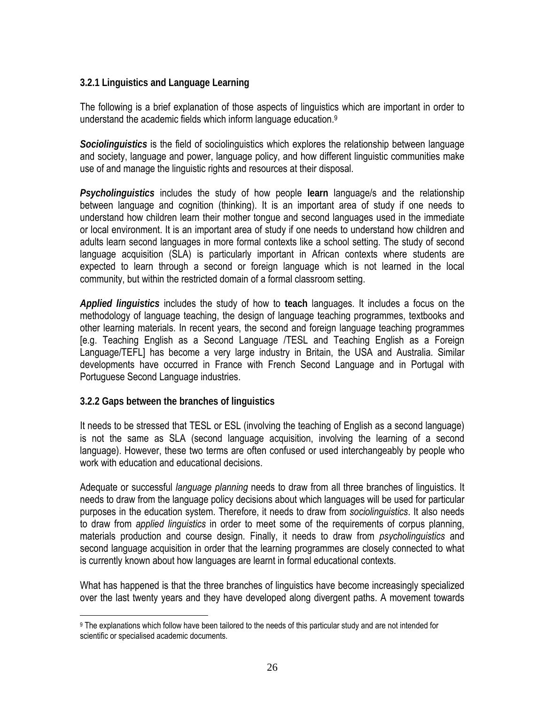#### **3.2.1 Linguistics and Language Learning**

The following is a brief explanation of those aspects of linguistics which are important in order to understand the academic fields which inform language education.9

*Sociolinguistics* is the field of sociolinguistics which explores the relationship between language and society, language and power, language policy, and how different linguistic communities make use of and manage the linguistic rights and resources at their disposal.

*Psycholinguistics* includes the study of how people **learn** language/s and the relationship between language and cognition (thinking). It is an important area of study if one needs to understand how children learn their mother tongue and second languages used in the immediate or local environment. It is an important area of study if one needs to understand how children and adults learn second languages in more formal contexts like a school setting. The study of second language acquisition (SLA) is particularly important in African contexts where students are expected to learn through a second or foreign language which is not learned in the local community, but within the restricted domain of a formal classroom setting.

*Applied linguistics* includes the study of how to **teach** languages. It includes a focus on the methodology of language teaching, the design of language teaching programmes, textbooks and other learning materials. In recent years, the second and foreign language teaching programmes [e.g. Teaching English as a Second Language /TESL and Teaching English as a Foreign Language/TEFL] has become a very large industry in Britain, the USA and Australia. Similar developments have occurred in France with French Second Language and in Portugal with Portuguese Second Language industries.

#### **3.2.2 Gaps between the branches of linguistics**

 $\overline{a}$ 

It needs to be stressed that TESL or ESL (involving the teaching of English as a second language) is not the same as SLA (second language acquisition, involving the learning of a second language). However, these two terms are often confused or used interchangeably by people who work with education and educational decisions.

Adequate or successful *language planning* needs to draw from all three branches of linguistics. It needs to draw from the language policy decisions about which languages will be used for particular purposes in the education system. Therefore, it needs to draw from *sociolinguistics*. It also needs to draw from *applied linguistics* in order to meet some of the requirements of corpus planning, materials production and course design. Finally, it needs to draw from *psycholinguistics* and second language acquisition in order that the learning programmes are closely connected to what is currently known about how languages are learnt in formal educational contexts.

What has happened is that the three branches of linguistics have become increasingly specialized over the last twenty years and they have developed along divergent paths. A movement towards

<sup>9</sup> The explanations which follow have been tailored to the needs of this particular study and are not intended for scientific or specialised academic documents.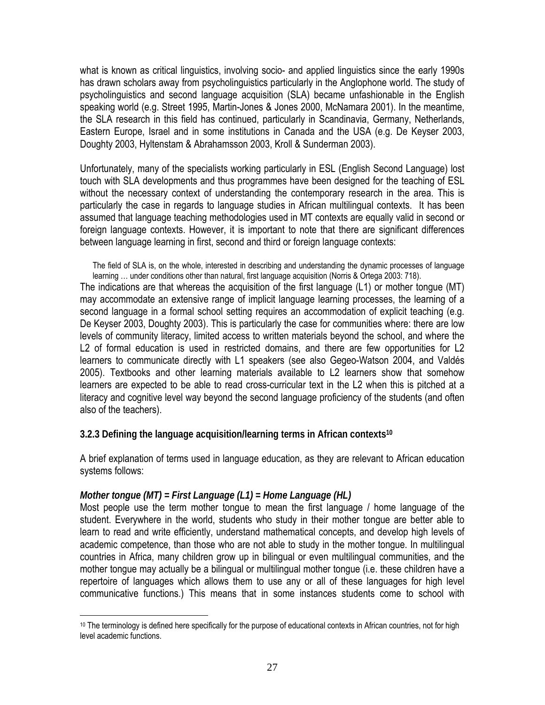what is known as critical linguistics, involving socio- and applied linguistics since the early 1990s has drawn scholars away from psycholinguistics particularly in the Anglophone world. The study of psycholinguistics and second language acquisition (SLA) became unfashionable in the English speaking world (e.g. Street 1995, Martin-Jones & Jones 2000, McNamara 2001). In the meantime, the SLA research in this field has continued, particularly in Scandinavia, Germany, Netherlands, Eastern Europe, Israel and in some institutions in Canada and the USA (e.g. De Keyser 2003, Doughty 2003, Hyltenstam & Abrahamsson 2003, Kroll & Sunderman 2003).

Unfortunately, many of the specialists working particularly in ESL (English Second Language) lost touch with SLA developments and thus programmes have been designed for the teaching of ESL without the necessary context of understanding the contemporary research in the area. This is particularly the case in regards to language studies in African multilingual contexts. It has been assumed that language teaching methodologies used in MT contexts are equally valid in second or foreign language contexts. However, it is important to note that there are significant differences between language learning in first, second and third or foreign language contexts:

The field of SLA is, on the whole, interested in describing and understanding the dynamic processes of language learning … under conditions other than natural, first language acquisition (Norris & Ortega 2003: 718).

The indications are that whereas the acquisition of the first language (L1) or mother tongue (MT) may accommodate an extensive range of implicit language learning processes, the learning of a second language in a formal school setting requires an accommodation of explicit teaching (e.g. De Keyser 2003, Doughty 2003). This is particularly the case for communities where: there are low levels of community literacy, limited access to written materials beyond the school, and where the L2 of formal education is used in restricted domains, and there are few opportunities for L2 learners to communicate directly with L1 speakers (see also Gegeo-Watson 2004, and Valdés 2005). Textbooks and other learning materials available to L2 learners show that somehow learners are expected to be able to read cross-curricular text in the L2 when this is pitched at a literacy and cognitive level way beyond the second language proficiency of the students (and often also of the teachers).

#### **3.2.3 Defining the language acquisition/learning terms in African contexts10**

A brief explanation of terms used in language education, as they are relevant to African education systems follows:

#### *Mother tongue (MT) = First Language (L1) = Home Language (HL)*

 $\overline{a}$ 

Most people use the term mother tongue to mean the first language / home language of the student. Everywhere in the world, students who study in their mother tongue are better able to learn to read and write efficiently, understand mathematical concepts, and develop high levels of academic competence, than those who are not able to study in the mother tongue. In multilingual countries in Africa, many children grow up in bilingual or even multilingual communities, and the mother tongue may actually be a bilingual or multilingual mother tongue (i.e. these children have a repertoire of languages which allows them to use any or all of these languages for high level communicative functions.) This means that in some instances students come to school with

<sup>&</sup>lt;sup>10</sup> The terminology is defined here specifically for the purpose of educational contexts in African countries, not for high level academic functions.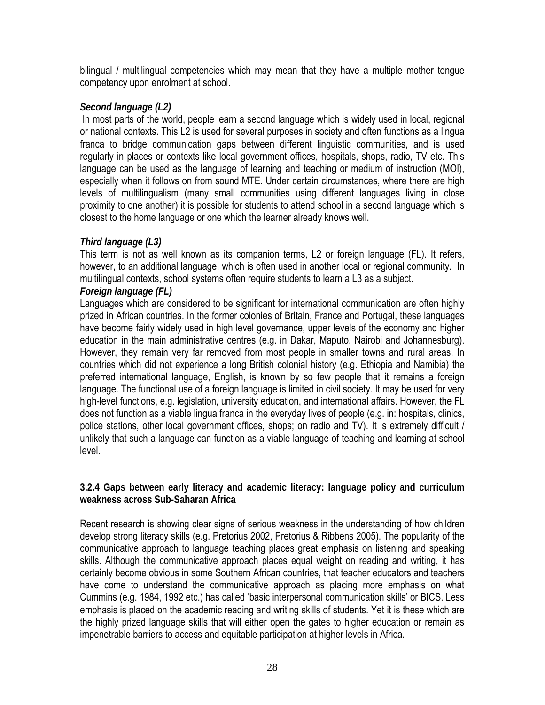bilingual / multilingual competencies which may mean that they have a multiple mother tongue competency upon enrolment at school.

#### *Second language (L2)*

 In most parts of the world, people learn a second language which is widely used in local, regional or national contexts. This L2 is used for several purposes in society and often functions as a lingua franca to bridge communication gaps between different linguistic communities, and is used regularly in places or contexts like local government offices, hospitals, shops, radio, TV etc. This language can be used as the language of learning and teaching or medium of instruction (MOI), especially when it follows on from sound MTE. Under certain circumstances, where there are high levels of multilingualism (many small communities using different languages living in close proximity to one another) it is possible for students to attend school in a second language which is closest to the home language or one which the learner already knows well.

#### *Third language (L3)*

This term is not as well known as its companion terms, L2 or foreign language (FL). It refers, however, to an additional language, which is often used in another local or regional community. In multilingual contexts, school systems often require students to learn a L3 as a subject.

# *Foreign language (FL)*

Languages which are considered to be significant for international communication are often highly prized in African countries. In the former colonies of Britain, France and Portugal, these languages have become fairly widely used in high level governance, upper levels of the economy and higher education in the main administrative centres (e.g. in Dakar, Maputo, Nairobi and Johannesburg). However, they remain very far removed from most people in smaller towns and rural areas. In countries which did not experience a long British colonial history (e.g. Ethiopia and Namibia) the preferred international language, English, is known by so few people that it remains a foreign language. The functional use of a foreign language is limited in civil society. It may be used for very high-level functions, e.g. legislation, university education, and international affairs. However, the FL does not function as a viable lingua franca in the everyday lives of people (e.g. in: hospitals, clinics, police stations, other local government offices, shops; on radio and TV). It is extremely difficult / unlikely that such a language can function as a viable language of teaching and learning at school level.

#### **3.2.4 Gaps between early literacy and academic literacy: language policy and curriculum weakness across Sub-Saharan Africa**

Recent research is showing clear signs of serious weakness in the understanding of how children develop strong literacy skills (e.g. Pretorius 2002, Pretorius & Ribbens 2005). The popularity of the communicative approach to language teaching places great emphasis on listening and speaking skills. Although the communicative approach places equal weight on reading and writing, it has certainly become obvious in some Southern African countries, that teacher educators and teachers have come to understand the communicative approach as placing more emphasis on what Cummins (e.g. 1984, 1992 etc.) has called 'basic interpersonal communication skills' or BICS. Less emphasis is placed on the academic reading and writing skills of students. Yet it is these which are the highly prized language skills that will either open the gates to higher education or remain as impenetrable barriers to access and equitable participation at higher levels in Africa.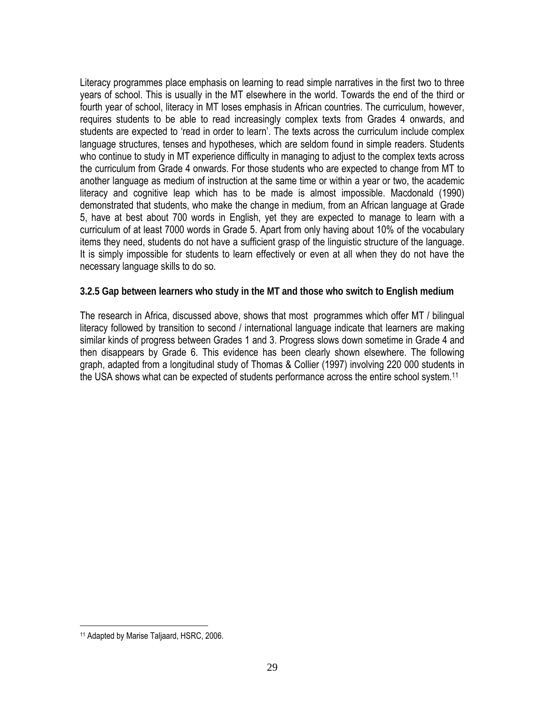Literacy programmes place emphasis on learning to read simple narratives in the first two to three years of school. This is usually in the MT elsewhere in the world. Towards the end of the third or fourth year of school, literacy in MT loses emphasis in African countries. The curriculum, however, requires students to be able to read increasingly complex texts from Grades 4 onwards, and students are expected to 'read in order to learn'. The texts across the curriculum include complex language structures, tenses and hypotheses, which are seldom found in simple readers. Students who continue to study in MT experience difficulty in managing to adjust to the complex texts across the curriculum from Grade 4 onwards. For those students who are expected to change from MT to another language as medium of instruction at the same time or within a year or two, the academic literacy and cognitive leap which has to be made is almost impossible. Macdonald (1990) demonstrated that students, who make the change in medium, from an African language at Grade 5, have at best about 700 words in English, yet they are expected to manage to learn with a curriculum of at least 7000 words in Grade 5. Apart from only having about 10% of the vocabulary items they need, students do not have a sufficient grasp of the linguistic structure of the language. It is simply impossible for students to learn effectively or even at all when they do not have the necessary language skills to do so.

**3.2.5 Gap between learners who study in the MT and those who switch to English medium** 

The research in Africa, discussed above, shows that most programmes which offer MT / bilingual literacy followed by transition to second / international language indicate that learners are making similar kinds of progress between Grades 1 and 3. Progress slows down sometime in Grade 4 and then disappears by Grade 6. This evidence has been clearly shown elsewhere. The following graph, adapted from a longitudinal study of Thomas & Collier (1997) involving 220 000 students in the USA shows what can be expected of students performance across the entire school system.<sup>11</sup>

 $\overline{a}$ 

<sup>11</sup> Adapted by Marise Taljaard, HSRC, 2006.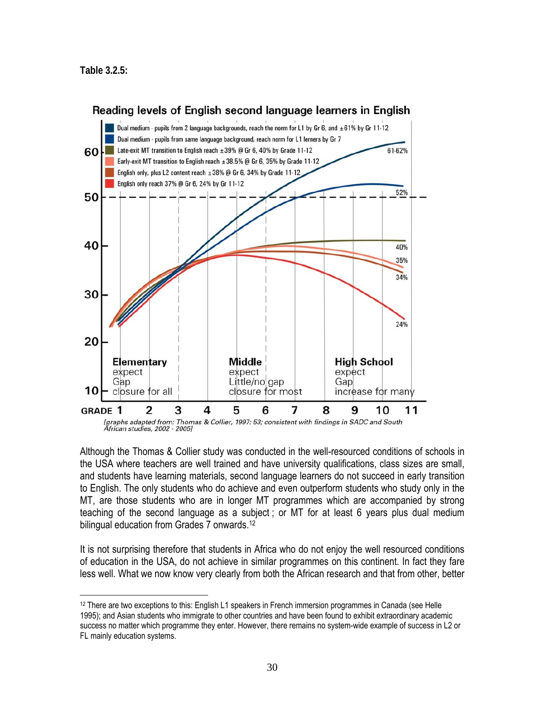$\overline{a}$ 



Although the Thomas & Collier study was conducted in the well-resourced conditions of schools in the USA where teachers are well trained and have university qualifications, class sizes are small, and students have learning materials, second language learners do not succeed in early transition to English. The only students who do achieve and even outperform students who study only in the MT, are those students who are in longer MT programmes which are accompanied by strong teaching of the second language as a subject ; or MT for at least 6 years plus dual medium bilingual education from Grades 7 onwards.<sup>12</sup>

It is not surprising therefore that students in Africa who do not enjoy the well resourced conditions of education in the USA, do not achieve in similar programmes on this continent. In fact they fare less well. What we now know very clearly from both the African research and that from other, better

<sup>12</sup> There are two exceptions to this: English L1 speakers in French immersion programmes in Canada (see Helle 1995); and Asian students who immigrate to other countries and have been found to exhibit extraordinary academic success no matter which programme they enter. However, there remains no system-wide example of success in L2 or FL mainly education systems.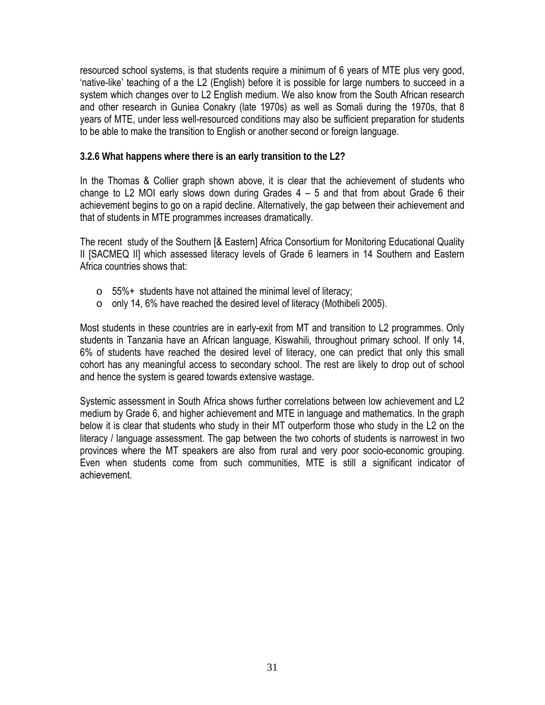resourced school systems, is that students require a minimum of 6 years of MTE plus very good, 'native-like' teaching of a the L2 (English) before it is possible for large numbers to succeed in a system which changes over to L2 English medium. We also know from the South African research and other research in Guniea Conakry (late 1970s) as well as Somali during the 1970s, that 8 years of MTE, under less well-resourced conditions may also be sufficient preparation for students to be able to make the transition to English or another second or foreign language.

#### **3.2.6 What happens where there is an early transition to the L2?**

In the Thomas & Collier graph shown above, it is clear that the achievement of students who change to L2 MOI early slows down during Grades  $4 - 5$  and that from about Grade 6 their achievement begins to go on a rapid decline. Alternatively, the gap between their achievement and that of students in MTE programmes increases dramatically.

The recent study of the Southern [& Eastern] Africa Consortium for Monitoring Educational Quality II [SACMEQ II] which assessed literacy levels of Grade 6 learners in 14 Southern and Eastern Africa countries shows that:

- $\circ$  55%+ students have not attained the minimal level of literacy;
- o only 14, 6% have reached the desired level of literacy (Mothibeli 2005).

Most students in these countries are in early-exit from MT and transition to L2 programmes. Only students in Tanzania have an African language, Kiswahili, throughout primary school. If only 14, 6% of students have reached the desired level of literacy, one can predict that only this small cohort has any meaningful access to secondary school. The rest are likely to drop out of school and hence the system is geared towards extensive wastage.

Systemic assessment in South Africa shows further correlations between low achievement and L2 medium by Grade 6, and higher achievement and MTE in language and mathematics. In the graph below it is clear that students who study in their MT outperform those who study in the L2 on the literacy / language assessment. The gap between the two cohorts of students is narrowest in two provinces where the MT speakers are also from rural and very poor socio-economic grouping. Even when students come from such communities, MTE is still a significant indicator of achievement.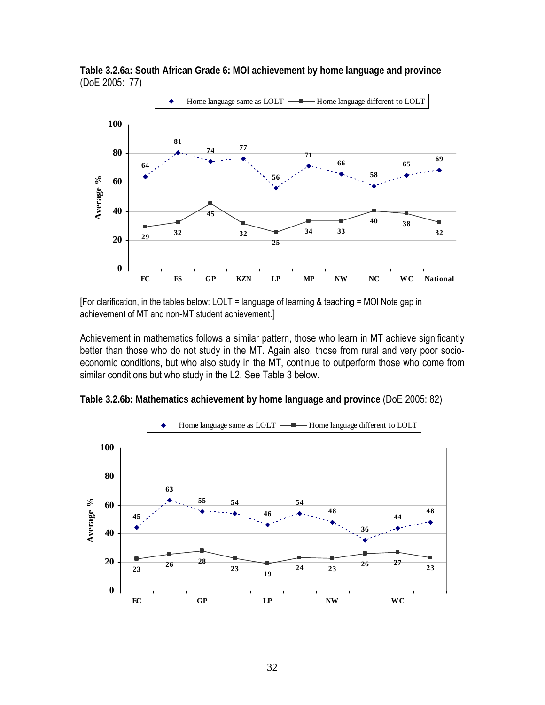

**Table 3.2.6a: South African Grade 6: MOI achievement by home language and province**  (DoE 2005: 77)

[For clarification, in the tables below: LOLT = language of learning & teaching = MOI Note gap in achievement of MT and non-MT student achievement.]

Achievement in mathematics follows a similar pattern, those who learn in MT achieve significantly better than those who do not study in the MT. Again also, those from rural and very poor socioeconomic conditions, but who also study in the MT, continue to outperform those who come from similar conditions but who study in the L2. See Table 3 below.



**Table 3.2.6b: Mathematics achievement by home language and province** (DoE 2005: 82)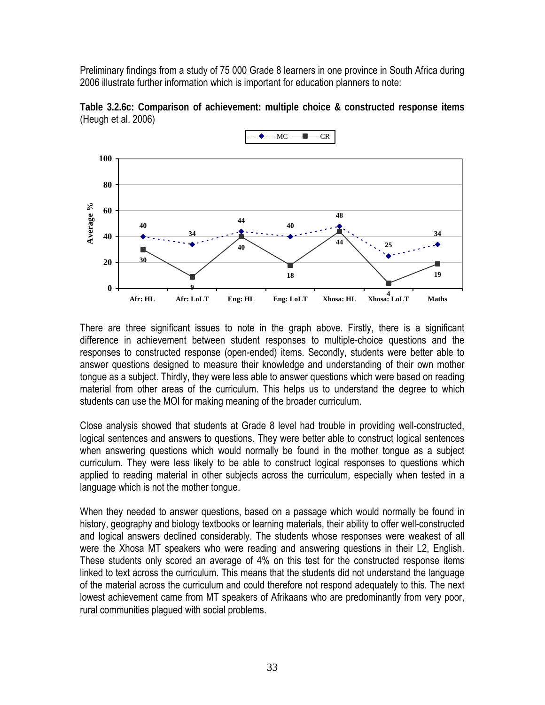Preliminary findings from a study of 75 000 Grade 8 learners in one province in South Africa during 2006 illustrate further information which is important for education planners to note:





There are three significant issues to note in the graph above. Firstly, there is a significant difference in achievement between student responses to multiple-choice questions and the responses to constructed response (open-ended) items. Secondly, students were better able to answer questions designed to measure their knowledge and understanding of their own mother tongue as a subject. Thirdly, they were less able to answer questions which were based on reading material from other areas of the curriculum. This helps us to understand the degree to which students can use the MOI for making meaning of the broader curriculum.

Close analysis showed that students at Grade 8 level had trouble in providing well-constructed, logical sentences and answers to questions. They were better able to construct logical sentences when answering questions which would normally be found in the mother tongue as a subject curriculum. They were less likely to be able to construct logical responses to questions which applied to reading material in other subjects across the curriculum, especially when tested in a language which is not the mother tongue.

When they needed to answer questions, based on a passage which would normally be found in history, geography and biology textbooks or learning materials, their ability to offer well-constructed and logical answers declined considerably. The students whose responses were weakest of all were the Xhosa MT speakers who were reading and answering questions in their L2, English. These students only scored an average of 4% on this test for the constructed response items linked to text across the curriculum. This means that the students did not understand the language of the material across the curriculum and could therefore not respond adequately to this. The next lowest achievement came from MT speakers of Afrikaans who are predominantly from very poor, rural communities plagued with social problems.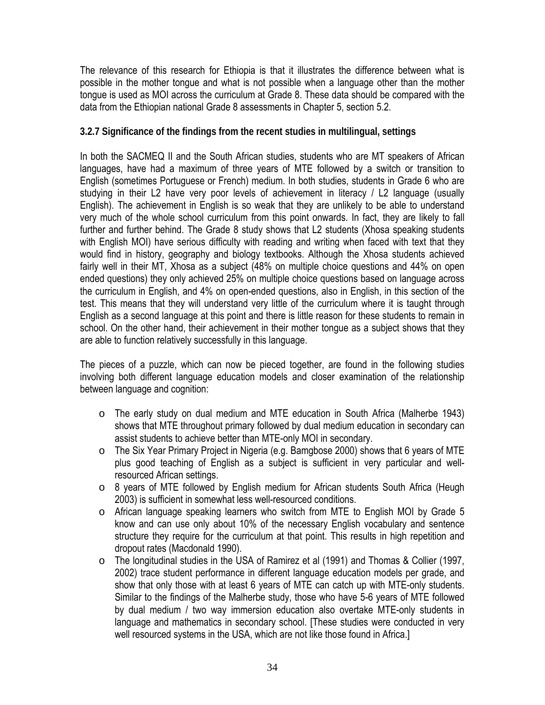The relevance of this research for Ethiopia is that it illustrates the difference between what is possible in the mother tongue and what is not possible when a language other than the mother tongue is used as MOI across the curriculum at Grade 8. These data should be compared with the data from the Ethiopian national Grade 8 assessments in Chapter 5, section 5.2.

#### **3.2.7 Significance of the findings from the recent studies in multilingual, settings**

In both the SACMEQ II and the South African studies, students who are MT speakers of African languages, have had a maximum of three years of MTE followed by a switch or transition to English (sometimes Portuguese or French) medium. In both studies, students in Grade 6 who are studying in their L2 have very poor levels of achievement in literacy / L2 language (usually English). The achievement in English is so weak that they are unlikely to be able to understand very much of the whole school curriculum from this point onwards. In fact, they are likely to fall further and further behind. The Grade 8 study shows that L2 students (Xhosa speaking students with English MOI) have serious difficulty with reading and writing when faced with text that they would find in history, geography and biology textbooks. Although the Xhosa students achieved fairly well in their MT, Xhosa as a subject (48% on multiple choice questions and 44% on open ended questions) they only achieved 25% on multiple choice questions based on language across the curriculum in English, and 4% on open-ended questions, also in English, in this section of the test. This means that they will understand very little of the curriculum where it is taught through English as a second language at this point and there is little reason for these students to remain in school. On the other hand, their achievement in their mother tongue as a subject shows that they are able to function relatively successfully in this language.

The pieces of a puzzle, which can now be pieced together, are found in the following studies involving both different language education models and closer examination of the relationship between language and cognition:

- o The early study on dual medium and MTE education in South Africa (Malherbe 1943) shows that MTE throughout primary followed by dual medium education in secondary can assist students to achieve better than MTE-only MOI in secondary.
- o The Six Year Primary Project in Nigeria (e.g. Bamgbose 2000) shows that 6 years of MTE plus good teaching of English as a subject is sufficient in very particular and wellresourced African settings.
- o 8 years of MTE followed by English medium for African students South Africa (Heugh 2003) is sufficient in somewhat less well-resourced conditions.
- o African language speaking learners who switch from MTE to English MOI by Grade 5 know and can use only about 10% of the necessary English vocabulary and sentence structure they require for the curriculum at that point. This results in high repetition and dropout rates (Macdonald 1990).
- o The longitudinal studies in the USA of Ramirez et al (1991) and Thomas & Collier (1997, 2002) trace student performance in different language education models per grade, and show that only those with at least 6 years of MTE can catch up with MTE-only students. Similar to the findings of the Malherbe study, those who have 5-6 years of MTE followed by dual medium / two way immersion education also overtake MTE-only students in language and mathematics in secondary school. [These studies were conducted in very well resourced systems in the USA, which are not like those found in Africa.]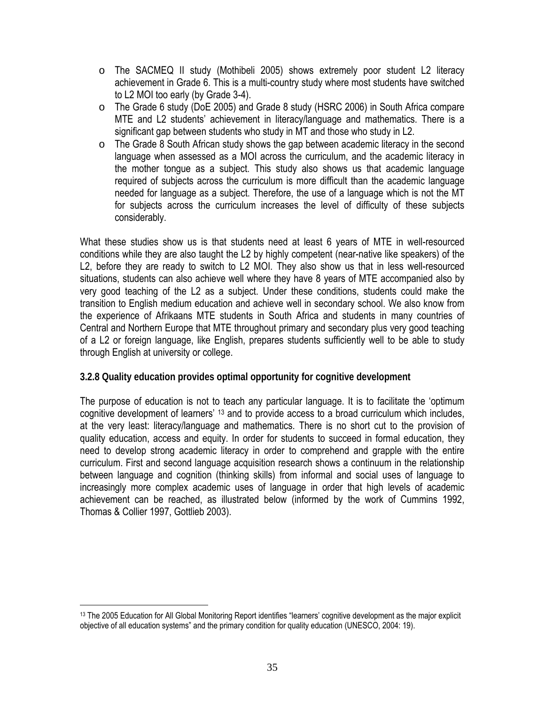- o The SACMEQ II study (Mothibeli 2005) shows extremely poor student L2 literacy achievement in Grade 6. This is a multi-country study where most students have switched to L2 MOI too early (by Grade 3-4).
- o The Grade 6 study (DoE 2005) and Grade 8 study (HSRC 2006) in South Africa compare MTE and L2 students' achievement in literacy/language and mathematics. There is a significant gap between students who study in MT and those who study in L2.
- o The Grade 8 South African study shows the gap between academic literacy in the second language when assessed as a MOI across the curriculum, and the academic literacy in the mother tongue as a subject. This study also shows us that academic language required of subjects across the curriculum is more difficult than the academic language needed for language as a subject. Therefore, the use of a language which is not the MT for subjects across the curriculum increases the level of difficulty of these subjects considerably.

What these studies show us is that students need at least 6 years of MTE in well-resourced conditions while they are also taught the L2 by highly competent (near-native like speakers) of the L2, before they are ready to switch to L2 MOI. They also show us that in less well-resourced situations, students can also achieve well where they have 8 years of MTE accompanied also by very good teaching of the L2 as a subject. Under these conditions, students could make the transition to English medium education and achieve well in secondary school. We also know from the experience of Afrikaans MTE students in South Africa and students in many countries of Central and Northern Europe that MTE throughout primary and secondary plus very good teaching of a L2 or foreign language, like English, prepares students sufficiently well to be able to study through English at university or college.

#### **3.2.8 Quality education provides optimal opportunity for cognitive development**

The purpose of education is not to teach any particular language. It is to facilitate the 'optimum cognitive development of learners' 13 and to provide access to a broad curriculum which includes, at the very least: literacy/language and mathematics. There is no short cut to the provision of quality education, access and equity. In order for students to succeed in formal education, they need to develop strong academic literacy in order to comprehend and grapple with the entire curriculum. First and second language acquisition research shows a continuum in the relationship between language and cognition (thinking skills) from informal and social uses of language to increasingly more complex academic uses of language in order that high levels of academic achievement can be reached, as illustrated below (informed by the work of Cummins 1992, Thomas & Collier 1997, Gottlieb 2003).

 $\overline{a}$ 

<sup>&</sup>lt;sup>13</sup> The 2005 Education for All Global Monitoring Report identifies "learners' cognitive development as the major explicit objective of all education systems" and the primary condition for quality education (UNESCO, 2004: 19).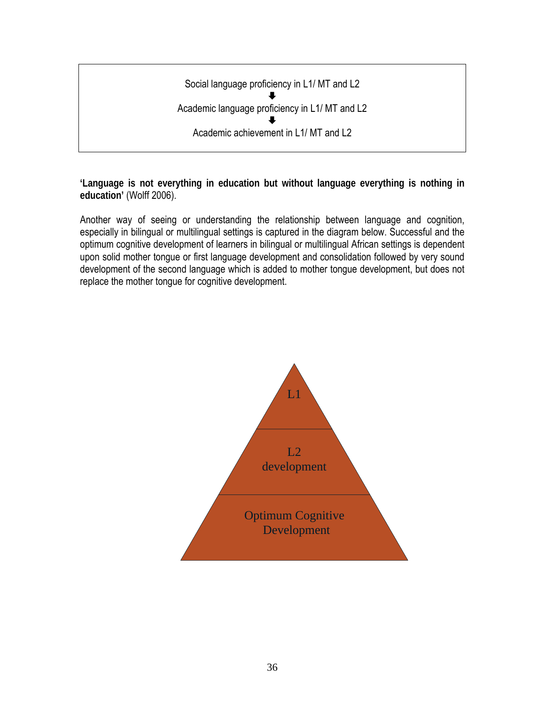

**'Language is not everything in education but without language everything is nothing in education'** (Wolff 2006).

Another way of seeing or understanding the relationship between language and cognition, especially in bilingual or multilingual settings is captured in the diagram below. Successful and the optimum cognitive development of learners in bilingual or multilingual African settings is dependent upon solid mother tongue or first language development and consolidation followed by very sound development of the second language which is added to mother tongue development, but does not replace the mother tongue for cognitive development.

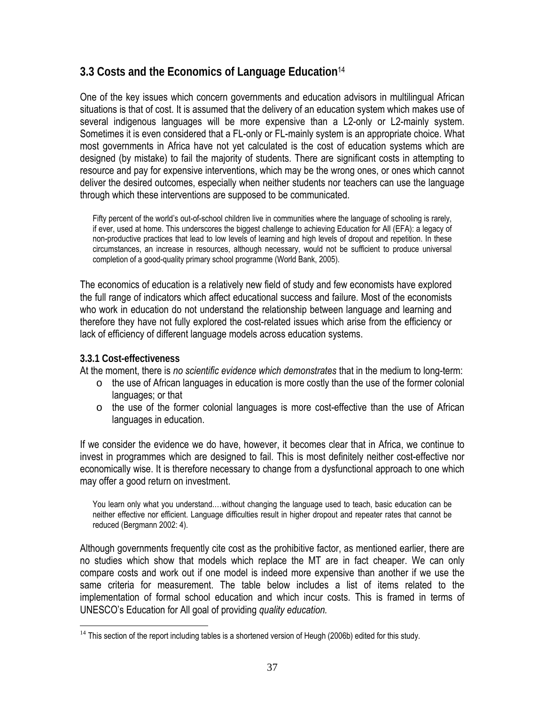# **3.3 Costs and the Economics of Language Education**<sup>14</sup>

One of the key issues which concern governments and education advisors in multilingual African situations is that of cost. It is assumed that the delivery of an education system which makes use of several indigenous languages will be more expensive than a L2-only or L2-mainly system. Sometimes it is even considered that a FL-only or FL-mainly system is an appropriate choice. What most governments in Africa have not yet calculated is the cost of education systems which are designed (by mistake) to fail the majority of students. There are significant costs in attempting to resource and pay for expensive interventions, which may be the wrong ones, or ones which cannot deliver the desired outcomes, especially when neither students nor teachers can use the language through which these interventions are supposed to be communicated.

Fifty percent of the world's out-of-school children live in communities where the language of schooling is rarely, if ever, used at home. This underscores the biggest challenge to achieving Education for All (EFA): a legacy of non-productive practices that lead to low levels of learning and high levels of dropout and repetition. In these circumstances, an increase in resources, although necessary, would not be sufficient to produce universal completion of a good-quality primary school programme (World Bank, 2005).

The economics of education is a relatively new field of study and few economists have explored the full range of indicators which affect educational success and failure. Most of the economists who work in education do not understand the relationship between language and learning and therefore they have not fully explored the cost-related issues which arise from the efficiency or lack of efficiency of different language models across education systems.

#### **3.3.1 Cost-effectiveness**

 $\overline{a}$ 

At the moment, there is *no scientific evidence which demonstrates* that in the medium to long-term:

- o the use of African languages in education is more costly than the use of the former colonial languages; or that
- $\circ$  the use of the former colonial languages is more cost-effective than the use of African languages in education.

If we consider the evidence we do have, however, it becomes clear that in Africa, we continue to invest in programmes which are designed to fail. This is most definitely neither cost-effective nor economically wise. It is therefore necessary to change from a dysfunctional approach to one which may offer a good return on investment.

You learn only what you understand.…without changing the language used to teach, basic education can be neither effective nor efficient. Language difficulties result in higher dropout and repeater rates that cannot be reduced (Bergmann 2002: 4).

Although governments frequently cite cost as the prohibitive factor, as mentioned earlier, there are no studies which show that models which replace the MT are in fact cheaper. We can only compare costs and work out if one model is indeed more expensive than another if we use the same criteria for measurement. The table below includes a list of items related to the implementation of formal school education and which incur costs. This is framed in terms of UNESCO's Education for All goal of providing *quality education.* 

<sup>&</sup>lt;sup>14</sup> This section of the report including tables is a shortened version of Heugh (2006b) edited for this study.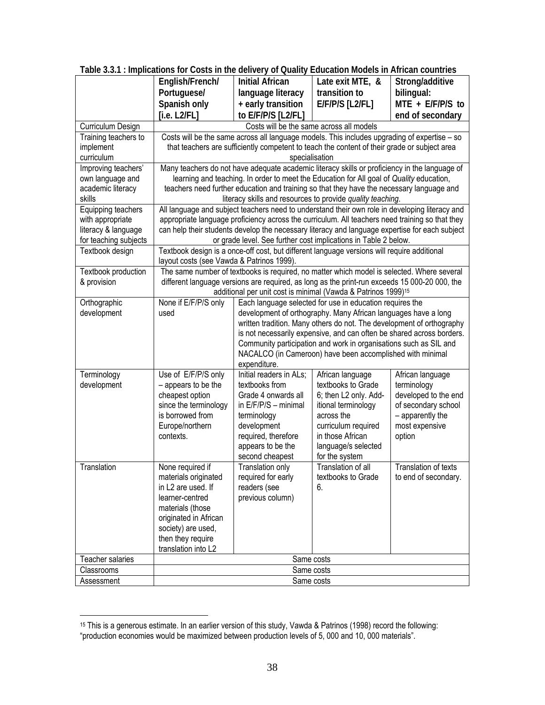| transition to<br>Portuguese/<br>language literacy<br>bilingual:<br>Spanish only<br>$MTE + E/F/P/S$ to<br>+ early transition<br>$E/F/P/S$ [L2/FL]<br>to E/F/P/S [L2/FL]<br>[i.e. L2/FL]<br>end of secondary<br>Costs will be the same across all models<br>Curriculum Design<br>Training teachers to<br>Costs will be the same across all language models. This includes upgrading of expertise - so |  |  |  |  |  |  |  |
|-----------------------------------------------------------------------------------------------------------------------------------------------------------------------------------------------------------------------------------------------------------------------------------------------------------------------------------------------------------------------------------------------------|--|--|--|--|--|--|--|
|                                                                                                                                                                                                                                                                                                                                                                                                     |  |  |  |  |  |  |  |
|                                                                                                                                                                                                                                                                                                                                                                                                     |  |  |  |  |  |  |  |
|                                                                                                                                                                                                                                                                                                                                                                                                     |  |  |  |  |  |  |  |
|                                                                                                                                                                                                                                                                                                                                                                                                     |  |  |  |  |  |  |  |
|                                                                                                                                                                                                                                                                                                                                                                                                     |  |  |  |  |  |  |  |
| that teachers are sufficiently competent to teach the content of their grade or subject area<br>implement                                                                                                                                                                                                                                                                                           |  |  |  |  |  |  |  |
| curriculum<br>specialisation                                                                                                                                                                                                                                                                                                                                                                        |  |  |  |  |  |  |  |
| Improving teachers'<br>Many teachers do not have adequate academic literacy skills or proficiency in the language of                                                                                                                                                                                                                                                                                |  |  |  |  |  |  |  |
| learning and teaching. In order to meet the Education for All goal of Quality education,<br>own language and                                                                                                                                                                                                                                                                                        |  |  |  |  |  |  |  |
| teachers need further education and training so that they have the necessary language and<br>academic literacy                                                                                                                                                                                                                                                                                      |  |  |  |  |  |  |  |
| skills<br>literacy skills and resources to provide quality teaching.                                                                                                                                                                                                                                                                                                                                |  |  |  |  |  |  |  |
| All language and subject teachers need to understand their own role in developing literacy and<br>Equipping teachers<br>appropriate language proficiency across the curriculum. All teachers need training so that they<br>with appropriate                                                                                                                                                         |  |  |  |  |  |  |  |
| literacy & language<br>can help their students develop the necessary literacy and language expertise for each subject                                                                                                                                                                                                                                                                               |  |  |  |  |  |  |  |
| for teaching subjects<br>or grade level. See further cost implications in Table 2 below.                                                                                                                                                                                                                                                                                                            |  |  |  |  |  |  |  |
| Textbook design is a once-off cost, but different language versions will require additional<br>Textbook design                                                                                                                                                                                                                                                                                      |  |  |  |  |  |  |  |
| layout costs (see Vawda & Patrinos 1999).                                                                                                                                                                                                                                                                                                                                                           |  |  |  |  |  |  |  |
| The same number of textbooks is required, no matter which model is selected. Where several<br>Textbook production                                                                                                                                                                                                                                                                                   |  |  |  |  |  |  |  |
| different language versions are required, as long as the print-run exceeds 15 000-20 000, the<br>& provision                                                                                                                                                                                                                                                                                        |  |  |  |  |  |  |  |
| additional per unit cost is minimal (Vawda & Patrinos 1999) <sup>15</sup>                                                                                                                                                                                                                                                                                                                           |  |  |  |  |  |  |  |
| None if E/F/P/S only<br>Each language selected for use in education requires the<br>Orthographic                                                                                                                                                                                                                                                                                                    |  |  |  |  |  |  |  |
| development<br>development of orthography. Many African languages have a long<br>used                                                                                                                                                                                                                                                                                                               |  |  |  |  |  |  |  |
| written tradition. Many others do not. The development of orthography                                                                                                                                                                                                                                                                                                                               |  |  |  |  |  |  |  |
| is not necessarily expensive, and can often be shared across borders.                                                                                                                                                                                                                                                                                                                               |  |  |  |  |  |  |  |
| Community participation and work in organisations such as SIL and                                                                                                                                                                                                                                                                                                                                   |  |  |  |  |  |  |  |
| NACALCO (in Cameroon) have been accomplished with minimal<br>expenditure.                                                                                                                                                                                                                                                                                                                           |  |  |  |  |  |  |  |
| Initial readers in ALs;<br>Terminology<br>Use of E/F/P/S only<br>African language<br>African language                                                                                                                                                                                                                                                                                               |  |  |  |  |  |  |  |
| textbooks to Grade<br>development<br>- appears to be the<br>textbooks from<br>terminology                                                                                                                                                                                                                                                                                                           |  |  |  |  |  |  |  |
| cheapest option<br>6; then L2 only. Add-<br>developed to the end<br>Grade 4 onwards all                                                                                                                                                                                                                                                                                                             |  |  |  |  |  |  |  |
| since the terminology<br>in E/F/P/S - minimal<br>of secondary school<br>itional terminology                                                                                                                                                                                                                                                                                                         |  |  |  |  |  |  |  |
| is borrowed from<br>across the<br>terminology<br>- apparently the                                                                                                                                                                                                                                                                                                                                   |  |  |  |  |  |  |  |
| Europe/northern<br>curriculum required<br>most expensive<br>development                                                                                                                                                                                                                                                                                                                             |  |  |  |  |  |  |  |
| required, therefore<br>in those African<br>contexts.<br>option                                                                                                                                                                                                                                                                                                                                      |  |  |  |  |  |  |  |
| appears to be the<br>language/s selected                                                                                                                                                                                                                                                                                                                                                            |  |  |  |  |  |  |  |
| second cheapest<br>for the system                                                                                                                                                                                                                                                                                                                                                                   |  |  |  |  |  |  |  |
| Translation<br>Translation of all<br><b>Translation of texts</b><br>None required if<br>Translation only                                                                                                                                                                                                                                                                                            |  |  |  |  |  |  |  |
| materials originated<br>required for early<br>textbooks to Grade<br>to end of secondary.                                                                                                                                                                                                                                                                                                            |  |  |  |  |  |  |  |
| in L2 are used. If<br>readers (see<br>6.                                                                                                                                                                                                                                                                                                                                                            |  |  |  |  |  |  |  |
| previous column)<br>learner-centred                                                                                                                                                                                                                                                                                                                                                                 |  |  |  |  |  |  |  |
| materials (those                                                                                                                                                                                                                                                                                                                                                                                    |  |  |  |  |  |  |  |
| originated in African                                                                                                                                                                                                                                                                                                                                                                               |  |  |  |  |  |  |  |
| society) are used,                                                                                                                                                                                                                                                                                                                                                                                  |  |  |  |  |  |  |  |
| then they require<br>translation into L2                                                                                                                                                                                                                                                                                                                                                            |  |  |  |  |  |  |  |
| Teacher salaries<br>Same costs                                                                                                                                                                                                                                                                                                                                                                      |  |  |  |  |  |  |  |
| Same costs<br>Classrooms                                                                                                                                                                                                                                                                                                                                                                            |  |  |  |  |  |  |  |
| Same costs<br>Assessment                                                                                                                                                                                                                                                                                                                                                                            |  |  |  |  |  |  |  |

**Table 3.3.1 : Implications for Costs in the delivery of Quality Education Models in African countries** 

 $\overline{a}$ 

<sup>&</sup>lt;sup>15</sup> This is a generous estimate. In an earlier version of this study, Vawda & Patrinos (1998) record the following: "production economies would be maximized between production levels of 5, 000 and 10, 000 materials".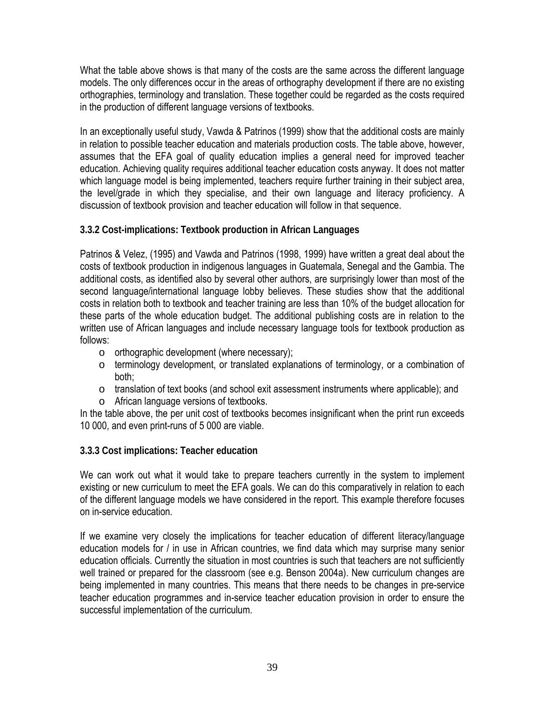What the table above shows is that many of the costs are the same across the different language models. The only differences occur in the areas of orthography development if there are no existing orthographies, terminology and translation. These together could be regarded as the costs required in the production of different language versions of textbooks.

In an exceptionally useful study, Vawda & Patrinos (1999) show that the additional costs are mainly in relation to possible teacher education and materials production costs. The table above, however, assumes that the EFA goal of quality education implies a general need for improved teacher education. Achieving quality requires additional teacher education costs anyway. It does not matter which language model is being implemented, teachers require further training in their subject area, the level/grade in which they specialise, and their own language and literacy proficiency. A discussion of textbook provision and teacher education will follow in that sequence.

### **3.3.2 Cost-implications: Textbook production in African Languages**

Patrinos & Velez, (1995) and Vawda and Patrinos (1998, 1999) have written a great deal about the costs of textbook production in indigenous languages in Guatemala, Senegal and the Gambia. The additional costs, as identified also by several other authors, are surprisingly lower than most of the second language/international language lobby believes. These studies show that the additional costs in relation both to textbook and teacher training are less than 10% of the budget allocation for these parts of the whole education budget. The additional publishing costs are in relation to the written use of African languages and include necessary language tools for textbook production as follows:

- o orthographic development (where necessary);
- o terminology development, or translated explanations of terminology, or a combination of both;
- o translation of text books (and school exit assessment instruments where applicable); and
- o African language versions of textbooks.

In the table above, the per unit cost of textbooks becomes insignificant when the print run exceeds 10 000, and even print-runs of 5 000 are viable.

### **3.3.3 Cost implications: Teacher education**

We can work out what it would take to prepare teachers currently in the system to implement existing or new curriculum to meet the EFA goals. We can do this comparatively in relation to each of the different language models we have considered in the report. This example therefore focuses on in-service education.

If we examine very closely the implications for teacher education of different literacy/language education models for / in use in African countries, we find data which may surprise many senior education officials. Currently the situation in most countries is such that teachers are not sufficiently well trained or prepared for the classroom (see e.g. Benson 2004a). New curriculum changes are being implemented in many countries. This means that there needs to be changes in pre-service teacher education programmes and in-service teacher education provision in order to ensure the successful implementation of the curriculum.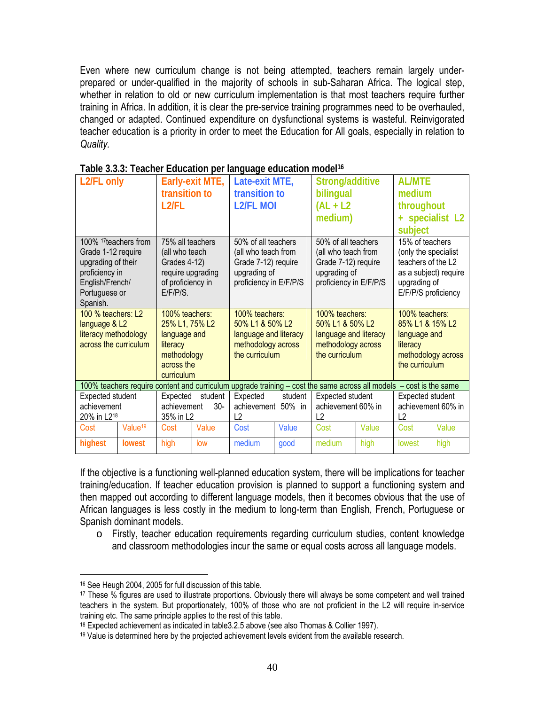Even where new curriculum change is not being attempted, teachers remain largely underprepared or under-qualified in the majority of schools in sub-Saharan Africa. The logical step, whether in relation to old or new curriculum implementation is that most teachers require further training in Africa. In addition, it is clear the pre-service training programmes need to be overhauled, changed or adapted. Continued expenditure on dysfunctional systems is wasteful. Reinvigorated teacher education is a priority in order to meet the Education for All goals, especially in relation to *Quality.*

| L2/FL only                       |                     |                   | Early-exit MTE, | Late-exit MTE,         |         | Strong/additive                                                                                                    |       | <b>AL/MTE</b>         |                 |
|----------------------------------|---------------------|-------------------|-----------------|------------------------|---------|--------------------------------------------------------------------------------------------------------------------|-------|-----------------------|-----------------|
|                                  |                     | transition to     |                 | transition to          |         | bilingual                                                                                                          |       | medium                |                 |
|                                  |                     | $L2$ /FL          |                 | <b>L2/FL MOI</b>       |         | $AL + L2$                                                                                                          |       | throughout            |                 |
|                                  |                     |                   |                 |                        |         | medium)                                                                                                            |       |                       | + specialist L2 |
|                                  |                     |                   |                 |                        |         |                                                                                                                    |       | subject               |                 |
| 100% <sup>17</sup> teachers from |                     | 75% all teachers  |                 | 50% of all teachers    |         | 50% of all teachers                                                                                                |       | 15% of teachers       |                 |
| Grade 1-12 require               |                     | (all who teach    |                 | (all who teach from    |         | (all who teach from                                                                                                |       | (only the specialist  |                 |
| upgrading of their               |                     | Grades 4-12)      |                 | Grade 7-12) require    |         | Grade 7-12) require                                                                                                |       | teachers of the L2    |                 |
| proficiency in                   |                     | require upgrading |                 | upgrading of           |         | upgrading of                                                                                                       |       | as a subject) require |                 |
| English/French/                  |                     | of proficiency in |                 | proficiency in E/F/P/S |         | proficiency in E/F/P/S                                                                                             |       | upgrading of          |                 |
| Portuguese or                    |                     | E/F/P/S           |                 |                        |         |                                                                                                                    |       | E/F/P/S proficiency   |                 |
| Spanish.                         |                     |                   |                 |                        |         |                                                                                                                    |       |                       |                 |
| 100 % teachers: L2               |                     | 100% teachers:    |                 | 100% teachers:         |         | 100% teachers:                                                                                                     |       | 100% teachers:        |                 |
| language & L2                    |                     | 25% L1, 75% L2    |                 | 50% L1 & 50% L2        |         | 50% L1 & 50% L2                                                                                                    |       | 85% L1 & 15% L2       |                 |
| literacy methodology             |                     | language and      |                 | language and literacy  |         | language and literacy                                                                                              |       | language and          |                 |
| across the curriculum            |                     | literacy          |                 | methodology across     |         | methodology across                                                                                                 |       | literacy              |                 |
|                                  |                     | methodology       |                 | the curriculum         |         | the curriculum                                                                                                     |       | methodology across    |                 |
|                                  |                     | across the        |                 |                        |         |                                                                                                                    |       | the curriculum        |                 |
|                                  |                     | curriculum        |                 |                        |         |                                                                                                                    |       |                       |                 |
|                                  |                     |                   |                 |                        |         | 100% teachers require content and curriculum upgrade training - cost the same across all models - cost is the same |       |                       |                 |
| <b>Expected student</b>          |                     | Expected          | student         | Expected               | student | Expected student                                                                                                   |       | Expected student      |                 |
| achievement                      |                     | achievement       | 30-             | achievement            | 50% in  | achievement 60% in                                                                                                 |       | achievement 60% in    |                 |
| 20% in L218                      |                     | 35% in L2         |                 | L2                     |         | L <sub>2</sub>                                                                                                     |       | L <sub>2</sub>        |                 |
| Cost                             | Value <sup>19</sup> | Cost              | Value           | Cost                   | Value   | Cost                                                                                                               | Value | Cost                  | Value           |
| highest                          | <b>lowest</b>       | high              | low             | medium                 | good    | medium                                                                                                             | high  | lowest                | high            |

| Table 3.3.3: Teacher Education per language education model <sup>16</sup> |  |  |  |
|---------------------------------------------------------------------------|--|--|--|
|                                                                           |  |  |  |
|                                                                           |  |  |  |

If the objective is a functioning well-planned education system, there will be implications for teacher training/education. If teacher education provision is planned to support a functioning system and then mapped out according to different language models, then it becomes obvious that the use of African languages is less costly in the medium to long-term than English, French, Portuguese or Spanish dominant models.

o Firstly, teacher education requirements regarding curriculum studies, content knowledge and classroom methodologies incur the same or equal costs across all language models.

 $\overline{a}$ 

<sup>16</sup> See Heugh 2004, 2005 for full discussion of this table.

<sup>17</sup> These % figures are used to illustrate proportions. Obviously there will always be some competent and well trained teachers in the system. But proportionately, 100% of those who are not proficient in the L2 will require in-service training etc. The same principle applies to the rest of this table.

<sup>18</sup> Expected achievement as indicated in table3.2.5 above (see also Thomas & Collier 1997).

<sup>19</sup> Value is determined here by the projected achievement levels evident from the available research.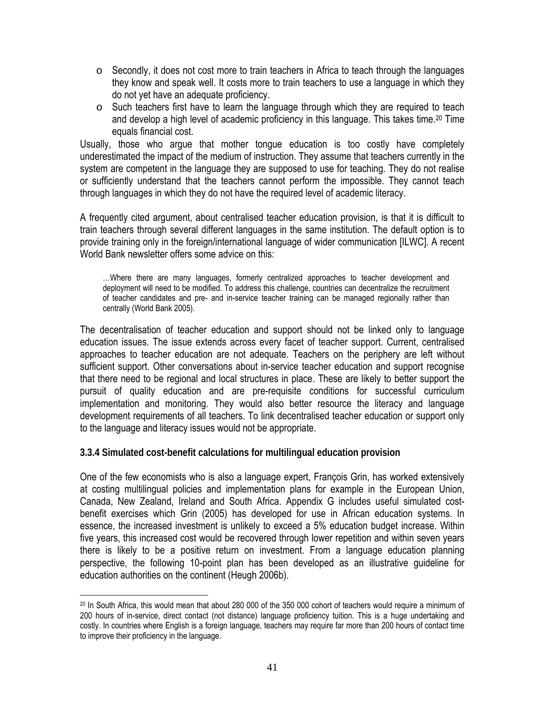- $\circ$  Secondly, it does not cost more to train teachers in Africa to teach through the languages they know and speak well. It costs more to train teachers to use a language in which they do not yet have an adequate proficiency.
- o Such teachers first have to learn the language through which they are required to teach and develop a high level of academic proficiency in this language. This takes time.20 Time equals financial cost.

Usually, those who argue that mother tongue education is too costly have completely underestimated the impact of the medium of instruction. They assume that teachers currently in the system are competent in the language they are supposed to use for teaching. They do not realise or sufficiently understand that the teachers cannot perform the impossible. They cannot teach through languages in which they do not have the required level of academic literacy.

A frequently cited argument, about centralised teacher education provision, is that it is difficult to train teachers through several different languages in the same institution. The default option is to provide training only in the foreign/international language of wider communication [ILWC]. A recent World Bank newsletter offers some advice on this:

…Where there are many languages, formerly centralized approaches to teacher development and deployment will need to be modified. To address this challenge, countries can decentralize the recruitment of teacher candidates and pre- and in-service teacher training can be managed regionally rather than centrally (World Bank 2005).

The decentralisation of teacher education and support should not be linked only to language education issues. The issue extends across every facet of teacher support. Current, centralised approaches to teacher education are not adequate. Teachers on the periphery are left without sufficient support. Other conversations about in-service teacher education and support recognise that there need to be regional and local structures in place. These are likely to better support the pursuit of quality education and are pre-requisite conditions for successful curriculum implementation and monitoring. They would also better resource the literacy and language development requirements of all teachers. To link decentralised teacher education or support only to the language and literacy issues would not be appropriate.

**3.3.4 Simulated cost-benefit calculations for multilingual education provision** 

 $\overline{a}$ 

One of the few economists who is also a language expert, François Grin, has worked extensively at costing multilingual policies and implementation plans for example in the European Union, Canada, New Zealand, Ireland and South Africa. Appendix G includes useful simulated costbenefit exercises which Grin (2005) has developed for use in African education systems. In essence, the increased investment is unlikely to exceed a 5% education budget increase. Within five years, this increased cost would be recovered through lower repetition and within seven years there is likely to be a positive return on investment. From a language education planning perspective, the following 10-point plan has been developed as an illustrative guideline for education authorities on the continent (Heugh 2006b).

<sup>20</sup> In South Africa, this would mean that about 280 000 of the 350 000 cohort of teachers would require a minimum of 200 hours of in-service, direct contact (not distance) language proficiency tuition. This is a huge undertaking and costly. In countries where English is a foreign language, teachers may require far more than 200 hours of contact time to improve their proficiency in the language.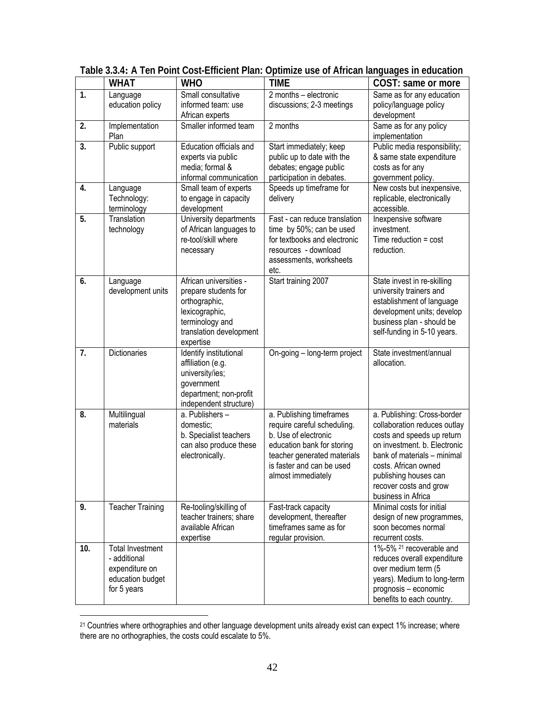|     | <b>WHAT</b>                                                                                  | <b>WHO</b>                                                                                                                                   | <b>TIME</b>                                                                                                                                                                                     | COST: same or more                                                                                                                                                                                                                                        |
|-----|----------------------------------------------------------------------------------------------|----------------------------------------------------------------------------------------------------------------------------------------------|-------------------------------------------------------------------------------------------------------------------------------------------------------------------------------------------------|-----------------------------------------------------------------------------------------------------------------------------------------------------------------------------------------------------------------------------------------------------------|
| 1.  | Language<br>education policy                                                                 | Small consultative<br>informed team: use<br>African experts                                                                                  | 2 months - electronic<br>discussions; 2-3 meetings                                                                                                                                              | Same as for any education<br>policy/language policy<br>development                                                                                                                                                                                        |
| 2.  | Implementation<br>Plan                                                                       | Smaller informed team                                                                                                                        | 2 months                                                                                                                                                                                        | Same as for any policy<br>implementation                                                                                                                                                                                                                  |
| 3.  | Public support                                                                               | Education officials and<br>experts via public<br>media; formal &<br>informal communication                                                   | Start immediately; keep<br>public up to date with the<br>debates; engage public<br>participation in debates.                                                                                    | Public media responsibility;<br>& same state expenditure<br>costs as for any<br>government policy.                                                                                                                                                        |
| 4.  | Language<br>Technology:<br>terminology                                                       | Small team of experts<br>to engage in capacity<br>development                                                                                | Speeds up timeframe for<br>delivery                                                                                                                                                             | New costs but inexpensive,<br>replicable, electronically<br>accessible.                                                                                                                                                                                   |
| 5.  | Translation<br>technology                                                                    | University departments<br>of African languages to<br>re-tool/skill where<br>necessary                                                        | Fast - can reduce translation<br>time by 50%; can be used<br>for textbooks and electronic<br>resources - download<br>assessments, worksheets<br>etc.                                            | Inexpensive software<br>investment.<br>Time reduction $=$ cost<br>reduction.                                                                                                                                                                              |
| 6.  | Language<br>development units                                                                | African universities -<br>prepare students for<br>orthographic,<br>lexicographic,<br>terminology and<br>translation development<br>expertise | Start training 2007                                                                                                                                                                             | State invest in re-skilling<br>university trainers and<br>establishment of language<br>development units; develop<br>business plan - should be<br>self-funding in 5-10 years.                                                                             |
| 7.  | Dictionaries                                                                                 | Identify institutional<br>affiliation (e.g.<br>university/ies;<br>government<br>department; non-profit<br>independent structure)             | On-going - long-term project                                                                                                                                                                    | State investment/annual<br>allocation.                                                                                                                                                                                                                    |
| 8.  | Multilingual<br>materials                                                                    | a. Publishers -<br>domestic;<br>b. Specialist teachers<br>can also produce these<br>electronically.                                          | a. Publishing timeframes<br>require careful scheduling.<br>b. Use of electronic<br>education bank for storing<br>teacher generated materials<br>is faster and can be used<br>almost immediately | a. Publishing: Cross-border<br>collaboration reduces outlay<br>costs and speeds up return<br>on investment. b. Electronic<br>bank of materials - minimal<br>costs. African owned<br>publishing houses can<br>recover costs and grow<br>business in Africa |
| 9.  | <b>Teacher Training</b>                                                                      | Re-tooling/skilling of<br>teacher trainers; share<br>available African<br>expertise                                                          | Fast-track capacity<br>development, thereafter<br>timeframes same as for<br>regular provision.                                                                                                  | Minimal costs for initial<br>design of new programmes,<br>soon becomes normal<br>recurrent costs.                                                                                                                                                         |
| 10. | <b>Total Investment</b><br>- additional<br>expenditure on<br>education budget<br>for 5 years |                                                                                                                                              |                                                                                                                                                                                                 | 1%-5% <sup>21</sup> recoverable and<br>reduces overall expenditure<br>over medium term (5<br>years). Medium to long-term<br>prognosis - economic<br>benefits to each country.                                                                             |

**Table 3.3.4: A Ten Point Cost-Efficient Plan: Optimize use of African languages in education** 

 $\overline{a}$ 

<sup>&</sup>lt;sup>21</sup> Countries where orthographies and other language development units already exist can expect 1% increase; where there are no orthographies, the costs could escalate to 5%.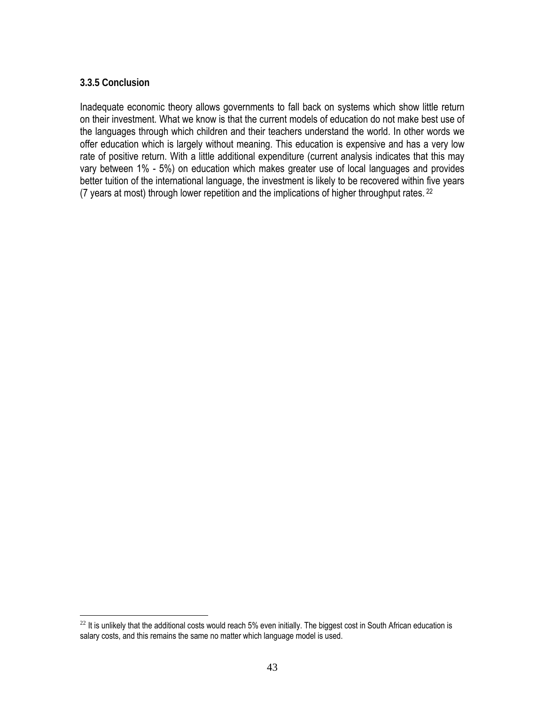### **3.3.5 Conclusion**

 $\overline{a}$ 

Inadequate economic theory allows governments to fall back on systems which show little return on their investment. What we know is that the current models of education do not make best use of the languages through which children and their teachers understand the world. In other words we offer education which is largely without meaning. This education is expensive and has a very low rate of positive return. With a little additional expenditure (current analysis indicates that this may vary between 1% - 5%) on education which makes greater use of local languages and provides better tuition of the international language, the investment is likely to be recovered within five years (7 years at most) through lower repetition and the implications of higher throughput rates. 22

 $^{22}$  It is unlikely that the additional costs would reach 5% even initially. The biggest cost in South African education is salary costs, and this remains the same no matter which language model is used.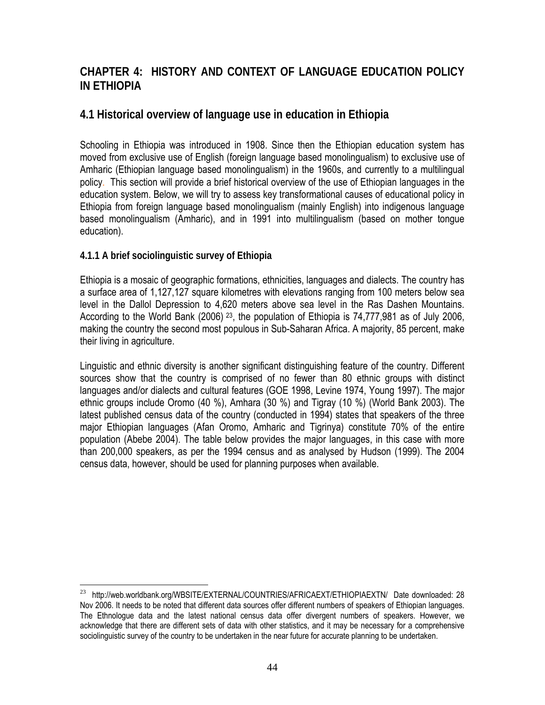# **CHAPTER 4: HISTORY AND CONTEXT OF LANGUAGE EDUCATION POLICY IN ETHIOPIA**

## **4.1 Historical overview of language use in education in Ethiopia**

Schooling in Ethiopia was introduced in 1908. Since then the Ethiopian education system has moved from exclusive use of English (foreign language based monolingualism) to exclusive use of Amharic (Ethiopian language based monolingualism) in the 1960s, and currently to a multilingual policy. This section will provide a brief historical overview of the use of Ethiopian languages in the education system. Below, we will try to assess key transformational causes of educational policy in Ethiopia from foreign language based monolingualism (mainly English) into indigenous language based monolingualism (Amharic), and in 1991 into multilingualism (based on mother tongue education).

### **4.1.1 A brief sociolinguistic survey of Ethiopia**

Ethiopia is a mosaic of geographic formations, ethnicities, languages and dialects. The country has a surface area of 1,127,127 square kilometres with elevations ranging from 100 meters below sea level in the Dallol Depression to 4,620 meters above sea level in the Ras Dashen Mountains. According to the World Bank (2006)  $^{23}$ , the population of Ethiopia is 74,777,981 as of July 2006, making the country the second most populous in Sub-Saharan Africa. A majority, 85 percent, make their living in agriculture.

Linguistic and ethnic diversity is another significant distinguishing feature of the country. Different sources show that the country is comprised of no fewer than 80 ethnic groups with distinct languages and/or dialects and cultural features (GOE 1998, Levine 1974, Young 1997). The major ethnic groups include Oromo (40 %), Amhara (30 %) and Tigray (10 %) (World Bank 2003). The latest published census data of the country (conducted in 1994) states that speakers of the three major Ethiopian languages (Afan Oromo, Amharic and Tigrinya) constitute 70% of the entire population (Abebe 2004). The table below provides the major languages, in this case with more than 200,000 speakers, as per the 1994 census and as analysed by Hudson (1999). The 2004 census data, however, should be used for planning purposes when available.

 $\overline{a}$ <sup>23</sup> http://web.worldbank.org/WBSITE/EXTERNAL/COUNTRIES/AFRICAEXT/ETHIOPIAEXTN/ Date downloaded: 28 Nov 2006. It needs to be noted that different data sources offer different numbers of speakers of Ethiopian languages. The Ethnologue data and the latest national census data offer divergent numbers of speakers. However, we acknowledge that there are different sets of data with other statistics, and it may be necessary for a comprehensive sociolinguistic survey of the country to be undertaken in the near future for accurate planning to be undertaken.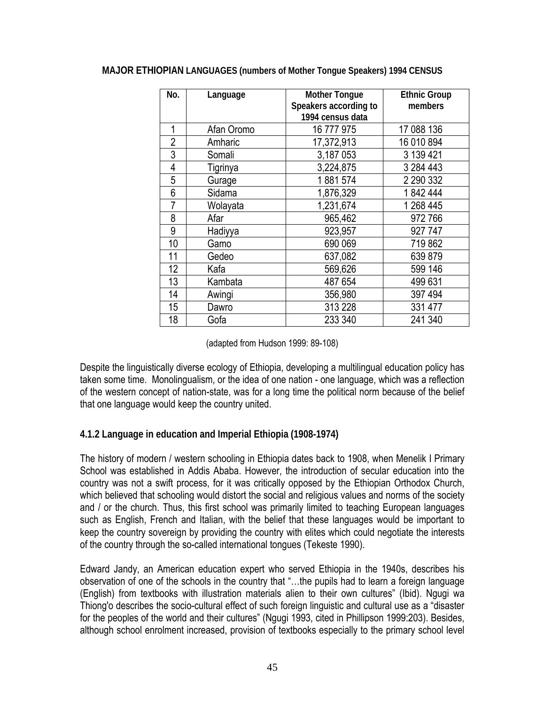| No.            | Language   | <b>Mother Tongue</b><br>Speakers according to<br>1994 census data | <b>Ethnic Group</b><br>members |
|----------------|------------|-------------------------------------------------------------------|--------------------------------|
| 1              | Afan Oromo | 16 777 975                                                        | 17 088 136                     |
| $\overline{2}$ | Amharic    | 17,372,913                                                        | 16 010 894                     |
| 3              | Somali     | 3,187 053                                                         | 3 139 421                      |
| $\overline{4}$ | Tigrinya   | 3,224,875                                                         | 3 284 443                      |
| 5              | Gurage     | 1881574                                                           | 2 290 332                      |
| 6              | Sidama     | 1,876,329                                                         | 1842444                        |
| 7              | Wolayata   | 1,231,674                                                         | 1 268 445                      |
| 8              | Afar       | 965,462                                                           | 972766                         |
| 9              | Hadiyya    | 923,957                                                           | 927 747                        |
| 10             | Gamo       | 690 069                                                           | 719862                         |
| 11             | Gedeo      | 637,082                                                           | 639879                         |
| 12             | Kafa       | 569,626                                                           | 599 146                        |
| 13             | Kambata    | 487 654                                                           | 499 631                        |
| 14             | Awingi     | 356,980                                                           | 397 494                        |
| 15             | Dawro      | 313 228                                                           | 331 477                        |
| 18             | Gofa       | 233 340                                                           | 241 340                        |

#### **MAJOR ETHIOPIAN LANGUAGES (numbers of Mother Tongue Speakers) 1994 CENSUS**

(adapted from Hudson 1999: 89-108)

Despite the linguistically diverse ecology of Ethiopia, developing a multilingual education policy has taken some time. Monolingualism, or the idea of one nation - one language, which was a reflection of the western concept of nation-state, was for a long time the political norm because of the belief that one language would keep the country united.

#### **4.1.2 Language in education and Imperial Ethiopia (1908-1974)**

The history of modern / western schooling in Ethiopia dates back to 1908, when Menelik I Primary School was established in Addis Ababa. However, the introduction of secular education into the country was not a swift process, for it was critically opposed by the Ethiopian Orthodox Church, which believed that schooling would distort the social and religious values and norms of the society and / or the church. Thus, this first school was primarily limited to teaching European languages such as English, French and Italian, with the belief that these languages would be important to keep the country sovereign by providing the country with elites which could negotiate the interests of the country through the so-called international tongues (Tekeste 1990).

Edward Jandy, an American education expert who served Ethiopia in the 1940s, describes his observation of one of the schools in the country that "…the pupils had to learn a foreign language (English) from textbooks with illustration materials alien to their own cultures" (Ibid). Ngugi wa Thiong'o describes the socio-cultural effect of such foreign linguistic and cultural use as a "disaster for the peoples of the world and their cultures" (Ngugi 1993, cited in Phillipson 1999:203). Besides, although school enrolment increased, provision of textbooks especially to the primary school level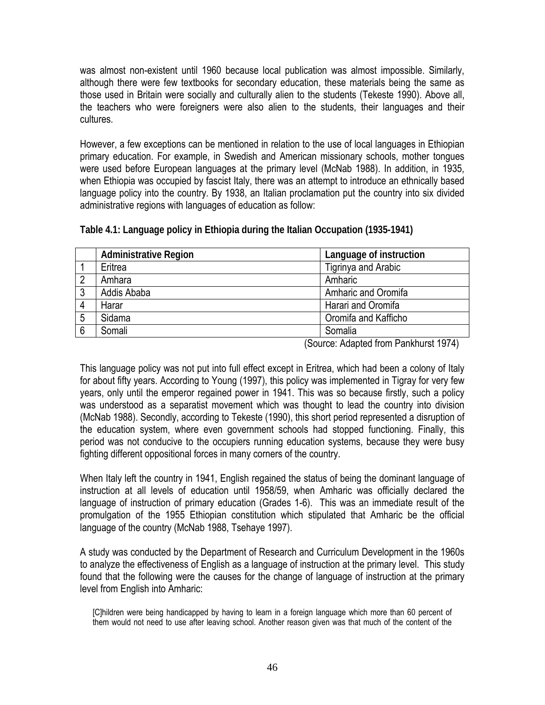was almost non-existent until 1960 because local publication was almost impossible. Similarly, although there were few textbooks for secondary education, these materials being the same as those used in Britain were socially and culturally alien to the students (Tekeste 1990). Above all, the teachers who were foreigners were also alien to the students, their languages and their cultures.

However, a few exceptions can be mentioned in relation to the use of local languages in Ethiopian primary education. For example, in Swedish and American missionary schools, mother tongues were used before European languages at the primary level (McNab 1988). In addition, in 1935, when Ethiopia was occupied by fascist Italy, there was an attempt to introduce an ethnically based language policy into the country. By 1938, an Italian proclamation put the country into six divided administrative regions with languages of education as follow:

|   | <b>Administrative Region</b> | Language of instruction |  |  |
|---|------------------------------|-------------------------|--|--|
|   | Eritrea                      | Tigrinya and Arabic     |  |  |
| 2 | Amhara                       | Amharic                 |  |  |
| 3 | Addis Ababa                  | Amharic and Oromifa     |  |  |
| 4 | Harar                        | Harari and Oromifa      |  |  |
| 5 | Sidama                       | Oromifa and Kafficho    |  |  |
| 6 | Somali                       | Somalia                 |  |  |

**Table 4.1: Language policy in Ethiopia during the Italian Occupation (1935-1941)** 

(Source: Adapted from Pankhurst 1974)

This language policy was not put into full effect except in Eritrea, which had been a colony of Italy for about fifty years. According to Young (1997), this policy was implemented in Tigray for very few years, only until the emperor regained power in 1941. This was so because firstly, such a policy was understood as a separatist movement which was thought to lead the country into division (McNab 1988). Secondly, according to Tekeste (1990), this short period represented a disruption of the education system, where even government schools had stopped functioning. Finally, this period was not conducive to the occupiers running education systems, because they were busy fighting different oppositional forces in many corners of the country.

When Italy left the country in 1941, English regained the status of being the dominant language of instruction at all levels of education until 1958/59, when Amharic was officially declared the language of instruction of primary education (Grades 1-6). This was an immediate result of the promulgation of the 1955 Ethiopian constitution which stipulated that Amharic be the official language of the country (McNab 1988, Tsehaye 1997).

A study was conducted by the Department of Research and Curriculum Development in the 1960s to analyze the effectiveness of English as a language of instruction at the primary level. This study found that the following were the causes for the change of language of instruction at the primary level from English into Amharic:

[C]hildren were being handicapped by having to learn in a foreign language which more than 60 percent of them would not need to use after leaving school. Another reason given was that much of the content of the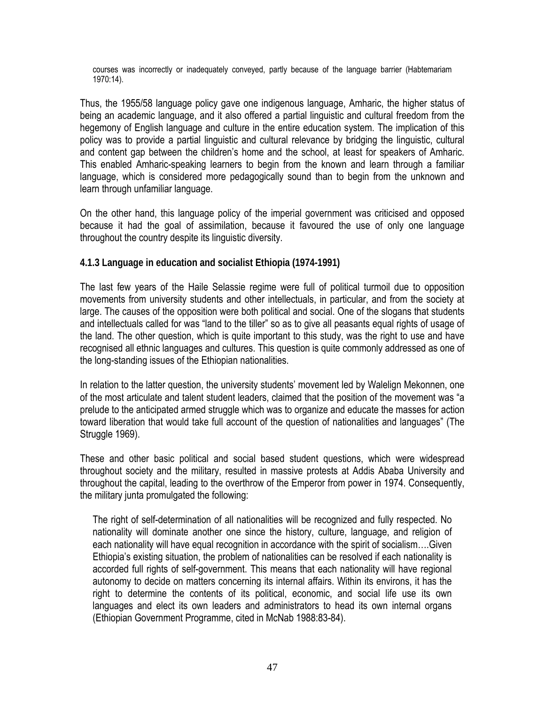courses was incorrectly or inadequately conveyed, partly because of the language barrier (Habtemariam 1970:14).

Thus, the 1955/58 language policy gave one indigenous language, Amharic, the higher status of being an academic language, and it also offered a partial linguistic and cultural freedom from the hegemony of English language and culture in the entire education system. The implication of this policy was to provide a partial linguistic and cultural relevance by bridging the linguistic, cultural and content gap between the children's home and the school, at least for speakers of Amharic. This enabled Amharic-speaking learners to begin from the known and learn through a familiar language, which is considered more pedagogically sound than to begin from the unknown and learn through unfamiliar language.

On the other hand, this language policy of the imperial government was criticised and opposed because it had the goal of assimilation, because it favoured the use of only one language throughout the country despite its linguistic diversity.

### **4.1.3 Language in education and socialist Ethiopia (1974-1991)**

The last few years of the Haile Selassie regime were full of political turmoil due to opposition movements from university students and other intellectuals, in particular, and from the society at large. The causes of the opposition were both political and social. One of the slogans that students and intellectuals called for was "land to the tiller" so as to give all peasants equal rights of usage of the land. The other question, which is quite important to this study, was the right to use and have recognised all ethnic languages and cultures. This question is quite commonly addressed as one of the long-standing issues of the Ethiopian nationalities.

In relation to the latter question, the university students' movement led by Walelign Mekonnen, one of the most articulate and talent student leaders, claimed that the position of the movement was "a prelude to the anticipated armed struggle which was to organize and educate the masses for action toward liberation that would take full account of the question of nationalities and languages" (The Struggle 1969).

These and other basic political and social based student questions, which were widespread throughout society and the military, resulted in massive protests at Addis Ababa University and throughout the capital, leading to the overthrow of the Emperor from power in 1974. Consequently, the military junta promulgated the following:

The right of self-determination of all nationalities will be recognized and fully respected. No nationality will dominate another one since the history, culture, language, and religion of each nationality will have equal recognition in accordance with the spirit of socialism….Given Ethiopia's existing situation, the problem of nationalities can be resolved if each nationality is accorded full rights of self-government. This means that each nationality will have regional autonomy to decide on matters concerning its internal affairs. Within its environs, it has the right to determine the contents of its political, economic, and social life use its own languages and elect its own leaders and administrators to head its own internal organs (Ethiopian Government Programme, cited in McNab 1988:83-84).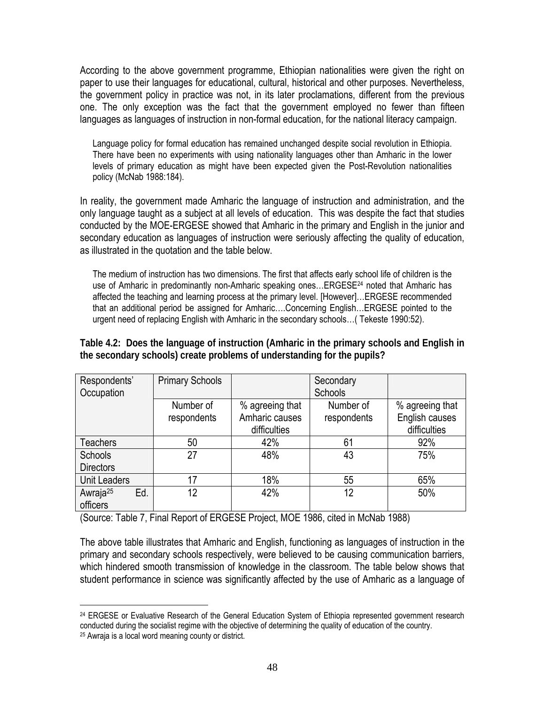According to the above government programme, Ethiopian nationalities were given the right on paper to use their languages for educational, cultural, historical and other purposes. Nevertheless, the government policy in practice was not, in its later proclamations, different from the previous one. The only exception was the fact that the government employed no fewer than fifteen languages as languages of instruction in non-formal education, for the national literacy campaign.

Language policy for formal education has remained unchanged despite social revolution in Ethiopia. There have been no experiments with using nationality languages other than Amharic in the lower levels of primary education as might have been expected given the Post-Revolution nationalities policy (McNab 1988:184).

In reality, the government made Amharic the language of instruction and administration, and the only language taught as a subject at all levels of education. This was despite the fact that studies conducted by the MOE-ERGESE showed that Amharic in the primary and English in the junior and secondary education as languages of instruction were seriously affecting the quality of education, as illustrated in the quotation and the table below.

The medium of instruction has two dimensions. The first that affects early school life of children is the use of Amharic in predominantly non-Amharic speaking ones... ERGESE<sup>24</sup> noted that Amharic has affected the teaching and learning process at the primary level. [However]…ERGESE recommended that an additional period be assigned for Amharic….Concerning English…ERGESE pointed to the urgent need of replacing English with Amharic in the secondary schools…( Tekeste 1990:52).

**Table 4.2: Does the language of instruction (Amharic in the primary schools and English in the secondary schools) create problems of understanding for the pupils?** 

| Respondents'<br>Occupation              | <b>Primary Schools</b> |                 | Secondary<br>Schools |                 |
|-----------------------------------------|------------------------|-----------------|----------------------|-----------------|
|                                         |                        |                 |                      |                 |
|                                         | Number of              | % agreeing that | Number of            | % agreeing that |
|                                         | respondents            | Amharic causes  | respondents          | English causes  |
|                                         |                        | difficulties    |                      | difficulties    |
| <b>Teachers</b>                         | 50                     | 42%             | 61                   | 92%             |
| <b>Schools</b>                          | 27                     | 48%             | 43                   | 75%             |
| <b>Directors</b>                        |                        |                 |                      |                 |
| <b>Unit Leaders</b>                     | 17                     | 18%             | 55                   | 65%             |
| Awraja <sup>25</sup><br>Ed.<br>officers | 12                     | 42%             | 12                   | 50%             |

(Source: Table 7, Final Report of ERGESE Project, MOE 1986, cited in McNab 1988)

 $\overline{a}$ 

The above table illustrates that Amharic and English, functioning as languages of instruction in the primary and secondary schools respectively, were believed to be causing communication barriers, which hindered smooth transmission of knowledge in the classroom. The table below shows that student performance in science was significantly affected by the use of Amharic as a language of

<sup>&</sup>lt;sup>24</sup> ERGESE or Evaluative Research of the General Education System of Ethiopia represented government research conducted during the socialist regime with the objective of determining the quality of education of the country. 25 Awraja is a local word meaning county or district.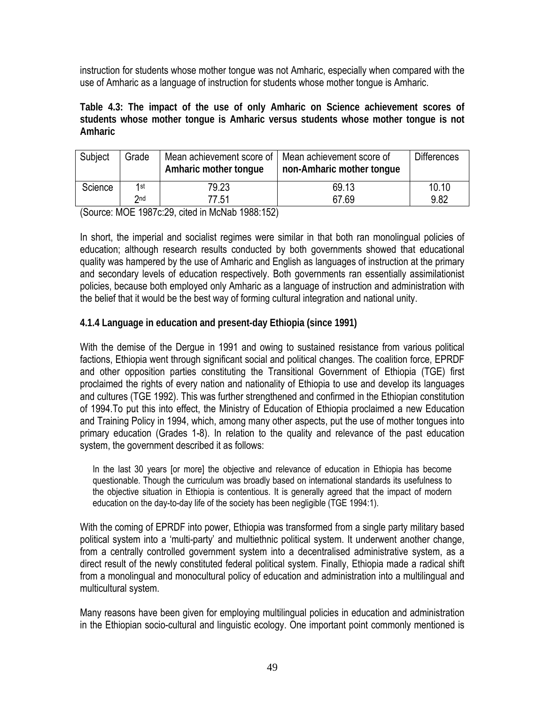instruction for students whose mother tongue was not Amharic, especially when compared with the use of Amharic as a language of instruction for students whose mother tongue is Amharic.

**Table 4.3: The impact of the use of only Amharic on Science achievement scores of students whose mother tongue is Amharic versus students whose mother tongue is not Amharic** 

| Subject | Grade | Mean achievement score of   Mean achievement score of<br>Amharic mother tonque | non-Amharic mother tonque | <b>Differences</b> |
|---------|-------|--------------------------------------------------------------------------------|---------------------------|--------------------|
| Science | 1st   | 79.23                                                                          | 69.13                     | 10.10              |
|         | 2nd   | 77.51                                                                          | 67.69                     | 9.82               |

(Source: MOE 1987c:29, cited in McNab 1988:152)

In short, the imperial and socialist regimes were similar in that both ran monolingual policies of education; although research results conducted by both governments showed that educational quality was hampered by the use of Amharic and English as languages of instruction at the primary and secondary levels of education respectively. Both governments ran essentially assimilationist policies, because both employed only Amharic as a language of instruction and administration with the belief that it would be the best way of forming cultural integration and national unity.

### **4.1.4 Language in education and present-day Ethiopia (since 1991)**

With the demise of the Dergue in 1991 and owing to sustained resistance from various political factions, Ethiopia went through significant social and political changes. The coalition force, EPRDF and other opposition parties constituting the Transitional Government of Ethiopia (TGE) first proclaimed the rights of every nation and nationality of Ethiopia to use and develop its languages and cultures (TGE 1992). This was further strengthened and confirmed in the Ethiopian constitution of 1994.To put this into effect, the Ministry of Education of Ethiopia proclaimed a new Education and Training Policy in 1994, which, among many other aspects, put the use of mother tongues into primary education (Grades 1-8). In relation to the quality and relevance of the past education system, the government described it as follows:

In the last 30 years [or more] the objective and relevance of education in Ethiopia has become questionable. Though the curriculum was broadly based on international standards its usefulness to the objective situation in Ethiopia is contentious. It is generally agreed that the impact of modern education on the day-to-day life of the society has been negligible (TGE 1994:1).

With the coming of EPRDF into power, Ethiopia was transformed from a single party military based political system into a 'multi-party' and multiethnic political system. It underwent another change, from a centrally controlled government system into a decentralised administrative system, as a direct result of the newly constituted federal political system. Finally, Ethiopia made a radical shift from a monolingual and monocultural policy of education and administration into a multilingual and multicultural system.

Many reasons have been given for employing multilingual policies in education and administration in the Ethiopian socio-cultural and linguistic ecology. One important point commonly mentioned is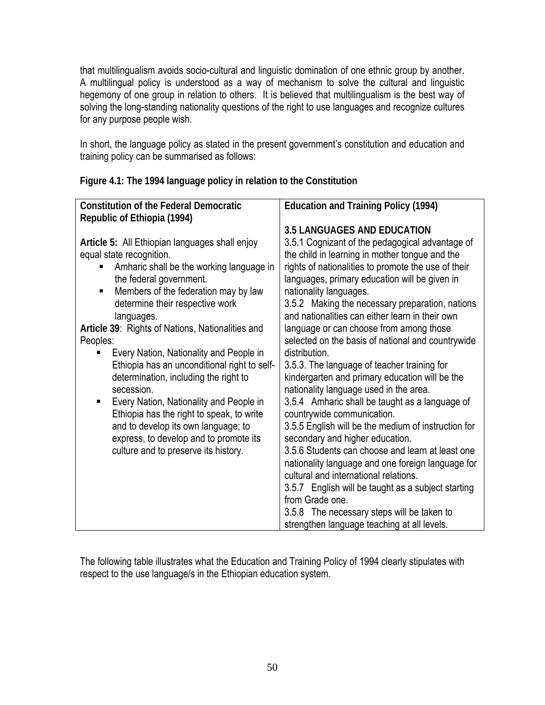that multilingualism avoids socio-cultural and linguistic domination of one ethnic group by another. A multilingual policy is understood as a way of mechanism to solve the cultural and linguistic hegemony of one group in relation to others. It is believed that multilingualism is the best way of solving the long-standing nationality questions of the right to use languages and recognize cultures for any purpose people wish.

In short, the language policy as stated in the present government's constitution and education and training policy can be summarised as follows:

| <b>Constitution of the Federal Democratic</b>                        | <b>Education and Training Policy (1994)</b>                                                           |  |  |  |
|----------------------------------------------------------------------|-------------------------------------------------------------------------------------------------------|--|--|--|
| Republic of Ethiopia (1994)                                          |                                                                                                       |  |  |  |
|                                                                      | <b>3.5 LANGUAGES AND EDUCATION</b>                                                                    |  |  |  |
| Article 5: All Ethiopian languages shall enjoy                       | 3.5.1 Cognizant of the pedagogical advantage of                                                       |  |  |  |
| equal state recognition.<br>Amharic shall be the working language in | the child in learning in mother tongue and the<br>rights of nationalities to promote the use of their |  |  |  |
| the federal government.                                              | languages, primary education will be given in                                                         |  |  |  |
| Members of the federation may by law<br>٠                            | nationality languages.                                                                                |  |  |  |
| determine their respective work                                      | 3.5.2 Making the necessary preparation, nations                                                       |  |  |  |
| languages.                                                           | and nationalities can either learn in their own                                                       |  |  |  |
| Article 39: Rights of Nations, Nationalities and                     | language or can choose from among those                                                               |  |  |  |
| Peoples:                                                             | selected on the basis of national and countrywide                                                     |  |  |  |
| Every Nation, Nationality and People in                              | distribution.                                                                                         |  |  |  |
| Ethiopia has an unconditional right to self-                         | 3.5.3. The language of teacher training for                                                           |  |  |  |
| determination, including the right to<br>secession.                  | kindergarten and primary education will be the                                                        |  |  |  |
| Every Nation, Nationality and People in                              | nationality language used in the area.<br>3.5.4 Amharic shall be taught as a language of              |  |  |  |
| Ethiopia has the right to speak, to write                            | countrywide communication.                                                                            |  |  |  |
| and to develop its own language; to                                  | 3.5.5 English will be the medium of instruction for                                                   |  |  |  |
| express, to develop and to promote its                               | secondary and higher education.                                                                       |  |  |  |
| culture and to preserve its history.                                 | 3.5.6 Students can choose and learn at least one                                                      |  |  |  |
|                                                                      | nationality language and one foreign language for                                                     |  |  |  |
|                                                                      | cultural and international relations.                                                                 |  |  |  |
|                                                                      | 3.5.7 English will be taught as a subject starting                                                    |  |  |  |
|                                                                      | from Grade one.                                                                                       |  |  |  |
|                                                                      | 3.5.8 The necessary steps will be taken to                                                            |  |  |  |
|                                                                      | strengthen language teaching at all levels.                                                           |  |  |  |

**Figure 4.1: The 1994 language policy in relation to the Constitution** 

The following table illustrates what the Education and Training Policy of 1994 clearly stipulates with respect to the use language/s in the Ethiopian education system.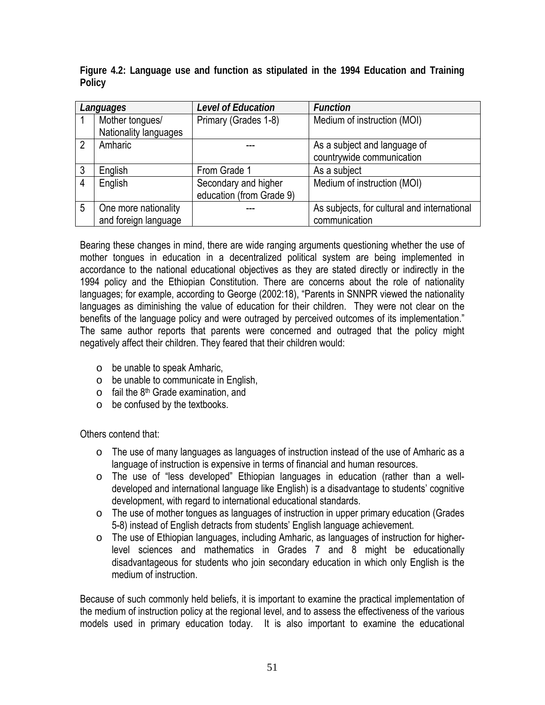|                | Languages             | <b>Level of Education</b> | <b>Function</b>                             |  |
|----------------|-----------------------|---------------------------|---------------------------------------------|--|
|                | Mother tongues/       | Primary (Grades 1-8)      | Medium of instruction (MOI)                 |  |
|                | Nationality languages |                           |                                             |  |
| $\overline{2}$ | Amharic               |                           | As a subject and language of                |  |
|                |                       |                           | countrywide communication                   |  |
| 3              | English               | From Grade 1              | As a subject                                |  |
| 4              | English               | Secondary and higher      | Medium of instruction (MOI)                 |  |
|                |                       | education (from Grade 9)  |                                             |  |
| 5              | One more nationality  |                           | As subjects, for cultural and international |  |
|                | and foreign language  |                           | communication                               |  |

**Figure 4.2: Language use and function as stipulated in the 1994 Education and Training Policy** 

Bearing these changes in mind, there are wide ranging arguments questioning whether the use of mother tongues in education in a decentralized political system are being implemented in accordance to the national educational objectives as they are stated directly or indirectly in the 1994 policy and the Ethiopian Constitution. There are concerns about the role of nationality languages; for example, according to George (2002:18), "Parents in SNNPR viewed the nationality languages as diminishing the value of education for their children. They were not clear on the benefits of the language policy and were outraged by perceived outcomes of its implementation." The same author reports that parents were concerned and outraged that the policy might negatively affect their children. They feared that their children would:

- o be unable to speak Amharic,
- o be unable to communicate in English,
- $\circ$  fail the 8<sup>th</sup> Grade examination, and
- o be confused by the textbooks.

Others contend that:

- $\circ$  The use of many languages as languages of instruction instead of the use of Amharic as a language of instruction is expensive in terms of financial and human resources.
- o The use of "less developed" Ethiopian languages in education (rather than a welldeveloped and international language like English) is a disadvantage to students' cognitive development, with regard to international educational standards.
- o The use of mother tongues as languages of instruction in upper primary education (Grades 5-8) instead of English detracts from students' English language achievement.
- o The use of Ethiopian languages, including Amharic, as languages of instruction for higherlevel sciences and mathematics in Grades 7 and 8 might be educationally disadvantageous for students who join secondary education in which only English is the medium of instruction.

Because of such commonly held beliefs, it is important to examine the practical implementation of the medium of instruction policy at the regional level, and to assess the effectiveness of the various models used in primary education today. It is also important to examine the educational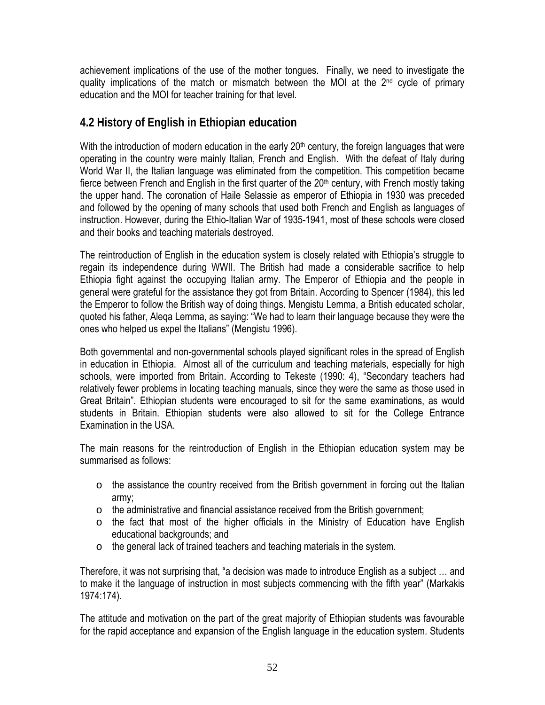achievement implications of the use of the mother tongues. Finally, we need to investigate the quality implications of the match or mismatch between the MOI at the  $2<sup>nd</sup>$  cycle of primary education and the MOI for teacher training for that level.

# **4.2 History of English in Ethiopian education**

With the introduction of modern education in the early 20<sup>th</sup> century, the foreign languages that were operating in the country were mainly Italian, French and English. With the defeat of Italy during World War II, the Italian language was eliminated from the competition. This competition became fierce between French and English in the first quarter of the  $20<sup>th</sup>$  century, with French mostly taking the upper hand. The coronation of Haile Selassie as emperor of Ethiopia in 1930 was preceded and followed by the opening of many schools that used both French and English as languages of instruction. However, during the Ethio-Italian War of 1935-1941, most of these schools were closed and their books and teaching materials destroyed.

The reintroduction of English in the education system is closely related with Ethiopia's struggle to regain its independence during WWII. The British had made a considerable sacrifice to help Ethiopia fight against the occupying Italian army. The Emperor of Ethiopia and the people in general were grateful for the assistance they got from Britain. According to Spencer (1984), this led the Emperor to follow the British way of doing things. Mengistu Lemma, a British educated scholar, quoted his father, Aleqa Lemma, as saying: "We had to learn their language because they were the ones who helped us expel the Italians" (Mengistu 1996).

Both governmental and non-governmental schools played significant roles in the spread of English in education in Ethiopia. Almost all of the curriculum and teaching materials, especially for high schools, were imported from Britain. According to Tekeste (1990: 4), "Secondary teachers had relatively fewer problems in locating teaching manuals, since they were the same as those used in Great Britain". Ethiopian students were encouraged to sit for the same examinations, as would students in Britain. Ethiopian students were also allowed to sit for the College Entrance Examination in the USA.

The main reasons for the reintroduction of English in the Ethiopian education system may be summarised as follows:

- $\circ$  the assistance the country received from the British government in forcing out the Italian army;
- o the administrative and financial assistance received from the British government;
- o the fact that most of the higher officials in the Ministry of Education have English educational backgrounds; and
- o the general lack of trained teachers and teaching materials in the system.

Therefore, it was not surprising that, "a decision was made to introduce English as a subject … and to make it the language of instruction in most subjects commencing with the fifth year" (Markakis 1974:174).

The attitude and motivation on the part of the great majority of Ethiopian students was favourable for the rapid acceptance and expansion of the English language in the education system. Students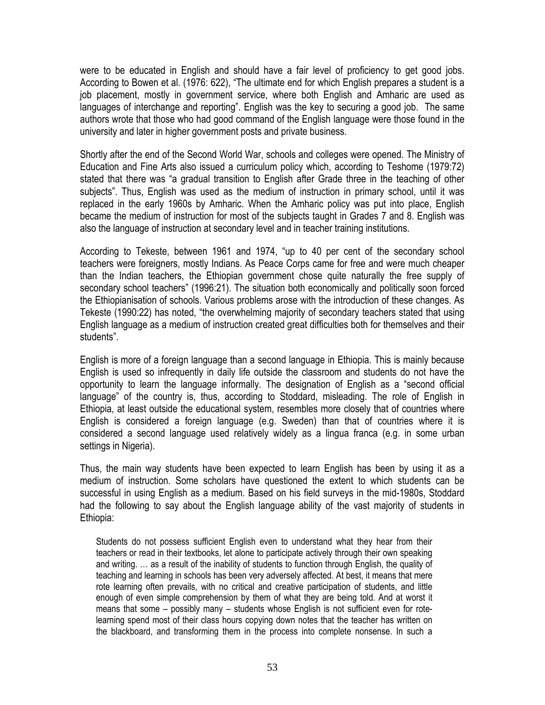were to be educated in English and should have a fair level of proficiency to get good jobs. According to Bowen et al. (1976: 622), "The ultimate end for which English prepares a student is a job placement, mostly in government service, where both English and Amharic are used as languages of interchange and reporting". English was the key to securing a good job. The same authors wrote that those who had good command of the English language were those found in the university and later in higher government posts and private business.

Shortly after the end of the Second World War, schools and colleges were opened. The Ministry of Education and Fine Arts also issued a curriculum policy which, according to Teshome (1979:72) stated that there was "a gradual transition to English after Grade three in the teaching of other subjects". Thus, English was used as the medium of instruction in primary school, until it was replaced in the early 1960s by Amharic. When the Amharic policy was put into place, English became the medium of instruction for most of the subjects taught in Grades 7 and 8. English was also the language of instruction at secondary level and in teacher training institutions.

According to Tekeste, between 1961 and 1974, "up to 40 per cent of the secondary school teachers were foreigners, mostly Indians. As Peace Corps came for free and were much cheaper than the Indian teachers, the Ethiopian government chose quite naturally the free supply of secondary school teachers" (1996:21). The situation both economically and politically soon forced the Ethiopianisation of schools. Various problems arose with the introduction of these changes. As Tekeste (1990:22) has noted, "the overwhelming majority of secondary teachers stated that using English language as a medium of instruction created great difficulties both for themselves and their students".

English is more of a foreign language than a second language in Ethiopia. This is mainly because English is used so infrequently in daily life outside the classroom and students do not have the opportunity to learn the language informally. The designation of English as a "second official language" of the country is, thus, according to Stoddard, misleading. The role of English in Ethiopia, at least outside the educational system, resembles more closely that of countries where English is considered a foreign language (e.g. Sweden) than that of countries where it is considered a second language used relatively widely as a lingua franca (e.g. in some urban settings in Nigeria).

Thus, the main way students have been expected to learn English has been by using it as a medium of instruction. Some scholars have questioned the extent to which students can be successful in using English as a medium. Based on his field surveys in the mid-1980s, Stoddard had the following to say about the English language ability of the vast majority of students in Ethiopia:

Students do not possess sufficient English even to understand what they hear from their teachers or read in their textbooks, let alone to participate actively through their own speaking and writing. … as a result of the inability of students to function through English, the quality of teaching and learning in schools has been very adversely affected. At best, it means that mere rote learning often prevails, with no critical and creative participation of students, and little enough of even simple comprehension by them of what they are being told. And at worst it means that some – possibly many – students whose English is not sufficient even for rotelearning spend most of their class hours copying down notes that the teacher has written on the blackboard, and transforming them in the process into complete nonsense. In such a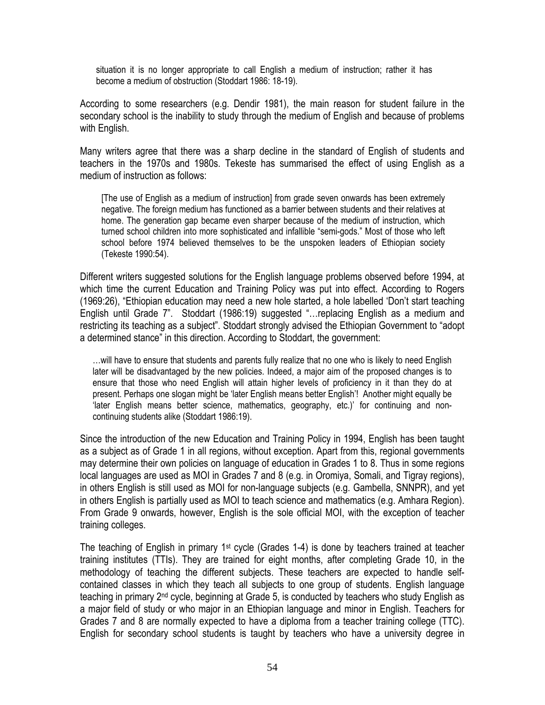situation it is no longer appropriate to call English a medium of instruction; rather it has become a medium of obstruction (Stoddart 1986: 18-19).

According to some researchers (e.g. Dendir 1981), the main reason for student failure in the secondary school is the inability to study through the medium of English and because of problems with English.

Many writers agree that there was a sharp decline in the standard of English of students and teachers in the 1970s and 1980s. Tekeste has summarised the effect of using English as a medium of instruction as follows:

[The use of English as a medium of instruction] from grade seven onwards has been extremely negative. The foreign medium has functioned as a barrier between students and their relatives at home. The generation gap became even sharper because of the medium of instruction, which turned school children into more sophisticated and infallible "semi-gods." Most of those who left school before 1974 believed themselves to be the unspoken leaders of Ethiopian society (Tekeste 1990:54).

Different writers suggested solutions for the English language problems observed before 1994, at which time the current Education and Training Policy was put into effect. According to Rogers (1969:26), "Ethiopian education may need a new hole started, a hole labelled 'Don't start teaching English until Grade 7". Stoddart (1986:19) suggested "…replacing English as a medium and restricting its teaching as a subject". Stoddart strongly advised the Ethiopian Government to "adopt a determined stance" in this direction. According to Stoddart, the government:

…will have to ensure that students and parents fully realize that no one who is likely to need English later will be disadvantaged by the new policies. Indeed, a major aim of the proposed changes is to ensure that those who need English will attain higher levels of proficiency in it than they do at present. Perhaps one slogan might be 'later English means better English'! Another might equally be 'later English means better science, mathematics, geography, etc.)' for continuing and noncontinuing students alike (Stoddart 1986:19).

Since the introduction of the new Education and Training Policy in 1994, English has been taught as a subject as of Grade 1 in all regions, without exception. Apart from this, regional governments may determine their own policies on language of education in Grades 1 to 8. Thus in some regions local languages are used as MOI in Grades 7 and 8 (e.g. in Oromiya, Somali, and Tigray regions), in others English is still used as MOI for non-language subjects (e.g. Gambella, SNNPR), and yet in others English is partially used as MOI to teach science and mathematics (e.g. Amhara Region). From Grade 9 onwards, however, English is the sole official MOI, with the exception of teacher training colleges.

The teaching of English in primary 1<sup>st</sup> cycle (Grades 1-4) is done by teachers trained at teacher training institutes (TTIs). They are trained for eight months, after completing Grade 10, in the methodology of teaching the different subjects. These teachers are expected to handle selfcontained classes in which they teach all subjects to one group of students. English language teaching in primary 2<sup>nd</sup> cycle, beginning at Grade 5, is conducted by teachers who study English as a major field of study or who major in an Ethiopian language and minor in English. Teachers for Grades 7 and 8 are normally expected to have a diploma from a teacher training college (TTC). English for secondary school students is taught by teachers who have a university degree in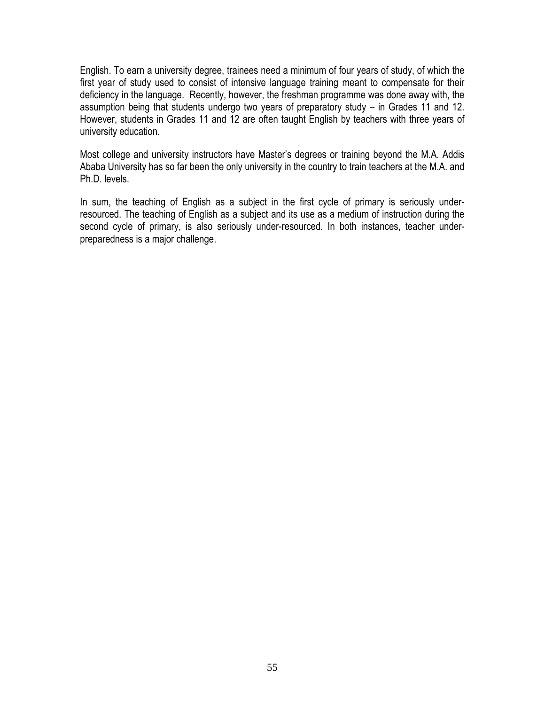English. To earn a university degree, trainees need a minimum of four years of study, of which the first year of study used to consist of intensive language training meant to compensate for their deficiency in the language. Recently, however, the freshman programme was done away with, the assumption being that students undergo two years of preparatory study – in Grades 11 and 12. However, students in Grades 11 and 12 are often taught English by teachers with three years of university education.

Most college and university instructors have Master's degrees or training beyond the M.A. Addis Ababa University has so far been the only university in the country to train teachers at the M.A. and Ph.D. levels.

In sum, the teaching of English as a subject in the first cycle of primary is seriously underresourced. The teaching of English as a subject and its use as a medium of instruction during the second cycle of primary, is also seriously under-resourced. In both instances, teacher underpreparedness is a major challenge.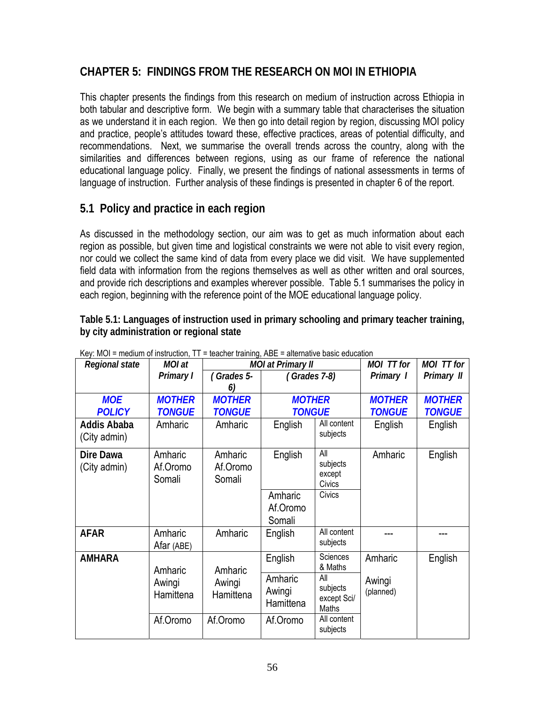## **CHAPTER 5: FINDINGS FROM THE RESEARCH ON MOI IN ETHIOPIA**

This chapter presents the findings from this research on medium of instruction across Ethiopia in both tabular and descriptive form. We begin with a summary table that characterises the situation as we understand it in each region. We then go into detail region by region, discussing MOI policy and practice, people's attitudes toward these, effective practices, areas of potential difficulty, and recommendations. Next, we summarise the overall trends across the country, along with the similarities and differences between regions, using as our frame of reference the national educational language policy. Finally, we present the findings of national assessments in terms of language of instruction. Further analysis of these findings is presented in chapter 6 of the report.

### **5.1 Policy and practice in each region**

As discussed in the methodology section, our aim was to get as much information about each region as possible, but given time and logistical constraints we were not able to visit every region, nor could we collect the same kind of data from every place we did visit. We have supplemented field data with information from the regions themselves as well as other written and oral sources, and provide rich descriptions and examples wherever possible. Table 5.1 summarises the policy in each region, beginning with the reference point of the MOE educational language policy.

**Table 5.1: Languages of instruction used in primary schooling and primary teacher training, by city administration or regional state** 

| Rey. MOT – Medium of Instruction, TT – teacher training, ADE – alternative basic education<br>Regional state | MOI at                         |                                | <b>MOI at Primary II</b>       |                                         | MOI TT for                     | MOI TT for                     |
|--------------------------------------------------------------------------------------------------------------|--------------------------------|--------------------------------|--------------------------------|-----------------------------------------|--------------------------------|--------------------------------|
|                                                                                                              | Primary I                      | (Grades 5-<br>6)               | (Grades 7-8)                   |                                         | Primary 1                      | Primary II                     |
| <b>MOE</b><br><b>POLICY</b>                                                                                  | <b>MOTHER</b><br><b>TONGUE</b> | <b>MOTHER</b><br><b>TONGUE</b> | <b>MOTHER</b><br><b>TONGUE</b> |                                         | <b>MOTHER</b><br><b>TONGUE</b> | <b>MOTHER</b><br><b>TONGUE</b> |
| <b>Addis Ababa</b><br>(City admin)                                                                           | Amharic                        | Amharic                        | English                        | All content<br>subjects                 | English                        | English                        |
| Dire Dawa<br>(City admin)                                                                                    | Amharic<br>Af.Oromo<br>Somali  | Amharic<br>Af.Oromo<br>Somali  | English                        | All<br>subjects<br>except<br>Civics     | Amharic                        | English                        |
|                                                                                                              |                                |                                | Amharic<br>Af.Oromo<br>Somali  | Civics                                  |                                |                                |
| <b>AFAR</b>                                                                                                  | Amharic<br>Afar (ABE)          | Amharic                        | English                        | All content<br>subjects                 |                                |                                |
| <b>AMHARA</b>                                                                                                | Amharic                        | Amharic                        | English                        | <b>Sciences</b><br>& Maths              | Amharic                        | English                        |
|                                                                                                              | Awingi<br>Hamittena            | Awingi<br>Hamittena            | Amharic<br>Awingi<br>Hamittena | All<br>subjects<br>except Sci/<br>Maths | Awingi<br>(planned)            |                                |
|                                                                                                              | Af.Oromo                       | Af.Oromo                       | Af.Oromo                       | All content<br>subjects                 |                                |                                |

Key: MOI = medium of instruction, TT = teacher training, ABE = alternative basic education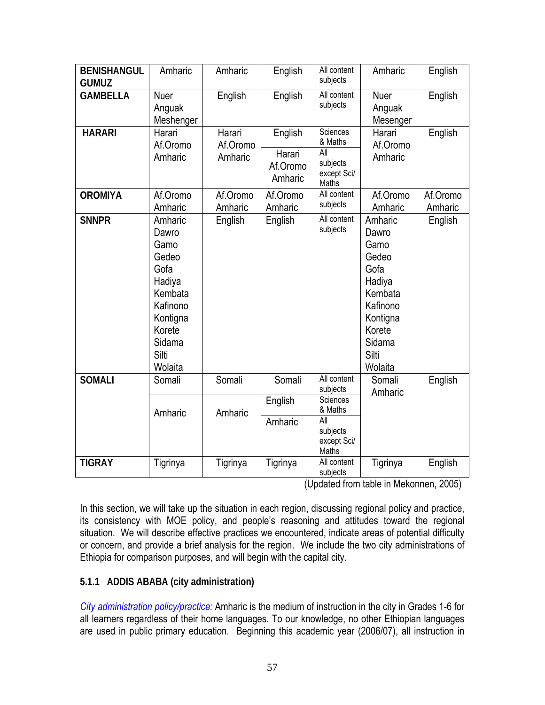| <b>BENISHANGUL</b><br><b>GUMUZ</b> | Amharic                                                                                                                        | Amharic                       | English                                  | All content<br>subjects                                               | Amharic                                                                                                                        | English             |
|------------------------------------|--------------------------------------------------------------------------------------------------------------------------------|-------------------------------|------------------------------------------|-----------------------------------------------------------------------|--------------------------------------------------------------------------------------------------------------------------------|---------------------|
| <b>GAMBELLA</b>                    | Nuer<br>Anguak<br>Meshenger                                                                                                    | English                       | English                                  | All content<br>subjects                                               | Nuer<br>Anguak<br>Mesenger                                                                                                     | English             |
| <b>HARARI</b>                      | Harari<br>Af.Oromo<br>Amharic                                                                                                  | Harari<br>Af.Oromo<br>Amharic | English<br>Harari<br>Af.Oromo<br>Amharic | <b>Sciences</b><br>& Maths<br>All<br>subjects<br>except Sci/<br>Maths | Harari<br>Af.Oromo<br>Amharic                                                                                                  | English             |
| <b>OROMIYA</b>                     | Af.Oromo<br>Amharic                                                                                                            | Af.Oromo<br>Amharic           | Af.Oromo<br>Amharic                      | All content<br>subjects                                               | Af.Oromo<br>Amharic                                                                                                            | Af.Oromo<br>Amharic |
| <b>SNNPR</b>                       | Amharic<br>Dawro<br>Gamo<br>Gedeo<br>Gofa<br>Hadiya<br>Kembata<br>Kafinono<br>Kontigna<br>Korete<br>Sidama<br>Silti<br>Wolaita | English                       | English                                  | All content<br>subjects                                               | Amharic<br>Dawro<br>Gamo<br>Gedeo<br>Gofa<br>Hadiya<br>Kembata<br>Kafinono<br>Kontigna<br>Korete<br>Sidama<br>Silti<br>Wolaita | English             |
| <b>SOMALI</b>                      | Somali                                                                                                                         | Somali                        | Somali                                   | All content<br>subjects                                               | Somali<br>Amharic                                                                                                              | English             |
|                                    | Amharic                                                                                                                        | Amharic                       | English<br>Amharic                       | Sciences<br>& Maths<br><b>All</b><br>subjects<br>except Sci/<br>Maths |                                                                                                                                |                     |
| <b>TIGRAY</b>                      | Tigrinya                                                                                                                       | Tigrinya                      | Tigrinya                                 | All content<br>subjects                                               | Tigrinya                                                                                                                       | English             |

(Updated from table in Mekonnen, 2005)

In this section, we will take up the situation in each region, discussing regional policy and practice, its consistency with MOE policy, and people's reasoning and attitudes toward the regional situation. We will describe effective practices we encountered, indicate areas of potential difficulty or concern, and provide a brief analysis for the region. We include the two city administrations of Ethiopia for comparison purposes, and will begin with the capital city.

### **5.1.1 ADDIS ABABA (city administration)**

*City administration policy/practice:* Amharic is the medium of instruction in the city in Grades 1-6 for all learners regardless of their home languages. To our knowledge, no other Ethiopian languages are used in public primary education. Beginning this academic year (2006/07), all instruction in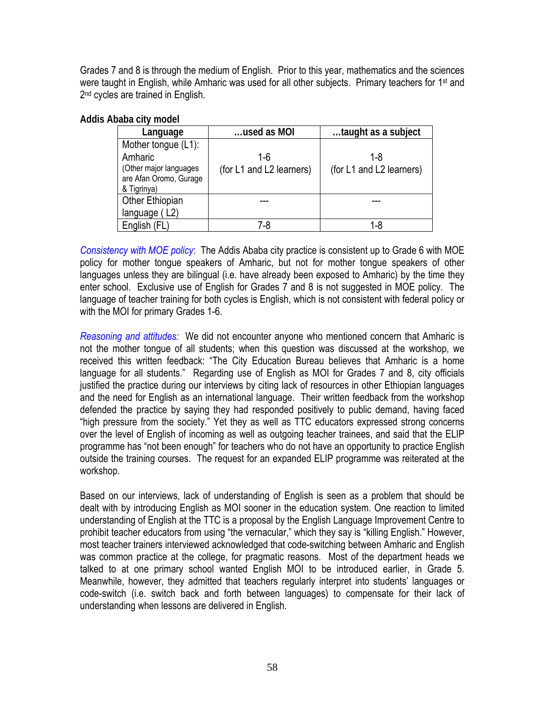Grades 7 and 8 is through the medium of English. Prior to this year, mathematics and the sciences were taught in English, while Amharic was used for all other subjects. Primary teachers for 1<sup>st</sup> and 2<sup>nd</sup> cycles are trained in English.

| Addis Ababa city model |  |
|------------------------|--|
|                        |  |

| Language               | used as MOI              | taught as a subject      |
|------------------------|--------------------------|--------------------------|
| Mother tongue (L1):    |                          |                          |
| Amharic                | 1-6                      | 1-8                      |
| (Other major languages | (for L1 and L2 learners) | (for L1 and L2 learners) |
| are Afan Oromo, Gurage |                          |                          |
| & Tigrinya)            |                          |                          |
| Other Ethiopian        |                          |                          |
| language (L2)          |                          |                          |
| English (FL)           | 7-8                      | 1-8                      |

*Consistency with MOE policy*: The Addis Ababa city practice is consistent up to Grade 6 with MOE policy for mother tongue speakers of Amharic, but not for mother tongue speakers of other languages unless they are bilingual (i.e. have already been exposed to Amharic) by the time they enter school. Exclusive use of English for Grades 7 and 8 is not suggested in MOE policy. The language of teacher training for both cycles is English, which is not consistent with federal policy or with the MOI for primary Grades 1-6.

*Reasoning and attitudes:* We did not encounter anyone who mentioned concern that Amharic is not the mother tongue of all students; when this question was discussed at the workshop, we received this written feedback: "The City Education Bureau believes that Amharic is a home language for all students." Regarding use of English as MOI for Grades 7 and 8, city officials justified the practice during our interviews by citing lack of resources in other Ethiopian languages and the need for English as an international language. Their written feedback from the workshop defended the practice by saying they had responded positively to public demand, having faced "high pressure from the society." Yet they as well as TTC educators expressed strong concerns over the level of English of incoming as well as outgoing teacher trainees, and said that the ELIP programme has "not been enough" for teachers who do not have an opportunity to practice English outside the training courses. The request for an expanded ELIP programme was reiterated at the workshop.

Based on our interviews, lack of understanding of English is seen as a problem that should be dealt with by introducing English as MOI sooner in the education system. One reaction to limited understanding of English at the TTC is a proposal by the English Language Improvement Centre to prohibit teacher educators from using "the vernacular," which they say is "killing English." However, most teacher trainers interviewed acknowledged that code-switching between Amharic and English was common practice at the college, for pragmatic reasons. Most of the department heads we talked to at one primary school wanted English MOI to be introduced earlier, in Grade 5. Meanwhile, however, they admitted that teachers regularly interpret into students' languages or code-switch (i.e. switch back and forth between languages) to compensate for their lack of understanding when lessons are delivered in English.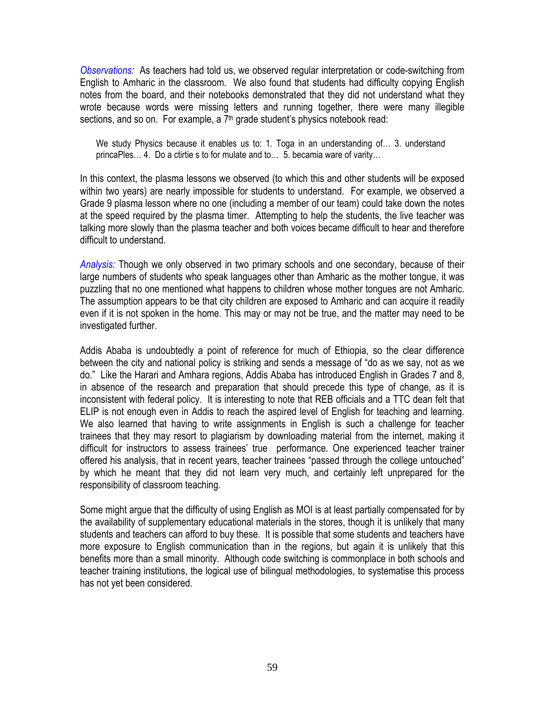*Observations:* As teachers had told us, we observed regular interpretation or code-switching from English to Amharic in the classroom. We also found that students had difficulty copying English notes from the board, and their notebooks demonstrated that they did not understand what they wrote because words were missing letters and running together, there were many illegible sections, and so on. For example, a  $7<sup>th</sup>$  grade student's physics notebook read:

We study Physics because it enables us to: 1. Toga in an understanding of… 3. understand princaPles… 4. Do a ctirtie s to for mulate and to… 5. becamia ware of varity…

In this context, the plasma lessons we observed (to which this and other students will be exposed within two years) are nearly impossible for students to understand. For example, we observed a Grade 9 plasma lesson where no one (including a member of our team) could take down the notes at the speed required by the plasma timer. Attempting to help the students, the live teacher was talking more slowly than the plasma teacher and both voices became difficult to hear and therefore difficult to understand.

*Analysis:* Though we only observed in two primary schools and one secondary, because of their large numbers of students who speak languages other than Amharic as the mother tongue, it was puzzling that no one mentioned what happens to children whose mother tongues are not Amharic. The assumption appears to be that city children are exposed to Amharic and can acquire it readily even if it is not spoken in the home. This may or may not be true, and the matter may need to be investigated further.

Addis Ababa is undoubtedly a point of reference for much of Ethiopia, so the clear difference between the city and national policy is striking and sends a message of "do as we say, not as we do." Like the Harari and Amhara regions, Addis Ababa has introduced English in Grades 7 and 8, in absence of the research and preparation that should precede this type of change, as it is inconsistent with federal policy. It is interesting to note that REB officials and a TTC dean felt that ELIP is not enough even in Addis to reach the aspired level of English for teaching and learning. We also learned that having to write assignments in English is such a challenge for teacher trainees that they may resort to plagiarism by downloading material from the internet, making it difficult for instructors to assess trainees' true performance. One experienced teacher trainer offered his analysis, that in recent years, teacher trainees "passed through the college untouched" by which he meant that they did not learn very much, and certainly left unprepared for the responsibility of classroom teaching.

Some might argue that the difficulty of using English as MOI is at least partially compensated for by the availability of supplementary educational materials in the stores, though it is unlikely that many students and teachers can afford to buy these. It is possible that some students and teachers have more exposure to English communication than in the regions, but again it is unlikely that this benefits more than a small minority. Although code switching is commonplace in both schools and teacher training institutions, the logical use of bilingual methodologies, to systematise this process has not yet been considered.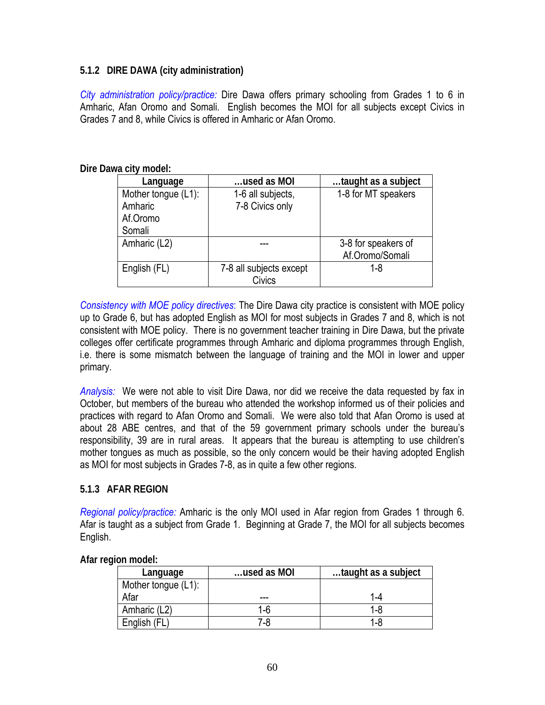### **5.1.2 DIRE DAWA (city administration)**

*City administration policy/practice:* Dire Dawa offers primary schooling from Grades 1 to 6 in Amharic, Afan Oromo and Somali. English becomes the MOI for all subjects except Civics in Grades 7 and 8, while Civics is offered in Amharic or Afan Oromo.

| Language                       | used as MOI                          | taught as a subject |
|--------------------------------|--------------------------------------|---------------------|
| Mother tongue (L1):<br>Amharic | 1-6 all subjects,<br>7-8 Civics only | 1-8 for MT speakers |
| Af.Oromo                       |                                      |                     |
| Somali                         |                                      |                     |
| Amharic (L2)                   |                                      | 3-8 for speakers of |
|                                |                                      | Af.Oromo/Somali     |
| English (FL)                   | 7-8 all subjects except              | 1-8                 |
|                                | Civics                               |                     |

**Dire Dawa city model:** 

*Consistency with MOE policy directives*: The Dire Dawa city practice is consistent with MOE policy up to Grade 6, but has adopted English as MOI for most subjects in Grades 7 and 8, which is not consistent with MOE policy. There is no government teacher training in Dire Dawa, but the private colleges offer certificate programmes through Amharic and diploma programmes through English, i.e. there is some mismatch between the language of training and the MOI in lower and upper primary.

*Analysis:* We were not able to visit Dire Dawa, nor did we receive the data requested by fax in October, but members of the bureau who attended the workshop informed us of their policies and practices with regard to Afan Oromo and Somali. We were also told that Afan Oromo is used at about 28 ABE centres, and that of the 59 government primary schools under the bureau's responsibility, 39 are in rural areas. It appears that the bureau is attempting to use children's mother tongues as much as possible, so the only concern would be their having adopted English as MOI for most subjects in Grades 7-8, as in quite a few other regions.

### **5.1.3 AFAR REGION**

*Regional policy/practice:* Amharic is the only MOI used in Afar region from Grades 1 through 6. Afar is taught as a subject from Grade 1. Beginning at Grade 7, the MOI for all subjects becomes English.

|  | Afar region model: |
|--|--------------------|
|  |                    |

| Language            | used as MOI | taught as a subject |
|---------------------|-------------|---------------------|
| Mother tongue (L1): |             |                     |
| Afar                | ---         | 1-4                 |
| Amharic (L2)        | 1-6         |                     |
| English (FL         | 7-8         | 1-8                 |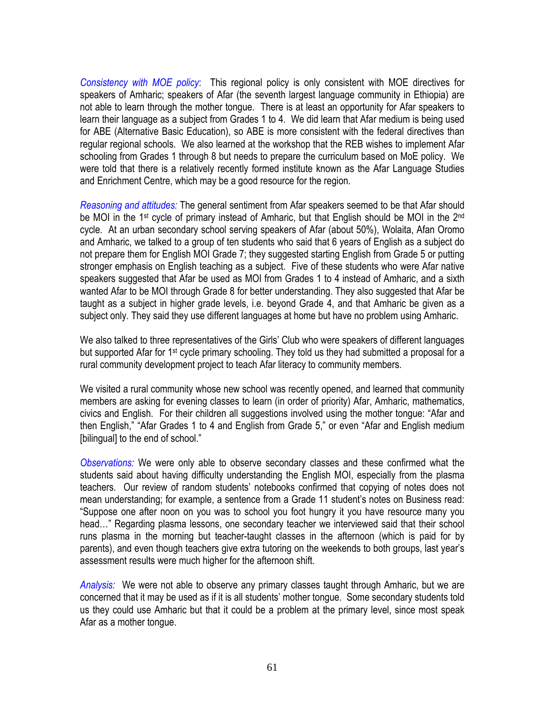*Consistency with MOE policy*: This regional policy is only consistent with MOE directives for speakers of Amharic; speakers of Afar (the seventh largest language community in Ethiopia) are not able to learn through the mother tongue. There is at least an opportunity for Afar speakers to learn their language as a subject from Grades 1 to 4. We did learn that Afar medium is being used for ABE (Alternative Basic Education), so ABE is more consistent with the federal directives than regular regional schools. We also learned at the workshop that the REB wishes to implement Afar schooling from Grades 1 through 8 but needs to prepare the curriculum based on MoE policy. We were told that there is a relatively recently formed institute known as the Afar Language Studies and Enrichment Centre, which may be a good resource for the region.

*Reasoning and attitudes:* The general sentiment from Afar speakers seemed to be that Afar should be MOI in the 1<sup>st</sup> cycle of primary instead of Amharic, but that English should be MOI in the 2<sup>nd</sup> cycle. At an urban secondary school serving speakers of Afar (about 50%), Wolaita, Afan Oromo and Amharic, we talked to a group of ten students who said that 6 years of English as a subject do not prepare them for English MOI Grade 7; they suggested starting English from Grade 5 or putting stronger emphasis on English teaching as a subject. Five of these students who were Afar native speakers suggested that Afar be used as MOI from Grades 1 to 4 instead of Amharic, and a sixth wanted Afar to be MOI through Grade 8 for better understanding. They also suggested that Afar be taught as a subject in higher grade levels, i.e. beyond Grade 4, and that Amharic be given as a subject only. They said they use different languages at home but have no problem using Amharic.

We also talked to three representatives of the Girls' Club who were speakers of different languages but supported Afar for 1<sup>st</sup> cycle primary schooling. They told us they had submitted a proposal for a rural community development project to teach Afar literacy to community members.

We visited a rural community whose new school was recently opened, and learned that community members are asking for evening classes to learn (in order of priority) Afar, Amharic, mathematics, civics and English. For their children all suggestions involved using the mother tongue: "Afar and then English," "Afar Grades 1 to 4 and English from Grade 5," or even "Afar and English medium [bilingual] to the end of school."

*Observations:* We were only able to observe secondary classes and these confirmed what the students said about having difficulty understanding the English MOI, especially from the plasma teachers. Our review of random students' notebooks confirmed that copying of notes does not mean understanding; for example, a sentence from a Grade 11 student's notes on Business read: "Suppose one after noon on you was to school you foot hungry it you have resource many you head…" Regarding plasma lessons, one secondary teacher we interviewed said that their school runs plasma in the morning but teacher-taught classes in the afternoon (which is paid for by parents), and even though teachers give extra tutoring on the weekends to both groups, last year's assessment results were much higher for the afternoon shift.

*Analysis:* We were not able to observe any primary classes taught through Amharic, but we are concerned that it may be used as if it is all students' mother tongue. Some secondary students told us they could use Amharic but that it could be a problem at the primary level, since most speak Afar as a mother tongue.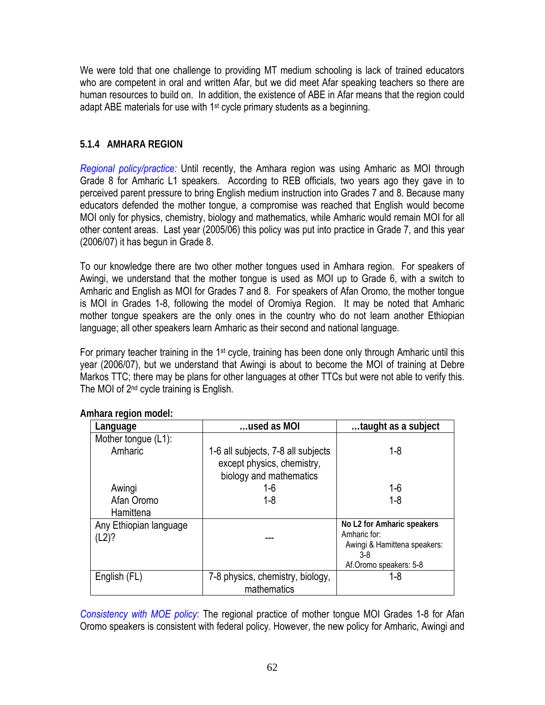We were told that one challenge to providing MT medium schooling is lack of trained educators who are competent in oral and written Afar, but we did meet Afar speaking teachers so there are human resources to build on. In addition, the existence of ABE in Afar means that the region could adapt ABE materials for use with 1<sup>st</sup> cycle primary students as a beginning.

### **5.1.4 AMHARA REGION**

*Regional policy/practice:* Until recently, the Amhara region was using Amharic as MOI through Grade 8 for Amharic L1 speakers. According to REB officials, two years ago they gave in to perceived parent pressure to bring English medium instruction into Grades 7 and 8. Because many educators defended the mother tongue, a compromise was reached that English would become MOI only for physics, chemistry, biology and mathematics, while Amharic would remain MOI for all other content areas. Last year (2005/06) this policy was put into practice in Grade 7, and this year (2006/07) it has begun in Grade 8.

To our knowledge there are two other mother tongues used in Amhara region. For speakers of Awingi, we understand that the mother tongue is used as MOI up to Grade 6, with a switch to Amharic and English as MOI for Grades 7 and 8. For speakers of Afan Oromo, the mother tongue is MOI in Grades 1-8, following the model of Oromiya Region. It may be noted that Amharic mother tongue speakers are the only ones in the country who do not learn another Ethiopian language; all other speakers learn Amharic as their second and national language.

For primary teacher training in the 1<sup>st</sup> cycle, training has been done only through Amharic until this year (2006/07), but we understand that Awingi is about to become the MOI of training at Debre Markos TTC; there may be plans for other languages at other TTCs but were not able to verify this. The MOI of 2nd cycle training is English.

| Language                        | used as MOI                                                                                 | taught as a subject                                                                                         |
|---------------------------------|---------------------------------------------------------------------------------------------|-------------------------------------------------------------------------------------------------------------|
| Mother tongue (L1):             |                                                                                             |                                                                                                             |
| Amharic                         | 1-6 all subjects, 7-8 all subjects<br>except physics, chemistry,<br>biology and mathematics | $1 - 8$                                                                                                     |
| Awingi                          | $1-6$                                                                                       | $1 - 6$                                                                                                     |
| Afan Oromo                      | $1 - 8$                                                                                     | $1 - 8$                                                                                                     |
| Hamittena                       |                                                                                             |                                                                                                             |
| Any Ethiopian language<br>(L2)? |                                                                                             | No L2 for Amharic speakers<br>Amharic for:<br>Awingi & Hamittena speakers:<br>3-8<br>Af.Oromo speakers: 5-8 |
| English (FL)                    | 7-8 physics, chemistry, biology,<br>mathematics                                             | $1 - 8$                                                                                                     |

**Amhara region model:** 

*Consistency with MOE policy*: The regional practice of mother tongue MOI Grades 1-8 for Afan Oromo speakers is consistent with federal policy. However, the new policy for Amharic, Awingi and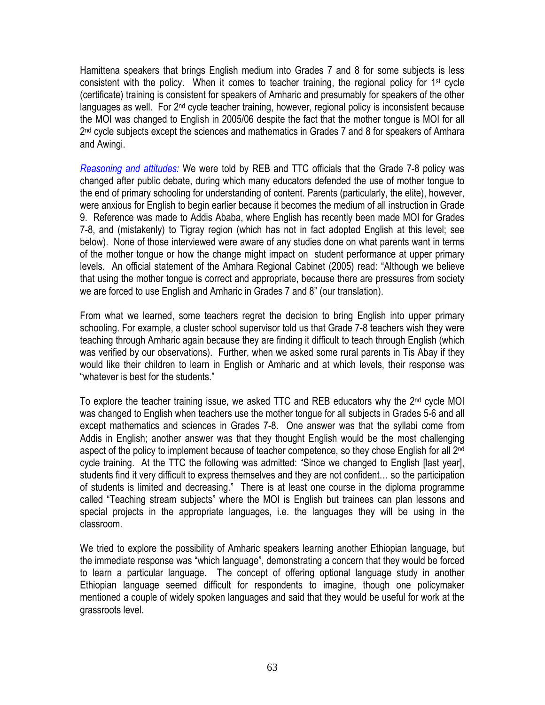Hamittena speakers that brings English medium into Grades 7 and 8 for some subjects is less consistent with the policy. When it comes to teacher training, the regional policy for 1st cycle (certificate) training is consistent for speakers of Amharic and presumably for speakers of the other languages as well. For  $2<sup>nd</sup>$  cycle teacher training, however, regional policy is inconsistent because the MOI was changed to English in 2005/06 despite the fact that the mother tongue is MOI for all 2<sup>nd</sup> cycle subjects except the sciences and mathematics in Grades 7 and 8 for speakers of Amhara and Awingi.

*Reasoning and attitudes:* We were told by REB and TTC officials that the Grade 7-8 policy was changed after public debate, during which many educators defended the use of mother tongue to the end of primary schooling for understanding of content. Parents (particularly, the elite), however, were anxious for English to begin earlier because it becomes the medium of all instruction in Grade 9. Reference was made to Addis Ababa, where English has recently been made MOI for Grades 7-8, and (mistakenly) to Tigray region (which has not in fact adopted English at this level; see below). None of those interviewed were aware of any studies done on what parents want in terms of the mother tongue or how the change might impact on student performance at upper primary levels. An official statement of the Amhara Regional Cabinet (2005) read: "Although we believe that using the mother tongue is correct and appropriate, because there are pressures from society we are forced to use English and Amharic in Grades 7 and 8" (our translation).

From what we learned, some teachers regret the decision to bring English into upper primary schooling. For example, a cluster school supervisor told us that Grade 7-8 teachers wish they were teaching through Amharic again because they are finding it difficult to teach through English (which was verified by our observations). Further, when we asked some rural parents in Tis Abay if they would like their children to learn in English or Amharic and at which levels, their response was "whatever is best for the students."

To explore the teacher training issue, we asked TTC and REB educators why the 2<sup>nd</sup> cycle MOI was changed to English when teachers use the mother tongue for all subjects in Grades 5-6 and all except mathematics and sciences in Grades 7-8. One answer was that the syllabi come from Addis in English; another answer was that they thought English would be the most challenging aspect of the policy to implement because of teacher competence, so they chose English for all 2<sup>nd</sup> cycle training. At the TTC the following was admitted: "Since we changed to English [last year], students find it very difficult to express themselves and they are not confident… so the participation of students is limited and decreasing." There is at least one course in the diploma programme called "Teaching stream subjects" where the MOI is English but trainees can plan lessons and special projects in the appropriate languages, i.e. the languages they will be using in the classroom.

We tried to explore the possibility of Amharic speakers learning another Ethiopian language, but the immediate response was "which language", demonstrating a concern that they would be forced to learn a particular language. The concept of offering optional language study in another Ethiopian language seemed difficult for respondents to imagine, though one policymaker mentioned a couple of widely spoken languages and said that they would be useful for work at the grassroots level.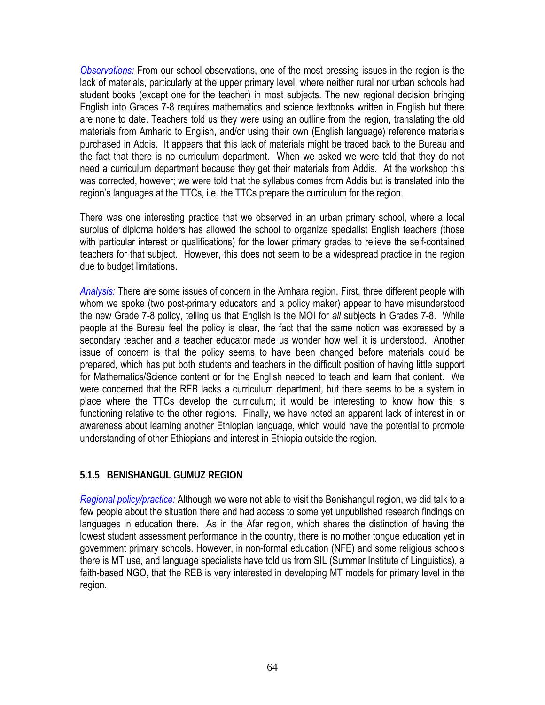*Observations:* From our school observations, one of the most pressing issues in the region is the lack of materials, particularly at the upper primary level, where neither rural nor urban schools had student books (except one for the teacher) in most subjects. The new regional decision bringing English into Grades 7-8 requires mathematics and science textbooks written in English but there are none to date. Teachers told us they were using an outline from the region, translating the old materials from Amharic to English, and/or using their own (English language) reference materials purchased in Addis. It appears that this lack of materials might be traced back to the Bureau and the fact that there is no curriculum department. When we asked we were told that they do not need a curriculum department because they get their materials from Addis. At the workshop this was corrected, however; we were told that the syllabus comes from Addis but is translated into the region's languages at the TTCs, i.e. the TTCs prepare the curriculum for the region.

There was one interesting practice that we observed in an urban primary school, where a local surplus of diploma holders has allowed the school to organize specialist English teachers (those with particular interest or qualifications) for the lower primary grades to relieve the self-contained teachers for that subject. However, this does not seem to be a widespread practice in the region due to budget limitations.

*Analysis:* There are some issues of concern in the Amhara region. First, three different people with whom we spoke (two post-primary educators and a policy maker) appear to have misunderstood the new Grade 7-8 policy, telling us that English is the MOI for *all* subjects in Grades 7-8. While people at the Bureau feel the policy is clear, the fact that the same notion was expressed by a secondary teacher and a teacher educator made us wonder how well it is understood. Another issue of concern is that the policy seems to have been changed before materials could be prepared, which has put both students and teachers in the difficult position of having little support for Mathematics/Science content or for the English needed to teach and learn that content. We were concerned that the REB lacks a curriculum department, but there seems to be a system in place where the TTCs develop the curriculum; it would be interesting to know how this is functioning relative to the other regions. Finally, we have noted an apparent lack of interest in or awareness about learning another Ethiopian language, which would have the potential to promote understanding of other Ethiopians and interest in Ethiopia outside the region.

### **5.1.5 BENISHANGUL GUMUZ REGION**

*Regional policy/practice:* Although we were not able to visit the Benishangul region, we did talk to a few people about the situation there and had access to some yet unpublished research findings on languages in education there. As in the Afar region, which shares the distinction of having the lowest student assessment performance in the country, there is no mother tongue education yet in government primary schools. However, in non-formal education (NFE) and some religious schools there is MT use, and language specialists have told us from SIL (Summer Institute of Linguistics), a faith-based NGO, that the REB is very interested in developing MT models for primary level in the region.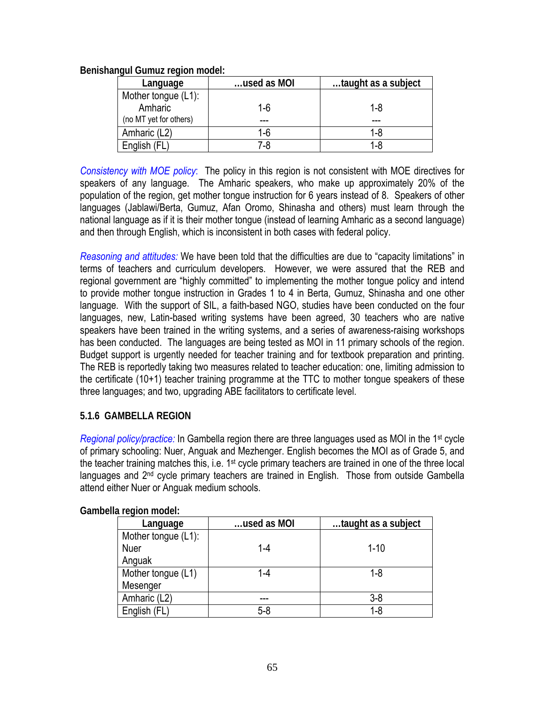### **Benishangul Gumuz region model:**

| Language               | used as MOI | taught as a subject |
|------------------------|-------------|---------------------|
| Mother tongue (L1):    |             |                     |
| Amharic                | $1-6$       | 1-8                 |
| (no MT yet for others) |             |                     |
| Amharic (L2)           | 1-6         | 1-8                 |
| English (FL            | 7-8         | $1 - 8$             |

*Consistency with MOE policy*: The policy in this region is not consistent with MOE directives for speakers of any language. The Amharic speakers, who make up approximately 20% of the population of the region, get mother tongue instruction for 6 years instead of 8. Speakers of other languages (Jablawi/Berta, Gumuz, Afan Oromo, Shinasha and others) must learn through the national language as if it is their mother tongue (instead of learning Amharic as a second language) and then through English, which is inconsistent in both cases with federal policy.

*Reasoning and attitudes:* We have been told that the difficulties are due to "capacity limitations" in terms of teachers and curriculum developers. However, we were assured that the REB and regional government are "highly committed" to implementing the mother tongue policy and intend to provide mother tongue instruction in Grades 1 to 4 in Berta, Gumuz, Shinasha and one other language. With the support of SIL, a faith-based NGO, studies have been conducted on the four languages, new, Latin-based writing systems have been agreed, 30 teachers who are native speakers have been trained in the writing systems, and a series of awareness-raising workshops has been conducted. The languages are being tested as MOI in 11 primary schools of the region. Budget support is urgently needed for teacher training and for textbook preparation and printing. The REB is reportedly taking two measures related to teacher education: one, limiting admission to the certificate (10+1) teacher training programme at the TTC to mother tongue speakers of these three languages; and two, upgrading ABE facilitators to certificate level.

### **5.1.6 GAMBELLA REGION**

*Regional policy/practice:* In Gambella region there are three languages used as MOI in the 1st cycle of primary schooling: Nuer, Anguak and Mezhenger. English becomes the MOI as of Grade 5, and the teacher training matches this, i.e. 1<sup>st</sup> cycle primary teachers are trained in one of the three local languages and 2<sup>nd</sup> cycle primary teachers are trained in English. Those from outside Gambella attend either Nuer or Anguak medium schools.

| Language            | used as MOI | taught as a subject |
|---------------------|-------------|---------------------|
| Mother tongue (L1): |             |                     |
| <b>Nuer</b>         | 1-4         | $1 - 10$            |
| Anguak              |             |                     |
| Mother tongue (L1)  | 1-4         | $1 - 8$             |
| Mesenger            |             |                     |
| Amharic (L2)        |             | $3 - 8$             |
| English (FL)        | $5 - 8$     | 1-8                 |

**Gambella region model:**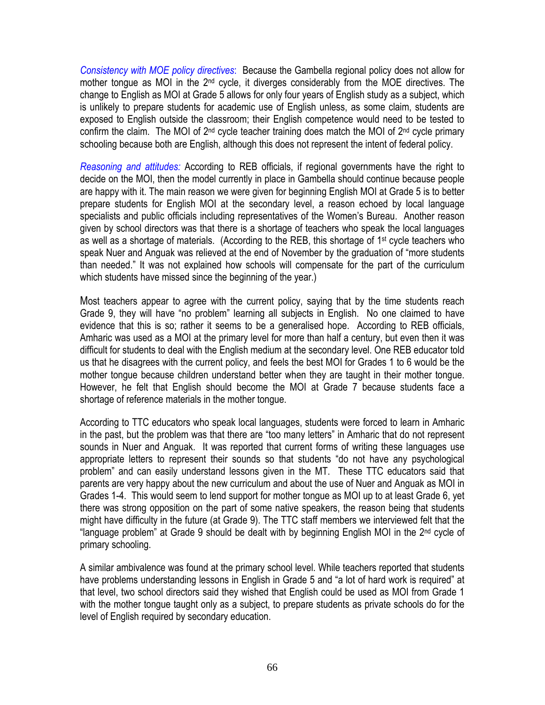*Consistency with MOE policy directives*: Because the Gambella regional policy does not allow for mother tongue as MOI in the 2<sup>nd</sup> cycle, it diverges considerably from the MOE directives. The change to English as MOI at Grade 5 allows for only four years of English study as a subject, which is unlikely to prepare students for academic use of English unless, as some claim, students are exposed to English outside the classroom; their English competence would need to be tested to confirm the claim. The MOI of 2nd cycle teacher training does match the MOI of 2nd cycle primary schooling because both are English, although this does not represent the intent of federal policy.

*Reasoning and attitudes:* According to REB officials, if regional governments have the right to decide on the MOI, then the model currently in place in Gambella should continue because people are happy with it. The main reason we were given for beginning English MOI at Grade 5 is to better prepare students for English MOI at the secondary level, a reason echoed by local language specialists and public officials including representatives of the Women's Bureau. Another reason given by school directors was that there is a shortage of teachers who speak the local languages as well as a shortage of materials. (According to the REB, this shortage of 1st cycle teachers who speak Nuer and Anguak was relieved at the end of November by the graduation of "more students than needed." It was not explained how schools will compensate for the part of the curriculum which students have missed since the beginning of the year.)

Most teachers appear to agree with the current policy, saying that by the time students reach Grade 9, they will have "no problem" learning all subjects in English. No one claimed to have evidence that this is so; rather it seems to be a generalised hope. According to REB officials, Amharic was used as a MOI at the primary level for more than half a century, but even then it was difficult for students to deal with the English medium at the secondary level. One REB educator told us that he disagrees with the current policy, and feels the best MOI for Grades 1 to 6 would be the mother tongue because children understand better when they are taught in their mother tongue. However, he felt that English should become the MOI at Grade 7 because students face a shortage of reference materials in the mother tongue.

According to TTC educators who speak local languages, students were forced to learn in Amharic in the past, but the problem was that there are "too many letters" in Amharic that do not represent sounds in Nuer and Anguak. It was reported that current forms of writing these languages use appropriate letters to represent their sounds so that students "do not have any psychological problem" and can easily understand lessons given in the MT. These TTC educators said that parents are very happy about the new curriculum and about the use of Nuer and Anguak as MOI in Grades 1-4. This would seem to lend support for mother tongue as MOI up to at least Grade 6, yet there was strong opposition on the part of some native speakers, the reason being that students might have difficulty in the future (at Grade 9). The TTC staff members we interviewed felt that the "language problem" at Grade 9 should be dealt with by beginning English MOI in the 2nd cycle of primary schooling.

A similar ambivalence was found at the primary school level. While teachers reported that students have problems understanding lessons in English in Grade 5 and "a lot of hard work is required" at that level, two school directors said they wished that English could be used as MOI from Grade 1 with the mother tongue taught only as a subject, to prepare students as private schools do for the level of English required by secondary education.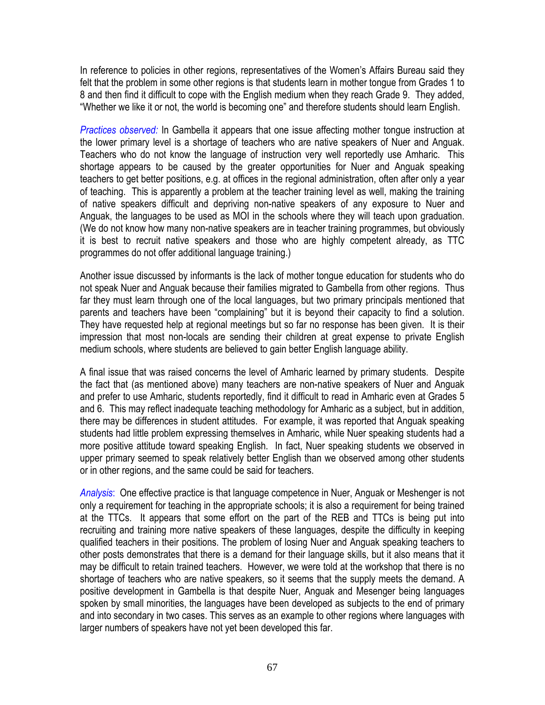In reference to policies in other regions, representatives of the Women's Affairs Bureau said they felt that the problem in some other regions is that students learn in mother tongue from Grades 1 to 8 and then find it difficult to cope with the English medium when they reach Grade 9. They added, "Whether we like it or not, the world is becoming one" and therefore students should learn English.

*Practices observed:* In Gambella it appears that one issue affecting mother tongue instruction at the lower primary level is a shortage of teachers who are native speakers of Nuer and Anguak. Teachers who do not know the language of instruction very well reportedly use Amharic. This shortage appears to be caused by the greater opportunities for Nuer and Anguak speaking teachers to get better positions, e.g. at offices in the regional administration, often after only a year of teaching. This is apparently a problem at the teacher training level as well, making the training of native speakers difficult and depriving non-native speakers of any exposure to Nuer and Anguak, the languages to be used as MOI in the schools where they will teach upon graduation. (We do not know how many non-native speakers are in teacher training programmes, but obviously it is best to recruit native speakers and those who are highly competent already, as TTC programmes do not offer additional language training.)

Another issue discussed by informants is the lack of mother tongue education for students who do not speak Nuer and Anguak because their families migrated to Gambella from other regions. Thus far they must learn through one of the local languages, but two primary principals mentioned that parents and teachers have been "complaining" but it is beyond their capacity to find a solution. They have requested help at regional meetings but so far no response has been given. It is their impression that most non-locals are sending their children at great expense to private English medium schools, where students are believed to gain better English language ability.

A final issue that was raised concerns the level of Amharic learned by primary students. Despite the fact that (as mentioned above) many teachers are non-native speakers of Nuer and Anguak and prefer to use Amharic, students reportedly, find it difficult to read in Amharic even at Grades 5 and 6. This may reflect inadequate teaching methodology for Amharic as a subject, but in addition, there may be differences in student attitudes. For example, it was reported that Anguak speaking students had little problem expressing themselves in Amharic, while Nuer speaking students had a more positive attitude toward speaking English. In fact, Nuer speaking students we observed in upper primary seemed to speak relatively better English than we observed among other students or in other regions, and the same could be said for teachers.

*Analysis*: One effective practice is that language competence in Nuer, Anguak or Meshenger is not only a requirement for teaching in the appropriate schools; it is also a requirement for being trained at the TTCs. It appears that some effort on the part of the REB and TTCs is being put into recruiting and training more native speakers of these languages, despite the difficulty in keeping qualified teachers in their positions. The problem of losing Nuer and Anguak speaking teachers to other posts demonstrates that there is a demand for their language skills, but it also means that it may be difficult to retain trained teachers. However, we were told at the workshop that there is no shortage of teachers who are native speakers, so it seems that the supply meets the demand. A positive development in Gambella is that despite Nuer, Anguak and Mesenger being languages spoken by small minorities, the languages have been developed as subjects to the end of primary and into secondary in two cases. This serves as an example to other regions where languages with larger numbers of speakers have not yet been developed this far.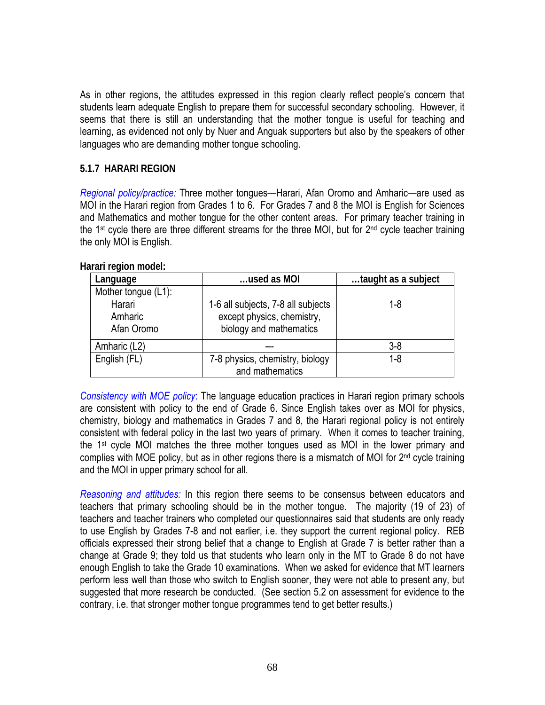As in other regions, the attitudes expressed in this region clearly reflect people's concern that students learn adequate English to prepare them for successful secondary schooling. However, it seems that there is still an understanding that the mother tongue is useful for teaching and learning, as evidenced not only by Nuer and Anguak supporters but also by the speakers of other languages who are demanding mother tongue schooling.

#### **5.1.7 HARARI REGION**

*Regional policy/practice:* Three mother tongues—Harari, Afan Oromo and Amharic—are used as MOI in the Harari region from Grades 1 to 6. For Grades 7 and 8 the MOI is English for Sciences and Mathematics and mother tongue for the other content areas. For primary teacher training in the 1<sup>st</sup> cycle there are three different streams for the three MOI, but for 2<sup>nd</sup> cycle teacher training the only MOI is English.

| Language                                               | used as MOI                                                                                 | taught as a subject |
|--------------------------------------------------------|---------------------------------------------------------------------------------------------|---------------------|
| Mother tongue (L1):<br>Harari<br>Amharic<br>Afan Oromo | 1-6 all subjects, 7-8 all subjects<br>except physics, chemistry,<br>biology and mathematics | 1-8                 |
| Amharic (L2)                                           |                                                                                             | $3-8$               |
| English (FL)                                           | 7-8 physics, chemistry, biology<br>and mathematics                                          | 1-8                 |

**Harari region model:** 

*Consistency with MOE policy*: The language education practices in Harari region primary schools are consistent with policy to the end of Grade 6. Since English takes over as MOI for physics, chemistry, biology and mathematics in Grades 7 and 8, the Harari regional policy is not entirely consistent with federal policy in the last two years of primary. When it comes to teacher training, the 1st cycle MOI matches the three mother tongues used as MOI in the lower primary and complies with MOE policy, but as in other regions there is a mismatch of MOI for 2<sup>nd</sup> cycle training and the MOI in upper primary school for all.

*Reasoning and attitudes:* In this region there seems to be consensus between educators and teachers that primary schooling should be in the mother tongue. The majority (19 of 23) of teachers and teacher trainers who completed our questionnaires said that students are only ready to use English by Grades 7-8 and not earlier, i.e. they support the current regional policy. REB officials expressed their strong belief that a change to English at Grade 7 is better rather than a change at Grade 9; they told us that students who learn only in the MT to Grade 8 do not have enough English to take the Grade 10 examinations. When we asked for evidence that MT learners perform less well than those who switch to English sooner, they were not able to present any, but suggested that more research be conducted. (See section 5.2 on assessment for evidence to the contrary, i.e. that stronger mother tongue programmes tend to get better results.)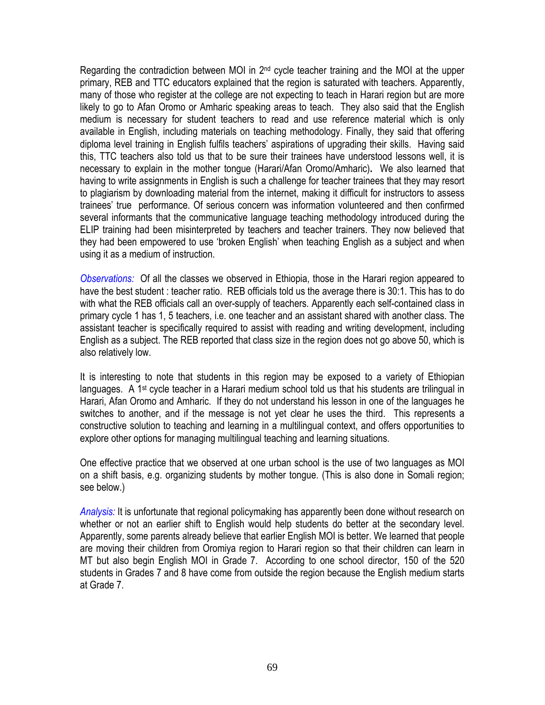Regarding the contradiction between MOI in 2<sup>nd</sup> cycle teacher training and the MOI at the upper primary, REB and TTC educators explained that the region is saturated with teachers. Apparently, many of those who register at the college are not expecting to teach in Harari region but are more likely to go to Afan Oromo or Amharic speaking areas to teach. They also said that the English medium is necessary for student teachers to read and use reference material which is only available in English, including materials on teaching methodology. Finally, they said that offering diploma level training in English fulfils teachers' aspirations of upgrading their skills. Having said this, TTC teachers also told us that to be sure their trainees have understood lessons well, it is necessary to explain in the mother tongue (Harari/Afan Oromo/Amharic)**.** We also learned that having to write assignments in English is such a challenge for teacher trainees that they may resort to plagiarism by downloading material from the internet, making it difficult for instructors to assess trainees' true performance. Of serious concern was information volunteered and then confirmed several informants that the communicative language teaching methodology introduced during the ELIP training had been misinterpreted by teachers and teacher trainers. They now believed that they had been empowered to use 'broken English' when teaching English as a subject and when using it as a medium of instruction.

*Observations:* Of all the classes we observed in Ethiopia, those in the Harari region appeared to have the best student : teacher ratio. REB officials told us the average there is 30:1. This has to do with what the REB officials call an over-supply of teachers. Apparently each self-contained class in primary cycle 1 has 1, 5 teachers, i.e. one teacher and an assistant shared with another class. The assistant teacher is specifically required to assist with reading and writing development, including English as a subject. The REB reported that class size in the region does not go above 50, which is also relatively low.

It is interesting to note that students in this region may be exposed to a variety of Ethiopian languages. A 1<sup>st</sup> cycle teacher in a Harari medium school told us that his students are trilingual in Harari, Afan Oromo and Amharic. If they do not understand his lesson in one of the languages he switches to another, and if the message is not yet clear he uses the third. This represents a constructive solution to teaching and learning in a multilingual context, and offers opportunities to explore other options for managing multilingual teaching and learning situations.

One effective practice that we observed at one urban school is the use of two languages as MOI on a shift basis, e.g. organizing students by mother tongue. (This is also done in Somali region; see below.)

*Analysis:* It is unfortunate that regional policymaking has apparently been done without research on whether or not an earlier shift to English would help students do better at the secondary level. Apparently, some parents already believe that earlier English MOI is better. We learned that people are moving their children from Oromiya region to Harari region so that their children can learn in MT but also begin English MOI in Grade 7. According to one school director, 150 of the 520 students in Grades 7 and 8 have come from outside the region because the English medium starts at Grade 7.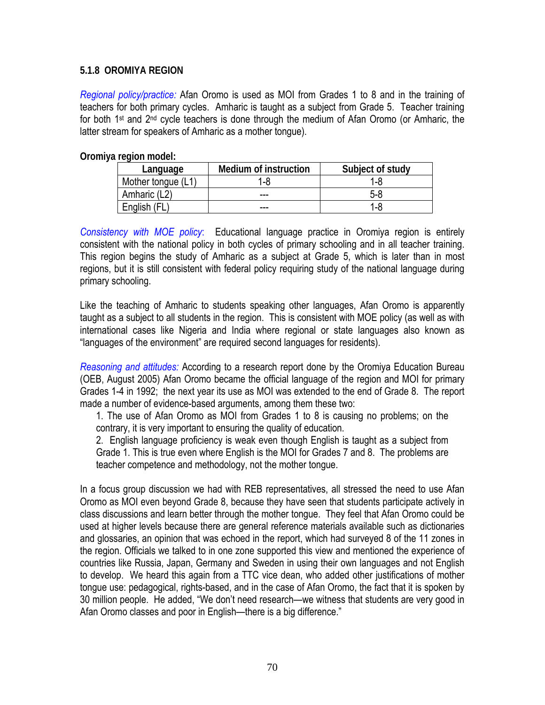#### **5.1.8 OROMIYA REGION**

*Regional policy/practice:* Afan Oromo is used as MOI from Grades 1 to 8 and in the training of teachers for both primary cycles. Amharic is taught as a subject from Grade 5. Teacher training for both 1st and 2nd cycle teachers is done through the medium of Afan Oromo (or Amharic, the latter stream for speakers of Amharic as a mother tongue).

**Oromiya region model:** 

| Language           | <b>Medium of instruction</b> | Subject of study |
|--------------------|------------------------------|------------------|
| Mother tongue (L1) | 1-8                          | 1-8              |
| Amharic (L2)       | ---                          | 5-8              |
| English (FL        | ---                          | 1-8              |

*Consistency with MOE policy*: Educational language practice in Oromiya region is entirely consistent with the national policy in both cycles of primary schooling and in all teacher training. This region begins the study of Amharic as a subject at Grade 5, which is later than in most regions, but it is still consistent with federal policy requiring study of the national language during primary schooling.

Like the teaching of Amharic to students speaking other languages, Afan Oromo is apparently taught as a subject to all students in the region. This is consistent with MOE policy (as well as with international cases like Nigeria and India where regional or state languages also known as "languages of the environment" are required second languages for residents).

*Reasoning and attitudes:* According to a research report done by the Oromiya Education Bureau (OEB, August 2005) Afan Oromo became the official language of the region and MOI for primary Grades 1-4 in 1992; the next year its use as MOI was extended to the end of Grade 8. The report made a number of evidence-based arguments, among them these two:

1. The use of Afan Oromo as MOI from Grades 1 to 8 is causing no problems; on the contrary, it is very important to ensuring the quality of education.

2. English language proficiency is weak even though English is taught as a subject from Grade 1. This is true even where English is the MOI for Grades 7 and 8. The problems are teacher competence and methodology, not the mother tongue.

In a focus group discussion we had with REB representatives, all stressed the need to use Afan Oromo as MOI even beyond Grade 8, because they have seen that students participate actively in class discussions and learn better through the mother tongue. They feel that Afan Oromo could be used at higher levels because there are general reference materials available such as dictionaries and glossaries, an opinion that was echoed in the report, which had surveyed 8 of the 11 zones in the region. Officials we talked to in one zone supported this view and mentioned the experience of countries like Russia, Japan, Germany and Sweden in using their own languages and not English to develop. We heard this again from a TTC vice dean, who added other justifications of mother tongue use: pedagogical, rights-based, and in the case of Afan Oromo, the fact that it is spoken by 30 million people. He added, "We don't need research—we witness that students are very good in Afan Oromo classes and poor in English—there is a big difference."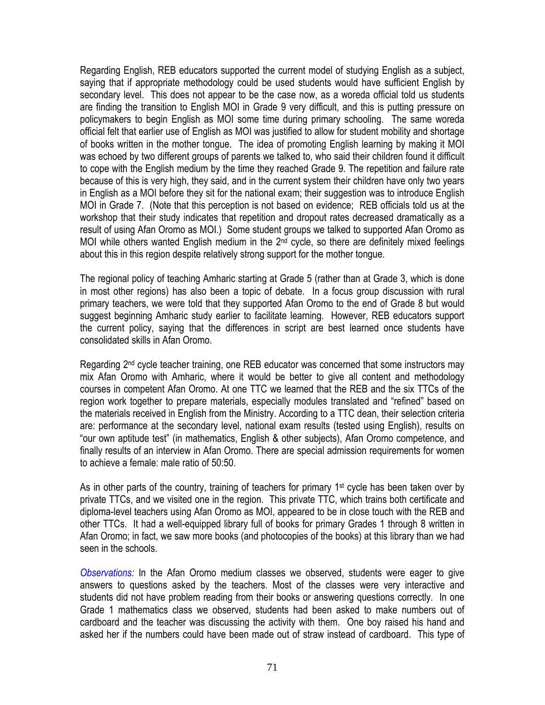Regarding English, REB educators supported the current model of studying English as a subject, saying that if appropriate methodology could be used students would have sufficient English by secondary level. This does not appear to be the case now, as a woreda official told us students are finding the transition to English MOI in Grade 9 very difficult, and this is putting pressure on policymakers to begin English as MOI some time during primary schooling. The same woreda official felt that earlier use of English as MOI was justified to allow for student mobility and shortage of books written in the mother tongue. The idea of promoting English learning by making it MOI was echoed by two different groups of parents we talked to, who said their children found it difficult to cope with the English medium by the time they reached Grade 9. The repetition and failure rate because of this is very high, they said, and in the current system their children have only two years in English as a MOI before they sit for the national exam; their suggestion was to introduce English MOI in Grade 7. (Note that this perception is not based on evidence; REB officials told us at the workshop that their study indicates that repetition and dropout rates decreased dramatically as a result of using Afan Oromo as MOI.) Some student groups we talked to supported Afan Oromo as MOI while others wanted English medium in the 2<sup>nd</sup> cycle, so there are definitely mixed feelings about this in this region despite relatively strong support for the mother tongue.

The regional policy of teaching Amharic starting at Grade 5 (rather than at Grade 3, which is done in most other regions) has also been a topic of debate. In a focus group discussion with rural primary teachers, we were told that they supported Afan Oromo to the end of Grade 8 but would suggest beginning Amharic study earlier to facilitate learning. However, REB educators support the current policy, saying that the differences in script are best learned once students have consolidated skills in Afan Oromo.

Regarding 2<sup>nd</sup> cycle teacher training, one REB educator was concerned that some instructors may mix Afan Oromo with Amharic, where it would be better to give all content and methodology courses in competent Afan Oromo. At one TTC we learned that the REB and the six TTCs of the region work together to prepare materials, especially modules translated and "refined" based on the materials received in English from the Ministry. According to a TTC dean, their selection criteria are: performance at the secondary level, national exam results (tested using English), results on "our own aptitude test" (in mathematics, English & other subjects), Afan Oromo competence, and finally results of an interview in Afan Oromo. There are special admission requirements for women to achieve a female: male ratio of 50:50.

As in other parts of the country, training of teachers for primary 1<sup>st</sup> cycle has been taken over by private TTCs, and we visited one in the region. This private TTC, which trains both certificate and diploma-level teachers using Afan Oromo as MOI, appeared to be in close touch with the REB and other TTCs. It had a well-equipped library full of books for primary Grades 1 through 8 written in Afan Oromo; in fact, we saw more books (and photocopies of the books) at this library than we had seen in the schools.

*Observations:* In the Afan Oromo medium classes we observed, students were eager to give answers to questions asked by the teachers. Most of the classes were very interactive and students did not have problem reading from their books or answering questions correctly. In one Grade 1 mathematics class we observed, students had been asked to make numbers out of cardboard and the teacher was discussing the activity with them. One boy raised his hand and asked her if the numbers could have been made out of straw instead of cardboard. This type of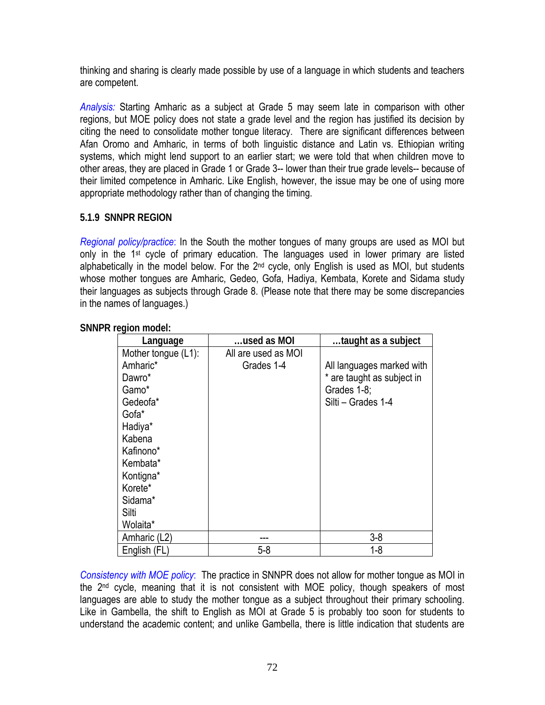thinking and sharing is clearly made possible by use of a language in which students and teachers are competent.

*Analysis:* Starting Amharic as a subject at Grade 5 may seem late in comparison with other regions, but MOE policy does not state a grade level and the region has justified its decision by citing the need to consolidate mother tongue literacy. There are significant differences between Afan Oromo and Amharic, in terms of both linguistic distance and Latin vs. Ethiopian writing systems, which might lend support to an earlier start; we were told that when children move to other areas, they are placed in Grade 1 or Grade 3-- lower than their true grade levels-- because of their limited competence in Amharic. Like English, however, the issue may be one of using more appropriate methodology rather than of changing the timing.

### **5.1.9 SNNPR REGION**

*Regional policy/practice*: In the South the mother tongues of many groups are used as MOI but only in the 1st cycle of primary education. The languages used in lower primary are listed alphabetically in the model below. For the  $2<sup>nd</sup>$  cycle, only English is used as MOI, but students whose mother tongues are Amharic, Gedeo, Gofa, Hadiya, Kembata, Korete and Sidama study their languages as subjects through Grade 8. (Please note that there may be some discrepancies in the names of languages.)

| Language            | used as MOI         | taught as a subject        |
|---------------------|---------------------|----------------------------|
| Mother tongue (L1): | All are used as MOI |                            |
| Amharic*            | Grades 1-4          | All languages marked with  |
| Dawro*              |                     | * are taught as subject in |
| Gamo*               |                     | Grades 1-8;                |
| Gedeofa*            |                     | Silti - Grades 1-4         |
| Gofa*               |                     |                            |
| Hadiya*             |                     |                            |
| Kabena              |                     |                            |
| Kafinono*           |                     |                            |
| Kembata*            |                     |                            |
| Kontigna*           |                     |                            |
| Korete*             |                     |                            |
| Sidama*             |                     |                            |
| Silti               |                     |                            |
| Wolaita*            |                     |                            |
| Amharic (L2)        |                     | $3 - 8$                    |
| English (FL)        | $5-8$               | $1-8$                      |

**SNNPR region model:** 

*Consistency with MOE policy*: The practice in SNNPR does not allow for mother tongue as MOI in the 2nd cycle, meaning that it is not consistent with MOE policy, though speakers of most languages are able to study the mother tongue as a subject throughout their primary schooling. Like in Gambella, the shift to English as MOI at Grade 5 is probably too soon for students to understand the academic content; and unlike Gambella, there is little indication that students are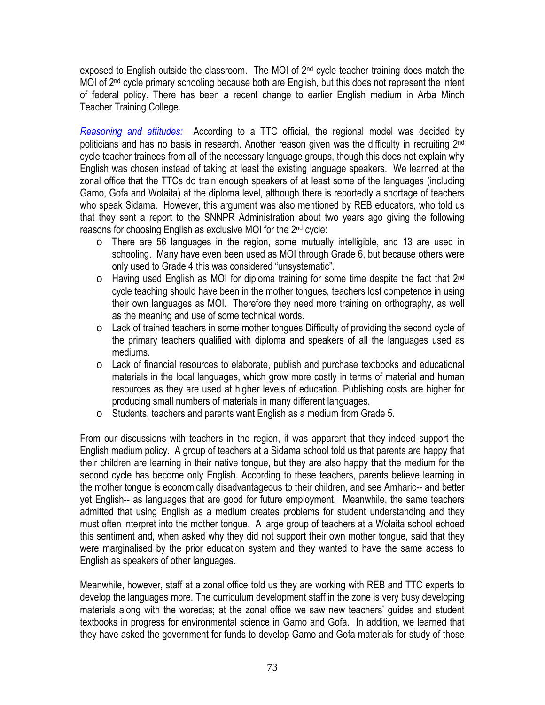exposed to English outside the classroom. The MOI of  $2<sup>nd</sup>$  cycle teacher training does match the MOI of 2<sup>nd</sup> cycle primary schooling because both are English, but this does not represent the intent of federal policy. There has been a recent change to earlier English medium in Arba Minch Teacher Training College.

*Reasoning and attitudes:* According to a TTC official, the regional model was decided by politicians and has no basis in research. Another reason given was the difficulty in recruiting 2<sup>nd</sup> cycle teacher trainees from all of the necessary language groups, though this does not explain why English was chosen instead of taking at least the existing language speakers. We learned at the zonal office that the TTCs do train enough speakers of at least some of the languages (including Gamo, Gofa and Wolaita) at the diploma level, although there is reportedly a shortage of teachers who speak Sidama. However, this argument was also mentioned by REB educators, who told us that they sent a report to the SNNPR Administration about two years ago giving the following reasons for choosing English as exclusive MOI for the 2nd cycle:

- o There are 56 languages in the region, some mutually intelligible, and 13 are used in schooling. Many have even been used as MOI through Grade 6, but because others were only used to Grade 4 this was considered "unsystematic".
- $\circ$  Having used English as MOI for diploma training for some time despite the fact that 2<sup>nd</sup> cycle teaching should have been in the mother tongues, teachers lost competence in using their own languages as MOI. Therefore they need more training on orthography, as well as the meaning and use of some technical words.
- o Lack of trained teachers in some mother tongues Difficulty of providing the second cycle of the primary teachers qualified with diploma and speakers of all the languages used as mediums.
- o Lack of financial resources to elaborate, publish and purchase textbooks and educational materials in the local languages, which grow more costly in terms of material and human resources as they are used at higher levels of education. Publishing costs are higher for producing small numbers of materials in many different languages.
- o Students, teachers and parents want English as a medium from Grade 5.

From our discussions with teachers in the region, it was apparent that they indeed support the English medium policy. A group of teachers at a Sidama school told us that parents are happy that their children are learning in their native tongue, but they are also happy that the medium for the second cycle has become only English. According to these teachers, parents believe learning in the mother tongue is economically disadvantageous to their children, and see Amharic-- and better yet English-- as languages that are good for future employment. Meanwhile, the same teachers admitted that using English as a medium creates problems for student understanding and they must often interpret into the mother tongue. A large group of teachers at a Wolaita school echoed this sentiment and, when asked why they did not support their own mother tongue, said that they were marginalised by the prior education system and they wanted to have the same access to English as speakers of other languages.

Meanwhile, however, staff at a zonal office told us they are working with REB and TTC experts to develop the languages more. The curriculum development staff in the zone is very busy developing materials along with the woredas; at the zonal office we saw new teachers' guides and student textbooks in progress for environmental science in Gamo and Gofa. In addition, we learned that they have asked the government for funds to develop Gamo and Gofa materials for study of those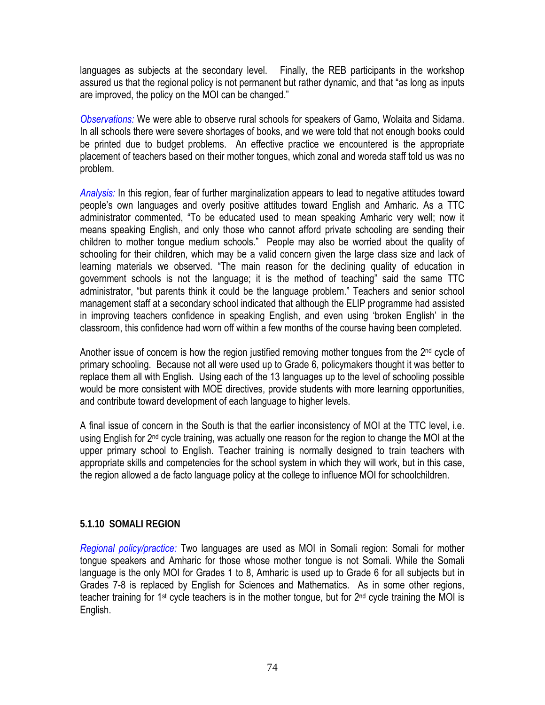languages as subjects at the secondary level. Finally, the REB participants in the workshop assured us that the regional policy is not permanent but rather dynamic, and that "as long as inputs are improved, the policy on the MOI can be changed."

*Observations:* We were able to observe rural schools for speakers of Gamo, Wolaita and Sidama. In all schools there were severe shortages of books, and we were told that not enough books could be printed due to budget problems. An effective practice we encountered is the appropriate placement of teachers based on their mother tongues, which zonal and woreda staff told us was no problem.

*Analysis:* In this region, fear of further marginalization appears to lead to negative attitudes toward people's own languages and overly positive attitudes toward English and Amharic. As a TTC administrator commented, "To be educated used to mean speaking Amharic very well; now it means speaking English, and only those who cannot afford private schooling are sending their children to mother tongue medium schools." People may also be worried about the quality of schooling for their children, which may be a valid concern given the large class size and lack of learning materials we observed. "The main reason for the declining quality of education in government schools is not the language; it is the method of teaching" said the same TTC administrator, "but parents think it could be the language problem." Teachers and senior school management staff at a secondary school indicated that although the ELIP programme had assisted in improving teachers confidence in speaking English, and even using 'broken English' in the classroom, this confidence had worn off within a few months of the course having been completed.

Another issue of concern is how the region justified removing mother tongues from the 2<sup>nd</sup> cycle of primary schooling. Because not all were used up to Grade 6, policymakers thought it was better to replace them all with English. Using each of the 13 languages up to the level of schooling possible would be more consistent with MOE directives, provide students with more learning opportunities, and contribute toward development of each language to higher levels.

A final issue of concern in the South is that the earlier inconsistency of MOI at the TTC level, i.e. using English for 2<sup>nd</sup> cycle training, was actually one reason for the region to change the MOI at the upper primary school to English. Teacher training is normally designed to train teachers with appropriate skills and competencies for the school system in which they will work, but in this case, the region allowed a de facto language policy at the college to influence MOI for schoolchildren.

#### **5.1.10 SOMALI REGION**

*Regional policy/practice:* Two languages are used as MOI in Somali region: Somali for mother tongue speakers and Amharic for those whose mother tongue is not Somali. While the Somali language is the only MOI for Grades 1 to 8, Amharic is used up to Grade 6 for all subjects but in Grades 7-8 is replaced by English for Sciences and Mathematics. As in some other regions, teacher training for 1<sup>st</sup> cycle teachers is in the mother tongue, but for 2<sup>nd</sup> cycle training the MOI is English.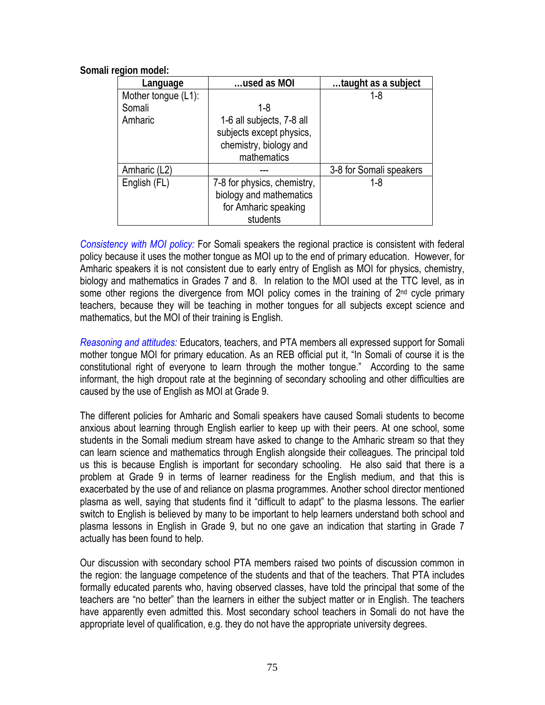|  | Somali region model: |
|--|----------------------|
|  |                      |

| Language            | used as MOI                                                                                    | taught as a subject     |
|---------------------|------------------------------------------------------------------------------------------------|-------------------------|
| Mother tongue (L1): |                                                                                                | $1 - 8$                 |
| Somali              | 1-8                                                                                            |                         |
| Amharic             | 1-6 all subjects, 7-8 all<br>subjects except physics,<br>chemistry, biology and<br>mathematics |                         |
| Amharic (L2)        |                                                                                                | 3-8 for Somali speakers |
| English (FL)        | 7-8 for physics, chemistry,<br>biology and mathematics<br>for Amharic speaking<br>students     | 1-8                     |

*Consistency with MOI policy:* For Somali speakers the regional practice is consistent with federal policy because it uses the mother tongue as MOI up to the end of primary education. However, for Amharic speakers it is not consistent due to early entry of English as MOI for physics, chemistry, biology and mathematics in Grades 7 and 8. In relation to the MOI used at the TTC level, as in some other regions the divergence from MOI policy comes in the training of  $2<sup>nd</sup>$  cycle primary teachers, because they will be teaching in mother tongues for all subjects except science and mathematics, but the MOI of their training is English.

*Reasoning and attitudes:* Educators, teachers, and PTA members all expressed support for Somali mother tongue MOI for primary education. As an REB official put it, "In Somali of course it is the constitutional right of everyone to learn through the mother tongue." According to the same informant, the high dropout rate at the beginning of secondary schooling and other difficulties are caused by the use of English as MOI at Grade 9.

The different policies for Amharic and Somali speakers have caused Somali students to become anxious about learning through English earlier to keep up with their peers. At one school, some students in the Somali medium stream have asked to change to the Amharic stream so that they can learn science and mathematics through English alongside their colleagues. The principal told us this is because English is important for secondary schooling. He also said that there is a problem at Grade 9 in terms of learner readiness for the English medium, and that this is exacerbated by the use of and reliance on plasma programmes. Another school director mentioned plasma as well, saying that students find it "difficult to adapt" to the plasma lessons. The earlier switch to English is believed by many to be important to help learners understand both school and plasma lessons in English in Grade 9, but no one gave an indication that starting in Grade 7 actually has been found to help.

Our discussion with secondary school PTA members raised two points of discussion common in the region: the language competence of the students and that of the teachers. That PTA includes formally educated parents who, having observed classes, have told the principal that some of the teachers are "no better" than the learners in either the subject matter or in English. The teachers have apparently even admitted this. Most secondary school teachers in Somali do not have the appropriate level of qualification, e.g. they do not have the appropriate university degrees.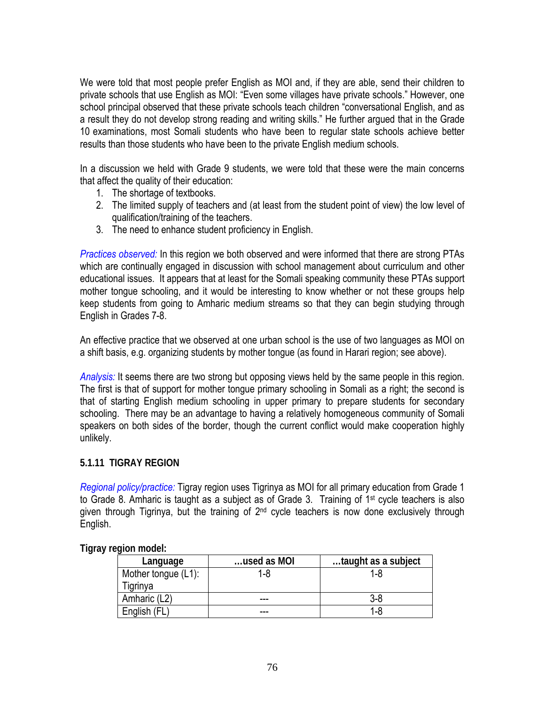We were told that most people prefer English as MOI and, if they are able, send their children to private schools that use English as MOI: "Even some villages have private schools." However, one school principal observed that these private schools teach children "conversational English, and as a result they do not develop strong reading and writing skills." He further argued that in the Grade 10 examinations, most Somali students who have been to regular state schools achieve better results than those students who have been to the private English medium schools.

In a discussion we held with Grade 9 students, we were told that these were the main concerns that affect the quality of their education:

- 1. The shortage of textbooks.
- 2. The limited supply of teachers and (at least from the student point of view) the low level of qualification/training of the teachers.
- 3. The need to enhance student proficiency in English.

*Practices observed:* In this region we both observed and were informed that there are strong PTAs which are continually engaged in discussion with school management about curriculum and other educational issues. It appears that at least for the Somali speaking community these PTAs support mother tongue schooling, and it would be interesting to know whether or not these groups help keep students from going to Amharic medium streams so that they can begin studying through English in Grades 7-8.

An effective practice that we observed at one urban school is the use of two languages as MOI on a shift basis, e.g. organizing students by mother tongue (as found in Harari region; see above).

*Analysis:* It seems there are two strong but opposing views held by the same people in this region. The first is that of support for mother tongue primary schooling in Somali as a right; the second is that of starting English medium schooling in upper primary to prepare students for secondary schooling. There may be an advantage to having a relatively homogeneous community of Somali speakers on both sides of the border, though the current conflict would make cooperation highly unlikely.

## **5.1.11 TIGRAY REGION**

*Regional policy/practice:* Tigray region uses Tigrinya as MOI for all primary education from Grade 1 to Grade 8. Amharic is taught as a subject as of Grade 3. Training of 1st cycle teachers is also given through Tigrinya, but the training of 2<sup>nd</sup> cycle teachers is now done exclusively through English.

| Language            | used as MOI | taught as a subject |
|---------------------|-------------|---------------------|
| Mother tongue (L1): | 1-8         | 1-8                 |
| Tigrinya            |             |                     |
| Amharic (L2)        |             | 3-8                 |
| English (FL         |             | 1-8                 |

**Tigray region model:**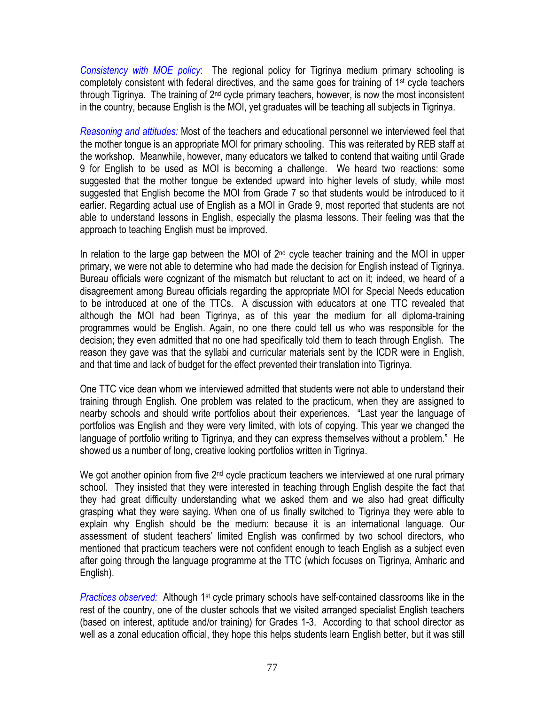*Consistency with MOE policy*: The regional policy for Tigrinya medium primary schooling is completely consistent with federal directives, and the same goes for training of 1<sup>st</sup> cycle teachers through Tigrinya. The training of  $2<sup>nd</sup>$  cycle primary teachers, however, is now the most inconsistent in the country, because English is the MOI, yet graduates will be teaching all subjects in Tigrinya.

*Reasoning and attitudes:* Most of the teachers and educational personnel we interviewed feel that the mother tongue is an appropriate MOI for primary schooling. This was reiterated by REB staff at the workshop. Meanwhile, however, many educators we talked to contend that waiting until Grade 9 for English to be used as MOI is becoming a challenge. We heard two reactions: some suggested that the mother tongue be extended upward into higher levels of study, while most suggested that English become the MOI from Grade 7 so that students would be introduced to it earlier. Regarding actual use of English as a MOI in Grade 9, most reported that students are not able to understand lessons in English, especially the plasma lessons. Their feeling was that the approach to teaching English must be improved.

In relation to the large gap between the MOI of  $2<sup>nd</sup>$  cycle teacher training and the MOI in upper primary, we were not able to determine who had made the decision for English instead of Tigrinya. Bureau officials were cognizant of the mismatch but reluctant to act on it; indeed, we heard of a disagreement among Bureau officials regarding the appropriate MOI for Special Needs education to be introduced at one of the TTCs. A discussion with educators at one TTC revealed that although the MOI had been Tigrinya, as of this year the medium for all diploma-training programmes would be English. Again, no one there could tell us who was responsible for the decision; they even admitted that no one had specifically told them to teach through English. The reason they gave was that the syllabi and curricular materials sent by the ICDR were in English, and that time and lack of budget for the effect prevented their translation into Tigrinya.

One TTC vice dean whom we interviewed admitted that students were not able to understand their training through English. One problem was related to the practicum, when they are assigned to nearby schools and should write portfolios about their experiences. "Last year the language of portfolios was English and they were very limited, with lots of copying. This year we changed the language of portfolio writing to Tigrinya, and they can express themselves without a problem." He showed us a number of long, creative looking portfolios written in Tigrinya.

We got another opinion from five 2<sup>nd</sup> cycle practicum teachers we interviewed at one rural primary school. They insisted that they were interested in teaching through English despite the fact that they had great difficulty understanding what we asked them and we also had great difficulty grasping what they were saying. When one of us finally switched to Tigrinya they were able to explain why English should be the medium: because it is an international language. Our assessment of student teachers' limited English was confirmed by two school directors, who mentioned that practicum teachers were not confident enough to teach English as a subject even after going through the language programme at the TTC (which focuses on Tigrinya, Amharic and English).

*Practices observed:* Although 1<sup>st</sup> cycle primary schools have self-contained classrooms like in the rest of the country, one of the cluster schools that we visited arranged specialist English teachers (based on interest, aptitude and/or training) for Grades 1-3. According to that school director as well as a zonal education official, they hope this helps students learn English better, but it was still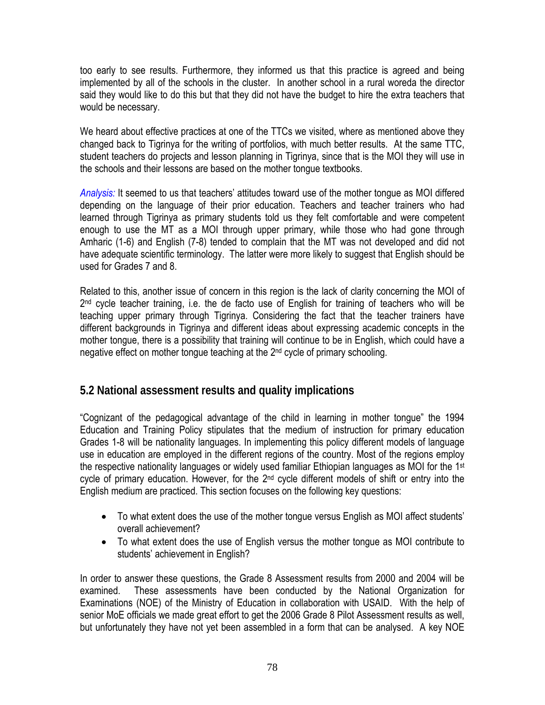too early to see results. Furthermore, they informed us that this practice is agreed and being implemented by all of the schools in the cluster. In another school in a rural woreda the director said they would like to do this but that they did not have the budget to hire the extra teachers that would be necessary.

We heard about effective practices at one of the TTCs we visited, where as mentioned above they changed back to Tigrinya for the writing of portfolios, with much better results. At the same TTC, student teachers do projects and lesson planning in Tigrinya, since that is the MOI they will use in the schools and their lessons are based on the mother tongue textbooks.

*Analysis:* It seemed to us that teachers' attitudes toward use of the mother tongue as MOI differed depending on the language of their prior education. Teachers and teacher trainers who had learned through Tigrinya as primary students told us they felt comfortable and were competent enough to use the MT as a MOI through upper primary, while those who had gone through Amharic (1-6) and English (7-8) tended to complain that the MT was not developed and did not have adequate scientific terminology. The latter were more likely to suggest that English should be used for Grades 7 and 8.

Related to this, another issue of concern in this region is the lack of clarity concerning the MOI of  $2<sup>nd</sup>$  cycle teacher training, i.e. the de facto use of English for training of teachers who will be teaching upper primary through Tigrinya. Considering the fact that the teacher trainers have different backgrounds in Tigrinya and different ideas about expressing academic concepts in the mother tongue, there is a possibility that training will continue to be in English, which could have a negative effect on mother tongue teaching at the 2<sup>nd</sup> cycle of primary schooling.

## **5.2 National assessment results and quality implications**

"Cognizant of the pedagogical advantage of the child in learning in mother tongue" the 1994 Education and Training Policy stipulates that the medium of instruction for primary education Grades 1-8 will be nationality languages. In implementing this policy different models of language use in education are employed in the different regions of the country. Most of the regions employ the respective nationality languages or widely used familiar Ethiopian languages as MOI for the 1st cycle of primary education. However, for the 2<sup>nd</sup> cycle different models of shift or entry into the English medium are practiced. This section focuses on the following key questions:

- To what extent does the use of the mother tongue versus English as MOI affect students' overall achievement?
- To what extent does the use of English versus the mother tongue as MOI contribute to students' achievement in English?

In order to answer these questions, the Grade 8 Assessment results from 2000 and 2004 will be examined. These assessments have been conducted by the National Organization for Examinations (NOE) of the Ministry of Education in collaboration with USAID. With the help of senior MoE officials we made great effort to get the 2006 Grade 8 Pilot Assessment results as well, but unfortunately they have not yet been assembled in a form that can be analysed. A key NOE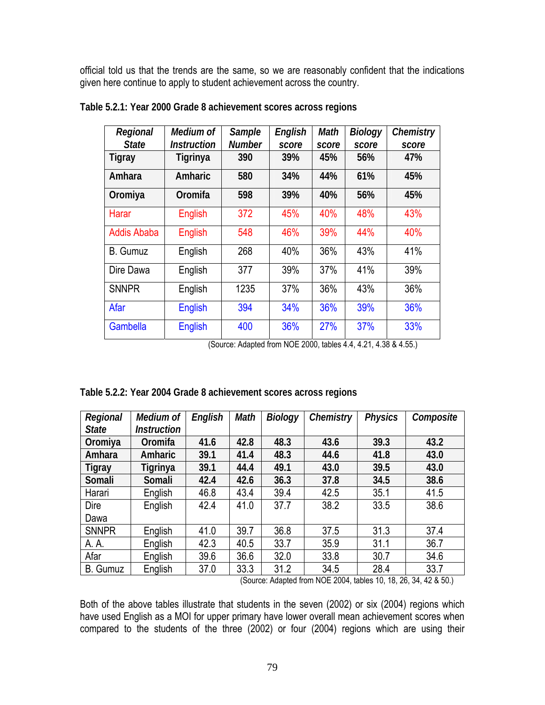official told us that the trends are the same, so we are reasonably confident that the indications given here continue to apply to student achievement across the country.

| Regional           | Medium of          | Sample        | English | <b>Math</b> | <b>Biology</b> | Chemistry |
|--------------------|--------------------|---------------|---------|-------------|----------------|-----------|
| <b>State</b>       | <b>Instruction</b> | <b>Number</b> | score   | score       | score          | score     |
| Tigray             | Tigrinya           | 390           | 39%     | 45%         | 56%            | 47%       |
| Amhara             | Amharic            | 580           | 34%     | 44%         | 61%            | 45%       |
| Oromiya            | Oromifa            | 598           | 39%     | 40%         | 56%            | 45%       |
| <b>Harar</b>       | <b>English</b>     | 372           | 45%     | 40%         | 48%            | 43%       |
| <b>Addis Ababa</b> | <b>English</b>     | 548           | 46%     | 39%         | 44%            | 40%       |
| <b>B.</b> Gumuz    | English            | 268           | 40%     | 36%         | 43%            | 41%       |
| Dire Dawa          | English            | 377           | 39%     | 37%         | 41%            | 39%       |
| <b>SNNPR</b>       | English            | 1235          | 37%     | 36%         | 43%            | 36%       |
| Afar               | <b>English</b>     | 394           | 34%     | 36%         | 39%            | 36%       |
| Gambella           | <b>English</b>     | 400           | 36%     | 27%         | 37%            | 33%       |

|  | Table 5.2.1: Year 2000 Grade 8 achievement scores across regions |  |
|--|------------------------------------------------------------------|--|
|  |                                                                  |  |

(Source: Adapted from NOE 2000, tables 4.4, 4.21, 4.38 & 4.55.)

| Regional     | Medium of          | English | Math | <b>Biology</b> | Chemistry | <b>Physics</b> | Composite |
|--------------|--------------------|---------|------|----------------|-----------|----------------|-----------|
| <b>State</b> | <b>Instruction</b> |         |      |                |           |                |           |
| Oromiya      | Oromifa            | 41.6    | 42.8 | 48.3           | 43.6      | 39.3           | 43.2      |
| Amhara       | Amharic            | 39.1    | 41.4 | 48.3           | 44.6      | 41.8           | 43.0      |
| Tigray       | Tigrinya           | 39.1    | 44.4 | 49.1           | 43.0      | 39.5           | 43.0      |
| Somali       | Somali             | 42.4    | 42.6 | 36.3           | 37.8      | 34.5           | 38.6      |
| Harari       | English            | 46.8    | 43.4 | 39.4           | 42.5      | 35.1           | 41.5      |
| Dire         | English            | 42.4    | 41.0 | 37.7           | 38.2      | 33.5           | 38.6      |
| Dawa         |                    |         |      |                |           |                |           |
| <b>SNNPR</b> | English            | 41.0    | 39.7 | 36.8           | 37.5      | 31.3           | 37.4      |
| A. A.        | English            | 42.3    | 40.5 | 33.7           | 35.9      | 31.1           | 36.7      |
| Afar         | English            | 39.6    | 36.6 | 32.0           | 33.8      | 30.7           | 34.6      |
| B. Gumuz     | English            | 37.0    | 33.3 | 31.2           | 34.5      | 28.4           | 33.7      |

|  |  | Table 5.2.2: Year 2004 Grade 8 achievement scores across regions |
|--|--|------------------------------------------------------------------|
|  |  |                                                                  |

(Source: Adapted from NOE 2004, tables 10, 18, 26, 34, 42 & 50.)

Both of the above tables illustrate that students in the seven (2002) or six (2004) regions which have used English as a MOI for upper primary have lower overall mean achievement scores when compared to the students of the three (2002) or four (2004) regions which are using their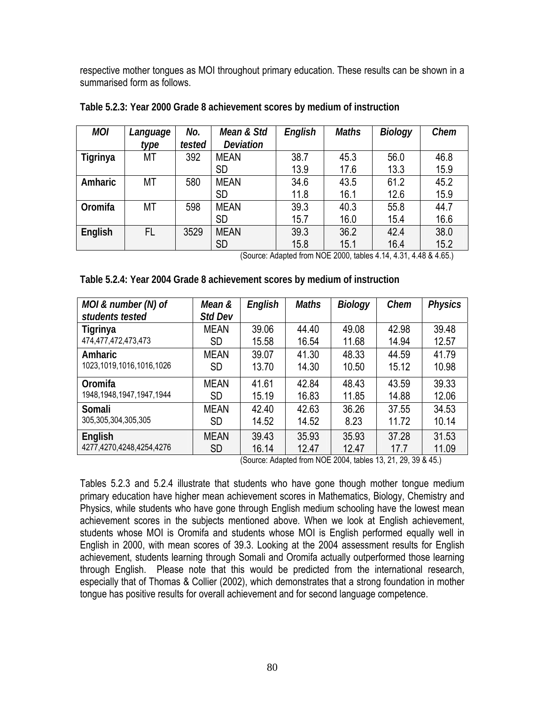respective mother tongues as MOI throughout primary education. These results can be shown in a summarised form as follows.

| <b>MOI</b> | Language | No.    | Mean & Std       | English | <b>Maths</b> | <b>Biology</b> | Chem |
|------------|----------|--------|------------------|---------|--------------|----------------|------|
|            | type     | tested | <b>Deviation</b> |         |              |                |      |
| Tigrinya   | МT       | 392    | <b>MEAN</b>      | 38.7    | 45.3         | 56.0           | 46.8 |
|            |          |        | <b>SD</b>        | 13.9    | 17.6         | 13.3           | 15.9 |
| Amharic    | МT       | 580    | <b>MEAN</b>      | 34.6    | 43.5         | 61.2           | 45.2 |
|            |          |        | SD               | 11.8    | 16.1         | 12.6           | 15.9 |
| Oromifa    | МT       | 598    | <b>MEAN</b>      | 39.3    | 40.3         | 55.8           | 44.7 |
|            |          |        | <b>SD</b>        | 15.7    | 16.0         | 15.4           | 16.6 |
| English    | FL       | 3529   | <b>MEAN</b>      | 39.3    | 36.2         | 42.4           | 38.0 |
|            |          |        | <b>SD</b>        | 15.8    | 15.1         | 16.4           | 15.2 |

**Table 5.2.3: Year 2000 Grade 8 achievement scores by medium of instruction** 

(Source: Adapted from NOE 2000, tables 4.14, 4.31, 4.48 & 4.65.)

| Table 5.2.4: Year 2004 Grade 8 achievement scores by medium of instruction |
|----------------------------------------------------------------------------|
|----------------------------------------------------------------------------|

| MOI & number (N) of          | Mean &         | English | <b>Maths</b> | <b>Biology</b> | Chem  | <b>Physics</b> |
|------------------------------|----------------|---------|--------------|----------------|-------|----------------|
| students tested              | <b>Std Dev</b> |         |              |                |       |                |
| Tigrinya                     | <b>MEAN</b>    | 39.06   | 44.40        | 49.08          | 42.98 | 39.48          |
| 474,477,472,473,473          | <b>SD</b>      | 15.58   | 16.54        | 11.68          | 14.94 | 12.57          |
| Amharic                      | <b>MEAN</b>    | 39.07   | 41.30        | 48.33          | 44.59 | 41.79          |
| 1023, 1019, 1016, 1016, 1026 | <b>SD</b>      | 13.70   | 14.30        | 10.50          | 15.12 | 10.98          |
| Oromifa                      | <b>MEAN</b>    | 41.61   | 42.84        | 48.43          | 43.59 | 39.33          |
| 1948, 1948, 1947, 1947, 1944 | <b>SD</b>      | 15.19   | 16.83        | 11.85          | 14.88 | 12.06          |
| Somali                       | MEAN           | 42.40   | 42.63        | 36.26          | 37.55 | 34.53          |
| 305,305,304,305,305          | <b>SD</b>      | 14.52   | 14.52        | 8.23           | 11.72 | 10.14          |
| English                      | <b>MEAN</b>    | 39.43   | 35.93        | 35.93          | 37.28 | 31.53          |
| 4277, 4270, 4248, 4254, 4276 | <b>SD</b>      | 16.14   | 12.47        | 12.47          | 17.7  | 11.09          |

(Source: Adapted from NOE 2004, tables 13, 21, 29, 39 & 45.)

Tables 5.2.3 and 5.2.4 illustrate that students who have gone though mother tongue medium primary education have higher mean achievement scores in Mathematics, Biology, Chemistry and Physics, while students who have gone through English medium schooling have the lowest mean achievement scores in the subjects mentioned above. When we look at English achievement, students whose MOI is Oromifa and students whose MOI is English performed equally well in English in 2000, with mean scores of 39.3. Looking at the 2004 assessment results for English achievement, students learning through Somali and Oromifa actually outperformed those learning through English. Please note that this would be predicted from the international research, especially that of Thomas & Collier (2002), which demonstrates that a strong foundation in mother tongue has positive results for overall achievement and for second language competence.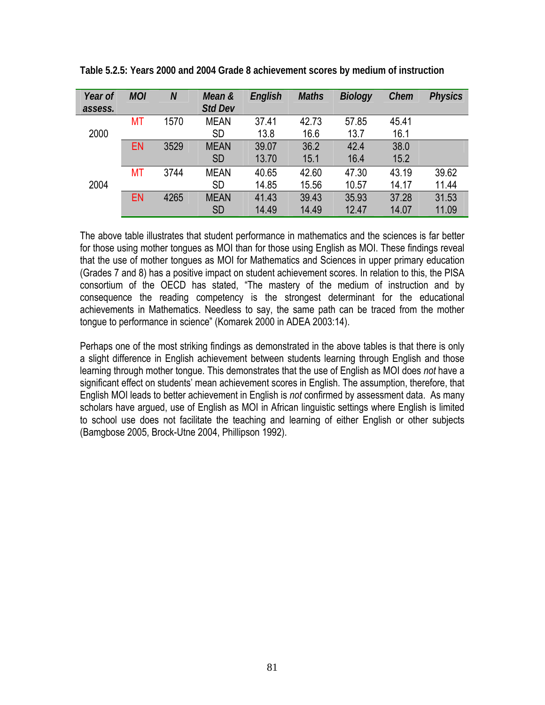| Year of<br>assess. | <b>MOI</b> | $\boldsymbol{N}$ | Mean &<br><b>Std Dev</b> | English | <b>Maths</b> | <b>Biology</b> | Chem  | <b>Physics</b> |
|--------------------|------------|------------------|--------------------------|---------|--------------|----------------|-------|----------------|
|                    | МT         | 1570             | <b>MEAN</b>              | 37.41   | 42.73        | 57.85          | 45.41 |                |
| 2000               |            |                  | <b>SD</b>                | 13.8    | 16.6         | 13.7           | 16.1  |                |
|                    | <b>EN</b>  | 3529             | <b>MEAN</b>              | 39.07   | 36.2         | 42.4           | 38.0  |                |
|                    |            |                  | <b>SD</b>                | 13.70   | 15.1         | 16.4           | 15.2  |                |
|                    | <b>MT</b>  | 3744             | <b>MEAN</b>              | 40.65   | 42.60        | 47.30          | 43.19 | 39.62          |
| 2004               |            |                  | <b>SD</b>                | 14.85   | 15.56        | 10.57          | 14.17 | 11.44          |
|                    | <b>EN</b>  | 4265             | <b>MEAN</b>              | 41.43   | 39.43        | 35.93          | 37.28 | 31.53          |
|                    |            |                  | <b>SD</b>                | 14.49   | 14.49        | 12.47          | 14.07 | 11.09          |

**Table 5.2.5: Years 2000 and 2004 Grade 8 achievement scores by medium of instruction** 

The above table illustrates that student performance in mathematics and the sciences is far better for those using mother tongues as MOI than for those using English as MOI. These findings reveal that the use of mother tongues as MOI for Mathematics and Sciences in upper primary education (Grades 7 and 8) has a positive impact on student achievement scores. In relation to this, the PISA consortium of the OECD has stated, "The mastery of the medium of instruction and by consequence the reading competency is the strongest determinant for the educational achievements in Mathematics. Needless to say, the same path can be traced from the mother tongue to performance in science" (Komarek 2000 in ADEA 2003:14).

Perhaps one of the most striking findings as demonstrated in the above tables is that there is only a slight difference in English achievement between students learning through English and those learning through mother tongue. This demonstrates that the use of English as MOI does *not* have a significant effect on students' mean achievement scores in English. The assumption, therefore, that English MOI leads to better achievement in English is *not* confirmed by assessment data. As many scholars have argued, use of English as MOI in African linguistic settings where English is limited to school use does not facilitate the teaching and learning of either English or other subjects (Bamgbose 2005, Brock-Utne 2004, Phillipson 1992).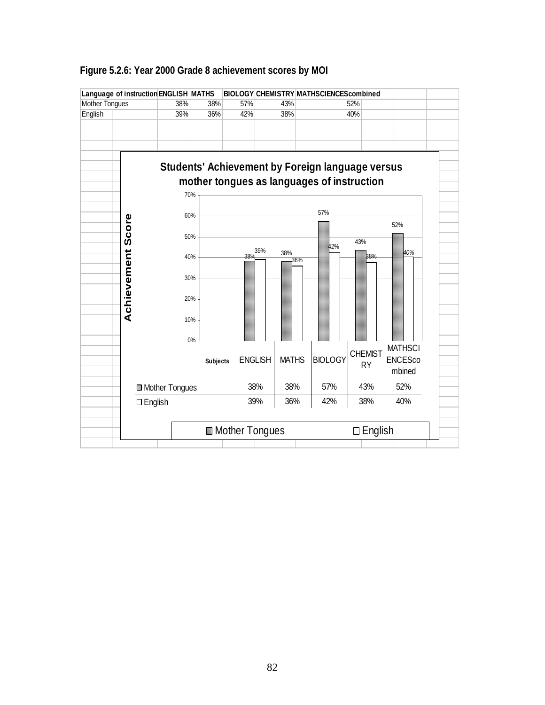|                       |                                       | Language of instruction ENGLISH MATHS |                 |                         |                |              |     | BIOLOGY CHEMISTRY MATHSCIENCEScombined                  |                   |                |  |
|-----------------------|---------------------------------------|---------------------------------------|-----------------|-------------------------|----------------|--------------|-----|---------------------------------------------------------|-------------------|----------------|--|
| <b>Mother Tongues</b> |                                       | 38%                                   | 38%             | 57%                     |                | 43%          |     |                                                         | 52%               |                |  |
| English               |                                       | 39%                                   | 36%             | 42%                     |                | 38%          |     |                                                         | 40%               |                |  |
|                       |                                       |                                       |                 |                         |                |              |     |                                                         |                   |                |  |
|                       |                                       |                                       |                 |                         |                |              |     |                                                         |                   |                |  |
|                       |                                       |                                       |                 |                         |                |              |     |                                                         |                   |                |  |
|                       |                                       |                                       |                 |                         |                |              |     |                                                         |                   |                |  |
|                       |                                       |                                       |                 |                         |                |              |     | <b>Students' Achievement by Foreign language versus</b> |                   |                |  |
|                       |                                       |                                       |                 |                         |                |              |     | mother tongues as languages of instruction              |                   |                |  |
|                       |                                       |                                       | 70%             |                         |                |              |     |                                                         |                   |                |  |
|                       |                                       |                                       |                 |                         |                |              |     |                                                         |                   |                |  |
|                       |                                       |                                       | 60%             |                         |                |              |     | 57%                                                     |                   |                |  |
|                       | Score                                 |                                       |                 |                         |                |              |     |                                                         |                   | 52%            |  |
|                       |                                       |                                       | 50%             |                         |                |              |     |                                                         |                   |                |  |
|                       |                                       |                                       |                 |                         |                |              |     | 12%                                                     | 43%               |                |  |
|                       |                                       |                                       | 40%             |                         | 39%            | 38%          | 36% |                                                         | 38%               | 40%            |  |
|                       |                                       |                                       |                 |                         |                |              |     |                                                         |                   |                |  |
|                       |                                       |                                       | 30%             |                         |                |              |     |                                                         |                   |                |  |
|                       |                                       |                                       |                 |                         |                |              |     |                                                         |                   |                |  |
|                       |                                       |                                       | 20%             |                         |                |              |     |                                                         |                   |                |  |
|                       | Achievement                           |                                       |                 |                         |                |              |     |                                                         |                   |                |  |
|                       |                                       |                                       | 10%             |                         |                |              |     |                                                         |                   |                |  |
|                       |                                       |                                       |                 |                         |                |              |     |                                                         |                   |                |  |
|                       | 0%                                    |                                       |                 |                         |                |              |     |                                                         |                   | <b>MATHSCI</b> |  |
|                       |                                       |                                       | <b>Subjects</b> |                         | <b>ENGLISH</b> | <b>MATHS</b> |     | <b>BIOLOGY</b>                                          | <b>CHEMIST</b>    | <b>ENCESco</b> |  |
|                       |                                       |                                       |                 |                         |                |              |     |                                                         | <b>RY</b>         | mbined         |  |
|                       |                                       |                                       |                 |                         |                |              |     |                                                         |                   |                |  |
|                       | ■ Mother Tongues<br>$\square$ English |                                       |                 | 38%                     | 38%            |              | 57% | 43%                                                     | 52%               |                |  |
|                       |                                       |                                       |                 | 39%                     | 36%            |              | 42% | 38%                                                     | 40%               |                |  |
|                       |                                       |                                       |                 |                         |                |              |     |                                                         |                   |                |  |
|                       |                                       |                                       |                 |                         |                |              |     |                                                         |                   |                |  |
|                       |                                       |                                       |                 | <b>■ Mother Tongues</b> |                |              |     |                                                         | English<br>$\Box$ |                |  |
|                       |                                       |                                       |                 |                         |                |              |     |                                                         |                   |                |  |

## **Figure 5.2.6: Year 2000 Grade 8 achievement scores by MOI**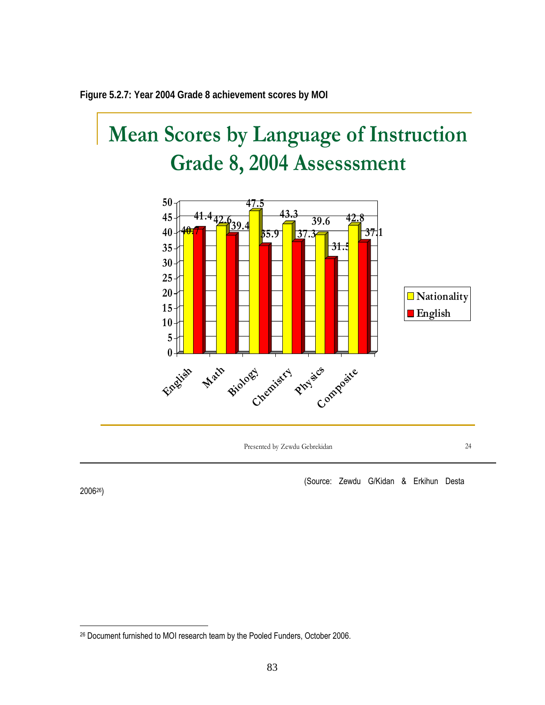

# **Mean Scores by Language of Instruction Grade 8, 2004 Assesssment**



Presented by Zewdu Gebrekidan 24

(Source: Zewdu G/Kidan & Erkihun Desta

200626)

<sup>26</sup> Document furnished to MOI research team by the Pooled Funders, October 2006.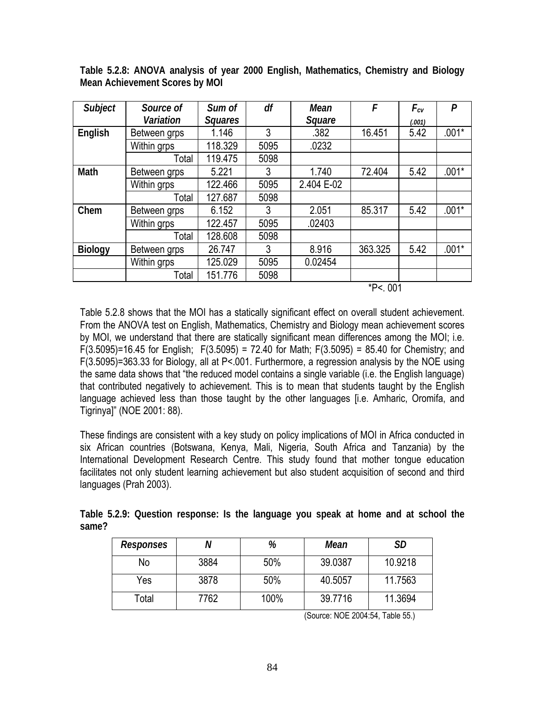| Subject        | Source of    | Sum of         | df     | Mean       | F        | $F_{cv}$ | $\boldsymbol{P}$ |
|----------------|--------------|----------------|--------|------------|----------|----------|------------------|
|                | Variation    | <b>Squares</b> | Square |            |          | (.001)   |                  |
| English        | Between grps | 1.146          | 3      | .382       | 16.451   | 5.42     | $.001*$          |
|                | Within grps  | 118.329        | 5095   | .0232      |          |          |                  |
|                | Total        | 119.475        | 5098   |            |          |          |                  |
| Math           | Between grps | 5.221          | 3      | 1.740      | 72.404   | 5.42     | $.001*$          |
|                | Within grps  | 122.466        | 5095   | 2.404 E-02 |          |          |                  |
|                | Total        | 127.687        | 5098   |            |          |          |                  |
| Chem           | Between grps | 6.152          | 3      | 2.051      | 85.317   | 5.42     | $.001*$          |
|                | Within grps  | 122.457        | 5095   | .02403     |          |          |                  |
|                | Total        | 128.608        | 5098   |            |          |          |                  |
| <b>Biology</b> | Between grps | 26.747         | 3      | 8.916      | 363.325  | 5.42     | $.001*$          |
|                | Within grps  | 125.029        | 5095   | 0.02454    |          |          |                  |
|                | Total        | 151.776        | 5098   |            |          |          |                  |
|                |              |                |        |            | $*P5001$ |          |                  |

**Table 5.2.8: ANOVA analysis of year 2000 English, Mathematics, Chemistry and Biology Mean Achievement Scores by MOI** 

Table 5.2.8 shows that the MOI has a statically significant effect on overall student achievement. From the ANOVA test on English, Mathematics, Chemistry and Biology mean achievement scores by MOI, we understand that there are statically significant mean differences among the MOI; i.e.  $F(3.5095)$ =16.45 for English; F(3.5095) = 72.40 for Math; F(3.5095) = 85.40 for Chemistry; and F(3.5095)=363.33 for Biology, all at P<.001. Furthermore, a regression analysis by the NOE using the same data shows that "the reduced model contains a single variable (i.e. the English language) that contributed negatively to achievement. This is to mean that students taught by the English language achieved less than those taught by the other languages [i.e. Amharic, Oromifa, and Tigrinya]" (NOE 2001: 88).

These findings are consistent with a key study on policy implications of MOI in Africa conducted in six African countries (Botswana, Kenya, Mali, Nigeria, South Africa and Tanzania) by the International Development Research Centre. This study found that mother tongue education facilitates not only student learning achievement but also student acquisition of second and third languages (Prah 2003).

**Table 5.2.9: Question response: Is the language you speak at home and at school the same?** 

| Responses |      | %    | Mean    | SD      |
|-----------|------|------|---------|---------|
| No        | 3884 | 50%  | 39.0387 | 10.9218 |
| Yes       | 3878 | 50%  | 40.5057 | 11.7563 |
| Total     | 7762 | 100% | 39.7716 | 11.3694 |

(Source: NOE 2004:54, Table 55.)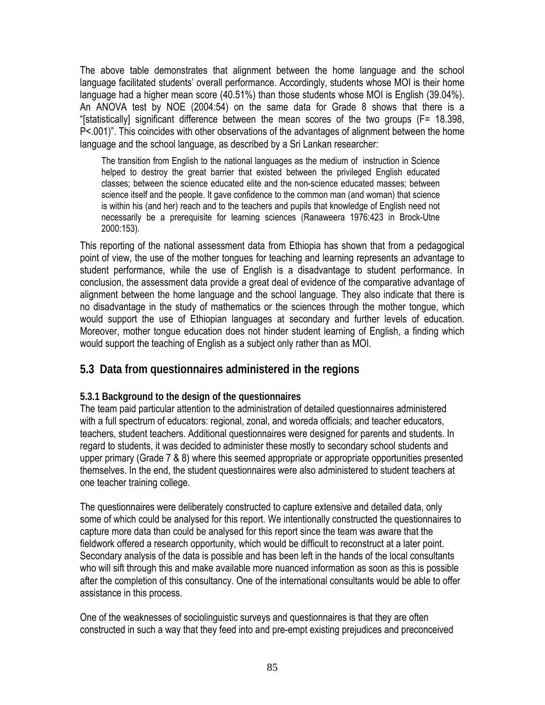The above table demonstrates that alignment between the home language and the school language facilitated students' overall performance. Accordingly, students whose MOI is their home language had a higher mean score (40.51%) than those students whose MOI is English (39.04%). An ANOVA test by NOE (2004:54) on the same data for Grade 8 shows that there is a "[statistically] significant difference between the mean scores of the two groups (F= 18.398, P<.001)". This coincides with other observations of the advantages of alignment between the home language and the school language, as described by a Sri Lankan researcher:

The transition from English to the national languages as the medium of instruction in Science helped to destroy the great barrier that existed between the privileged English educated classes; between the science educated elite and the non-science educated masses; between science itself and the people. It gave confidence to the common man (and woman) that science is within his (and her) reach and to the teachers and pupils that knowledge of English need not necessarily be a prerequisite for learning sciences (Ranaweera 1976:423 in Brock-Utne 2000:153).

This reporting of the national assessment data from Ethiopia has shown that from a pedagogical point of view, the use of the mother tongues for teaching and learning represents an advantage to student performance, while the use of English is a disadvantage to student performance. In conclusion, the assessment data provide a great deal of evidence of the comparative advantage of alignment between the home language and the school language. They also indicate that there is no disadvantage in the study of mathematics or the sciences through the mother tongue, which would support the use of Ethiopian languages at secondary and further levels of education. Moreover, mother tongue education does not hinder student learning of English, a finding which would support the teaching of English as a subject only rather than as MOI.

## **5.3 Data from questionnaires administered in the regions**

#### **5.3.1 Background to the design of the questionnaires**

The team paid particular attention to the administration of detailed questionnaires administered with a full spectrum of educators: regional, zonal, and woreda officials; and teacher educators, teachers, student teachers. Additional questionnaires were designed for parents and students. In regard to students, it was decided to administer these mostly to secondary school students and upper primary (Grade 7 & 8) where this seemed appropriate or appropriate opportunities presented themselves. In the end, the student questionnaires were also administered to student teachers at one teacher training college.

The questionnaires were deliberately constructed to capture extensive and detailed data, only some of which could be analysed for this report. We intentionally constructed the questionnaires to capture more data than could be analysed for this report since the team was aware that the fieldwork offered a research opportunity, which would be difficult to reconstruct at a later point. Secondary analysis of the data is possible and has been left in the hands of the local consultants who will sift through this and make available more nuanced information as soon as this is possible after the completion of this consultancy. One of the international consultants would be able to offer assistance in this process.

One of the weaknesses of sociolinguistic surveys and questionnaires is that they are often constructed in such a way that they feed into and pre-empt existing prejudices and preconceived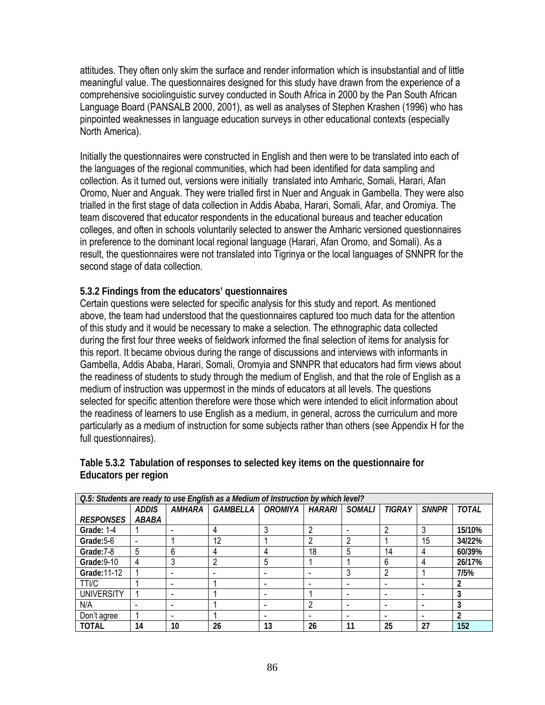attitudes. They often only skim the surface and render information which is insubstantial and of little meaningful value. The questionnaires designed for this study have drawn from the experience of a comprehensive sociolinguistic survey conducted in South Africa in 2000 by the Pan South African Language Board (PANSALB 2000, 2001), as well as analyses of Stephen Krashen (1996) who has pinpointed weaknesses in language education surveys in other educational contexts (especially North America).

Initially the questionnaires were constructed in English and then were to be translated into each of the languages of the regional communities, which had been identified for data sampling and collection. As it turned out, versions were initially translated into Amharic, Somali, Harari, Afan Oromo, Nuer and Anguak. They were trialled first in Nuer and Anguak in Gambella. They were also trialled in the first stage of data collection in Addis Ababa, Harari, Somali, Afar, and Oromiya. The team discovered that educator respondents in the educational bureaus and teacher education colleges, and often in schools voluntarily selected to answer the Amharic versioned questionnaires in preference to the dominant local regional language (Harari, Afan Oromo, and Somali). As a result, the questionnaires were not translated into Tigrinya or the local languages of SNNPR for the second stage of data collection.

## **5.3.2 Findings from the educators' questionnaires**

Certain questions were selected for specific analysis for this study and report. As mentioned above, the team had understood that the questionnaires captured too much data for the attention of this study and it would be necessary to make a selection. The ethnographic data collected during the first four three weeks of fieldwork informed the final selection of items for analysis for this report. It became obvious during the range of discussions and interviews with informants in Gambella, Addis Ababa, Harari, Somali, Oromyia and SNNPR that educators had firm views about the readiness of students to study through the medium of English, and that the role of English as a medium of instruction was uppermost in the minds of educators at all levels. The questions selected for specific attention therefore were those which were intended to elicit information about the readiness of learners to use English as a medium, in general, across the curriculum and more particularly as a medium of instruction for some subjects rather than others (see Appendix H for the full questionnaires).

| Q.5: Students are ready to use English as a Medium of Instruction by which level? |              |               |                 |           |        |               |                          |              |              |
|-----------------------------------------------------------------------------------|--------------|---------------|-----------------|-----------|--------|---------------|--------------------------|--------------|--------------|
|                                                                                   | <b>ADDIS</b> | <i>AMHARA</i> | <b>GAMBELLA</b> | OROMIYA İ | HARARI | <b>SOMALI</b> | <b>TIGRAY</b>            | <b>SNNPR</b> | <b>TOTAL</b> |
| <b>RESPONSES</b>                                                                  | ABABA        |               |                 |           |        |               |                          |              |              |
| Grade: 1-4                                                                        |              |               | 4               | 3         |        |               | റ                        | 3            | 15/10%       |
| Grade: 5-6                                                                        |              |               | 12              |           | ົ      | c             |                          | 15           | 34/22%       |
| Grade: 7-8                                                                        | 5            | 6             | 4               | 4         | 18     | 5             | 14                       | 4            | 60/39%       |
| Grade: 9-10                                                                       | 4            | 3             | ∩               | 5         |        |               | 6                        | 4            | 26/17%       |
| Grade: 11-12                                                                      |              |               |                 |           |        |               | っ                        |              | 7/5%         |
| TTI/C                                                                             |              | -             |                 |           |        |               | $\overline{\phantom{0}}$ |              |              |
| <b>UNIVERSITY</b>                                                                 |              | -             |                 |           |        |               | -                        |              | 3            |
| N/A                                                                               |              |               |                 |           |        |               | -                        |              |              |
| Don't agree                                                                       |              |               |                 |           |        |               |                          |              | 2            |
| TOTAL                                                                             | 14           | 10            | 26              | 13        | 26     | 11            | 25                       | 27           | 152          |

## **Table 5.3.2 Tabulation of responses to selected key items on the questionnaire for Educators per region**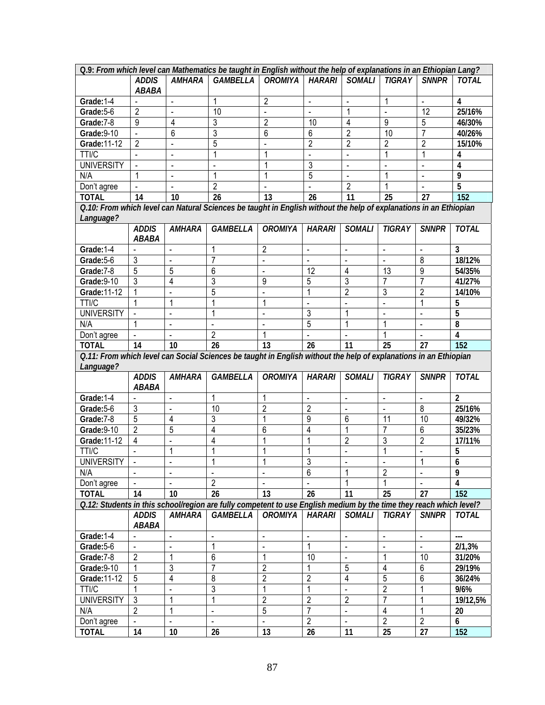| Q.9: From which level can Mathematics be taught in English without the help of explanations in an Ethiopian Lang? |                |                |                                                                                                                    |                     |                |                |                      |                       |                |
|-------------------------------------------------------------------------------------------------------------------|----------------|----------------|--------------------------------------------------------------------------------------------------------------------|---------------------|----------------|----------------|----------------------|-----------------------|----------------|
|                                                                                                                   | <b>ADDIS</b>   | <b>AMHARA</b>  | GAMBELLA                                                                                                           | <b>OROMIYA</b>      | <b>HARARI</b>  | SOMALI         | <b>TIGRAY</b>        | <b>SNNPR</b>          | <b>TOTAL</b>   |
|                                                                                                                   | <b>ABABA</b>   |                |                                                                                                                    |                     |                |                |                      |                       |                |
| Grade: 1-4                                                                                                        |                |                | 1                                                                                                                  | $\overline{c}$      | $\blacksquare$ |                | 1                    | $\blacksquare$        | 4              |
| Grade: 5-6                                                                                                        | $\overline{2}$ |                | 10                                                                                                                 |                     |                |                |                      | 12                    | 25/16%         |
| Grade: 7-8                                                                                                        | 9              | 4              | 3                                                                                                                  | $\overline{2}$      | 10             | $\overline{4}$ | 9                    | 5                     | 46/30%         |
| Grade: 9-10                                                                                                       | $\overline{a}$ | 6              | 3                                                                                                                  | 6                   | 6              | $\overline{2}$ | 10                   | $\overline{7}$        | 40/26%         |
| Grade: 11-12                                                                                                      | $\overline{2}$ | $\blacksquare$ | 5                                                                                                                  |                     | $\overline{2}$ | $\overline{2}$ | 2                    | $\overline{2}$        | 15/10%         |
| <b>TTI/C</b>                                                                                                      |                | $\blacksquare$ | 1                                                                                                                  | 1                   | $\overline{a}$ | $\blacksquare$ | 1                    | 1                     | 4              |
| <b>UNIVERSITY</b>                                                                                                 |                | $\blacksquare$ |                                                                                                                    | 1                   | 3              |                | $\blacksquare$       | $\blacksquare$        | 4              |
| N/A                                                                                                               | 1              |                | 1                                                                                                                  | 1                   | 5              |                | 1                    |                       | 9              |
| Don't agree                                                                                                       | $\blacksquare$ |                | $\overline{2}$                                                                                                     |                     |                | $\overline{2}$ |                      |                       | 5              |
| <b>TOTAL</b>                                                                                                      | 14             | 10             | 26                                                                                                                 | 13                  | 26             | 11             | 25                   | 27                    | 152            |
|                                                                                                                   |                |                | Q.10: From which level can Natural Sciences be taught in English without the help of explanations in an Ethiopian  |                     |                |                |                      |                       |                |
| Language?                                                                                                         |                |                |                                                                                                                    |                     |                |                |                      |                       |                |
|                                                                                                                   | <b>ADDIS</b>   | <b>AMHARA</b>  | <b>GAMBELLA</b>                                                                                                    | <b>OROMIYA</b>      | <b>HARARI</b>  | <b>SOMALI</b>  | TIGRAY               | <b>SNNPR</b>          | <b>TOTAL</b>   |
|                                                                                                                   | <b>ABABA</b>   |                |                                                                                                                    |                     |                |                |                      |                       |                |
| Grade: 1-4                                                                                                        |                |                | 1                                                                                                                  | $\overline{2}$      | $\blacksquare$ | $\blacksquare$ | L,                   | $\tilde{\phantom{a}}$ | 3              |
| Grade: 5-6                                                                                                        | 3              |                | 7                                                                                                                  |                     |                |                |                      | $\overline{8}$        | 18/12%         |
| Grade: 7-8                                                                                                        | 5              | 5              | 6                                                                                                                  |                     | 12             | 4              | 13                   | 9                     | 54/35%         |
| Grade: 9-10                                                                                                       | 3              | 4              | 3                                                                                                                  | 9                   | 5              | 3              | $\overline{7}$       | $\overline{7}$        | 41/27%         |
| Grade: 11-12                                                                                                      | 1              |                | 5                                                                                                                  |                     |                | $\overline{2}$ | 3                    | $\overline{2}$        | 14/10%         |
| TTI/C                                                                                                             | 1              | 1              |                                                                                                                    | 1                   |                |                |                      | 1                     | 5              |
| <b>UNIVERSITY</b>                                                                                                 |                |                | 1                                                                                                                  |                     | 3              | 1              |                      |                       | 5              |
| N/A                                                                                                               | 1              |                |                                                                                                                    |                     | 5              | 1              | 1                    |                       |                |
|                                                                                                                   |                |                | $\overline{2}$                                                                                                     |                     |                |                |                      | $\blacksquare$        | 8              |
| Don't agree                                                                                                       | 14             |                | 26                                                                                                                 | 1<br>13             |                |                | 25                   | 27                    | 4<br>152       |
| <b>TOTAL</b>                                                                                                      |                | 10             |                                                                                                                    |                     | 26             | 11             |                      |                       |                |
|                                                                                                                   |                |                | 0.11: From which level can Social Sciences be taught in English without the help of explanations in an Ethiopian   |                     |                |                |                      |                       |                |
| Language?                                                                                                         |                |                |                                                                                                                    |                     |                |                |                      |                       |                |
|                                                                                                                   | <b>ADDIS</b>   | <b>AMHARA</b>  | <b>GAMBELLA</b>                                                                                                    | <b>OROMIYA</b>      | <b>HARARI</b>  | <b>SOMALI</b>  | <b>TIGRAY</b>        | <b>SNNPR</b>          | <b>TOTAL</b>   |
|                                                                                                                   | <b>ABABA</b>   |                |                                                                                                                    |                     |                |                |                      |                       |                |
| Grade: 1-4                                                                                                        |                |                | 1                                                                                                                  | 1                   | $\blacksquare$ | $\blacksquare$ | $\overline{a}$       | $\overline{a}$        | $\mathfrak{p}$ |
| Grade: 5-6                                                                                                        | 3              |                | 10                                                                                                                 | $\overline{2}$      | $\overline{2}$ |                | $\overline{a}$       | 8                     | 25/16%         |
| Grade: 7-8                                                                                                        | 5              | 4              | 3                                                                                                                  | 1                   | $\overline{9}$ | 6              | 11                   | 10                    | 49/32%         |
| Grade: 9-10                                                                                                       | $\overline{2}$ | 5              | 4                                                                                                                  | 6                   | $\overline{4}$ | 1              | $\overline{7}$       | $6\phantom{1}6$       | 35/23%         |
| Grade: 11-12                                                                                                      | $\overline{4}$ |                | 4                                                                                                                  |                     |                | $\overline{2}$ | 3                    | $\overline{2}$        | 17/11%         |
| TTI/C                                                                                                             |                | 1              | 1                                                                                                                  |                     |                | $\overline{a}$ | 1                    |                       | 5              |
| <b>UNIVERSITY</b>                                                                                                 |                |                |                                                                                                                    |                     | 3              |                |                      | $\mathbf{1}$          | 6              |
| N/A                                                                                                               | $\blacksquare$ |                |                                                                                                                    |                     | 6              | 1              | $\overline{2}$       |                       | 9              |
| Don't agree                                                                                                       | $\overline{a}$ |                | $\overline{2}$                                                                                                     |                     |                |                |                      |                       | 4              |
| <b>TOTAL</b>                                                                                                      | 14             | 10             | 26                                                                                                                 | 13                  | 26             | 11             | 25                   | 27                    | 152            |
|                                                                                                                   |                |                | O.12: Students in this school/region are fully competent to use English medium by the time they reach which level? |                     |                |                |                      |                       |                |
|                                                                                                                   | <b>ADDIS</b>   | <b>AMHARA</b>  | <b>GAMBELLA</b>                                                                                                    | <b>OROMIYA</b>      | <b>HARARI</b>  | <b>SOMALI</b>  | <b>TIGRAY</b>        | <b>SNNPR</b>          | <b>TOTAL</b>   |
|                                                                                                                   | ABABA          |                |                                                                                                                    |                     |                |                |                      |                       |                |
| Grade: 1-4                                                                                                        | $\overline{a}$ | $\Box$         | $\blacksquare$                                                                                                     | $\bar{\phantom{a}}$ | $\blacksquare$ | $\blacksquare$ | $\blacksquare$       | $\blacksquare$        | $\overline{a}$ |
| Grade: 5-6                                                                                                        | $\blacksquare$ | ä,             | 1                                                                                                                  | $\blacksquare$      | $\mathbf{1}$   | ä,             | $\ddot{\phantom{a}}$ | $\omega$              | 2/1,3%         |
| Grade: 7-8                                                                                                        | $\overline{2}$ | 1              | 6                                                                                                                  | 1                   | 10             | $\blacksquare$ | 1                    | 10                    | 31/20%         |
| Grade: 9-10                                                                                                       | 1              | 3              | 7                                                                                                                  | $\overline{c}$      |                | $\sqrt{5}$     | 4                    | $\,6\,$               | 29/19%         |
| Grade: 11-12                                                                                                      | $\mathbf 5$    | 4              | 8                                                                                                                  | $\overline{2}$      | $\overline{2}$ | 4              | 5                    | $\,6\,$               | 36/24%         |
| TTI/C                                                                                                             | 1              |                | 3                                                                                                                  | 1                   |                |                | $\overline{2}$       | 1                     | 9/6%           |
| <b>UNIVERSITY</b>                                                                                                 | $\mathfrak{Z}$ | 1              | 1                                                                                                                  | $\overline{c}$      | $\overline{2}$ | $\overline{2}$ | 7                    | 1                     | 19/12,5%       |
| N/A                                                                                                               | $\overline{2}$ | 1              | $\blacksquare$                                                                                                     | $\overline{5}$      | $\overline{7}$ | ä,             | 4                    | $\mathbf{1}$          | 20             |
| Don't agree                                                                                                       |                | $\blacksquare$ |                                                                                                                    | $\blacksquare$      | $\overline{2}$ | $\blacksquare$ | $\overline{2}$       | $\overline{2}$        | 6              |
| <b>TOTAL</b>                                                                                                      | 14             | $10$           | 26                                                                                                                 | 13                  | 26             | 11             | 25                   | 27                    | 152            |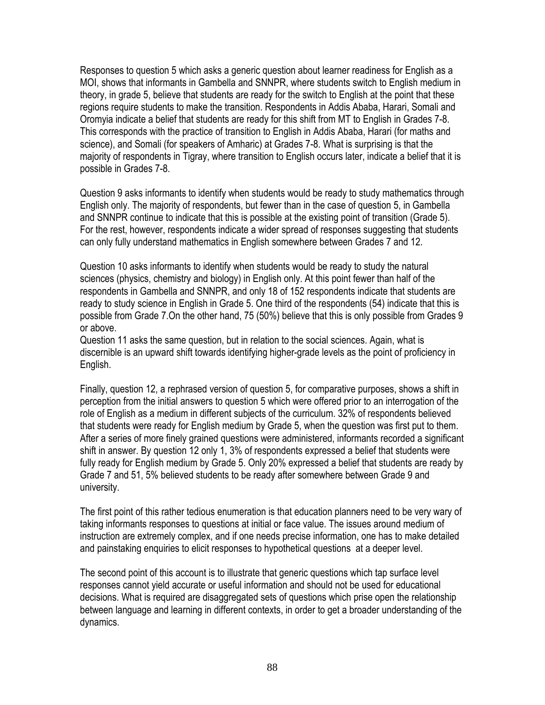Responses to question 5 which asks a generic question about learner readiness for English as a MOI, shows that informants in Gambella and SNNPR, where students switch to English medium in theory, in grade 5, believe that students are ready for the switch to English at the point that these regions require students to make the transition. Respondents in Addis Ababa, Harari, Somali and Oromyia indicate a belief that students are ready for this shift from MT to English in Grades 7-8. This corresponds with the practice of transition to English in Addis Ababa, Harari (for maths and science), and Somali (for speakers of Amharic) at Grades 7-8. What is surprising is that the majority of respondents in Tigray, where transition to English occurs later, indicate a belief that it is possible in Grades 7-8.

Question 9 asks informants to identify when students would be ready to study mathematics through English only. The majority of respondents, but fewer than in the case of question 5, in Gambella and SNNPR continue to indicate that this is possible at the existing point of transition (Grade 5). For the rest, however, respondents indicate a wider spread of responses suggesting that students can only fully understand mathematics in English somewhere between Grades 7 and 12.

Question 10 asks informants to identify when students would be ready to study the natural sciences (physics, chemistry and biology) in English only. At this point fewer than half of the respondents in Gambella and SNNPR, and only 18 of 152 respondents indicate that students are ready to study science in English in Grade 5. One third of the respondents (54) indicate that this is possible from Grade 7.On the other hand, 75 (50%) believe that this is only possible from Grades 9 or above.

Question 11 asks the same question, but in relation to the social sciences. Again, what is discernible is an upward shift towards identifying higher-grade levels as the point of proficiency in English.

Finally, question 12, a rephrased version of question 5, for comparative purposes, shows a shift in perception from the initial answers to question 5 which were offered prior to an interrogation of the role of English as a medium in different subjects of the curriculum. 32% of respondents believed that students were ready for English medium by Grade 5, when the question was first put to them. After a series of more finely grained questions were administered, informants recorded a significant shift in answer. By question 12 only 1, 3% of respondents expressed a belief that students were fully ready for English medium by Grade 5. Only 20% expressed a belief that students are ready by Grade 7 and 51, 5% believed students to be ready after somewhere between Grade 9 and university.

The first point of this rather tedious enumeration is that education planners need to be very wary of taking informants responses to questions at initial or face value. The issues around medium of instruction are extremely complex, and if one needs precise information, one has to make detailed and painstaking enquiries to elicit responses to hypothetical questions at a deeper level.

The second point of this account is to illustrate that generic questions which tap surface level responses cannot yield accurate or useful information and should not be used for educational decisions. What is required are disaggregated sets of questions which prise open the relationship between language and learning in different contexts, in order to get a broader understanding of the dynamics.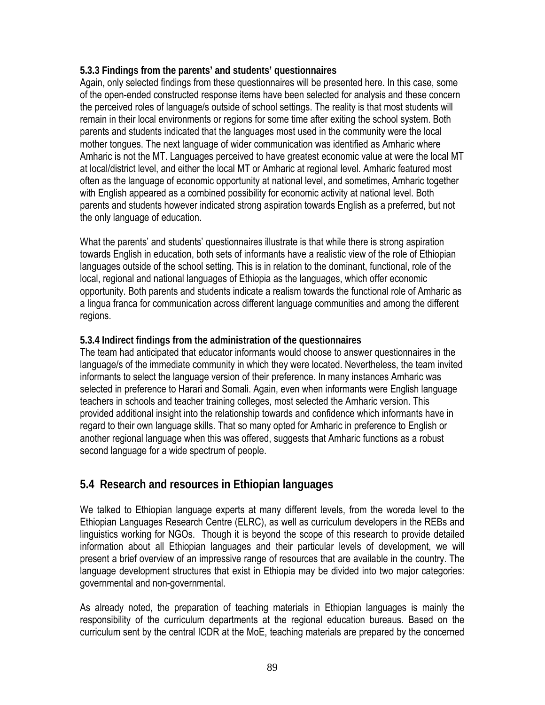#### **5.3.3 Findings from the parents' and students' questionnaires**

Again, only selected findings from these questionnaires will be presented here. In this case, some of the open-ended constructed response items have been selected for analysis and these concern the perceived roles of language/s outside of school settings. The reality is that most students will remain in their local environments or regions for some time after exiting the school system. Both parents and students indicated that the languages most used in the community were the local mother tongues. The next language of wider communication was identified as Amharic where Amharic is not the MT. Languages perceived to have greatest economic value at were the local MT at local/district level, and either the local MT or Amharic at regional level. Amharic featured most often as the language of economic opportunity at national level, and sometimes, Amharic together with English appeared as a combined possibility for economic activity at national level. Both parents and students however indicated strong aspiration towards English as a preferred, but not the only language of education.

What the parents' and students' questionnaires illustrate is that while there is strong aspiration towards English in education, both sets of informants have a realistic view of the role of Ethiopian languages outside of the school setting. This is in relation to the dominant, functional, role of the local, regional and national languages of Ethiopia as the languages, which offer economic opportunity. Both parents and students indicate a realism towards the functional role of Amharic as a lingua franca for communication across different language communities and among the different regions.

#### **5.3.4 Indirect findings from the administration of the questionnaires**

The team had anticipated that educator informants would choose to answer questionnaires in the language/s of the immediate community in which they were located. Nevertheless, the team invited informants to select the language version of their preference. In many instances Amharic was selected in preference to Harari and Somali. Again, even when informants were English language teachers in schools and teacher training colleges, most selected the Amharic version. This provided additional insight into the relationship towards and confidence which informants have in regard to their own language skills. That so many opted for Amharic in preference to English or another regional language when this was offered, suggests that Amharic functions as a robust second language for a wide spectrum of people.

## **5.4 Research and resources in Ethiopian languages**

We talked to Ethiopian language experts at many different levels, from the woreda level to the Ethiopian Languages Research Centre (ELRC), as well as curriculum developers in the REBs and linguistics working for NGOs. Though it is beyond the scope of this research to provide detailed information about all Ethiopian languages and their particular levels of development, we will present a brief overview of an impressive range of resources that are available in the country. The language development structures that exist in Ethiopia may be divided into two major categories: governmental and non-governmental.

As already noted, the preparation of teaching materials in Ethiopian languages is mainly the responsibility of the curriculum departments at the regional education bureaus. Based on the curriculum sent by the central ICDR at the MoE, teaching materials are prepared by the concerned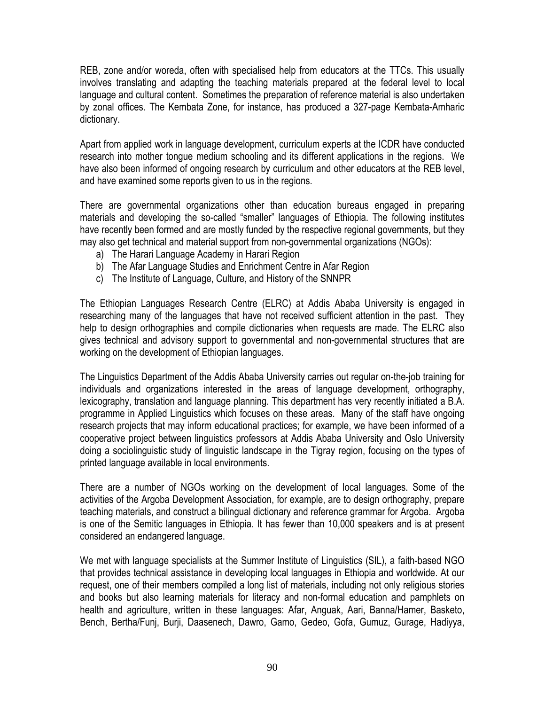REB, zone and/or woreda, often with specialised help from educators at the TTCs. This usually involves translating and adapting the teaching materials prepared at the federal level to local language and cultural content. Sometimes the preparation of reference material is also undertaken by zonal offices. The Kembata Zone, for instance, has produced a 327-page Kembata-Amharic dictionary.

Apart from applied work in language development, curriculum experts at the ICDR have conducted research into mother tongue medium schooling and its different applications in the regions. We have also been informed of ongoing research by curriculum and other educators at the REB level, and have examined some reports given to us in the regions.

There are governmental organizations other than education bureaus engaged in preparing materials and developing the so-called "smaller" languages of Ethiopia. The following institutes have recently been formed and are mostly funded by the respective regional governments, but they may also get technical and material support from non-governmental organizations (NGOs):

- a) The Harari Language Academy in Harari Region
- b) The Afar Language Studies and Enrichment Centre in Afar Region
- c) The Institute of Language, Culture, and History of the SNNPR

The Ethiopian Languages Research Centre (ELRC) at Addis Ababa University is engaged in researching many of the languages that have not received sufficient attention in the past. They help to design orthographies and compile dictionaries when requests are made. The ELRC also gives technical and advisory support to governmental and non-governmental structures that are working on the development of Ethiopian languages.

The Linguistics Department of the Addis Ababa University carries out regular on-the-job training for individuals and organizations interested in the areas of language development, orthography, lexicography, translation and language planning. This department has very recently initiated a B.A. programme in Applied Linguistics which focuses on these areas. Many of the staff have ongoing research projects that may inform educational practices; for example, we have been informed of a cooperative project between linguistics professors at Addis Ababa University and Oslo University doing a sociolinguistic study of linguistic landscape in the Tigray region, focusing on the types of printed language available in local environments.

There are a number of NGOs working on the development of local languages. Some of the activities of the Argoba Development Association, for example, are to design orthography, prepare teaching materials, and construct a bilingual dictionary and reference grammar for Argoba. Argoba is one of the Semitic languages in Ethiopia. It has fewer than 10,000 speakers and is at present considered an endangered language.

We met with language specialists at the Summer Institute of Linguistics (SIL), a faith-based NGO that provides technical assistance in developing local languages in Ethiopia and worldwide. At our request, one of their members compiled a long list of materials, including not only religious stories and books but also learning materials for literacy and non-formal education and pamphlets on health and agriculture, written in these languages: Afar, Anguak, Aari, Banna/Hamer, Basketo, Bench, Bertha/Funj, Burji, Daasenech, Dawro, Gamo, Gedeo, Gofa, Gumuz, Gurage, Hadiyya,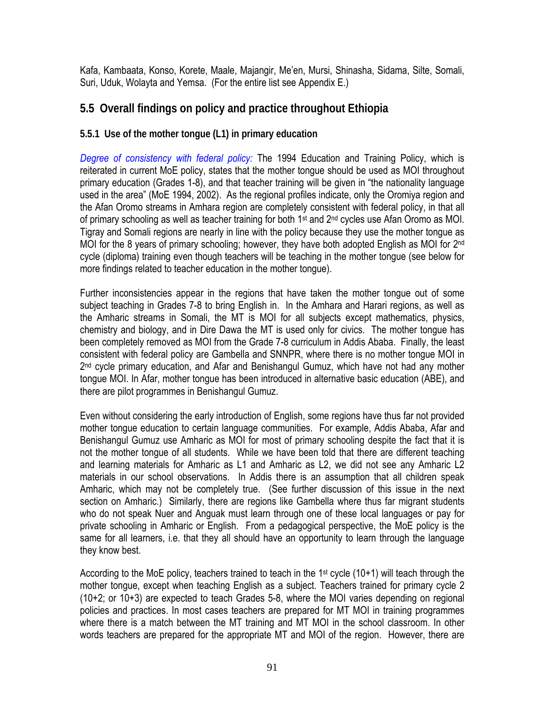Kafa, Kambaata, Konso, Korete, Maale, Majangir, Me'en, Mursi, Shinasha, Sidama, Silte, Somali, Suri, Uduk, Wolayta and Yemsa. (For the entire list see Appendix E.)

## **5.5 Overall findings on policy and practice throughout Ethiopia**

## **5.5.1 Use of the mother tongue (L1) in primary education**

*Degree of consistency with federal policy:* The 1994 Education and Training Policy, which is reiterated in current MoE policy, states that the mother tongue should be used as MOI throughout primary education (Grades 1-8), and that teacher training will be given in "the nationality language used in the area" (MoE 1994, 2002). As the regional profiles indicate, only the Oromiya region and the Afan Oromo streams in Amhara region are completely consistent with federal policy, in that all of primary schooling as well as teacher training for both 1<sup>st</sup> and 2<sup>nd</sup> cycles use Afan Oromo as MOI. Tigray and Somali regions are nearly in line with the policy because they use the mother tongue as MOI for the 8 years of primary schooling; however, they have both adopted English as MOI for 2<sup>nd</sup> cycle (diploma) training even though teachers will be teaching in the mother tongue (see below for more findings related to teacher education in the mother tongue).

Further inconsistencies appear in the regions that have taken the mother tongue out of some subject teaching in Grades 7-8 to bring English in. In the Amhara and Harari regions, as well as the Amharic streams in Somali, the MT is MOI for all subjects except mathematics, physics, chemistry and biology, and in Dire Dawa the MT is used only for civics. The mother tongue has been completely removed as MOI from the Grade 7-8 curriculum in Addis Ababa. Finally, the least consistent with federal policy are Gambella and SNNPR, where there is no mother tongue MOI in 2<sup>nd</sup> cycle primary education, and Afar and Benishangul Gumuz, which have not had any mother tongue MOI. In Afar, mother tongue has been introduced in alternative basic education (ABE), and there are pilot programmes in Benishangul Gumuz.

Even without considering the early introduction of English, some regions have thus far not provided mother tongue education to certain language communities. For example, Addis Ababa, Afar and Benishangul Gumuz use Amharic as MOI for most of primary schooling despite the fact that it is not the mother tongue of all students. While we have been told that there are different teaching and learning materials for Amharic as L1 and Amharic as L2, we did not see any Amharic L2 materials in our school observations. In Addis there is an assumption that all children speak Amharic, which may not be completely true. (See further discussion of this issue in the next section on Amharic.) Similarly, there are regions like Gambella where thus far migrant students who do not speak Nuer and Anguak must learn through one of these local languages or pay for private schooling in Amharic or English. From a pedagogical perspective, the MoE policy is the same for all learners, i.e. that they all should have an opportunity to learn through the language they know best.

According to the MoE policy, teachers trained to teach in the 1<sup>st</sup> cycle  $(10+1)$  will teach through the mother tongue, except when teaching English as a subject. Teachers trained for primary cycle 2 (10+2; or 10+3) are expected to teach Grades 5-8, where the MOI varies depending on regional policies and practices. In most cases teachers are prepared for MT MOI in training programmes where there is a match between the MT training and MT MOI in the school classroom. In other words teachers are prepared for the appropriate MT and MOI of the region. However, there are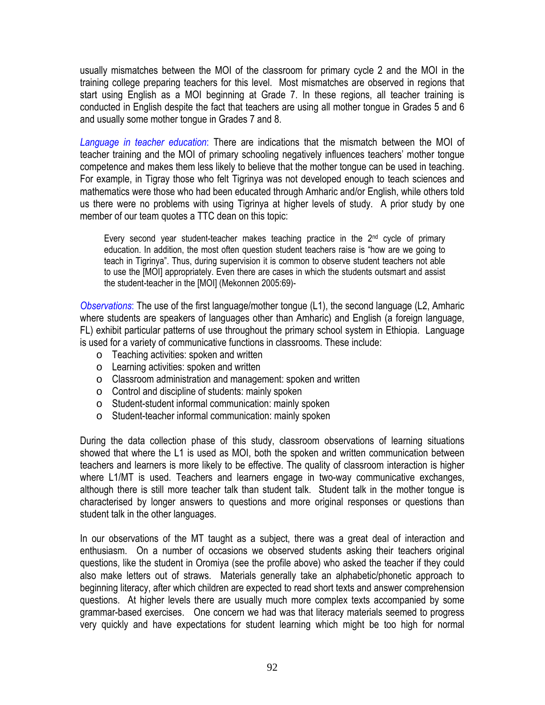usually mismatches between the MOI of the classroom for primary cycle 2 and the MOI in the training college preparing teachers for this level. Most mismatches are observed in regions that start using English as a MOI beginning at Grade 7. In these regions, all teacher training is conducted in English despite the fact that teachers are using all mother tongue in Grades 5 and 6 and usually some mother tongue in Grades 7 and 8.

*Language in teacher education*: There are indications that the mismatch between the MOI of teacher training and the MOI of primary schooling negatively influences teachers' mother tongue competence and makes them less likely to believe that the mother tongue can be used in teaching. For example, in Tigray those who felt Tigrinya was not developed enough to teach sciences and mathematics were those who had been educated through Amharic and/or English, while others told us there were no problems with using Tigrinya at higher levels of study. A prior study by one member of our team quotes a TTC dean on this topic:

Every second year student-teacher makes teaching practice in the  $2<sup>nd</sup>$  cycle of primary education. In addition, the most often question student teachers raise is "how are we going to teach in Tigrinya". Thus, during supervision it is common to observe student teachers not able to use the [MOI] appropriately. Even there are cases in which the students outsmart and assist the student-teacher in the [MOI] (Mekonnen 2005:69)-

*Observations*: The use of the first language/mother tongue (L1), the second language (L2, Amharic where students are speakers of languages other than Amharic) and English (a foreign language, FL) exhibit particular patterns of use throughout the primary school system in Ethiopia. Language is used for a variety of communicative functions in classrooms. These include:

- o Teaching activities: spoken and written
- o Learning activities: spoken and written
- o Classroom administration and management: spoken and written
- o Control and discipline of students: mainly spoken
- o Student-student informal communication: mainly spoken
- o Student-teacher informal communication: mainly spoken

During the data collection phase of this study, classroom observations of learning situations showed that where the L1 is used as MOI, both the spoken and written communication between teachers and learners is more likely to be effective. The quality of classroom interaction is higher where L1/MT is used. Teachers and learners engage in two-way communicative exchanges, although there is still more teacher talk than student talk. Student talk in the mother tongue is characterised by longer answers to questions and more original responses or questions than student talk in the other languages.

In our observations of the MT taught as a subject, there was a great deal of interaction and enthusiasm. On a number of occasions we observed students asking their teachers original questions, like the student in Oromiya (see the profile above) who asked the teacher if they could also make letters out of straws. Materials generally take an alphabetic/phonetic approach to beginning literacy, after which children are expected to read short texts and answer comprehension questions. At higher levels there are usually much more complex texts accompanied by some grammar-based exercises. One concern we had was that literacy materials seemed to progress very quickly and have expectations for student learning which might be too high for normal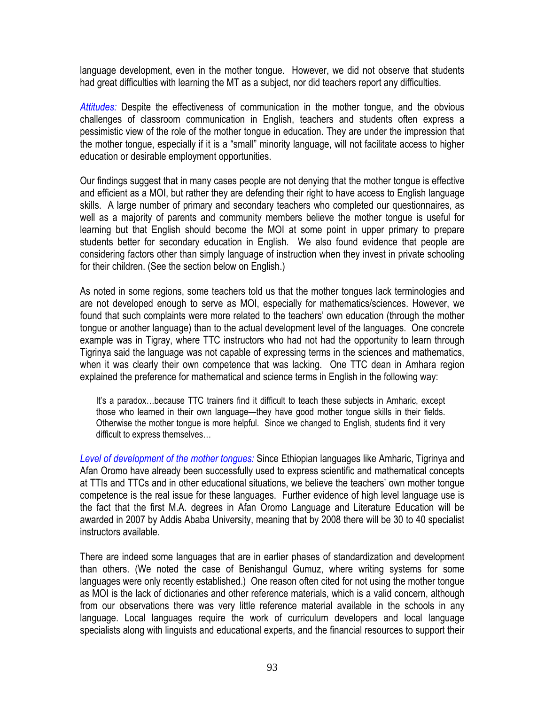language development, even in the mother tongue. However, we did not observe that students had great difficulties with learning the MT as a subject, nor did teachers report any difficulties.

*Attitudes:* Despite the effectiveness of communication in the mother tongue, and the obvious challenges of classroom communication in English, teachers and students often express a pessimistic view of the role of the mother tongue in education. They are under the impression that the mother tongue, especially if it is a "small" minority language, will not facilitate access to higher education or desirable employment opportunities.

Our findings suggest that in many cases people are not denying that the mother tongue is effective and efficient as a MOI, but rather they are defending their right to have access to English language skills. A large number of primary and secondary teachers who completed our questionnaires, as well as a majority of parents and community members believe the mother tongue is useful for learning but that English should become the MOI at some point in upper primary to prepare students better for secondary education in English. We also found evidence that people are considering factors other than simply language of instruction when they invest in private schooling for their children. (See the section below on English.)

As noted in some regions, some teachers told us that the mother tongues lack terminologies and are not developed enough to serve as MOI, especially for mathematics/sciences. However, we found that such complaints were more related to the teachers' own education (through the mother tongue or another language) than to the actual development level of the languages. One concrete example was in Tigray, where TTC instructors who had not had the opportunity to learn through Tigrinya said the language was not capable of expressing terms in the sciences and mathematics, when it was clearly their own competence that was lacking. One TTC dean in Amhara region explained the preference for mathematical and science terms in English in the following way:

It's a paradox…because TTC trainers find it difficult to teach these subjects in Amharic, except those who learned in their own language—they have good mother tongue skills in their fields. Otherwise the mother tongue is more helpful. Since we changed to English, students find it very difficult to express themselves…

*Level of development of the mother tongues:* Since Ethiopian languages like Amharic, Tigrinya and Afan Oromo have already been successfully used to express scientific and mathematical concepts at TTIs and TTCs and in other educational situations, we believe the teachers' own mother tongue competence is the real issue for these languages. Further evidence of high level language use is the fact that the first M.A. degrees in Afan Oromo Language and Literature Education will be awarded in 2007 by Addis Ababa University, meaning that by 2008 there will be 30 to 40 specialist instructors available.

There are indeed some languages that are in earlier phases of standardization and development than others. (We noted the case of Benishangul Gumuz, where writing systems for some languages were only recently established.) One reason often cited for not using the mother tongue as MOI is the lack of dictionaries and other reference materials, which is a valid concern, although from our observations there was very little reference material available in the schools in any language. Local languages require the work of curriculum developers and local language specialists along with linguists and educational experts, and the financial resources to support their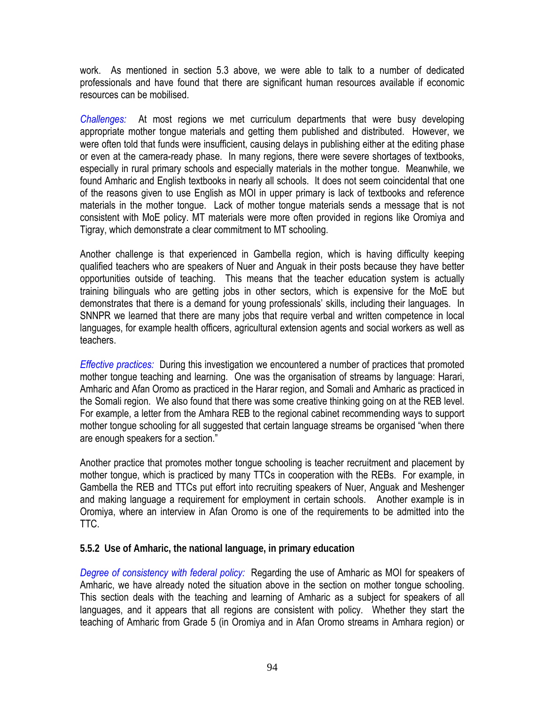work. As mentioned in section 5.3 above, we were able to talk to a number of dedicated professionals and have found that there are significant human resources available if economic resources can be mobilised.

*Challenges:* At most regions we met curriculum departments that were busy developing appropriate mother tongue materials and getting them published and distributed. However, we were often told that funds were insufficient, causing delays in publishing either at the editing phase or even at the camera-ready phase. In many regions, there were severe shortages of textbooks, especially in rural primary schools and especially materials in the mother tongue. Meanwhile, we found Amharic and English textbooks in nearly all schools. It does not seem coincidental that one of the reasons given to use English as MOI in upper primary is lack of textbooks and reference materials in the mother tongue. Lack of mother tongue materials sends a message that is not consistent with MoE policy. MT materials were more often provided in regions like Oromiya and Tigray, which demonstrate a clear commitment to MT schooling.

Another challenge is that experienced in Gambella region, which is having difficulty keeping qualified teachers who are speakers of Nuer and Anguak in their posts because they have better opportunities outside of teaching. This means that the teacher education system is actually training bilinguals who are getting jobs in other sectors, which is expensive for the MoE but demonstrates that there is a demand for young professionals' skills, including their languages. In SNNPR we learned that there are many jobs that require verbal and written competence in local languages, for example health officers, agricultural extension agents and social workers as well as teachers.

*Effective practices:* During this investigation we encountered a number of practices that promoted mother tongue teaching and learning. One was the organisation of streams by language: Harari, Amharic and Afan Oromo as practiced in the Harar region, and Somali and Amharic as practiced in the Somali region. We also found that there was some creative thinking going on at the REB level. For example, a letter from the Amhara REB to the regional cabinet recommending ways to support mother tongue schooling for all suggested that certain language streams be organised "when there are enough speakers for a section."

Another practice that promotes mother tongue schooling is teacher recruitment and placement by mother tongue, which is practiced by many TTCs in cooperation with the REBs. For example, in Gambella the REB and TTCs put effort into recruiting speakers of Nuer, Anguak and Meshenger and making language a requirement for employment in certain schools. Another example is in Oromiya, where an interview in Afan Oromo is one of the requirements to be admitted into the TTC.

#### **5.5.2 Use of Amharic, the national language, in primary education**

*Degree of consistency with federal policy:* Regarding the use of Amharic as MOI for speakers of Amharic, we have already noted the situation above in the section on mother tongue schooling. This section deals with the teaching and learning of Amharic as a subject for speakers of all languages, and it appears that all regions are consistent with policy. Whether they start the teaching of Amharic from Grade 5 (in Oromiya and in Afan Oromo streams in Amhara region) or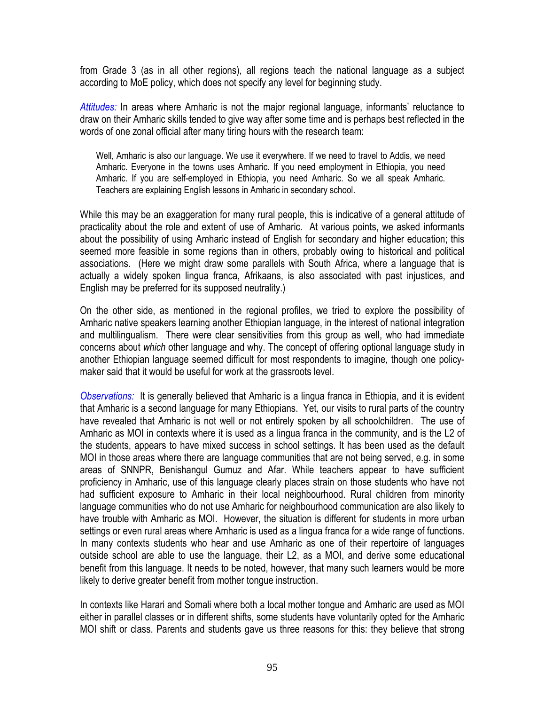from Grade 3 (as in all other regions), all regions teach the national language as a subject according to MoE policy, which does not specify any level for beginning study.

*Attitudes:* In areas where Amharic is not the major regional language, informants' reluctance to draw on their Amharic skills tended to give way after some time and is perhaps best reflected in the words of one zonal official after many tiring hours with the research team:

Well, Amharic is also our language. We use it everywhere. If we need to travel to Addis, we need Amharic. Everyone in the towns uses Amharic. If you need employment in Ethiopia, you need Amharic. If you are self-employed in Ethiopia, you need Amharic. So we all speak Amharic. Teachers are explaining English lessons in Amharic in secondary school.

While this may be an exaggeration for many rural people, this is indicative of a general attitude of practicality about the role and extent of use of Amharic. At various points, we asked informants about the possibility of using Amharic instead of English for secondary and higher education; this seemed more feasible in some regions than in others, probably owing to historical and political associations. (Here we might draw some parallels with South Africa, where a language that is actually a widely spoken lingua franca, Afrikaans, is also associated with past injustices, and English may be preferred for its supposed neutrality.)

On the other side, as mentioned in the regional profiles, we tried to explore the possibility of Amharic native speakers learning another Ethiopian language, in the interest of national integration and multilingualism. There were clear sensitivities from this group as well, who had immediate concerns about *which* other language and why. The concept of offering optional language study in another Ethiopian language seemed difficult for most respondents to imagine, though one policymaker said that it would be useful for work at the grassroots level.

*Observations:* It is generally believed that Amharic is a lingua franca in Ethiopia, and it is evident that Amharic is a second language for many Ethiopians. Yet, our visits to rural parts of the country have revealed that Amharic is not well or not entirely spoken by all schoolchildren. The use of Amharic as MOI in contexts where it is used as a lingua franca in the community, and is the L2 of the students, appears to have mixed success in school settings. It has been used as the default MOI in those areas where there are language communities that are not being served, e.g. in some areas of SNNPR, Benishangul Gumuz and Afar. While teachers appear to have sufficient proficiency in Amharic, use of this language clearly places strain on those students who have not had sufficient exposure to Amharic in their local neighbourhood. Rural children from minority language communities who do not use Amharic for neighbourhood communication are also likely to have trouble with Amharic as MOI. However, the situation is different for students in more urban settings or even rural areas where Amharic is used as a lingua franca for a wide range of functions. In many contexts students who hear and use Amharic as one of their repertoire of languages outside school are able to use the language, their L2, as a MOI, and derive some educational benefit from this language. It needs to be noted, however, that many such learners would be more likely to derive greater benefit from mother tongue instruction.

In contexts like Harari and Somali where both a local mother tongue and Amharic are used as MOI either in parallel classes or in different shifts, some students have voluntarily opted for the Amharic MOI shift or class. Parents and students gave us three reasons for this: they believe that strong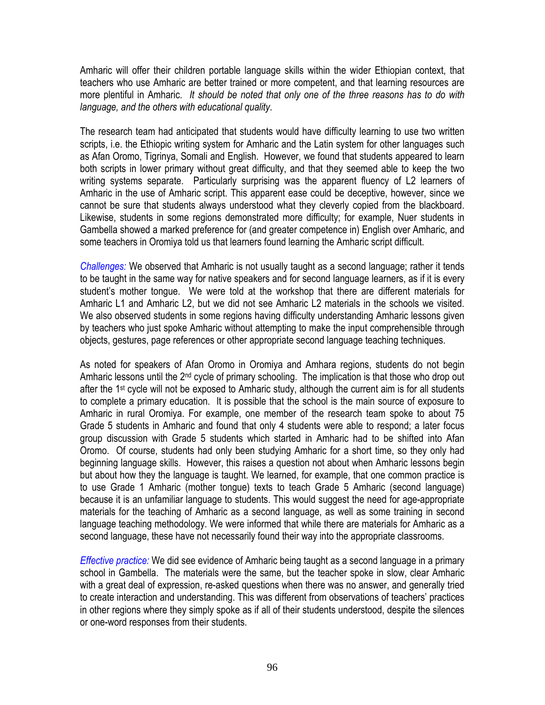Amharic will offer their children portable language skills within the wider Ethiopian context, that teachers who use Amharic are better trained or more competent, and that learning resources are more plentiful in Amharic. *It should be noted that only one of the three reasons has to do with language, and the others with educational quality*.

The research team had anticipated that students would have difficulty learning to use two written scripts, i.e. the Ethiopic writing system for Amharic and the Latin system for other languages such as Afan Oromo, Tigrinya, Somali and English. However, we found that students appeared to learn both scripts in lower primary without great difficulty, and that they seemed able to keep the two writing systems separate. Particularly surprising was the apparent fluency of L2 learners of Amharic in the use of Amharic script. This apparent ease could be deceptive, however, since we cannot be sure that students always understood what they cleverly copied from the blackboard. Likewise, students in some regions demonstrated more difficulty; for example, Nuer students in Gambella showed a marked preference for (and greater competence in) English over Amharic, and some teachers in Oromiya told us that learners found learning the Amharic script difficult.

*Challenges:* We observed that Amharic is not usually taught as a second language; rather it tends to be taught in the same way for native speakers and for second language learners, as if it is every student's mother tongue. We were told at the workshop that there are different materials for Amharic L1 and Amharic L2, but we did not see Amharic L2 materials in the schools we visited. We also observed students in some regions having difficulty understanding Amharic lessons given by teachers who just spoke Amharic without attempting to make the input comprehensible through objects, gestures, page references or other appropriate second language teaching techniques.

As noted for speakers of Afan Oromo in Oromiya and Amhara regions, students do not begin Amharic lessons until the 2<sup>nd</sup> cycle of primary schooling. The implication is that those who drop out after the 1<sup>st</sup> cycle will not be exposed to Amharic study, although the current aim is for all students to complete a primary education. It is possible that the school is the main source of exposure to Amharic in rural Oromiya. For example, one member of the research team spoke to about 75 Grade 5 students in Amharic and found that only 4 students were able to respond; a later focus group discussion with Grade 5 students which started in Amharic had to be shifted into Afan Oromo. Of course, students had only been studying Amharic for a short time, so they only had beginning language skills. However, this raises a question not about when Amharic lessons begin but about how they the language is taught. We learned, for example, that one common practice is to use Grade 1 Amharic (mother tongue) texts to teach Grade 5 Amharic (second language) because it is an unfamiliar language to students. This would suggest the need for age-appropriate materials for the teaching of Amharic as a second language, as well as some training in second language teaching methodology. We were informed that while there are materials for Amharic as a second language, these have not necessarily found their way into the appropriate classrooms.

*Effective practice:* We did see evidence of Amharic being taught as a second language in a primary school in Gambella. The materials were the same, but the teacher spoke in slow, clear Amharic with a great deal of expression, re-asked questions when there was no answer, and generally tried to create interaction and understanding. This was different from observations of teachers' practices in other regions where they simply spoke as if all of their students understood, despite the silences or one-word responses from their students.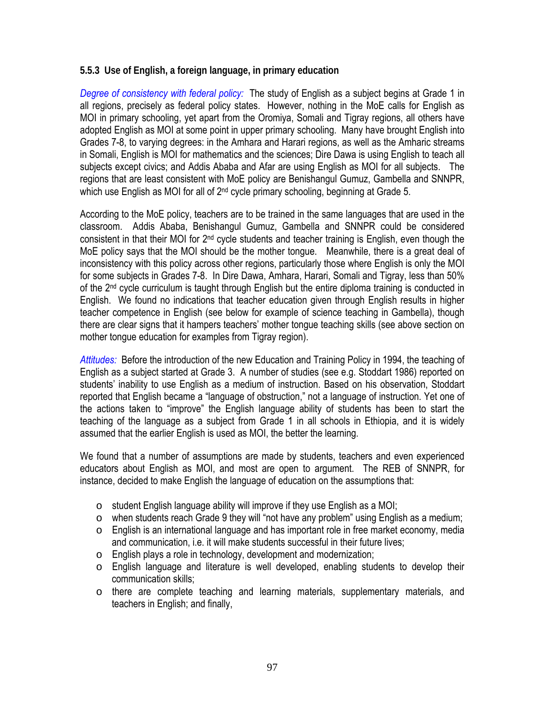#### **5.5.3 Use of English, a foreign language, in primary education**

*Degree of consistency with federal policy:* The study of English as a subject begins at Grade 1 in all regions, precisely as federal policy states. However, nothing in the MoE calls for English as MOI in primary schooling, yet apart from the Oromiya, Somali and Tigray regions, all others have adopted English as MOI at some point in upper primary schooling. Many have brought English into Grades 7-8, to varying degrees: in the Amhara and Harari regions, as well as the Amharic streams in Somali, English is MOI for mathematics and the sciences; Dire Dawa is using English to teach all subjects except civics; and Addis Ababa and Afar are using English as MOI for all subjects. The regions that are least consistent with MoE policy are Benishangul Gumuz, Gambella and SNNPR, which use English as MOI for all of 2<sup>nd</sup> cycle primary schooling, beginning at Grade 5.

According to the MoE policy, teachers are to be trained in the same languages that are used in the classroom. Addis Ababa, Benishangul Gumuz, Gambella and SNNPR could be considered consistent in that their MOI for 2nd cycle students and teacher training is English, even though the MoE policy says that the MOI should be the mother tongue. Meanwhile, there is a great deal of inconsistency with this policy across other regions, particularly those where English is only the MOI for some subjects in Grades 7-8. In Dire Dawa, Amhara, Harari, Somali and Tigray, less than 50% of the  $2<sup>nd</sup>$  cycle curriculum is taught through English but the entire diploma training is conducted in English. We found no indications that teacher education given through English results in higher teacher competence in English (see below for example of science teaching in Gambella), though there are clear signs that it hampers teachers' mother tongue teaching skills (see above section on mother tongue education for examples from Tigray region).

*Attitudes:* Before the introduction of the new Education and Training Policy in 1994, the teaching of English as a subject started at Grade 3. A number of studies (see e.g. Stoddart 1986) reported on students' inability to use English as a medium of instruction. Based on his observation, Stoddart reported that English became a "language of obstruction," not a language of instruction. Yet one of the actions taken to "improve" the English language ability of students has been to start the teaching of the language as a subject from Grade 1 in all schools in Ethiopia, and it is widely assumed that the earlier English is used as MOI, the better the learning.

We found that a number of assumptions are made by students, teachers and even experienced educators about English as MOI, and most are open to argument. The REB of SNNPR, for instance, decided to make English the language of education on the assumptions that:

- o student English language ability will improve if they use English as a MOI;
- o when students reach Grade 9 they will "not have any problem" using English as a medium;
- $\circ$  English is an international language and has important role in free market economy, media and communication, i.e. it will make students successful in their future lives;
- o English plays a role in technology, development and modernization;
- $\circ$  English language and literature is well developed, enabling students to develop their communication skills;
- o there are complete teaching and learning materials, supplementary materials, and teachers in English; and finally,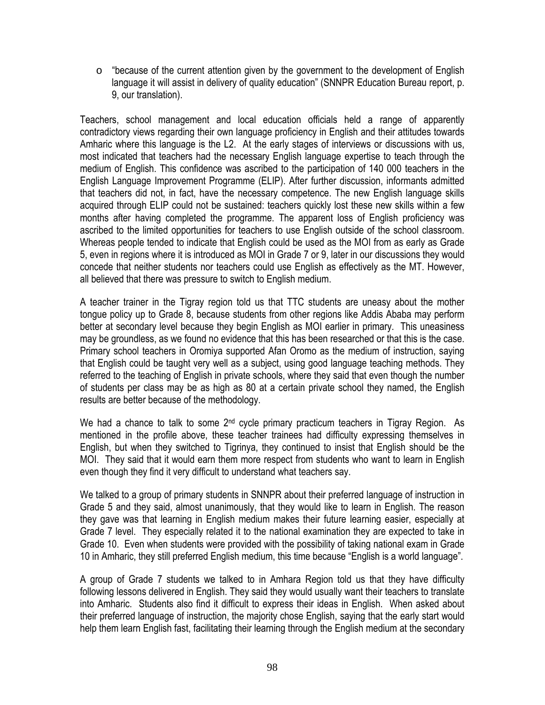$\circ$  "because of the current attention given by the government to the development of English language it will assist in delivery of quality education" (SNNPR Education Bureau report, p. 9, our translation).

Teachers, school management and local education officials held a range of apparently contradictory views regarding their own language proficiency in English and their attitudes towards Amharic where this language is the L2. At the early stages of interviews or discussions with us, most indicated that teachers had the necessary English language expertise to teach through the medium of English. This confidence was ascribed to the participation of 140 000 teachers in the English Language Improvement Programme (ELIP). After further discussion, informants admitted that teachers did not, in fact, have the necessary competence. The new English language skills acquired through ELIP could not be sustained: teachers quickly lost these new skills within a few months after having completed the programme. The apparent loss of English proficiency was ascribed to the limited opportunities for teachers to use English outside of the school classroom. Whereas people tended to indicate that English could be used as the MOI from as early as Grade 5, even in regions where it is introduced as MOI in Grade 7 or 9, later in our discussions they would concede that neither students nor teachers could use English as effectively as the MT. However, all believed that there was pressure to switch to English medium.

A teacher trainer in the Tigray region told us that TTC students are uneasy about the mother tongue policy up to Grade 8, because students from other regions like Addis Ababa may perform better at secondary level because they begin English as MOI earlier in primary. This uneasiness may be groundless, as we found no evidence that this has been researched or that this is the case. Primary school teachers in Oromiya supported Afan Oromo as the medium of instruction, saying that English could be taught very well as a subject, using good language teaching methods. They referred to the teaching of English in private schools, where they said that even though the number of students per class may be as high as 80 at a certain private school they named, the English results are better because of the methodology.

We had a chance to talk to some  $2<sup>nd</sup>$  cycle primary practicum teachers in Tigray Region. As mentioned in the profile above, these teacher trainees had difficulty expressing themselves in English, but when they switched to Tigrinya, they continued to insist that English should be the MOI. They said that it would earn them more respect from students who want to learn in English even though they find it very difficult to understand what teachers say.

We talked to a group of primary students in SNNPR about their preferred language of instruction in Grade 5 and they said, almost unanimously, that they would like to learn in English. The reason they gave was that learning in English medium makes their future learning easier, especially at Grade 7 level. They especially related it to the national examination they are expected to take in Grade 10. Even when students were provided with the possibility of taking national exam in Grade 10 in Amharic, they still preferred English medium, this time because "English is a world language".

A group of Grade 7 students we talked to in Amhara Region told us that they have difficulty following lessons delivered in English. They said they would usually want their teachers to translate into Amharic. Students also find it difficult to express their ideas in English. When asked about their preferred language of instruction, the majority chose English, saying that the early start would help them learn English fast, facilitating their learning through the English medium at the secondary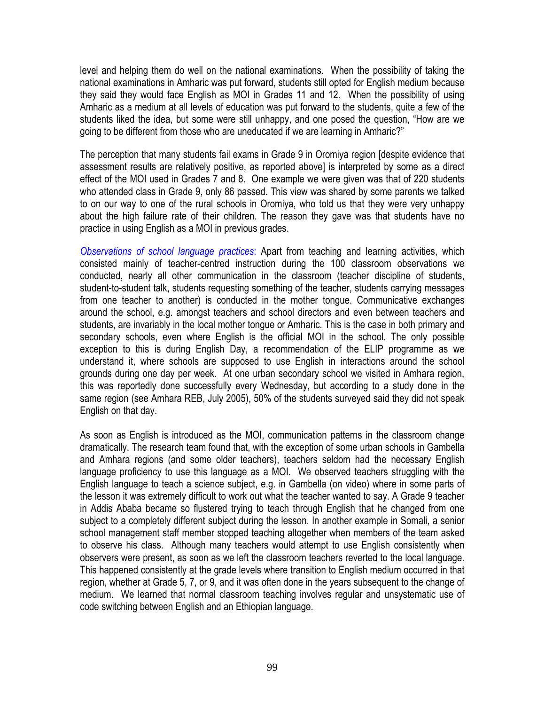level and helping them do well on the national examinations. When the possibility of taking the national examinations in Amharic was put forward, students still opted for English medium because they said they would face English as MOI in Grades 11 and 12. When the possibility of using Amharic as a medium at all levels of education was put forward to the students, quite a few of the students liked the idea, but some were still unhappy, and one posed the question, "How are we going to be different from those who are uneducated if we are learning in Amharic?"

The perception that many students fail exams in Grade 9 in Oromiya region [despite evidence that assessment results are relatively positive, as reported above] is interpreted by some as a direct effect of the MOI used in Grades 7 and 8. One example we were given was that of 220 students who attended class in Grade 9, only 86 passed. This view was shared by some parents we talked to on our way to one of the rural schools in Oromiya, who told us that they were very unhappy about the high failure rate of their children. The reason they gave was that students have no practice in using English as a MOI in previous grades.

*Observations of school language practices*: Apart from teaching and learning activities, which consisted mainly of teacher-centred instruction during the 100 classroom observations we conducted, nearly all other communication in the classroom (teacher discipline of students, student-to-student talk, students requesting something of the teacher, students carrying messages from one teacher to another) is conducted in the mother tongue. Communicative exchanges around the school, e.g. amongst teachers and school directors and even between teachers and students, are invariably in the local mother tongue or Amharic. This is the case in both primary and secondary schools, even where English is the official MOI in the school. The only possible exception to this is during English Day, a recommendation of the ELIP programme as we understand it, where schools are supposed to use English in interactions around the school grounds during one day per week. At one urban secondary school we visited in Amhara region, this was reportedly done successfully every Wednesday, but according to a study done in the same region (see Amhara REB, July 2005), 50% of the students surveyed said they did not speak English on that day.

As soon as English is introduced as the MOI, communication patterns in the classroom change dramatically. The research team found that, with the exception of some urban schools in Gambella and Amhara regions (and some older teachers), teachers seldom had the necessary English language proficiency to use this language as a MOI. We observed teachers struggling with the English language to teach a science subject, e.g. in Gambella (on video) where in some parts of the lesson it was extremely difficult to work out what the teacher wanted to say. A Grade 9 teacher in Addis Ababa became so flustered trying to teach through English that he changed from one subject to a completely different subject during the lesson. In another example in Somali, a senior school management staff member stopped teaching altogether when members of the team asked to observe his class. Although many teachers would attempt to use English consistently when observers were present, as soon as we left the classroom teachers reverted to the local language. This happened consistently at the grade levels where transition to English medium occurred in that region, whether at Grade 5, 7, or 9, and it was often done in the years subsequent to the change of medium. We learned that normal classroom teaching involves regular and unsystematic use of code switching between English and an Ethiopian language.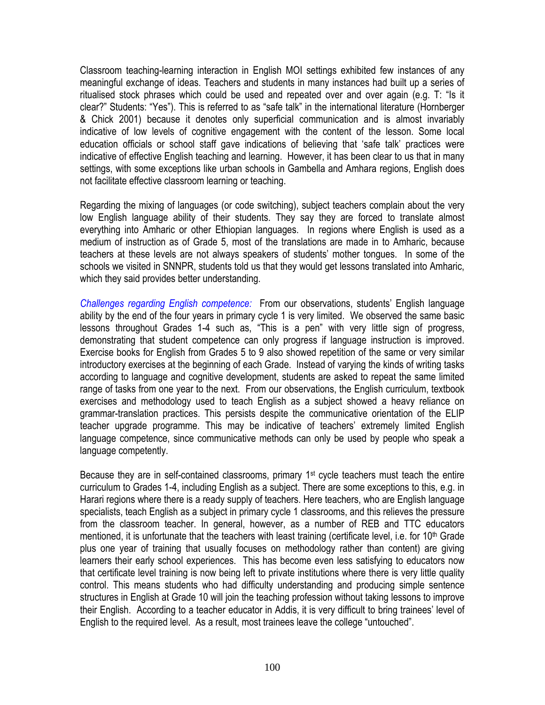Classroom teaching-learning interaction in English MOI settings exhibited few instances of any meaningful exchange of ideas. Teachers and students in many instances had built up a series of ritualised stock phrases which could be used and repeated over and over again (e.g. T: "Is it clear?" Students: "Yes"). This is referred to as "safe talk" in the international literature (Hornberger & Chick 2001) because it denotes only superficial communication and is almost invariably indicative of low levels of cognitive engagement with the content of the lesson. Some local education officials or school staff gave indications of believing that 'safe talk' practices were indicative of effective English teaching and learning. However, it has been clear to us that in many settings, with some exceptions like urban schools in Gambella and Amhara regions, English does not facilitate effective classroom learning or teaching.

Regarding the mixing of languages (or code switching), subject teachers complain about the very low English language ability of their students. They say they are forced to translate almost everything into Amharic or other Ethiopian languages. In regions where English is used as a medium of instruction as of Grade 5, most of the translations are made in to Amharic, because teachers at these levels are not always speakers of students' mother tongues. In some of the schools we visited in SNNPR, students told us that they would get lessons translated into Amharic, which they said provides better understanding.

*Challenges regarding English competence:* From our observations, students' English language ability by the end of the four years in primary cycle 1 is very limited. We observed the same basic lessons throughout Grades 1-4 such as, "This is a pen" with very little sign of progress, demonstrating that student competence can only progress if language instruction is improved. Exercise books for English from Grades 5 to 9 also showed repetition of the same or very similar introductory exercises at the beginning of each Grade. Instead of varying the kinds of writing tasks according to language and cognitive development, students are asked to repeat the same limited range of tasks from one year to the next. From our observations, the English curriculum, textbook exercises and methodology used to teach English as a subject showed a heavy reliance on grammar-translation practices. This persists despite the communicative orientation of the ELIP teacher upgrade programme. This may be indicative of teachers' extremely limited English language competence, since communicative methods can only be used by people who speak a language competently.

Because they are in self-contained classrooms, primary 1<sup>st</sup> cycle teachers must teach the entire curriculum to Grades 1-4, including English as a subject. There are some exceptions to this, e.g. in Harari regions where there is a ready supply of teachers. Here teachers, who are English language specialists, teach English as a subject in primary cycle 1 classrooms, and this relieves the pressure from the classroom teacher. In general, however, as a number of REB and TTC educators mentioned, it is unfortunate that the teachers with least training (certificate level, i.e. for  $10<sup>th</sup>$  Grade plus one year of training that usually focuses on methodology rather than content) are giving learners their early school experiences. This has become even less satisfying to educators now that certificate level training is now being left to private institutions where there is very little quality control. This means students who had difficulty understanding and producing simple sentence structures in English at Grade 10 will join the teaching profession without taking lessons to improve their English. According to a teacher educator in Addis, it is very difficult to bring trainees' level of English to the required level. As a result, most trainees leave the college "untouched".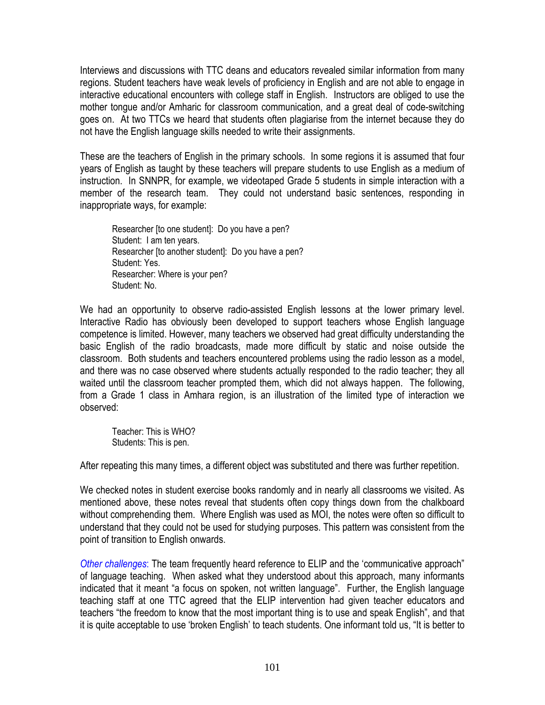Interviews and discussions with TTC deans and educators revealed similar information from many regions. Student teachers have weak levels of proficiency in English and are not able to engage in interactive educational encounters with college staff in English. Instructors are obliged to use the mother tongue and/or Amharic for classroom communication, and a great deal of code-switching goes on. At two TTCs we heard that students often plagiarise from the internet because they do not have the English language skills needed to write their assignments.

These are the teachers of English in the primary schools. In some regions it is assumed that four years of English as taught by these teachers will prepare students to use English as a medium of instruction. In SNNPR, for example, we videotaped Grade 5 students in simple interaction with a member of the research team. They could not understand basic sentences, responding in inappropriate ways, for example:

Researcher [to one student]: Do you have a pen? Student: I am ten years. Researcher [to another student]: Do you have a pen? Student: Yes. Researcher: Where is your pen? Student: No.

We had an opportunity to observe radio-assisted English lessons at the lower primary level. Interactive Radio has obviously been developed to support teachers whose English language competence is limited. However, many teachers we observed had great difficulty understanding the basic English of the radio broadcasts, made more difficult by static and noise outside the classroom. Both students and teachers encountered problems using the radio lesson as a model, and there was no case observed where students actually responded to the radio teacher; they all waited until the classroom teacher prompted them, which did not always happen. The following, from a Grade 1 class in Amhara region, is an illustration of the limited type of interaction we observed:

Teacher: This is WHO? Students: This is pen.

After repeating this many times, a different object was substituted and there was further repetition.

We checked notes in student exercise books randomly and in nearly all classrooms we visited. As mentioned above, these notes reveal that students often copy things down from the chalkboard without comprehending them. Where English was used as MOI, the notes were often so difficult to understand that they could not be used for studying purposes. This pattern was consistent from the point of transition to English onwards.

*Other challenges*: The team frequently heard reference to ELIP and the 'communicative approach" of language teaching. When asked what they understood about this approach, many informants indicated that it meant "a focus on spoken, not written language". Further, the English language teaching staff at one TTC agreed that the ELIP intervention had given teacher educators and teachers "the freedom to know that the most important thing is to use and speak English", and that it is quite acceptable to use 'broken English' to teach students. One informant told us, "It is better to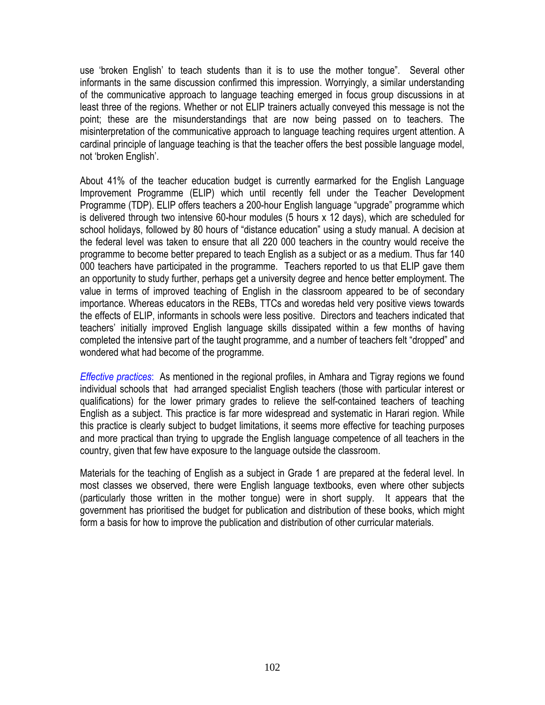use 'broken English' to teach students than it is to use the mother tongue". Several other informants in the same discussion confirmed this impression. Worryingly, a similar understanding of the communicative approach to language teaching emerged in focus group discussions in at least three of the regions. Whether or not ELIP trainers actually conveyed this message is not the point; these are the misunderstandings that are now being passed on to teachers. The misinterpretation of the communicative approach to language teaching requires urgent attention. A cardinal principle of language teaching is that the teacher offers the best possible language model, not 'broken English'.

About 41% of the teacher education budget is currently earmarked for the English Language Improvement Programme (ELIP) which until recently fell under the Teacher Development Programme (TDP). ELIP offers teachers a 200-hour English language "upgrade" programme which is delivered through two intensive 60-hour modules (5 hours x 12 days), which are scheduled for school holidays, followed by 80 hours of "distance education" using a study manual. A decision at the federal level was taken to ensure that all 220 000 teachers in the country would receive the programme to become better prepared to teach English as a subject or as a medium. Thus far 140 000 teachers have participated in the programme. Teachers reported to us that ELIP gave them an opportunity to study further, perhaps get a university degree and hence better employment. The value in terms of improved teaching of English in the classroom appeared to be of secondary importance. Whereas educators in the REBs, TTCs and woredas held very positive views towards the effects of ELIP, informants in schools were less positive. Directors and teachers indicated that teachers' initially improved English language skills dissipated within a few months of having completed the intensive part of the taught programme, and a number of teachers felt "dropped" and wondered what had become of the programme.

*Effective practices*: As mentioned in the regional profiles, in Amhara and Tigray regions we found individual schools that had arranged specialist English teachers (those with particular interest or qualifications) for the lower primary grades to relieve the self-contained teachers of teaching English as a subject. This practice is far more widespread and systematic in Harari region. While this practice is clearly subject to budget limitations, it seems more effective for teaching purposes and more practical than trying to upgrade the English language competence of all teachers in the country, given that few have exposure to the language outside the classroom.

Materials for the teaching of English as a subject in Grade 1 are prepared at the federal level. In most classes we observed, there were English language textbooks, even where other subjects (particularly those written in the mother tongue) were in short supply. It appears that the government has prioritised the budget for publication and distribution of these books, which might form a basis for how to improve the publication and distribution of other curricular materials.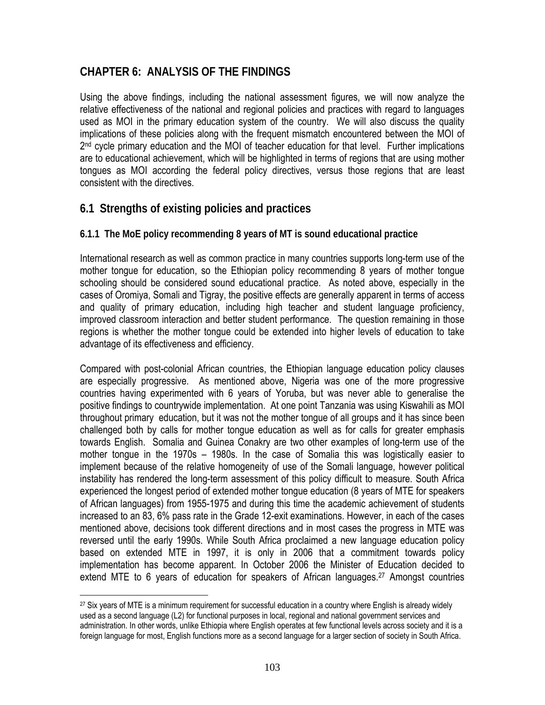## **CHAPTER 6: ANALYSIS OF THE FINDINGS**

Using the above findings, including the national assessment figures, we will now analyze the relative effectiveness of the national and regional policies and practices with regard to languages used as MOI in the primary education system of the country. We will also discuss the quality implications of these policies along with the frequent mismatch encountered between the MOI of 2<sup>nd</sup> cycle primary education and the MOI of teacher education for that level. Further implications are to educational achievement, which will be highlighted in terms of regions that are using mother tongues as MOI according the federal policy directives, versus those regions that are least consistent with the directives.

## **6.1 Strengths of existing policies and practices**

 $\overline{a}$ 

## **6.1.1 The MoE policy recommending 8 years of MT is sound educational practice**

International research as well as common practice in many countries supports long-term use of the mother tongue for education, so the Ethiopian policy recommending 8 years of mother tongue schooling should be considered sound educational practice. As noted above, especially in the cases of Oromiya, Somali and Tigray, the positive effects are generally apparent in terms of access and quality of primary education, including high teacher and student language proficiency, improved classroom interaction and better student performance. The question remaining in those regions is whether the mother tongue could be extended into higher levels of education to take advantage of its effectiveness and efficiency.

Compared with post-colonial African countries, the Ethiopian language education policy clauses are especially progressive. As mentioned above, Nigeria was one of the more progressive countries having experimented with 6 years of Yoruba, but was never able to generalise the positive findings to countrywide implementation. At one point Tanzania was using Kiswahili as MOI throughout primary education, but it was not the mother tongue of all groups and it has since been challenged both by calls for mother tongue education as well as for calls for greater emphasis towards English. Somalia and Guinea Conakry are two other examples of long-term use of the mother tongue in the 1970s – 1980s. In the case of Somalia this was logistically easier to implement because of the relative homogeneity of use of the Somali language, however political instability has rendered the long-term assessment of this policy difficult to measure. South Africa experienced the longest period of extended mother tongue education (8 years of MTE for speakers of African languages) from 1955-1975 and during this time the academic achievement of students increased to an 83, 6% pass rate in the Grade 12-exit examinations. However, in each of the cases mentioned above, decisions took different directions and in most cases the progress in MTE was reversed until the early 1990s. While South Africa proclaimed a new language education policy based on extended MTE in 1997, it is only in 2006 that a commitment towards policy implementation has become apparent. In October 2006 the Minister of Education decided to extend MTE to 6 years of education for speakers of African languages.<sup>27</sup> Amongst countries

<sup>&</sup>lt;sup>27</sup> Six years of MTE is a minimum requirement for successful education in a country where English is already widely used as a second language (L2) for functional purposes in local, regional and national government services and administration. In other words, unlike Ethiopia where English operates at few functional levels across society and it is a foreign language for most, English functions more as a second language for a larger section of society in South Africa.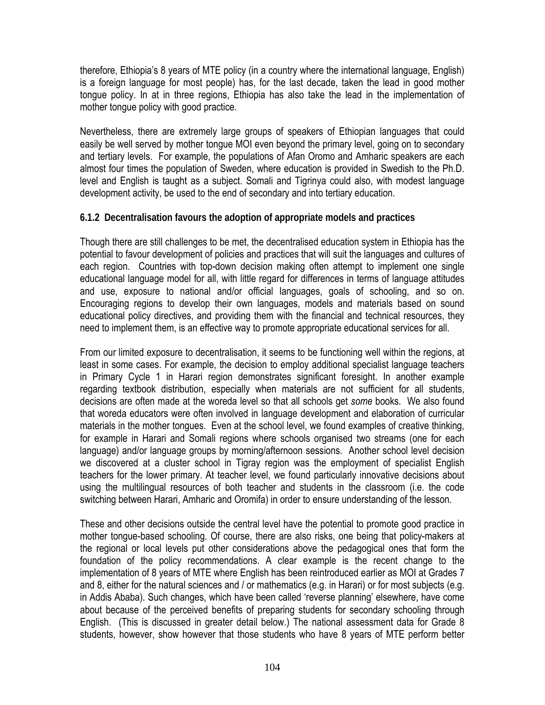therefore, Ethiopia's 8 years of MTE policy (in a country where the international language, English) is a foreign language for most people) has, for the last decade, taken the lead in good mother tongue policy. In at in three regions, Ethiopia has also take the lead in the implementation of mother tongue policy with good practice.

Nevertheless, there are extremely large groups of speakers of Ethiopian languages that could easily be well served by mother tongue MOI even beyond the primary level, going on to secondary and tertiary levels. For example, the populations of Afan Oromo and Amharic speakers are each almost four times the population of Sweden, where education is provided in Swedish to the Ph.D. level and English is taught as a subject. Somali and Tigrinya could also, with modest language development activity, be used to the end of secondary and into tertiary education.

#### **6.1.2 Decentralisation favours the adoption of appropriate models and practices**

Though there are still challenges to be met, the decentralised education system in Ethiopia has the potential to favour development of policies and practices that will suit the languages and cultures of each region. Countries with top-down decision making often attempt to implement one single educational language model for all, with little regard for differences in terms of language attitudes and use, exposure to national and/or official languages, goals of schooling, and so on. Encouraging regions to develop their own languages, models and materials based on sound educational policy directives, and providing them with the financial and technical resources, they need to implement them, is an effective way to promote appropriate educational services for all.

From our limited exposure to decentralisation, it seems to be functioning well within the regions, at least in some cases. For example, the decision to employ additional specialist language teachers in Primary Cycle 1 in Harari region demonstrates significant foresight. In another example regarding textbook distribution, especially when materials are not sufficient for all students, decisions are often made at the woreda level so that all schools get *some* books. We also found that woreda educators were often involved in language development and elaboration of curricular materials in the mother tongues. Even at the school level, we found examples of creative thinking, for example in Harari and Somali regions where schools organised two streams (one for each language) and/or language groups by morning/afternoon sessions. Another school level decision we discovered at a cluster school in Tigray region was the employment of specialist English teachers for the lower primary. At teacher level, we found particularly innovative decisions about using the multilingual resources of both teacher and students in the classroom (i.e. the code switching between Harari, Amharic and Oromifa) in order to ensure understanding of the lesson.

These and other decisions outside the central level have the potential to promote good practice in mother tongue-based schooling. Of course, there are also risks, one being that policy-makers at the regional or local levels put other considerations above the pedagogical ones that form the foundation of the policy recommendations. A clear example is the recent change to the implementation of 8 years of MTE where English has been reintroduced earlier as MOI at Grades 7 and 8, either for the natural sciences and / or mathematics (e.g. in Harari) or for most subjects (e.g. in Addis Ababa). Such changes, which have been called 'reverse planning' elsewhere, have come about because of the perceived benefits of preparing students for secondary schooling through English. (This is discussed in greater detail below.) The national assessment data for Grade 8 students, however, show however that those students who have 8 years of MTE perform better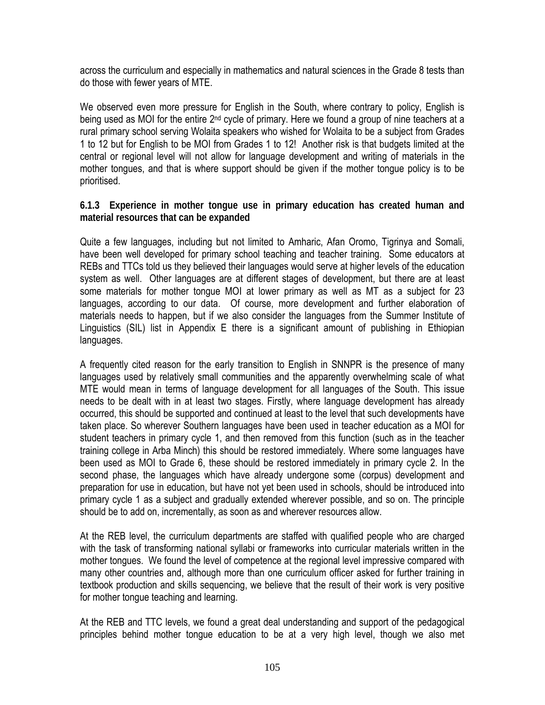across the curriculum and especially in mathematics and natural sciences in the Grade 8 tests than do those with fewer years of MTE.

We observed even more pressure for English in the South, where contrary to policy, English is being used as MOI for the entire 2<sup>nd</sup> cycle of primary. Here we found a group of nine teachers at a rural primary school serving Wolaita speakers who wished for Wolaita to be a subject from Grades 1 to 12 but for English to be MOI from Grades 1 to 12! Another risk is that budgets limited at the central or regional level will not allow for language development and writing of materials in the mother tongues, and that is where support should be given if the mother tongue policy is to be prioritised.

**6.1.3 Experience in mother tongue use in primary education has created human and material resources that can be expanded**

Quite a few languages, including but not limited to Amharic, Afan Oromo, Tigrinya and Somali, have been well developed for primary school teaching and teacher training. Some educators at REBs and TTCs told us they believed their languages would serve at higher levels of the education system as well. Other languages are at different stages of development, but there are at least some materials for mother tongue MOI at lower primary as well as MT as a subject for 23 languages, according to our data. Of course, more development and further elaboration of materials needs to happen, but if we also consider the languages from the Summer Institute of Linguistics (SIL) list in Appendix E there is a significant amount of publishing in Ethiopian languages.

A frequently cited reason for the early transition to English in SNNPR is the presence of many languages used by relatively small communities and the apparently overwhelming scale of what MTE would mean in terms of language development for all languages of the South. This issue needs to be dealt with in at least two stages. Firstly, where language development has already occurred, this should be supported and continued at least to the level that such developments have taken place. So wherever Southern languages have been used in teacher education as a MOI for student teachers in primary cycle 1, and then removed from this function (such as in the teacher training college in Arba Minch) this should be restored immediately. Where some languages have been used as MOI to Grade 6, these should be restored immediately in primary cycle 2. In the second phase, the languages which have already undergone some (corpus) development and preparation for use in education, but have not yet been used in schools, should be introduced into primary cycle 1 as a subject and gradually extended wherever possible, and so on. The principle should be to add on, incrementally, as soon as and wherever resources allow.

At the REB level, the curriculum departments are staffed with qualified people who are charged with the task of transforming national syllabi or frameworks into curricular materials written in the mother tongues. We found the level of competence at the regional level impressive compared with many other countries and, although more than one curriculum officer asked for further training in textbook production and skills sequencing, we believe that the result of their work is very positive for mother tongue teaching and learning.

At the REB and TTC levels, we found a great deal understanding and support of the pedagogical principles behind mother tongue education to be at a very high level, though we also met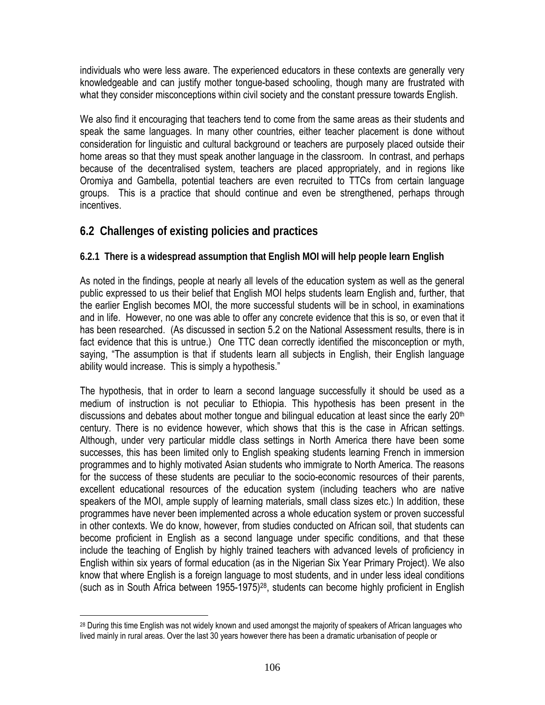individuals who were less aware. The experienced educators in these contexts are generally very knowledgeable and can justify mother tongue-based schooling, though many are frustrated with what they consider misconceptions within civil society and the constant pressure towards English.

We also find it encouraging that teachers tend to come from the same areas as their students and speak the same languages. In many other countries, either teacher placement is done without consideration for linguistic and cultural background or teachers are purposely placed outside their home areas so that they must speak another language in the classroom. In contrast, and perhaps because of the decentralised system, teachers are placed appropriately, and in regions like Oromiya and Gambella, potential teachers are even recruited to TTCs from certain language groups. This is a practice that should continue and even be strengthened, perhaps through incentives.

## **6.2 Challenges of existing policies and practices**

## **6.2.1 There is a widespread assumption that English MOI will help people learn English**

As noted in the findings, people at nearly all levels of the education system as well as the general public expressed to us their belief that English MOI helps students learn English and, further, that the earlier English becomes MOI, the more successful students will be in school, in examinations and in life. However, no one was able to offer any concrete evidence that this is so, or even that it has been researched. (As discussed in section 5.2 on the National Assessment results, there is in fact evidence that this is untrue.) One TTC dean correctly identified the misconception or myth, saying, "The assumption is that if students learn all subjects in English, their English language ability would increase. This is simply a hypothesis."

The hypothesis, that in order to learn a second language successfully it should be used as a medium of instruction is not peculiar to Ethiopia. This hypothesis has been present in the discussions and debates about mother tongue and bilingual education at least since the early 20<sup>th</sup> century. There is no evidence however, which shows that this is the case in African settings. Although, under very particular middle class settings in North America there have been some successes, this has been limited only to English speaking students learning French in immersion programmes and to highly motivated Asian students who immigrate to North America. The reasons for the success of these students are peculiar to the socio-economic resources of their parents, excellent educational resources of the education system (including teachers who are native speakers of the MOI, ample supply of learning materials, small class sizes etc.) In addition, these programmes have never been implemented across a whole education system or proven successful in other contexts. We do know, however, from studies conducted on African soil, that students can become proficient in English as a second language under specific conditions, and that these include the teaching of English by highly trained teachers with advanced levels of proficiency in English within six years of formal education (as in the Nigerian Six Year Primary Project). We also know that where English is a foreign language to most students, and in under less ideal conditions (such as in South Africa between 1955-1975)28, students can become highly proficient in English

<sup>&</sup>lt;sup>28</sup> During this time English was not widely known and used amongst the majority of speakers of African languages who lived mainly in rural areas. Over the last 30 years however there has been a dramatic urbanisation of people or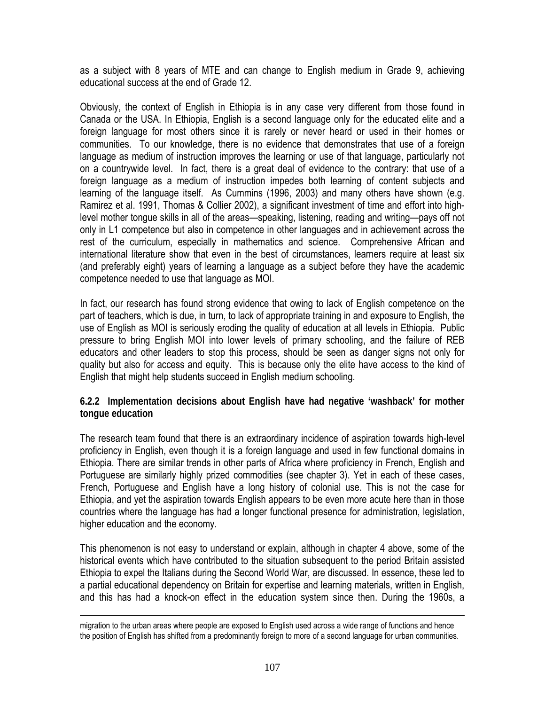as a subject with 8 years of MTE and can change to English medium in Grade 9, achieving educational success at the end of Grade 12.

Obviously, the context of English in Ethiopia is in any case very different from those found in Canada or the USA. In Ethiopia, English is a second language only for the educated elite and a foreign language for most others since it is rarely or never heard or used in their homes or communities. To our knowledge, there is no evidence that demonstrates that use of a foreign language as medium of instruction improves the learning or use of that language, particularly not on a countrywide level. In fact, there is a great deal of evidence to the contrary: that use of a foreign language as a medium of instruction impedes both learning of content subjects and learning of the language itself. As Cummins (1996, 2003) and many others have shown (e.g. Ramirez et al. 1991, Thomas & Collier 2002), a significant investment of time and effort into highlevel mother tongue skills in all of the areas—speaking, listening, reading and writing—pays off not only in L1 competence but also in competence in other languages and in achievement across the rest of the curriculum, especially in mathematics and science. Comprehensive African and international literature show that even in the best of circumstances, learners require at least six (and preferably eight) years of learning a language as a subject before they have the academic competence needed to use that language as MOI.

In fact, our research has found strong evidence that owing to lack of English competence on the part of teachers, which is due, in turn, to lack of appropriate training in and exposure to English, the use of English as MOI is seriously eroding the quality of education at all levels in Ethiopia. Public pressure to bring English MOI into lower levels of primary schooling, and the failure of REB educators and other leaders to stop this process, should be seen as danger signs not only for quality but also for access and equity. This is because only the elite have access to the kind of English that might help students succeed in English medium schooling.

**6.2.2 Implementation decisions about English have had negative 'washback' for mother tongue education** 

The research team found that there is an extraordinary incidence of aspiration towards high-level proficiency in English, even though it is a foreign language and used in few functional domains in Ethiopia. There are similar trends in other parts of Africa where proficiency in French, English and Portuguese are similarly highly prized commodities (see chapter 3). Yet in each of these cases, French, Portuguese and English have a long history of colonial use. This is not the case for Ethiopia, and yet the aspiration towards English appears to be even more acute here than in those countries where the language has had a longer functional presence for administration, legislation, higher education and the economy.

This phenomenon is not easy to understand or explain, although in chapter 4 above, some of the historical events which have contributed to the situation subsequent to the period Britain assisted Ethiopia to expel the Italians during the Second World War, are discussed. In essence, these led to a partial educational dependency on Britain for expertise and learning materials, written in English, and this has had a knock-on effect in the education system since then. During the 1960s, a

migration to the urban areas where people are exposed to English used across a wide range of functions and hence the position of English has shifted from a predominantly foreign to more of a second language for urban communities.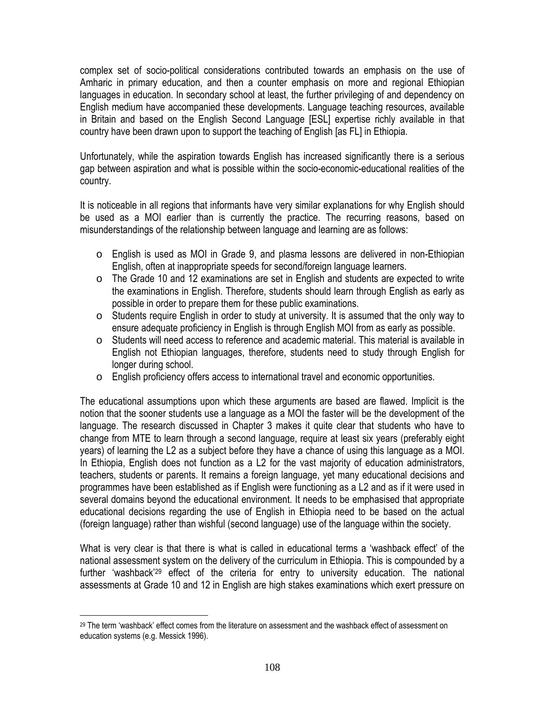complex set of socio-political considerations contributed towards an emphasis on the use of Amharic in primary education, and then a counter emphasis on more and regional Ethiopian languages in education. In secondary school at least, the further privileging of and dependency on English medium have accompanied these developments. Language teaching resources, available in Britain and based on the English Second Language [ESL] expertise richly available in that country have been drawn upon to support the teaching of English [as FL] in Ethiopia.

Unfortunately, while the aspiration towards English has increased significantly there is a serious gap between aspiration and what is possible within the socio-economic-educational realities of the country.

It is noticeable in all regions that informants have very similar explanations for why English should be used as a MOI earlier than is currently the practice. The recurring reasons, based on misunderstandings of the relationship between language and learning are as follows:

- o English is used as MOI in Grade 9, and plasma lessons are delivered in non-Ethiopian English, often at inappropriate speeds for second/foreign language learners.
- o The Grade 10 and 12 examinations are set in English and students are expected to write the examinations in English. Therefore, students should learn through English as early as possible in order to prepare them for these public examinations.
- o Students require English in order to study at university. It is assumed that the only way to ensure adequate proficiency in English is through English MOI from as early as possible.
- $\circ$  Students will need access to reference and academic material. This material is available in English not Ethiopian languages, therefore, students need to study through English for longer during school.
- o English proficiency offers access to international travel and economic opportunities.

The educational assumptions upon which these arguments are based are flawed. Implicit is the notion that the sooner students use a language as a MOI the faster will be the development of the language. The research discussed in Chapter 3 makes it quite clear that students who have to change from MTE to learn through a second language, require at least six years (preferably eight years) of learning the L2 as a subject before they have a chance of using this language as a MOI. In Ethiopia, English does not function as a L2 for the vast majority of education administrators, teachers, students or parents. It remains a foreign language, yet many educational decisions and programmes have been established as if English were functioning as a L2 and as if it were used in several domains beyond the educational environment. It needs to be emphasised that appropriate educational decisions regarding the use of English in Ethiopia need to be based on the actual (foreign language) rather than wishful (second language) use of the language within the society.

What is very clear is that there is what is called in educational terms a 'washback effect' of the national assessment system on the delivery of the curriculum in Ethiopia. This is compounded by a further 'washback'29 effect of the criteria for entry to university education. The national assessments at Grade 10 and 12 in English are high stakes examinations which exert pressure on

<sup>&</sup>lt;sup>29</sup> The term 'washback' effect comes from the literature on assessment and the washback effect of assessment on education systems (e.g. Messick 1996).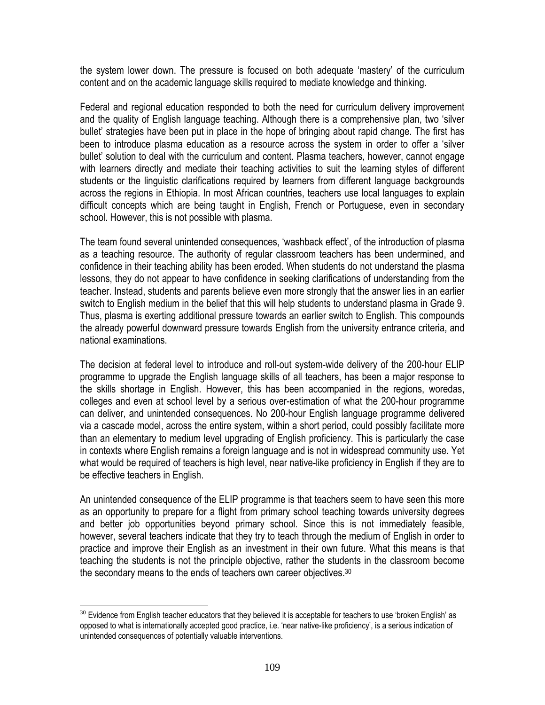the system lower down. The pressure is focused on both adequate 'mastery' of the curriculum content and on the academic language skills required to mediate knowledge and thinking.

Federal and regional education responded to both the need for curriculum delivery improvement and the quality of English language teaching. Although there is a comprehensive plan, two 'silver bullet' strategies have been put in place in the hope of bringing about rapid change. The first has been to introduce plasma education as a resource across the system in order to offer a 'silver bullet' solution to deal with the curriculum and content. Plasma teachers, however, cannot engage with learners directly and mediate their teaching activities to suit the learning styles of different students or the linguistic clarifications required by learners from different language backgrounds across the regions in Ethiopia. In most African countries, teachers use local languages to explain difficult concepts which are being taught in English, French or Portuguese, even in secondary school. However, this is not possible with plasma.

The team found several unintended consequences, 'washback effect', of the introduction of plasma as a teaching resource. The authority of regular classroom teachers has been undermined, and confidence in their teaching ability has been eroded. When students do not understand the plasma lessons, they do not appear to have confidence in seeking clarifications of understanding from the teacher. Instead, students and parents believe even more strongly that the answer lies in an earlier switch to English medium in the belief that this will help students to understand plasma in Grade 9. Thus, plasma is exerting additional pressure towards an earlier switch to English. This compounds the already powerful downward pressure towards English from the university entrance criteria, and national examinations.

The decision at federal level to introduce and roll-out system-wide delivery of the 200-hour ELIP programme to upgrade the English language skills of all teachers, has been a major response to the skills shortage in English. However, this has been accompanied in the regions, woredas, colleges and even at school level by a serious over-estimation of what the 200-hour programme can deliver, and unintended consequences. No 200-hour English language programme delivered via a cascade model, across the entire system, within a short period, could possibly facilitate more than an elementary to medium level upgrading of English proficiency. This is particularly the case in contexts where English remains a foreign language and is not in widespread community use. Yet what would be required of teachers is high level, near native-like proficiency in English if they are to be effective teachers in English.

An unintended consequence of the ELIP programme is that teachers seem to have seen this more as an opportunity to prepare for a flight from primary school teaching towards university degrees and better job opportunities beyond primary school. Since this is not immediately feasible, however, several teachers indicate that they try to teach through the medium of English in order to practice and improve their English as an investment in their own future. What this means is that teaching the students is not the principle objective, rather the students in the classroom become the secondary means to the ends of teachers own career objectives.<sup>30</sup>

 $\overline{a}$  $30$  Evidence from English teacher educators that they believed it is acceptable for teachers to use 'broken English' as opposed to what is internationally accepted good practice, i.e. 'near native-like proficiency', is a serious indication of unintended consequences of potentially valuable interventions.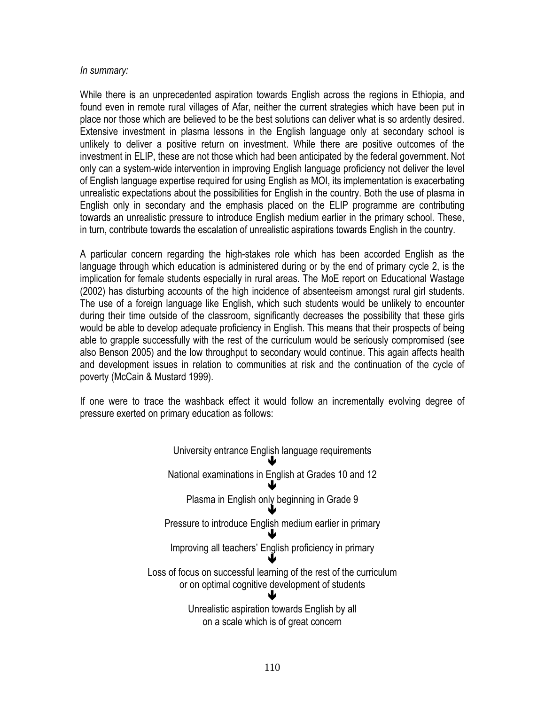#### *In summary:*

While there is an unprecedented aspiration towards English across the regions in Ethiopia, and found even in remote rural villages of Afar, neither the current strategies which have been put in place nor those which are believed to be the best solutions can deliver what is so ardently desired. Extensive investment in plasma lessons in the English language only at secondary school is unlikely to deliver a positive return on investment. While there are positive outcomes of the investment in ELIP, these are not those which had been anticipated by the federal government. Not only can a system-wide intervention in improving English language proficiency not deliver the level of English language expertise required for using English as MOI, its implementation is exacerbating unrealistic expectations about the possibilities for English in the country. Both the use of plasma in English only in secondary and the emphasis placed on the ELIP programme are contributing towards an unrealistic pressure to introduce English medium earlier in the primary school. These, in turn, contribute towards the escalation of unrealistic aspirations towards English in the country.

A particular concern regarding the high-stakes role which has been accorded English as the language through which education is administered during or by the end of primary cycle 2, is the implication for female students especially in rural areas. The MoE report on Educational Wastage (2002) has disturbing accounts of the high incidence of absenteeism amongst rural girl students. The use of a foreign language like English, which such students would be unlikely to encounter during their time outside of the classroom, significantly decreases the possibility that these girls would be able to develop adequate proficiency in English. This means that their prospects of being able to grapple successfully with the rest of the curriculum would be seriously compromised (see also Benson 2005) and the low throughput to secondary would continue. This again affects health and development issues in relation to communities at risk and the continuation of the cycle of poverty (McCain & Mustard 1999).

If one were to trace the washback effect it would follow an incrementally evolving degree of pressure exerted on primary education as follows:

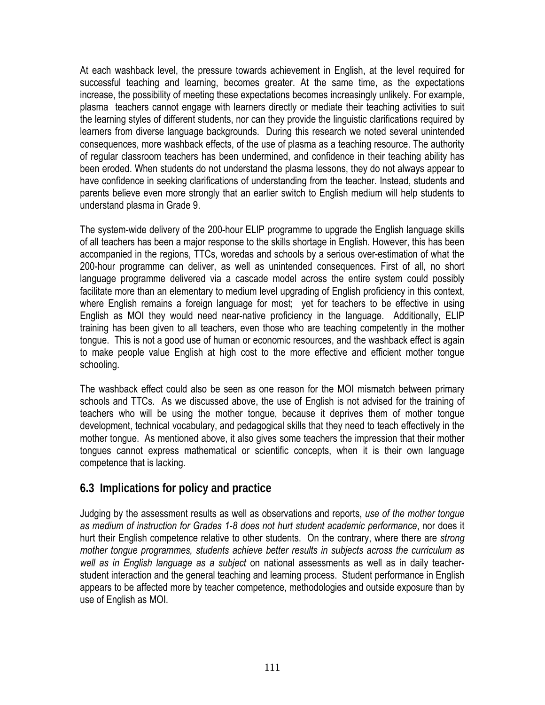At each washback level, the pressure towards achievement in English, at the level required for successful teaching and learning, becomes greater. At the same time, as the expectations increase, the possibility of meeting these expectations becomes increasingly unlikely. For example, plasma teachers cannot engage with learners directly or mediate their teaching activities to suit the learning styles of different students, nor can they provide the linguistic clarifications required by learners from diverse language backgrounds. During this research we noted several unintended consequences, more washback effects, of the use of plasma as a teaching resource. The authority of regular classroom teachers has been undermined, and confidence in their teaching ability has been eroded. When students do not understand the plasma lessons, they do not always appear to have confidence in seeking clarifications of understanding from the teacher. Instead, students and parents believe even more strongly that an earlier switch to English medium will help students to understand plasma in Grade 9.

The system-wide delivery of the 200-hour ELIP programme to upgrade the English language skills of all teachers has been a major response to the skills shortage in English. However, this has been accompanied in the regions, TTCs, woredas and schools by a serious over-estimation of what the 200-hour programme can deliver, as well as unintended consequences. First of all, no short language programme delivered via a cascade model across the entire system could possibly facilitate more than an elementary to medium level upgrading of English proficiency in this context, where English remains a foreign language for most; yet for teachers to be effective in using English as MOI they would need near-native proficiency in the language. Additionally, ELIP training has been given to all teachers, even those who are teaching competently in the mother tongue. This is not a good use of human or economic resources, and the washback effect is again to make people value English at high cost to the more effective and efficient mother tongue schooling.

The washback effect could also be seen as one reason for the MOI mismatch between primary schools and TTCs. As we discussed above, the use of English is not advised for the training of teachers who will be using the mother tongue, because it deprives them of mother tongue development, technical vocabulary, and pedagogical skills that they need to teach effectively in the mother tongue. As mentioned above, it also gives some teachers the impression that their mother tongues cannot express mathematical or scientific concepts, when it is their own language competence that is lacking.

# **6.3 Implications for policy and practice**

Judging by the assessment results as well as observations and reports, *use of the mother tongue as medium of instruction for Grades 1-8 does not hurt student academic performance*, nor does it hurt their English competence relative to other students. On the contrary, where there are *strong mother tongue programmes, students achieve better results in subjects across the curriculum as well as in English language as a subject* on national assessments as well as in daily teacherstudent interaction and the general teaching and learning process. Student performance in English appears to be affected more by teacher competence, methodologies and outside exposure than by use of English as MOI.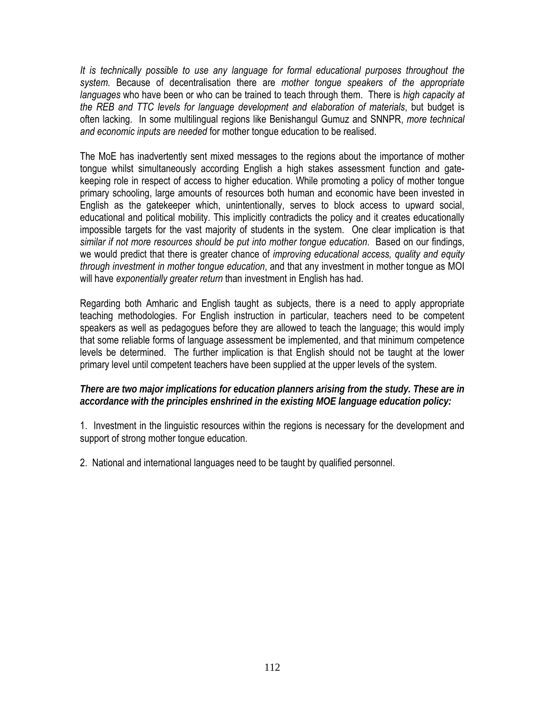*It is technically possible to use any language for formal educational purposes throughout the system.* Because of decentralisation there are *mother tongue speakers of the appropriate languages* who have been or who can be trained to teach through them. There is *high capacity at the REB and TTC levels for language development and elaboration of materials*, but budget is often lacking. In some multilingual regions like Benishangul Gumuz and SNNPR, *more technical and economic inputs are needed* for mother tongue education to be realised.

The MoE has inadvertently sent mixed messages to the regions about the importance of mother tongue whilst simultaneously according English a high stakes assessment function and gatekeeping role in respect of access to higher education. While promoting a policy of mother tongue primary schooling, large amounts of resources both human and economic have been invested in English as the gatekeeper which, unintentionally, serves to block access to upward social, educational and political mobility. This implicitly contradicts the policy and it creates educationally impossible targets for the vast majority of students in the system. One clear implication is that *similar if not more resources should be put into mother tongue education*. Based on our findings, we would predict that there is greater chance of *improving educational access, quality and equity through investment in mother tongue education*, and that any investment in mother tongue as MOI will have *exponentially greater return* than investment in English has had.

Regarding both Amharic and English taught as subjects, there is a need to apply appropriate teaching methodologies. For English instruction in particular, teachers need to be competent speakers as well as pedagogues before they are allowed to teach the language; this would imply that some reliable forms of language assessment be implemented, and that minimum competence levels be determined. The further implication is that English should not be taught at the lower primary level until competent teachers have been supplied at the upper levels of the system.

#### *There are two major implications for education planners arising from the study. These are in accordance with the principles enshrined in the existing MOE language education policy:*

1. Investment in the linguistic resources within the regions is necessary for the development and support of strong mother tongue education.

2. National and international languages need to be taught by qualified personnel.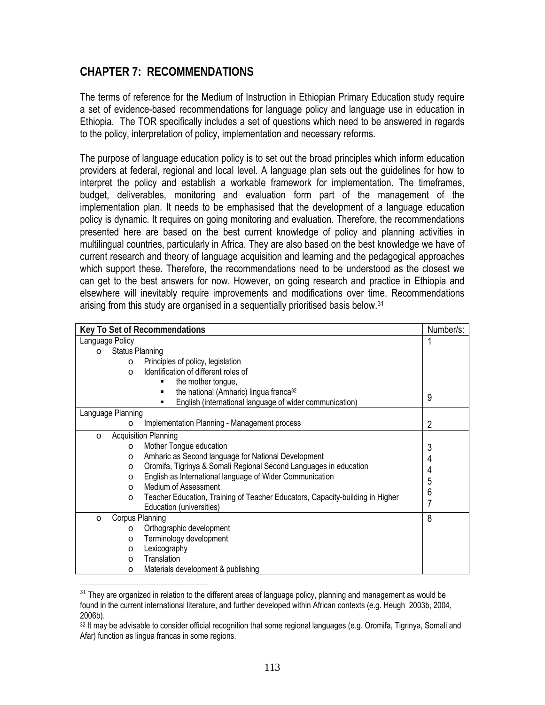# **CHAPTER 7: RECOMMENDATIONS**

The terms of reference for the Medium of Instruction in Ethiopian Primary Education study require a set of evidence-based recommendations for language policy and language use in education in Ethiopia. The TOR specifically includes a set of questions which need to be answered in regards to the policy, interpretation of policy, implementation and necessary reforms.

The purpose of language education policy is to set out the broad principles which inform education providers at federal, regional and local level. A language plan sets out the guidelines for how to interpret the policy and establish a workable framework for implementation. The timeframes, budget, deliverables, monitoring and evaluation form part of the management of the implementation plan. It needs to be emphasised that the development of a language education policy is dynamic. It requires on going monitoring and evaluation. Therefore, the recommendations presented here are based on the best current knowledge of policy and planning activities in multilingual countries, particularly in Africa. They are also based on the best knowledge we have of current research and theory of language acquisition and learning and the pedagogical approaches which support these. Therefore, the recommendations need to be understood as the closest we can get to the best answers for now. However, on going research and practice in Ethiopia and elsewhere will inevitably require improvements and modifications over time. Recommendations arising from this study are organised in a sequentially prioritised basis below.31

| Key To Set of Recommendations                                                            | Number/s: |
|------------------------------------------------------------------------------------------|-----------|
| Language Policy                                                                          |           |
| <b>Status Planning</b><br>$\circ$                                                        |           |
| Principles of policy, legislation<br>$\circ$                                             |           |
| Identification of different roles of<br>$\Omega$                                         |           |
| the mother tongue,                                                                       |           |
| the national (Amharic) lingua franca <sup>32</sup><br>п                                  | 9         |
| English (international language of wider communication)                                  |           |
| Language Planning                                                                        |           |
| Implementation Planning - Management process<br>O                                        | 2         |
| <b>Acquisition Planning</b><br>$\circ$                                                   |           |
| Mother Tongue education<br>$\circ$                                                       | 3         |
| Amharic as Second language for National Development<br>$\circ$                           | 4         |
| Oromifa, Tigrinya & Somali Regional Second Languages in education<br>$\circ$             | 4         |
| English as International language of Wider Communication<br>$\Omega$                     | 5         |
| Medium of Assessment<br>$\Omega$                                                         | 6         |
| Teacher Education, Training of Teacher Educators, Capacity-building in Higher<br>$\circ$ |           |
| Education (universities)                                                                 | 7         |
| Corpus Planning<br>$\circ$                                                               | 8         |
| Orthographic development<br>$\Omega$                                                     |           |
| Terminology development<br>$\circ$                                                       |           |
| Lexicography<br>$\circ$                                                                  |           |
| Translation<br>$\Omega$                                                                  |           |
| Materials development & publishing<br>$\circ$                                            |           |

 $\overline{a}$  $31$  They are organized in relation to the different areas of language policy, planning and management as would be found in the current international literature, and further developed within African contexts (e.g. Heugh 2003b, 2004, 2006b).

<sup>32</sup> It may be advisable to consider official recognition that some regional languages (e.g. Oromifa, Tigrinya, Somali and Afar) function as lingua francas in some regions.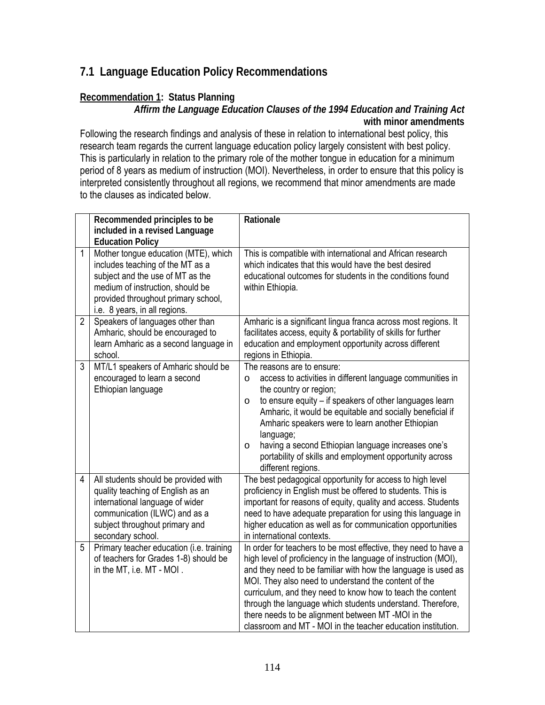# **7.1 Language Education Policy Recommendations**

### **Recommendation 1: Status Planning**

### *Affirm the Language Education Clauses of the 1994 Education and Training Act*  **with minor amendments**

Following the research findings and analysis of these in relation to international best policy, this research team regards the current language education policy largely consistent with best policy. This is particularly in relation to the primary role of the mother tongue in education for a minimum period of 8 years as medium of instruction (MOI). Nevertheless, in order to ensure that this policy is interpreted consistently throughout all regions, we recommend that minor amendments are made to the clauses as indicated below.

|                | Recommended principles to be<br>included in a revised Language<br><b>Education Policy</b>                                                                                                                                | Rationale                                                                                                                                                                                                                                                                                                                                                                                                                                                                                                    |
|----------------|--------------------------------------------------------------------------------------------------------------------------------------------------------------------------------------------------------------------------|--------------------------------------------------------------------------------------------------------------------------------------------------------------------------------------------------------------------------------------------------------------------------------------------------------------------------------------------------------------------------------------------------------------------------------------------------------------------------------------------------------------|
| 1              | Mother tongue education (MTE), which<br>includes teaching of the MT as a<br>subject and the use of MT as the<br>medium of instruction, should be<br>provided throughout primary school,<br>i.e. 8 years, in all regions. | This is compatible with international and African research<br>which indicates that this would have the best desired<br>educational outcomes for students in the conditions found<br>within Ethiopia.                                                                                                                                                                                                                                                                                                         |
| $\overline{2}$ | Speakers of languages other than<br>Amharic, should be encouraged to<br>learn Amharic as a second language in<br>school.                                                                                                 | Amharic is a significant lingua franca across most regions. It<br>facilitates access, equity & portability of skills for further<br>education and employment opportunity across different<br>regions in Ethiopia.                                                                                                                                                                                                                                                                                            |
| 3              | MT/L1 speakers of Amharic should be<br>encouraged to learn a second<br>Ethiopian language                                                                                                                                | The reasons are to ensure:<br>access to activities in different language communities in<br>$\circ$<br>the country or region;<br>to ensure equity - if speakers of other languages learn<br>$\circ$<br>Amharic, it would be equitable and socially beneficial if<br>Amharic speakers were to learn another Ethiopian<br>language;<br>having a second Ethiopian language increases one's<br>$\circ$<br>portability of skills and employment opportunity across<br>different regions.                           |
| $\overline{4}$ | All students should be provided with<br>quality teaching of English as an<br>international language of wider<br>communication (ILWC) and as a<br>subject throughout primary and<br>secondary school.                     | The best pedagogical opportunity for access to high level<br>proficiency in English must be offered to students. This is<br>important for reasons of equity, quality and access. Students<br>need to have adequate preparation for using this language in<br>higher education as well as for communication opportunities<br>in international contexts.                                                                                                                                                       |
| 5              | Primary teacher education (i.e. training<br>of teachers for Grades 1-8) should be<br>in the MT, i.e. MT - MOI.                                                                                                           | In order for teachers to be most effective, they need to have a<br>high level of proficiency in the language of instruction (MOI),<br>and they need to be familiar with how the language is used as<br>MOI. They also need to understand the content of the<br>curriculum, and they need to know how to teach the content<br>through the language which students understand. Therefore,<br>there needs to be alignment between MT-MOI in the<br>classroom and MT - MOI in the teacher education institution. |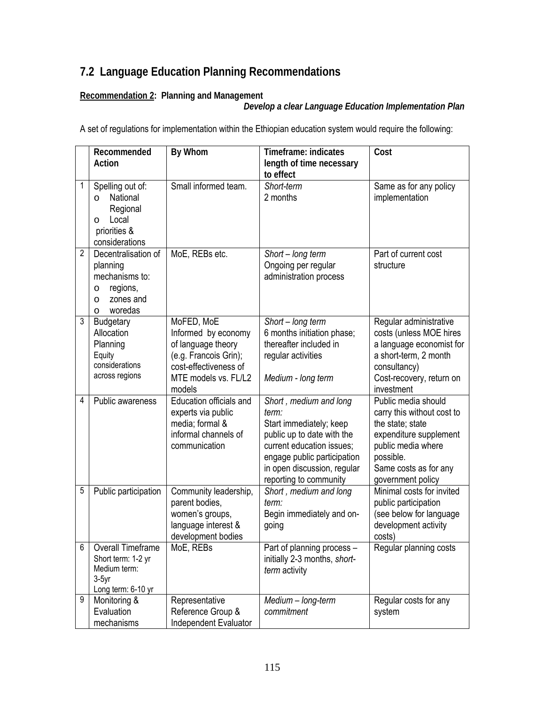# **7.2 Language Education Planning Recommendations**

### **Recommendation 2: Planning and Management**

*Develop a clear Language Education Implementation Plan* 

A set of regulations for implementation within the Ethiopian education system would require the following:

|                | Recommended<br>Action                                                                                            | By Whom                                                                                                                                     | Timeframe: indicates<br>length of time necessary<br>to effect                                                                                                                                                 | Cost                                                                                                                                                                             |
|----------------|------------------------------------------------------------------------------------------------------------------|---------------------------------------------------------------------------------------------------------------------------------------------|---------------------------------------------------------------------------------------------------------------------------------------------------------------------------------------------------------------|----------------------------------------------------------------------------------------------------------------------------------------------------------------------------------|
| 1              | Spelling out of:<br>National<br>$\circ$<br>Regional<br>Local<br>$\circ$<br>priorities &<br>considerations        | Small informed team.                                                                                                                        | Short-term<br>2 months                                                                                                                                                                                        | Same as for any policy<br>implementation                                                                                                                                         |
| $\overline{2}$ | Decentralisation of<br>planning<br>mechanisms to:<br>regions,<br>O<br>zones and<br>$\circ$<br>woredas<br>$\circ$ | MoE, REBs etc.                                                                                                                              | Short - long term<br>Ongoing per regular<br>administration process                                                                                                                                            | Part of current cost<br>structure                                                                                                                                                |
| 3              | <b>Budgetary</b><br>Allocation<br>Planning<br>Equity<br>considerations<br>across regions                         | MoFED, MoE<br>Informed by economy<br>of language theory<br>(e.g. Francois Grin);<br>cost-effectiveness of<br>MTE models vs. FL/L2<br>models | Short - long term<br>6 months initiation phase;<br>thereafter included in<br>regular activities<br>Medium - long term                                                                                         | Regular administrative<br>costs (unless MOE hires<br>a language economist for<br>a short-term, 2 month<br>consultancy)<br>Cost-recovery, return on<br>investment                 |
| 4              | Public awareness                                                                                                 | Education officials and<br>experts via public<br>media; formal &<br>informal channels of<br>communication                                   | Short, medium and long<br>term:<br>Start immediately; keep<br>public up to date with the<br>current education issues;<br>engage public participation<br>in open discussion, regular<br>reporting to community | Public media should<br>carry this without cost to<br>the state; state<br>expenditure supplement<br>public media where<br>possible.<br>Same costs as for any<br>government policy |
| 5              | Public participation                                                                                             | Community leadership,<br>parent bodies,<br>women's groups,<br>language interest &<br>development bodies                                     | Short, medium and long<br>term:<br>Begin immediately and on-<br>going                                                                                                                                         | Minimal costs for invited<br>public participation<br>(see below for language<br>development activity<br>costs)                                                                   |
| 6              | Overall Timeframe<br>Short term: 1-2 yr<br>Medium term:<br>$3-5$ yr<br>Long term: 6-10 yr                        | MoE, REBs                                                                                                                                   | Part of planning process -<br>initially 2-3 months, short-<br>term activity                                                                                                                                   | Regular planning costs                                                                                                                                                           |
| 9              | Monitoring &<br>Evaluation<br>mechanisms                                                                         | Representative<br>Reference Group &<br>Independent Evaluator                                                                                | Medium - long-term<br>commitment                                                                                                                                                                              | Regular costs for any<br>system                                                                                                                                                  |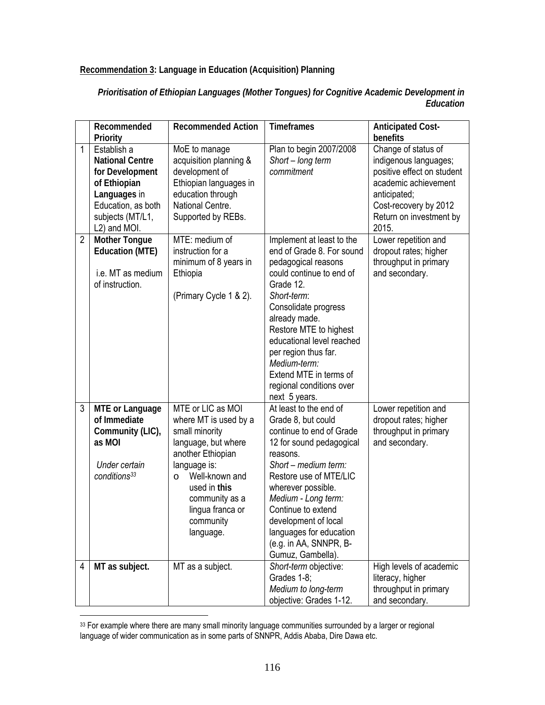**Recommendation 3: Language in Education (Acquisition) Planning** 

| Prioritisation of Ethiopian Languages (Mother Tongues) for Cognitive Academic Development in |
|----------------------------------------------------------------------------------------------|
| Education                                                                                    |

|                | Recommended<br>Priority                                                                                                                            | <b>Recommended Action</b>                                                                                                                                                                                                             | <b>Timeframes</b>                                                                                                                                                                                                                                                                                                                                    | <b>Anticipated Cost-</b><br>benefits                                                                                                                                            |
|----------------|----------------------------------------------------------------------------------------------------------------------------------------------------|---------------------------------------------------------------------------------------------------------------------------------------------------------------------------------------------------------------------------------------|------------------------------------------------------------------------------------------------------------------------------------------------------------------------------------------------------------------------------------------------------------------------------------------------------------------------------------------------------|---------------------------------------------------------------------------------------------------------------------------------------------------------------------------------|
| 1              | Establish a<br><b>National Centre</b><br>for Development<br>of Ethiopian<br>Languages in<br>Education, as both<br>subjects (MT/L1,<br>L2) and MOI. | MoE to manage<br>acquisition planning &<br>development of<br>Ethiopian languages in<br>education through<br>National Centre.<br>Supported by REBs.                                                                                    | Plan to begin 2007/2008<br>Short - long term<br>commitment                                                                                                                                                                                                                                                                                           | Change of status of<br>indigenous languages;<br>positive effect on student<br>academic achievement<br>anticipated;<br>Cost-recovery by 2012<br>Return on investment by<br>2015. |
| $\overline{2}$ | <b>Mother Tongue</b><br><b>Education (MTE)</b><br>i.e. MT as medium<br>of instruction.                                                             | MTE: medium of<br>instruction for a<br>minimum of 8 years in<br>Ethiopia<br>(Primary Cycle 1 & 2).                                                                                                                                    | Implement at least to the<br>end of Grade 8. For sound<br>pedagogical reasons<br>could continue to end of<br>Grade 12.<br>Short-term:<br>Consolidate progress<br>already made.<br>Restore MTE to highest<br>educational level reached<br>per region thus far.<br>Medium-term:<br>Extend MTE in terms of<br>regional conditions over<br>next 5 years. | Lower repetition and<br>dropout rates; higher<br>throughput in primary<br>and secondary.                                                                                        |
| 3              | <b>MTE or Language</b><br>of Immediate<br>Community (LIC),<br>as MOI<br>Under certain<br>conditions <sup>33</sup>                                  | MTE or LIC as MOI<br>where MT is used by a<br>small minority<br>language, but where<br>another Ethiopian<br>language is:<br>Well-known and<br>$\circ$<br>used in this<br>community as a<br>lingua franca or<br>community<br>language. | At least to the end of<br>Grade 8, but could<br>continue to end of Grade<br>12 for sound pedagogical<br>reasons.<br>Short - medium term:<br>Restore use of MTE/LIC<br>wherever possible.<br>Medium - Long term:<br>Continue to extend<br>development of local<br>languages for education<br>(e.g. in AA, SNNPR, B-<br>Gumuz, Gambella).              | Lower repetition and<br>dropout rates; higher<br>throughput in primary<br>and secondary.                                                                                        |
| 4              | MT as subject.                                                                                                                                     | MT as a subject.                                                                                                                                                                                                                      | Short-term objective:<br>Grades 1-8;<br>Medium to long-term<br>objective: Grades 1-12.                                                                                                                                                                                                                                                               | High levels of academic<br>literacy, higher<br>throughput in primary<br>and secondary.                                                                                          |

<sup>&</sup>lt;sup>33</sup> For example where there are many small minority language communities surrounded by a larger or regional language of wider communication as in some parts of SNNPR, Addis Ababa, Dire Dawa etc.

 $\overline{a}$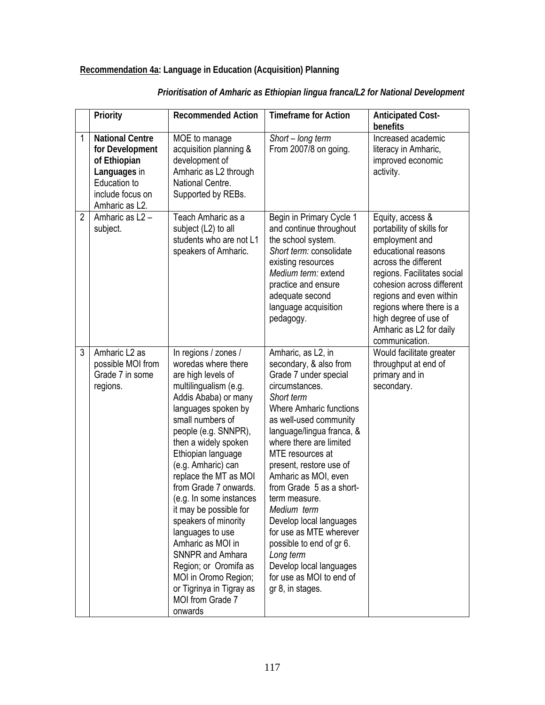### **Recommendation 4a: Language in Education (Acquisition) Planning**

|                | Priority                                                                                                                        | <b>Recommended Action</b>                                                                                                                                                                                                                                                                                                                                                                                                                                                                                                                                                | <b>Timeframe for Action</b>                                                                                                                                                                                                                                                                                                                                                                                                                                                                                                            | <b>Anticipated Cost-</b><br>benefits                                                                                                                                                                                                                                                                    |
|----------------|---------------------------------------------------------------------------------------------------------------------------------|--------------------------------------------------------------------------------------------------------------------------------------------------------------------------------------------------------------------------------------------------------------------------------------------------------------------------------------------------------------------------------------------------------------------------------------------------------------------------------------------------------------------------------------------------------------------------|----------------------------------------------------------------------------------------------------------------------------------------------------------------------------------------------------------------------------------------------------------------------------------------------------------------------------------------------------------------------------------------------------------------------------------------------------------------------------------------------------------------------------------------|---------------------------------------------------------------------------------------------------------------------------------------------------------------------------------------------------------------------------------------------------------------------------------------------------------|
| $\mathbf{1}$   | <b>National Centre</b><br>for Development<br>of Ethiopian<br>Languages in<br>Education to<br>include focus on<br>Amharic as L2. | MOE to manage<br>acquisition planning &<br>development of<br>Amharic as L2 through<br>National Centre.<br>Supported by REBs.                                                                                                                                                                                                                                                                                                                                                                                                                                             | Short - long term<br>From 2007/8 on going.                                                                                                                                                                                                                                                                                                                                                                                                                                                                                             | Increased academic<br>literacy in Amharic,<br>improved economic<br>activity.                                                                                                                                                                                                                            |
| $\overline{2}$ | Amharic as L2-<br>subject.                                                                                                      | Teach Amharic as a<br>subject (L2) to all<br>students who are not L1<br>speakers of Amharic.                                                                                                                                                                                                                                                                                                                                                                                                                                                                             | Begin in Primary Cycle 1<br>and continue throughout<br>the school system.<br>Short term: consolidate<br>existing resources<br>Medium term: extend<br>practice and ensure<br>adequate second<br>language acquisition<br>pedagogy.                                                                                                                                                                                                                                                                                                       | Equity, access &<br>portability of skills for<br>employment and<br>educational reasons<br>across the different<br>regions. Facilitates social<br>cohesion across different<br>regions and even within<br>regions where there is a<br>high degree of use of<br>Amharic as L2 for daily<br>communication. |
| 3              | Amharic L2 as<br>possible MOI from<br>Grade 7 in some<br>regions.                                                               | In regions / zones /<br>woredas where there<br>are high levels of<br>multilingualism (e.g.<br>Addis Ababa) or many<br>languages spoken by<br>small numbers of<br>people (e.g. SNNPR),<br>then a widely spoken<br>Ethiopian language<br>(e.g. Amharic) can<br>replace the MT as MOI<br>from Grade 7 onwards.<br>(e.g. In some instances<br>it may be possible for<br>speakers of minority<br>languages to use<br>Amharic as MOI in<br><b>SNNPR and Amhara</b><br>Region; or Oromifa as<br>MOI in Oromo Region;<br>or Tigrinya in Tigray as<br>MOI from Grade 7<br>onwards | Amharic, as L2, in<br>secondary, & also from<br>Grade 7 under special<br>circumstances.<br>Short term<br><b>Where Amharic functions</b><br>as well-used community<br>language/lingua franca, &<br>where there are limited<br>MTE resources at<br>present, restore use of<br>Amharic as MOI, even<br>from Grade 5 as a short-<br>term measure.<br>Medium term<br>Develop local languages<br>for use as MTE wherever<br>possible to end of gr 6.<br>Long term<br>Develop local languages<br>for use as MOI to end of<br>gr 8, in stages. | Would facilitate greater<br>throughput at end of<br>primary and in<br>secondary.                                                                                                                                                                                                                        |

### *Prioritisation of Amharic as Ethiopian lingua franca/L2 for National Development*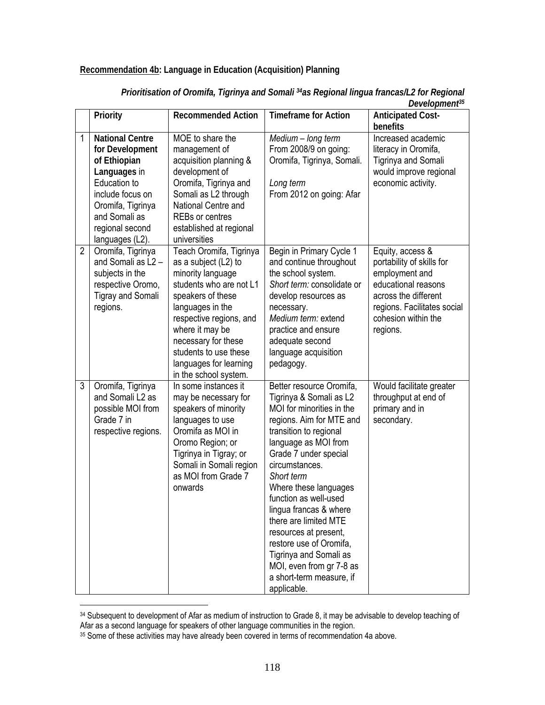#### **Recommendation 4b: Language in Education (Acquisition) Planning**

|                | Priority                                                                                                                                                                                  | <b>Recommended Action</b>                                                                                                                                                                                                                                                                 | <b>Timeframe for Action</b>                                                                                                                                                                                                                                                                                                                                                                                                                                                       | $\nu$ <sub>v</sub> , $\nu$ <sub>v</sub> , $\nu$<br><b>Anticipated Cost-</b><br>benefits                                                                                          |
|----------------|-------------------------------------------------------------------------------------------------------------------------------------------------------------------------------------------|-------------------------------------------------------------------------------------------------------------------------------------------------------------------------------------------------------------------------------------------------------------------------------------------|-----------------------------------------------------------------------------------------------------------------------------------------------------------------------------------------------------------------------------------------------------------------------------------------------------------------------------------------------------------------------------------------------------------------------------------------------------------------------------------|----------------------------------------------------------------------------------------------------------------------------------------------------------------------------------|
| 1              | <b>National Centre</b><br>for Development<br>of Ethiopian<br>Languages in<br>Education to<br>include focus on<br>Oromifa, Tigrinya<br>and Somali as<br>regional second<br>languages (L2). | MOE to share the<br>management of<br>acquisition planning &<br>development of<br>Oromifa, Tigrinya and<br>Somali as L2 through<br>National Centre and<br><b>REBs or centres</b><br>established at regional<br>universities                                                                | Medium - long term<br>From 2008/9 on going:<br>Oromifa, Tigrinya, Somali.<br>Long term<br>From 2012 on going: Afar                                                                                                                                                                                                                                                                                                                                                                | Increased academic<br>literacy in Oromifa,<br>Tigrinya and Somali<br>would improve regional<br>economic activity.                                                                |
| $\overline{2}$ | Oromifa, Tigrinya<br>and Somali as L2 -<br>subjects in the<br>respective Oromo,<br><b>Tigray and Somali</b><br>regions.                                                                   | Teach Oromifa, Tigrinya<br>as a subject (L2) to<br>minority language<br>students who are not L1<br>speakers of these<br>languages in the<br>respective regions, and<br>where it may be<br>necessary for these<br>students to use these<br>languages for learning<br>in the school system. | Begin in Primary Cycle 1<br>and continue throughout<br>the school system.<br>Short term: consolidate or<br>develop resources as<br>necessary.<br>Medium term: extend<br>practice and ensure<br>adequate second<br>language acquisition<br>pedagogy.                                                                                                                                                                                                                               | Equity, access &<br>portability of skills for<br>employment and<br>educational reasons<br>across the different<br>regions. Facilitates social<br>cohesion within the<br>regions. |
| 3              | Oromifa, Tigrinya<br>and Somali L2 as<br>possible MOI from<br>Grade 7 in<br>respective regions.                                                                                           | In some instances it<br>may be necessary for<br>speakers of minority<br>languages to use<br>Oromifa as MOI in<br>Oromo Region; or<br>Tigrinya in Tigray; or<br>Somali in Somali region<br>as MOI from Grade 7<br>onwards                                                                  | Better resource Oromifa,<br>Tigrinya & Somali as L2<br>MOI for minorities in the<br>regions. Aim for MTE and<br>transition to regional<br>language as MOI from<br>Grade 7 under special<br>circumstances.<br>Short term<br>Where these languages<br>function as well-used<br>lingua francas & where<br>there are limited MTE<br>resources at present,<br>restore use of Oromifa,<br>Tigrinya and Somali as<br>MOI, even from gr 7-8 as<br>a short-term measure, if<br>applicable. | Would facilitate greater<br>throughput at end of<br>primary and in<br>secondary.                                                                                                 |

*Prioritisation of Oromifa, Tigrinya and Somali 34as Regional lingua francas/L2 for Regional Development35*

 $\overline{a}$ 

<sup>34</sup> Subsequent to development of Afar as medium of instruction to Grade 8, it may be advisable to develop teaching of Afar as a second language for speakers of other language communities in the region.

<sup>35</sup> Some of these activities may have already been covered in terms of recommendation 4a above.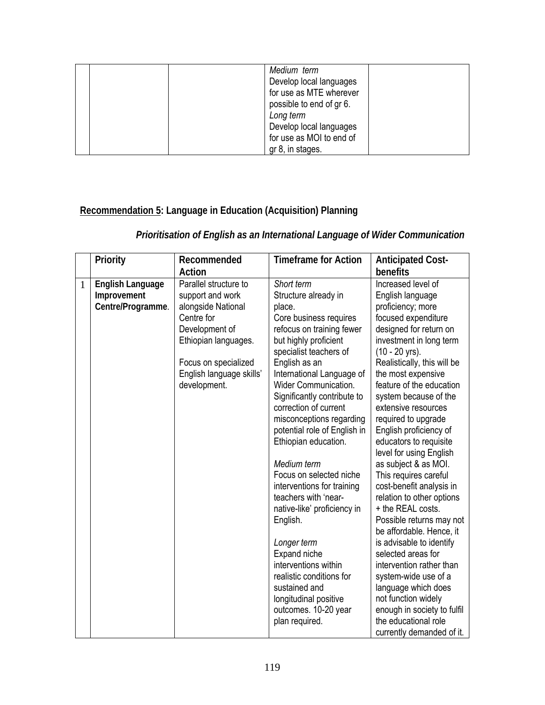| Medium term<br>Develop local languages<br>for use as MTE wherever<br>possible to end of gr 6.<br>Long term<br>Develop local languages |
|---------------------------------------------------------------------------------------------------------------------------------------|
| for use as MOI to end of<br>gr 8, in stages.                                                                                          |

# **Recommendation 5: Language in Education (Acquisition) Planning**

# *Prioritisation of English as an International Language of Wider Communication*

|              | Priority                                             | Recommended                                                                                                                                                                                 | <b>Timeframe for Action</b>                                                                                                                                                                                                                                                                                                                                                                                                                                                                                                                                                                                                                                                                | <b>Anticipated Cost-</b>                                                                                                                                                                                                                                                                                                                                                                                                                                                                                                                                                                                                                                                                                                                                                                                                          |
|--------------|------------------------------------------------------|---------------------------------------------------------------------------------------------------------------------------------------------------------------------------------------------|--------------------------------------------------------------------------------------------------------------------------------------------------------------------------------------------------------------------------------------------------------------------------------------------------------------------------------------------------------------------------------------------------------------------------------------------------------------------------------------------------------------------------------------------------------------------------------------------------------------------------------------------------------------------------------------------|-----------------------------------------------------------------------------------------------------------------------------------------------------------------------------------------------------------------------------------------------------------------------------------------------------------------------------------------------------------------------------------------------------------------------------------------------------------------------------------------------------------------------------------------------------------------------------------------------------------------------------------------------------------------------------------------------------------------------------------------------------------------------------------------------------------------------------------|
|              |                                                      | Action                                                                                                                                                                                      |                                                                                                                                                                                                                                                                                                                                                                                                                                                                                                                                                                                                                                                                                            | benefits                                                                                                                                                                                                                                                                                                                                                                                                                                                                                                                                                                                                                                                                                                                                                                                                                          |
| $\mathbf{1}$ | English Language<br>Improvement<br>Centre/Programme. | Parallel structure to<br>support and work<br>alongside National<br>Centre for<br>Development of<br>Ethiopian languages.<br>Focus on specialized<br>English language skills'<br>development. | Short term<br>Structure already in<br>place.<br>Core business requires<br>refocus on training fewer<br>but highly proficient<br>specialist teachers of<br>English as an<br>International Language of<br>Wider Communication.<br>Significantly contribute to<br>correction of current<br>misconceptions regarding<br>potential role of English in<br>Ethiopian education.<br>Medium term<br>Focus on selected niche<br>interventions for training<br>teachers with 'near-<br>native-like' proficiency in<br>English.<br>Longer term<br>Expand niche<br>interventions within<br>realistic conditions for<br>sustained and<br>longitudinal positive<br>outcomes. 10-20 year<br>plan required. | Increased level of<br>English language<br>proficiency; more<br>focused expenditure<br>designed for return on<br>investment in long term<br>$(10 - 20$ yrs).<br>Realistically, this will be<br>the most expensive<br>feature of the education<br>system because of the<br>extensive resources<br>required to upgrade<br>English proficiency of<br>educators to requisite<br>level for using English<br>as subject & as MOI.<br>This requires careful<br>cost-benefit analysis in<br>relation to other options<br>+ the REAL costs.<br>Possible returns may not<br>be affordable. Hence, it<br>is advisable to identify<br>selected areas for<br>intervention rather than<br>system-wide use of a<br>language which does<br>not function widely<br>enough in society to fulfil<br>the educational role<br>currently demanded of it. |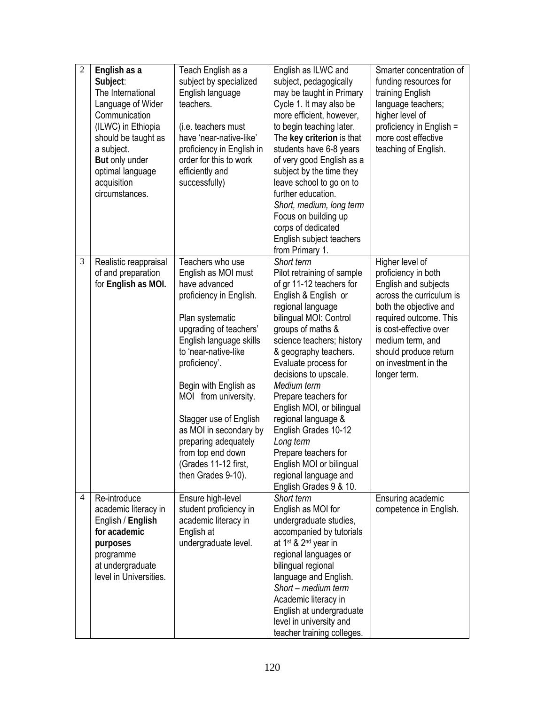| $\overline{2}$ | English as a<br>Subject:<br>The International<br>Language of Wider<br>Communication<br>(ILWC) in Ethiopia<br>should be taught as<br>a subject.<br>But only under<br>optimal language<br>acquisition<br>circumstances. | Teach English as a<br>subject by specialized<br>English language<br>teachers.<br>(i.e. teachers must<br>have 'near-native-like'<br>proficiency in English in<br>order for this to work<br>efficiently and<br>successfully)                                                                                                                                                                           | English as ILWC and<br>subject, pedagogically<br>may be taught in Primary<br>Cycle 1. It may also be<br>more efficient, however,<br>to begin teaching later.<br>The key criterion is that<br>students have 6-8 years<br>of very good English as a<br>subject by the time they<br>leave school to go on to<br>further education.<br>Short, medium, long term<br>Focus on building up<br>corps of dedicated<br>English subject teachers<br>from Primary 1.                                                       | Smarter concentration of<br>funding resources for<br>training English<br>language teachers;<br>higher level of<br>proficiency in English =<br>more cost effective<br>teaching of English.                                                                     |
|----------------|-----------------------------------------------------------------------------------------------------------------------------------------------------------------------------------------------------------------------|------------------------------------------------------------------------------------------------------------------------------------------------------------------------------------------------------------------------------------------------------------------------------------------------------------------------------------------------------------------------------------------------------|----------------------------------------------------------------------------------------------------------------------------------------------------------------------------------------------------------------------------------------------------------------------------------------------------------------------------------------------------------------------------------------------------------------------------------------------------------------------------------------------------------------|---------------------------------------------------------------------------------------------------------------------------------------------------------------------------------------------------------------------------------------------------------------|
| 3              | Realistic reappraisal<br>of and preparation<br>for English as MOI.                                                                                                                                                    | Teachers who use<br>English as MOI must<br>have advanced<br>proficiency in English.<br>Plan systematic<br>upgrading of teachers'<br>English language skills<br>to 'near-native-like<br>proficiency'.<br>Begin with English as<br>MOI from university.<br>Stagger use of English<br>as MOI in secondary by<br>preparing adequately<br>from top end down<br>(Grades 11-12 first,<br>then Grades 9-10). | Short term<br>Pilot retraining of sample<br>of gr 11-12 teachers for<br>English & English or<br>regional language<br>bilingual MOI: Control<br>groups of maths &<br>science teachers; history<br>& geography teachers.<br>Evaluate process for<br>decisions to upscale.<br>Medium term<br>Prepare teachers for<br>English MOI, or bilingual<br>regional language &<br>English Grades 10-12<br>Long term<br>Prepare teachers for<br>English MOI or bilingual<br>regional language and<br>English Grades 9 & 10. | Higher level of<br>proficiency in both<br>English and subjects<br>across the curriculum is<br>both the objective and<br>required outcome. This<br>is cost-effective over<br>medium term, and<br>should produce return<br>on investment in the<br>longer term. |
| 4              | Re-introduce<br>academic literacy in<br>English / English<br>for academic<br>purposes<br>programme<br>at undergraduate<br>level in Universities.                                                                      | Ensure high-level<br>student proficiency in<br>academic literacy in<br>English at<br>undergraduate level.                                                                                                                                                                                                                                                                                            | Short term<br>English as MOI for<br>undergraduate studies,<br>accompanied by tutorials<br>at 1 <sup>st</sup> & 2 <sup>nd</sup> year in<br>regional languages or<br>bilingual regional<br>language and English.<br>Short - medium term<br>Academic literacy in<br>English at undergraduate<br>level in university and<br>teacher training colleges.                                                                                                                                                             | Ensuring academic<br>competence in English.                                                                                                                                                                                                                   |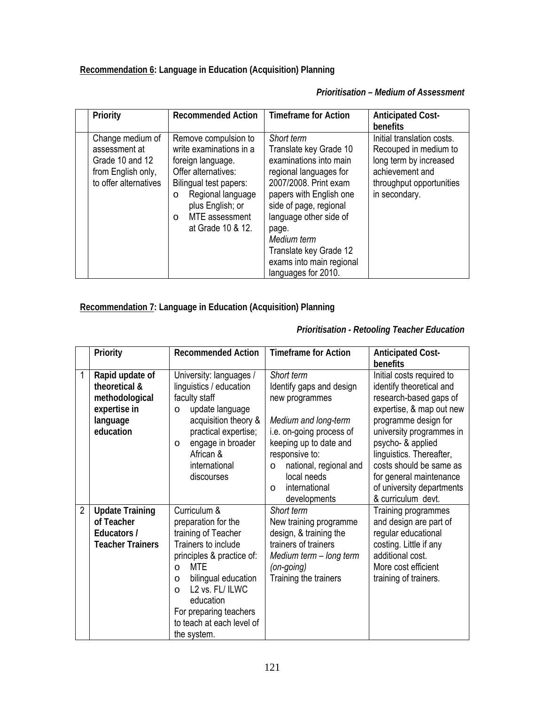**Recommendation 6: Language in Education (Acquisition) Planning** 

*Prioritisation – Medium of Assessment*

| Priority                                                                                            | <b>Recommended Action</b>                                                                                                                                                                                              | <b>Timeframe for Action</b>                                                                                                                                                                                                                                                                           | <b>Anticipated Cost-</b><br><b>benefits</b>                                                                                                   |
|-----------------------------------------------------------------------------------------------------|------------------------------------------------------------------------------------------------------------------------------------------------------------------------------------------------------------------------|-------------------------------------------------------------------------------------------------------------------------------------------------------------------------------------------------------------------------------------------------------------------------------------------------------|-----------------------------------------------------------------------------------------------------------------------------------------------|
| Change medium of<br>assessment at<br>Grade 10 and 12<br>from English only,<br>to offer alternatives | Remove compulsion to<br>write examinations in a<br>foreign language.<br>Offer alternatives:<br>Bilingual test papers:<br>Regional language<br>O<br>plus English; or<br>MTE assessment<br>$\Omega$<br>at Grade 10 & 12. | Short term<br>Translate key Grade 10<br>examinations into main<br>regional languages for<br>2007/2008. Print exam<br>papers with English one<br>side of page, regional<br>language other side of<br>page.<br>Medium term<br>Translate key Grade 12<br>exams into main regional<br>languages for 2010. | Initial translation costs.<br>Recouped in medium to<br>long term by increased<br>achievement and<br>throughput opportunities<br>in secondary. |

**Recommendation 7: Language in Education (Acquisition) Planning** 

|                | Priority                                                                                    | <b>Recommended Action</b>                                                                                                                                                                                                                                                             | <b>Timeframe for Action</b>                                                                                                                                                                                                                               | <b>Anticipated Cost-</b><br>benefits                                                                                                                                                                                                                                                                                      |
|----------------|---------------------------------------------------------------------------------------------|---------------------------------------------------------------------------------------------------------------------------------------------------------------------------------------------------------------------------------------------------------------------------------------|-----------------------------------------------------------------------------------------------------------------------------------------------------------------------------------------------------------------------------------------------------------|---------------------------------------------------------------------------------------------------------------------------------------------------------------------------------------------------------------------------------------------------------------------------------------------------------------------------|
| $\mathbf{1}$   | Rapid update of<br>theoretical &<br>methodological<br>expertise in<br>language<br>education | University: languages /<br>linguistics / education<br>faculty staff<br>update language<br>$\circ$<br>acquisition theory &<br>practical expertise;<br>engage in broader<br>$\circ$<br>African &<br>international<br>discourses                                                         | Short term<br>Identify gaps and design<br>new programmes<br>Medium and long-term<br>i.e. on-going process of<br>keeping up to date and<br>responsive to:<br>national, regional and<br>$\circ$<br>local needs<br>international<br>$\Omega$<br>developments | Initial costs required to<br>identify theoretical and<br>research-based gaps of<br>expertise, & map out new<br>programme design for<br>university programmes in<br>psycho- & applied<br>linguistics. Thereafter,<br>costs should be same as<br>for general maintenance<br>of university departments<br>& curriculum devt. |
| $\overline{2}$ | <b>Update Training</b><br>of Teacher<br>Educators /<br><b>Teacher Trainers</b>              | Curriculum &<br>preparation for the<br>training of Teacher<br>Trainers to include<br>principles & practice of:<br>MTF<br>$\circ$<br>bilingual education<br>$\circ$<br>L2 vs. FL/ ILWC<br>$\bigcap$<br>education<br>For preparing teachers<br>to teach at each level of<br>the system. | Short term<br>New training programme<br>design, & training the<br>trainers of trainers<br>Medium term - long term<br>$(on-going)$<br>Training the trainers                                                                                                | Training programmes<br>and design are part of<br>regular educational<br>costing. Little if any<br>additional cost.<br>More cost efficient<br>training of trainers.                                                                                                                                                        |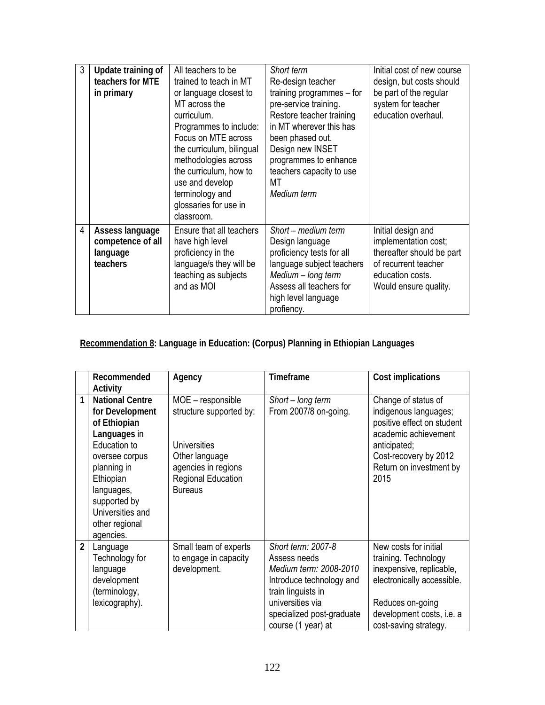| 3              | Update training of<br>teachers for MTE<br>in primary         | All teachers to be<br>trained to teach in MT<br>or language closest to<br>MT across the<br>curriculum.<br>Programmes to include:<br>Focus on MTE across<br>the curriculum, bilingual<br>methodologies across<br>the curriculum, how to<br>use and develop<br>terminology and<br>glossaries for use in | Short term<br>Re-design teacher<br>training programmes $-$ for<br>pre-service training.<br>Restore teacher training<br>in MT wherever this has<br>been phased out.<br>Design new INSET<br>programmes to enhance<br>teachers capacity to use<br>ΜТ<br>Medium term | Initial cost of new course<br>design, but costs should<br>be part of the regular<br>system for teacher<br>education overhaul.                |
|----------------|--------------------------------------------------------------|-------------------------------------------------------------------------------------------------------------------------------------------------------------------------------------------------------------------------------------------------------------------------------------------------------|------------------------------------------------------------------------------------------------------------------------------------------------------------------------------------------------------------------------------------------------------------------|----------------------------------------------------------------------------------------------------------------------------------------------|
| $\overline{4}$ | Assess language<br>competence of all<br>language<br>teachers | classroom.<br>Ensure that all teachers<br>have high level<br>proficiency in the<br>language/s they will be<br>teaching as subjects<br>and as MOI                                                                                                                                                      | Short – medium term<br>Design language<br>proficiency tests for all<br>language subject teachers<br>Medium - long term<br>Assess all teachers for<br>high level language<br>profiency.                                                                           | Initial design and<br>implementation cost;<br>thereafter should be part<br>of recurrent teacher<br>education costs.<br>Would ensure quality. |

# **Recommendation 8: Language in Education: (Corpus) Planning in Ethiopian Languages**

|                | Recommended<br>Activity                                                                                                                                                                                                  | Agency                                                                                                                                               | <b>Timeframe</b>                                                                                                                                                                      | Cost implications                                                                                                                                                                 |
|----------------|--------------------------------------------------------------------------------------------------------------------------------------------------------------------------------------------------------------------------|------------------------------------------------------------------------------------------------------------------------------------------------------|---------------------------------------------------------------------------------------------------------------------------------------------------------------------------------------|-----------------------------------------------------------------------------------------------------------------------------------------------------------------------------------|
| 1              | <b>National Centre</b><br>for Development<br>of Ethiopian<br>Languages in<br>Education to<br>oversee corpus<br>planning in<br>Ethiopian<br>languages,<br>supported by<br>Universities and<br>other regional<br>agencies. | MOE - responsible<br>structure supported by:<br>Universities<br>Other language<br>agencies in regions<br><b>Regional Education</b><br><b>Bureaus</b> | Short - long term<br>From 2007/8 on-going.                                                                                                                                            | Change of status of<br>indigenous languages;<br>positive effect on student<br>academic achievement<br>anticipated;<br>Cost-recovery by 2012<br>Return on investment by<br>2015    |
| $\overline{2}$ | Language<br>Technology for<br>language<br>development<br>(terminology,<br>lexicography).                                                                                                                                 | Small team of experts<br>to engage in capacity<br>development.                                                                                       | Short term: 2007-8<br>Assess needs<br>Medium term: 2008-2010<br>Introduce technology and<br>train linguists in<br>universities via<br>specialized post-graduate<br>course (1 year) at | New costs for initial<br>training. Technology<br>inexpensive, replicable,<br>electronically accessible.<br>Reduces on-going<br>development costs, i.e. a<br>cost-saving strategy. |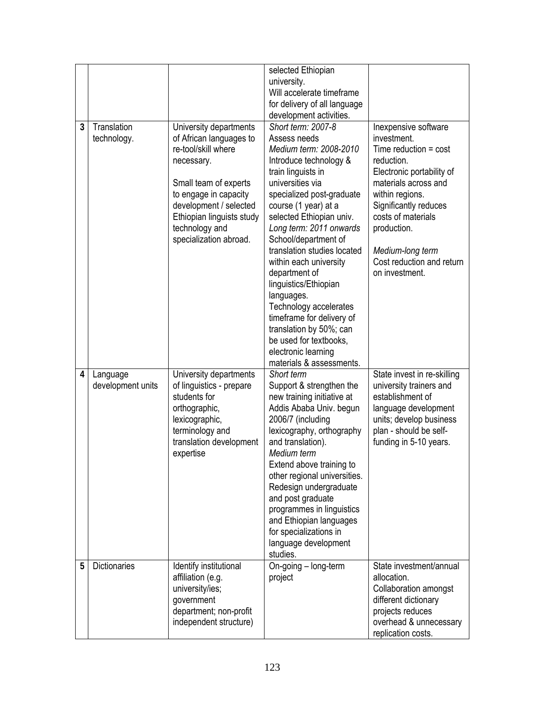|   |                               |                                                                                                                                                                                                                                             | selected Ethiopian<br>university.<br>Will accelerate timeframe<br>for delivery of all language<br>development activities.                                                                                                                                                                                                                                                                                                                                                                                                                            |                                                                                                                                                                                                                                                                                       |
|---|-------------------------------|---------------------------------------------------------------------------------------------------------------------------------------------------------------------------------------------------------------------------------------------|------------------------------------------------------------------------------------------------------------------------------------------------------------------------------------------------------------------------------------------------------------------------------------------------------------------------------------------------------------------------------------------------------------------------------------------------------------------------------------------------------------------------------------------------------|---------------------------------------------------------------------------------------------------------------------------------------------------------------------------------------------------------------------------------------------------------------------------------------|
| 3 | Translation<br>technology.    | University departments<br>of African languages to<br>re-tool/skill where<br>necessary.<br>Small team of experts<br>to engage in capacity<br>development / selected<br>Ethiopian linguists study<br>technology and<br>specialization abroad. | Short term: 2007-8<br>Assess needs<br>Medium term: 2008-2010<br>Introduce technology &<br>train linguists in<br>universities via<br>specialized post-graduate<br>course (1 year) at a<br>selected Ethiopian univ.<br>Long term: 2011 onwards<br>School/department of<br>translation studies located<br>within each university<br>department of<br>linguistics/Ethiopian<br>languages.<br>Technology accelerates<br>timeframe for delivery of<br>translation by 50%; can<br>be used for textbooks,<br>electronic learning<br>materials & assessments. | Inexpensive software<br>investment.<br>Time reduction $=$ cost<br>reduction.<br>Electronic portability of<br>materials across and<br>within regions.<br>Significantly reduces<br>costs of materials<br>production.<br>Medium-long term<br>Cost reduction and return<br>on investment. |
| 4 | Language<br>development units | University departments<br>of linguistics - prepare<br>students for<br>orthographic,<br>lexicographic,<br>terminology and<br>translation development<br>expertise                                                                            | Short term<br>Support & strengthen the<br>new training initiative at<br>Addis Ababa Univ. begun<br>2006/7 (including<br>lexicography, orthography<br>and translation).<br>Medium term<br>Extend above training to<br>other regional universities.<br>Redesign undergraduate<br>and post graduate<br>programmes in linguistics<br>and Ethiopian languages<br>for specializations in<br>language development<br>studies.                                                                                                                               | State invest in re-skilling<br>university trainers and<br>establishment of<br>language development<br>units; develop business<br>plan - should be self-<br>funding in 5-10 years.                                                                                                     |
| 5 | <b>Dictionaries</b>           | Identify institutional<br>affiliation (e.g.<br>university/ies;<br>government<br>department; non-profit<br>independent structure)                                                                                                            | On-going – long-term<br>project                                                                                                                                                                                                                                                                                                                                                                                                                                                                                                                      | State investment/annual<br>allocation.<br>Collaboration amongst<br>different dictionary<br>projects reduces<br>overhead & unnecessary<br>replication costs.                                                                                                                           |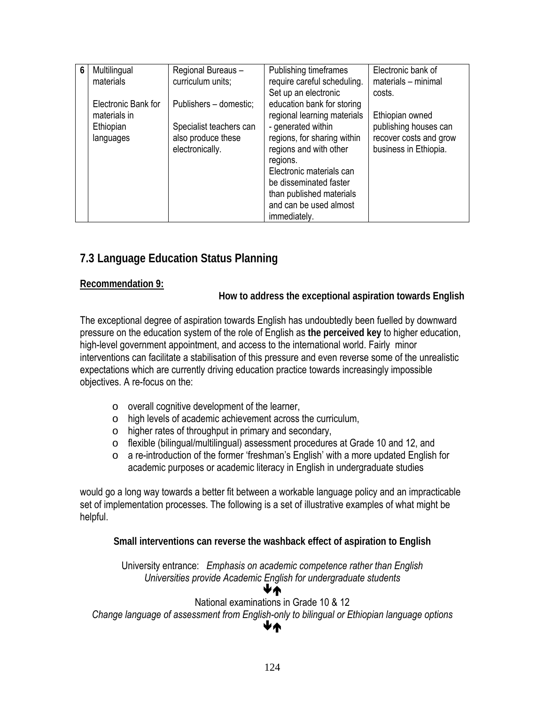| 6 | Multilingual        | Regional Bureaus -      | Publishing timeframes       | Electronic bank of     |
|---|---------------------|-------------------------|-----------------------------|------------------------|
|   | materials           | curriculum units;       | require careful scheduling. | materials - minimal    |
|   |                     |                         | Set up an electronic        | costs.                 |
|   | Electronic Bank for | Publishers - domestic;  | education bank for storing  |                        |
|   | materials in        |                         | regional learning materials | Ethiopian owned        |
|   | Ethiopian           | Specialist teachers can | - generated within          | publishing houses can  |
|   | languages           | also produce these      | regions, for sharing within | recover costs and grow |
|   |                     | electronically.         | regions and with other      | business in Ethiopia.  |
|   |                     |                         | regions.                    |                        |
|   |                     |                         | Electronic materials can    |                        |
|   |                     |                         | be disseminated faster      |                        |
|   |                     |                         | than published materials    |                        |
|   |                     |                         | and can be used almost      |                        |
|   |                     |                         | immediately.                |                        |

# **7.3 Language Education Status Planning**

#### **Recommendation 9:**

**How to address the exceptional aspiration towards English** 

The exceptional degree of aspiration towards English has undoubtedly been fuelled by downward pressure on the education system of the role of English as **the perceived key** to higher education, high-level government appointment, and access to the international world. Fairly minor interventions can facilitate a stabilisation of this pressure and even reverse some of the unrealistic expectations which are currently driving education practice towards increasingly impossible objectives. A re-focus on the:

- o overall cognitive development of the learner,
- o high levels of academic achievement across the curriculum,
- o higher rates of throughput in primary and secondary,
- o flexible (bilingual/multilingual) assessment procedures at Grade 10 and 12, and
- o a re-introduction of the former 'freshman's English' with a more updated English for academic purposes or academic literacy in English in undergraduate studies

would go a long way towards a better fit between a workable language policy and an impracticable set of implementation processes. The following is a set of illustrative examples of what might be helpful.

**Small interventions can reverse the washback effect of aspiration to English** 

University entrance: *Emphasis on academic competence rather than English Universities provide Academic English for undergraduate students*  ÆÅ

### National examinations in Grade 10 & 12

*Change language of assessment from English-only to bilingual or Ethiopian language options*  ÆÅ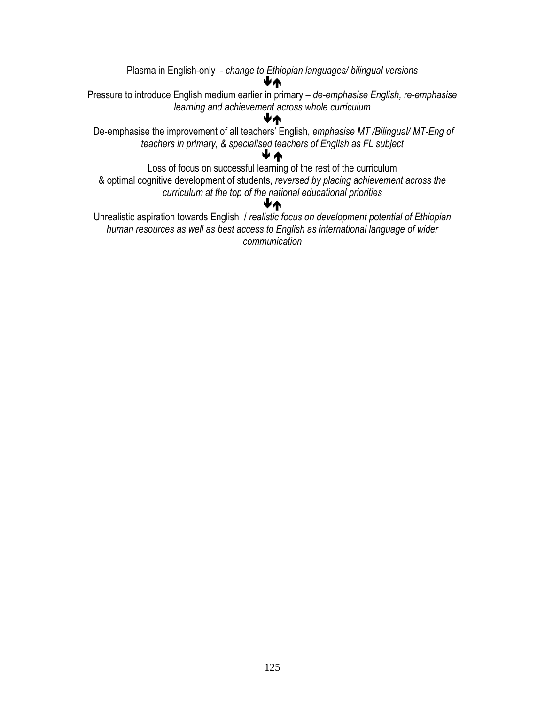Plasma in English-only - *change to Ethiopian languages/ bilingual versions* ÆÅ Pressure to introduce English medium earlier in primary – *de-emphasise English, re-emphasise learning and achievement across whole curriculum*  ÆÅ De-emphasise the improvement of all teachers' English, *emphasise MT /Bilingual/ MT-Eng of teachers in primary, & specialised teachers of English as FL subject*  Æ Å Loss of focus on successful learning of the rest of the curriculum & optimal cognitive development of students, *reversed by placing achievement across the curriculum at the top of the national educational priorities*  ÆÅ Unrealistic aspiration towards English / *realistic focus on development potential of Ethiopian human resources as well as best access to English as international language of wider* 

*communication*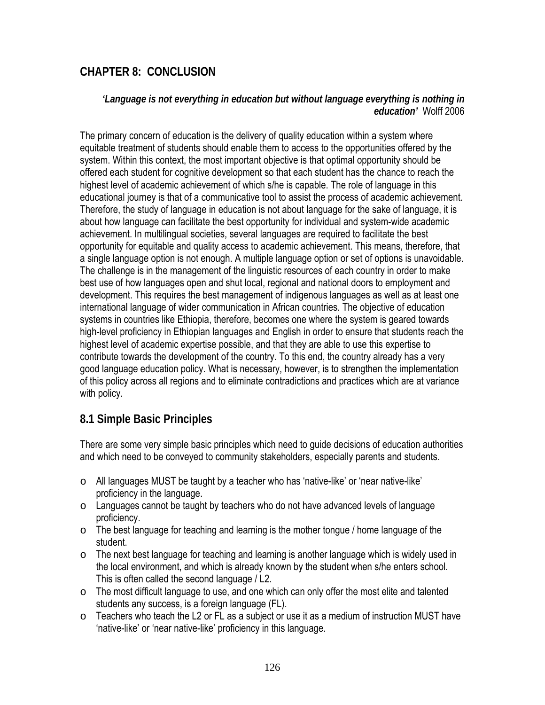# **CHAPTER 8: CONCLUSION**

### *'Language is not everything in education but without language everything is nothing in education'* Wolff 2006

The primary concern of education is the delivery of quality education within a system where equitable treatment of students should enable them to access to the opportunities offered by the system. Within this context, the most important objective is that optimal opportunity should be offered each student for cognitive development so that each student has the chance to reach the highest level of academic achievement of which s/he is capable. The role of language in this educational journey is that of a communicative tool to assist the process of academic achievement. Therefore, the study of language in education is not about language for the sake of language, it is about how language can facilitate the best opportunity for individual and system-wide academic achievement. In multilingual societies, several languages are required to facilitate the best opportunity for equitable and quality access to academic achievement. This means, therefore, that a single language option is not enough. A multiple language option or set of options is unavoidable. The challenge is in the management of the linguistic resources of each country in order to make best use of how languages open and shut local, regional and national doors to employment and development. This requires the best management of indigenous languages as well as at least one international language of wider communication in African countries. The objective of education systems in countries like Ethiopia, therefore, becomes one where the system is geared towards high-level proficiency in Ethiopian languages and English in order to ensure that students reach the highest level of academic expertise possible, and that they are able to use this expertise to contribute towards the development of the country. To this end, the country already has a very good language education policy. What is necessary, however, is to strengthen the implementation of this policy across all regions and to eliminate contradictions and practices which are at variance with policy.

# **8.1 Simple Basic Principles**

There are some very simple basic principles which need to guide decisions of education authorities and which need to be conveyed to community stakeholders, especially parents and students.

- $\circ$  All languages MUST be taught by a teacher who has 'native-like' or 'near native-like' proficiency in the language.
- $\circ$  Languages cannot be taught by teachers who do not have advanced levels of language proficiency.
- o The best language for teaching and learning is the mother tongue / home language of the student.
- $\circ$  The next best language for teaching and learning is another language which is widely used in the local environment, and which is already known by the student when s/he enters school. This is often called the second language / L2.
- $\circ$  The most difficult language to use, and one which can only offer the most elite and talented students any success, is a foreign language (FL).
- o Teachers who teach the L2 or FL as a subject or use it as a medium of instruction MUST have 'native-like' or 'near native-like' proficiency in this language.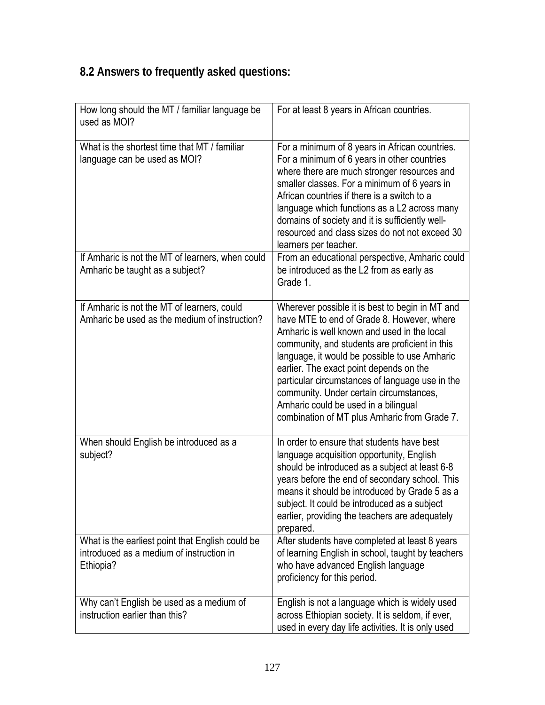# **8.2 Answers to frequently asked questions:**

| How long should the MT / familiar language be<br>used as MOI?                                             | For at least 8 years in African countries.                                                                                                                                                                                                                                                                                                                                                                                                                                       |
|-----------------------------------------------------------------------------------------------------------|----------------------------------------------------------------------------------------------------------------------------------------------------------------------------------------------------------------------------------------------------------------------------------------------------------------------------------------------------------------------------------------------------------------------------------------------------------------------------------|
| What is the shortest time that MT / familiar<br>language can be used as MOI?                              | For a minimum of 8 years in African countries.<br>For a minimum of 6 years in other countries<br>where there are much stronger resources and<br>smaller classes. For a minimum of 6 years in<br>African countries if there is a switch to a<br>language which functions as a L2 across many<br>domains of society and it is sufficiently well-<br>resourced and class sizes do not not exceed 30<br>learners per teacher.                                                        |
| If Amharic is not the MT of learners, when could<br>Amharic be taught as a subject?                       | From an educational perspective, Amharic could<br>be introduced as the L2 from as early as<br>Grade 1.                                                                                                                                                                                                                                                                                                                                                                           |
| If Amharic is not the MT of learners, could<br>Amharic be used as the medium of instruction?              | Wherever possible it is best to begin in MT and<br>have MTE to end of Grade 8. However, where<br>Amharic is well known and used in the local<br>community, and students are proficient in this<br>language, it would be possible to use Amharic<br>earlier. The exact point depends on the<br>particular circumstances of language use in the<br>community. Under certain circumstances,<br>Amharic could be used in a bilingual<br>combination of MT plus Amharic from Grade 7. |
| When should English be introduced as a<br>subject?                                                        | In order to ensure that students have best<br>language acquisition opportunity, English<br>should be introduced as a subject at least 6-8<br>years before the end of secondary school. This<br>means it should be introduced by Grade 5 as a<br>subject. It could be introduced as a subject<br>earlier, providing the teachers are adequately<br>prepared.                                                                                                                      |
| What is the earliest point that English could be<br>introduced as a medium of instruction in<br>Ethiopia? | After students have completed at least 8 years<br>of learning English in school, taught by teachers<br>who have advanced English language<br>proficiency for this period.                                                                                                                                                                                                                                                                                                        |
| Why can't English be used as a medium of<br>instruction earlier than this?                                | English is not a language which is widely used<br>across Ethiopian society. It is seldom, if ever,<br>used in every day life activities. It is only used                                                                                                                                                                                                                                                                                                                         |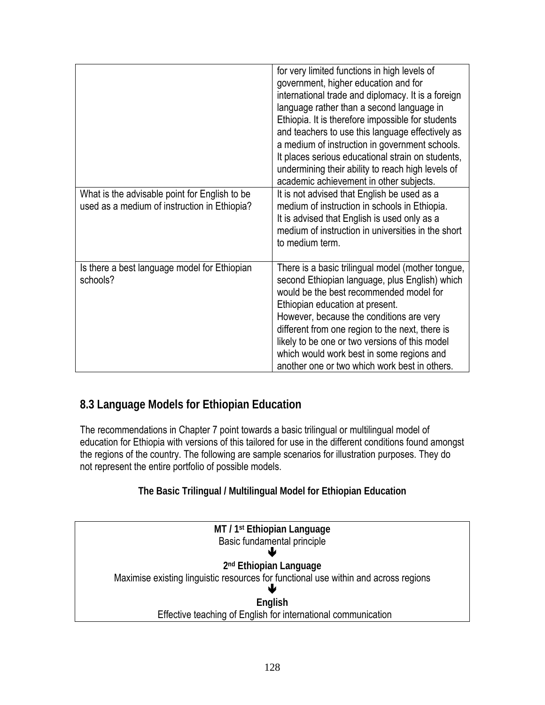|                                                                                               | for very limited functions in high levels of<br>government, higher education and for<br>international trade and diplomacy. It is a foreign<br>language rather than a second language in<br>Ethiopia. It is therefore impossible for students<br>and teachers to use this language effectively as<br>a medium of instruction in government schools.<br>It places serious educational strain on students,<br>undermining their ability to reach high levels of<br>academic achievement in other subjects. |
|-----------------------------------------------------------------------------------------------|---------------------------------------------------------------------------------------------------------------------------------------------------------------------------------------------------------------------------------------------------------------------------------------------------------------------------------------------------------------------------------------------------------------------------------------------------------------------------------------------------------|
| What is the advisable point for English to be<br>used as a medium of instruction in Ethiopia? | It is not advised that English be used as a<br>medium of instruction in schools in Ethiopia.<br>It is advised that English is used only as a<br>medium of instruction in universities in the short<br>to medium term.                                                                                                                                                                                                                                                                                   |
| Is there a best language model for Ethiopian<br>schools?                                      | There is a basic trilingual model (mother tongue,<br>second Ethiopian language, plus English) which<br>would be the best recommended model for<br>Ethiopian education at present.<br>However, because the conditions are very<br>different from one region to the next, there is<br>likely to be one or two versions of this model<br>which would work best in some regions and<br>another one or two which work best in others.                                                                        |

# **8.3 Language Models for Ethiopian Education**

The recommendations in Chapter 7 point towards a basic trilingual or multilingual model of education for Ethiopia with versions of this tailored for use in the different conditions found amongst the regions of the country. The following are sample scenarios for illustration purposes. They do not represent the entire portfolio of possible models.

### **The Basic Trilingual / Multilingual Model for Ethiopian Education**

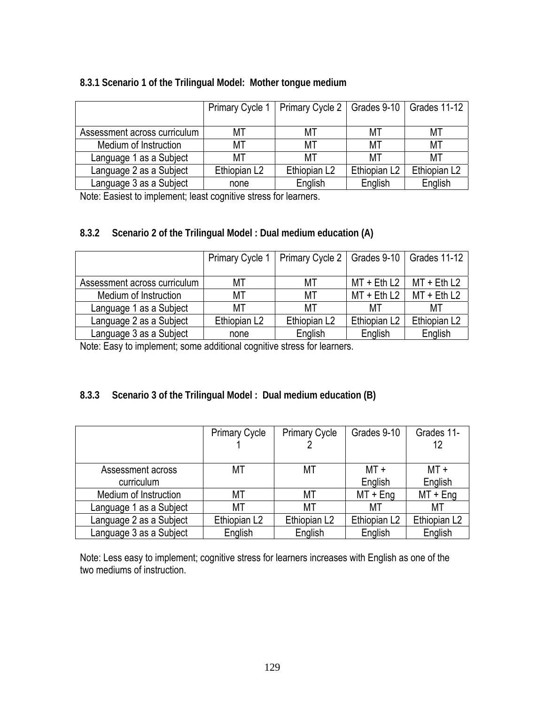#### **8.3.1 Scenario 1 of the Trilingual Model: Mother tongue medium**

|                              |                          | Primary Cycle 1   Primary Cycle 2   Grades 9-10   Grades 11-12 |                          |              |
|------------------------------|--------------------------|----------------------------------------------------------------|--------------------------|--------------|
|                              |                          |                                                                |                          |              |
| Assessment across curriculum | МT                       | МT                                                             | МT                       | МT           |
| Medium of Instruction        | МT                       | МT                                                             | МT                       | МT           |
| Language 1 as a Subject      | МT                       | МT                                                             | МT                       | МT           |
| Language 2 as a Subject      | Ethiopian L <sub>2</sub> | Ethiopian L2                                                   | Ethiopian L <sub>2</sub> | Ethiopian L2 |
| Language 3 as a Subject      | none                     | English                                                        | English                  | English      |

Note: Easiest to implement; least cognitive stress for learners.

### **8.3.2 Scenario 2 of the Trilingual Model : Dual medium education (A)**

|                              | <b>Primary Cycle 1</b>   | Primary Cycle 2   Grades 9-10   Grades 11-12 |                          |                          |
|------------------------------|--------------------------|----------------------------------------------|--------------------------|--------------------------|
|                              |                          |                                              |                          |                          |
| Assessment across curriculum | МT                       | МT                                           | $MT + Eth L2$            | $MT + Eth L2$            |
| Medium of Instruction        | МT                       | МT                                           | $MT + Eth L2$            | MT + Eth L2              |
| Language 1 as a Subject      | МT                       | МT                                           | MТ                       | МT                       |
| Language 2 as a Subject      | Ethiopian L <sub>2</sub> | Ethiopian L <sub>2</sub>                     | Ethiopian L <sub>2</sub> | Ethiopian L <sub>2</sub> |
| Language 3 as a Subject      | none                     | English                                      | English                  | English                  |

Note: Easy to implement; some additional cognitive stress for learners.

### **8.3.3 Scenario 3 of the Trilingual Model : Dual medium education (B)**

|                         | <b>Primary Cycle</b> | <b>Primary Cycle</b>     | Grades 9-10              | Grades 11-               |
|-------------------------|----------------------|--------------------------|--------------------------|--------------------------|
|                         |                      |                          |                          | 12                       |
|                         |                      |                          |                          |                          |
| Assessment across       | МT                   | МT                       | $MT +$                   | MT +                     |
| curriculum              |                      |                          | English                  | English                  |
| Medium of Instruction   | МT                   | МT                       | $MT + Eng$               | $MT + Eng$               |
| Language 1 as a Subject | МT                   | МT                       | МT                       | МT                       |
| Language 2 as a Subject | Ethiopian L2         | Ethiopian L <sub>2</sub> | Ethiopian L <sub>2</sub> | Ethiopian L <sub>2</sub> |
| Language 3 as a Subject | English              | English                  | English                  | English                  |

Note: Less easy to implement; cognitive stress for learners increases with English as one of the two mediums of instruction.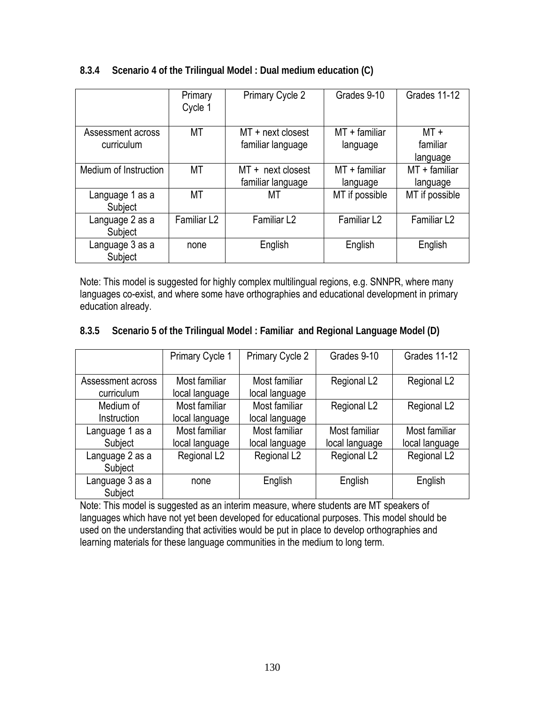|                                 | Primary<br>Cycle 1      | Primary Cycle 2                          | Grades 9-10                 | Grades 11-12                   |
|---------------------------------|-------------------------|------------------------------------------|-----------------------------|--------------------------------|
| Assessment across<br>curriculum | МT                      | MT + next closest<br>familiar language   | $MT +$ familiar<br>language | $MT +$<br>familiar<br>language |
| Medium of Instruction           | МT                      | $MT + next closest$<br>familiar language | $MT +$ familiar<br>language | $MT +$ familiar<br>language    |
| Language 1 as a<br>Subject      | МT                      | МT                                       | MT if possible              | MT if possible                 |
| Language 2 as a<br>Subject      | Familiar L <sub>2</sub> | Familiar L <sub>2</sub>                  | Familiar L <sub>2</sub>     | Familiar L <sub>2</sub>        |
| Language 3 as a<br>Subject      | none                    | English                                  | English                     | English                        |

### **8.3.4 Scenario 4 of the Trilingual Model : Dual medium education (C)**

Note: This model is suggested for highly complex multilingual regions, e.g. SNNPR, where many languages co-exist, and where some have orthographies and educational development in primary education already.

### **8.3.5 Scenario 5 of the Trilingual Model : Familiar and Regional Language Model (D)**

|                                 | Primary Cycle 1                 | Primary Cycle 2                 | Grades 9-10                     | Grades 11-12                    |
|---------------------------------|---------------------------------|---------------------------------|---------------------------------|---------------------------------|
| Assessment across<br>curriculum | Most familiar<br>local language | Most familiar<br>local language | Regional L <sub>2</sub>         | Regional L <sub>2</sub>         |
| Medium of<br>Instruction        | Most familiar<br>local language | Most familiar<br>local language | Regional L <sub>2</sub>         | Regional L <sub>2</sub>         |
| Language 1 as a<br>Subject      | Most familiar<br>local language | Most familiar<br>local language | Most familiar<br>local language | Most familiar<br>local language |
| Language 2 as a<br>Subject      | Regional L <sub>2</sub>         | Regional L <sub>2</sub>         | Regional L <sub>2</sub>         | Regional L <sub>2</sub>         |
| Language 3 as a<br>Subject      | none                            | English                         | English                         | English                         |

Note: This model is suggested as an interim measure, where students are MT speakers of languages which have not yet been developed for educational purposes. This model should be used on the understanding that activities would be put in place to develop orthographies and learning materials for these language communities in the medium to long term.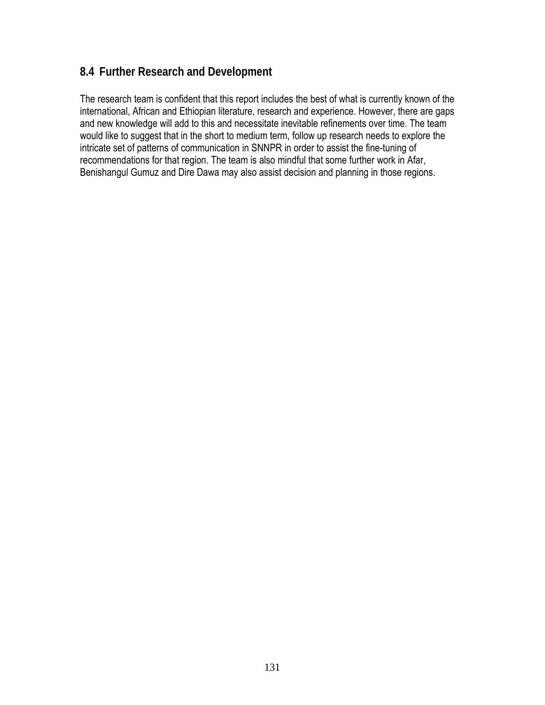# **8.4 Further Research and Development**

The research team is confident that this report includes the best of what is currently known of the international, African and Ethiopian literature, research and experience. However, there are gaps and new knowledge will add to this and necessitate inevitable refinements over time. The team would like to suggest that in the short to medium term, follow up research needs to explore the intricate set of patterns of communication in SNNPR in order to assist the fine-tuning of recommendations for that region. The team is also mindful that some further work in Afar, Benishangul Gumuz and Dire Dawa may also assist decision and planning in those regions.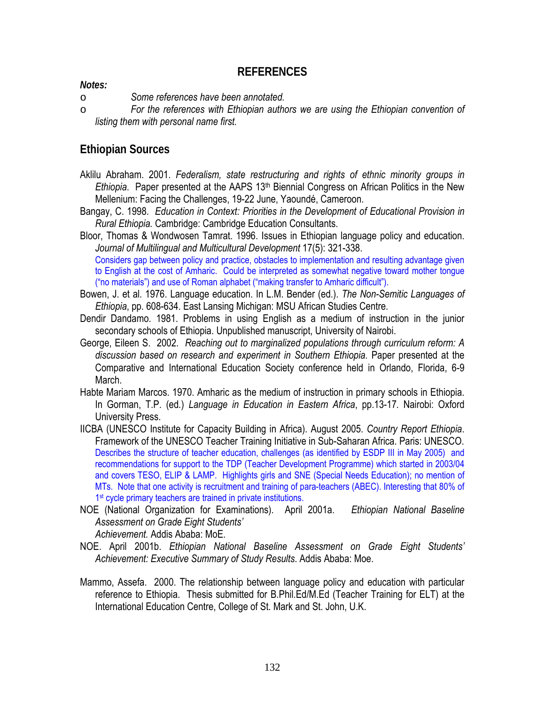### **REFERENCES**

#### *Notes:*

o *Some references have been annotated.*

o *For the references with Ethiopian authors we are using the Ethiopian convention of listing them with personal name first.* 

### **Ethiopian Sources**

- Aklilu Abraham. 2001. *Federalism, state restructuring and rights of ethnic minority groups in Ethiopia*. Paper presented at the AAPS 13<sup>th</sup> Biennial Congress on African Politics in the New Mellenium: Facing the Challenges, 19-22 June, Yaoundé, Cameroon.
- Bangay, C. 1998. *Education in Context: Priorities in the Development of Educational Provision in Rural Ethiopia.* Cambridge: Cambridge Education Consultants.
- Bloor, Thomas & Wondwosen Tamrat. 1996. Issues in Ethiopian language policy and education. *Journal of Multilingual and Multicultural Development* 17(5): 321-338. Considers gap between policy and practice, obstacles to implementation and resulting advantage given to English at the cost of Amharic. Could be interpreted as somewhat negative toward mother tongue ("no materials") and use of Roman alphabet ("making transfer to Amharic difficult").
- Bowen, J. et al. 1976. Language education. In L.M. Bender (ed.). *The Non-Semitic Languages of Ethiopia*, pp. 608-634. East Lansing Michigan: MSU African Studies Centre.
- Dendir Dandamo. 1981. Problems in using English as a medium of instruction in the junior secondary schools of Ethiopia. Unpublished manuscript, University of Nairobi.
- George, Eileen S. 2002. *Reaching out to marginalized populations through curriculum reform: A discussion based on research and experiment in Southern Ethiopia.* Paper presented at the Comparative and International Education Society conference held in Orlando, Florida, 6-9 March.
- Habte Mariam Marcos. 1970. Amharic as the medium of instruction in primary schools in Ethiopia. In Gorman, T.P. (ed*.*) *Language in Education in Eastern Africa*, pp.13-17*.* Nairobi: Oxford University Press.
- IICBA (UNESCO Institute for Capacity Building in Africa). August 2005. *Country Report Ethiopia*. Framework of the UNESCO Teacher Training Initiative in Sub-Saharan Africa. Paris: UNESCO. Describes the structure of teacher education, challenges (as identified by ESDP III in May 2005) and recommendations for support to the TDP (Teacher Development Programme) which started in 2003/04 and covers TESO, ELIP & LAMP. Highlights girls and SNE (Special Needs Education); no mention of MTs. Note that one activity is recruitment and training of para-teachers (ABEC). Interesting that 80% of 1<sup>st</sup> cycle primary teachers are trained in private institutions.
- NOE (National Organization for Examinations). April 2001a. *Ethiopian National Baseline Assessment on Grade Eight Students'*

 *Achievement.* Addis Ababa: MoE.

- NOE. April 2001b. *Ethiopian National Baseline Assessment on Grade Eight Students' Achievement: Executive Summary of Study Results*. Addis Ababa: Moe.
- Mammo, Assefa. 2000. The relationship between language policy and education with particular reference to Ethiopia. Thesis submitted for B.Phil.Ed/M.Ed (Teacher Training for ELT) at the International Education Centre, College of St. Mark and St. John, U.K.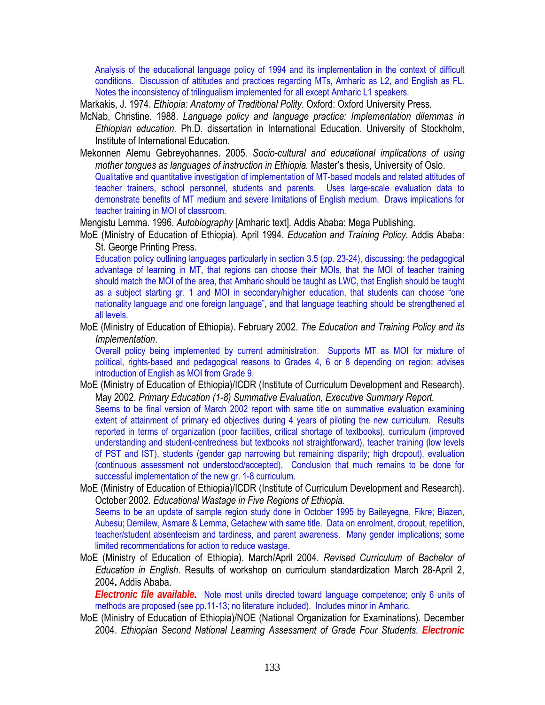Analysis of the educational language policy of 1994 and its implementation in the context of difficult conditions. Discussion of attitudes and practices regarding MTs, Amharic as L2, and English as FL. Notes the inconsistency of trilingualism implemented for all except Amharic L1 speakers.

Markakis, J. 1974. *Ethiopia: Anatomy of Traditional Polity*. Oxford: Oxford University Press.

- McNab, Christine. 1988. *Language policy and language practice: Implementation dilemmas in Ethiopian education.* Ph.D. dissertation in International Education. University of Stockholm, Institute of International Education.
- Mekonnen Alemu Gebreyohannes. 2005. *Socio-cultural and educational implications of using mother tongues as languages of instruction in Ethiopia.* Master's thesis, University of Oslo. Qualitative and quantitative investigation of implementation of MT-based models and related attitudes of teacher trainers, school personnel, students and parents. Uses large-scale evaluation data to demonstrate benefits of MT medium and severe limitations of English medium. Draws implications for teacher training in MOI of classroom.

Mengistu Lemma. 1996. *Autobiography* [Amharic text]. Addis Ababa: Mega Publishing.

MoE (Ministry of Education of Ethiopia). April 1994. *Education and Training Policy.* Addis Ababa: St. George Printing Press.

Education policy outlining languages particularly in section 3.5 (pp. 23-24), discussing: the pedagogical advantage of learning in MT, that regions can choose their MOIs, that the MOI of teacher training should match the MOI of the area, that Amharic should be taught as LWC, that English should be taught as a subject starting gr. 1 and MOI in secondary/higher education, that students can choose "one nationality language and one foreign language", and that language teaching should be strengthened at all levels.

MoE (Ministry of Education of Ethiopia). February 2002. *The Education and Training Policy and its Implementation*.

Overall policy being implemented by current administration. Supports MT as MOI for mixture of political, rights-based and pedagogical reasons to Grades 4, 6 or 8 depending on region; advises introduction of English as MOI from Grade 9.

- MoE (Ministry of Education of Ethiopia)/ICDR (Institute of Curriculum Development and Research). May 2002. *Primary Education (1-8) Summative Evaluation, Executive Summary Report.*  Seems to be final version of March 2002 report with same title on summative evaluation examining extent of attainment of primary ed objectives during 4 years of piloting the new curriculum. Results reported in terms of organization (poor facilities, critical shortage of textbooks), curriculum (improved understanding and student-centredness but textbooks not straightforward), teacher training (low levels of PST and IST), students (gender gap narrowing but remaining disparity; high dropout), evaluation (continuous assessment not understood/accepted). Conclusion that much remains to be done for successful implementation of the new gr. 1-8 curriculum.
- MoE (Ministry of Education of Ethiopia)/ICDR (Institute of Curriculum Development and Research). October 2002. *Educational Wastage in Five Regions of Ethiopia*.

Seems to be an update of sample region study done in October 1995 by Baileyegne, Fikre; Biazen, Aubesu; Demilew, Asmare & Lemma, Getachew with same title. Data on enrolment, dropout, repetition, teacher/student absenteeism and tardiness, and parent awareness. Many gender implications; some limited recommendations for action to reduce wastage.

MoE (Ministry of Education of Ethiopia). March/April 2004. *Revised Curriculum of Bachelor of Education in English*. Results of workshop on curriculum standardization March 28-April 2, 2004**.** Addis Ababa.

*Electronic file available.* Note most units directed toward language competence; only 6 units of methods are proposed (see pp.11-13; no literature included). Includes minor in Amharic.

MoE (Ministry of Education of Ethiopia)/NOE (National Organization for Examinations). December 2004. *Ethiopian Second National Learning Assessment of Grade Four Students. Electronic*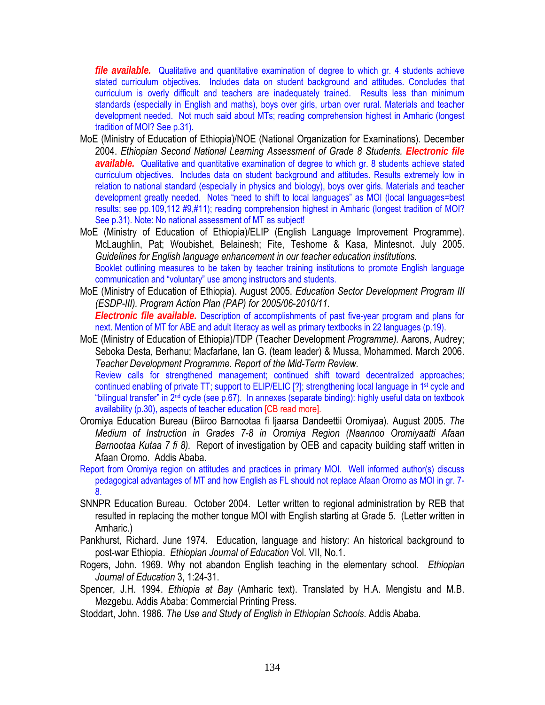*file available.* Qualitative and quantitative examination of degree to which gr. 4 students achieve stated curriculum objectives. Includes data on student background and attitudes. Concludes that curriculum is overly difficult and teachers are inadequately trained. Results less than minimum standards (especially in English and maths), boys over girls, urban over rural. Materials and teacher development needed. Not much said about MTs; reading comprehension highest in Amharic (longest tradition of MOI? See p.31).

- MoE (Ministry of Education of Ethiopia)/NOE (National Organization for Examinations). December 2004. *Ethiopian Second National Learning Assessment of Grade 8 Students. Electronic file available.* Qualitative and quantitative examination of degree to which gr. 8 students achieve stated curriculum objectives. Includes data on student background and attitudes. Results extremely low in relation to national standard (especially in physics and biology), boys over girls. Materials and teacher development greatly needed. Notes "need to shift to local languages" as MOI (local languages=best results; see pp.109,112 #9,#11); reading comprehension highest in Amharic (longest tradition of MOI? See p.31). Note: No national assessment of MT as subject!
- MoE (Ministry of Education of Ethiopia)/ELIP (English Language Improvement Programme). McLaughlin, Pat; Woubishet, Belainesh; Fite, Teshome & Kasa, Mintesnot. July 2005. *Guidelines for English language enhancement in our teacher education institutions.*  Booklet outlining measures to be taken by teacher training institutions to promote English language communication and "voluntary" use among instructors and students.
- MoE (Ministry of Education of Ethiopia). August 2005. *Education Sector Development Program III (ESDP-III). Program Action Plan (PAP) for 2005/06-2010/11. Electronic file available.* Description of accomplishments of past five-year program and plans for next. Mention of MT for ABE and adult literacy as well as primary textbooks in 22 languages (p.19).
- MoE (Ministry of Education of Ethiopia)/TDP (Teacher Development *Programme).* Aarons, Audrey; Seboka Desta, Berhanu; Macfarlane, Ian G. (team leader) & Mussa, Mohammed. March 2006. *Teacher Development Programme. Report of the Mid-Term Review.*

Review calls for strengthened management; continued shift toward decentralized approaches; continued enabling of private TT; support to ELIP/ELIC [?]; strengthening local language in 1st cycle and "bilingual transfer" in 2nd cycle (see p.67). In annexes (separate binding): highly useful data on textbook availability (p.30), aspects of teacher education [CB read more].

- Oromiya Education Bureau (Biiroo Barnootaa fi ljaarsa Dandeettii Oromiyaa). August 2005. *The Medium of Instruction in Grades 7-8 in Oromiya Region (Naannoo Oromiyaatti Afaan Barnootaa Kutaa 7 fi 8).* Report of investigation by OEB and capacity building staff written in Afaan Oromo. Addis Ababa.
- Report from Oromiya region on attitudes and practices in primary MOI. Well informed author(s) discuss pedagogical advantages of MT and how English as FL should not replace Afaan Oromo as MOI in gr. 7- 8.
- SNNPR Education Bureau. October 2004. Letter written to regional administration by REB that resulted in replacing the mother tongue MOI with English starting at Grade 5. (Letter written in Amharic.)
- Pankhurst, Richard. June 1974. Education, language and history: An historical background to post-war Ethiopia. *Ethiopian Journal of Education* Vol. VII, No.1.
- Rogers, John. 1969. Why not abandon English teaching in the elementary school. *Ethiopian Journal of Education* 3, 1:24-31.
- Spencer, J.H. 1994. *Ethiopia at Bay* (Amharic text). Translated by H.A. Mengistu and M.B. Mezgebu. Addis Ababa: Commercial Printing Press.

Stoddart, John. 1986. *The Use and Study of English in Ethiopian Schools*. Addis Ababa.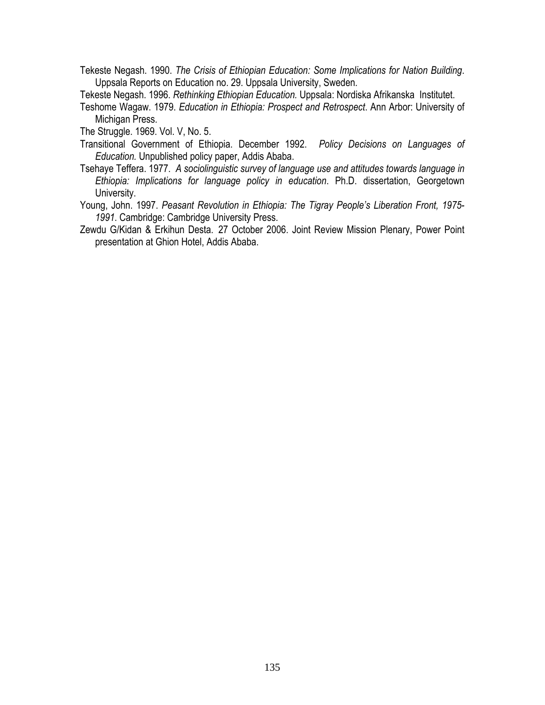Tekeste Negash. 1990. *The Crisis of Ethiopian Education: Some Implications for Nation Building*. Uppsala Reports on Education no. 29. Uppsala University, Sweden.

Tekeste Negash. 1996. *Rethinking Ethiopian Education.* Uppsala: Nordiska Afrikanska Institutet.

Teshome Wagaw. 1979. *Education in Ethiopia: Prospect and Retrospect*. Ann Arbor: University of Michigan Press.

The Struggle. 1969. Vol. V, No. 5.

- Transitional Government of Ethiopia. December 1992. *Policy Decisions on Languages of Education.* Unpublished policy paper, Addis Ababa.
- Tsehaye Teffera. 1977. *A sociolinguistic survey of language use and attitudes towards language in Ethiopia: Implications for language policy in education*. Ph.D. dissertation, Georgetown University.
- Young, John. 1997. *Peasant Revolution in Ethiopia: The Tigray People's Liberation Front, 1975- 1991*. Cambridge: Cambridge University Press.
- Zewdu G/Kidan & Erkihun Desta. 27 October 2006. Joint Review Mission Plenary, Power Point presentation at Ghion Hotel, Addis Ababa.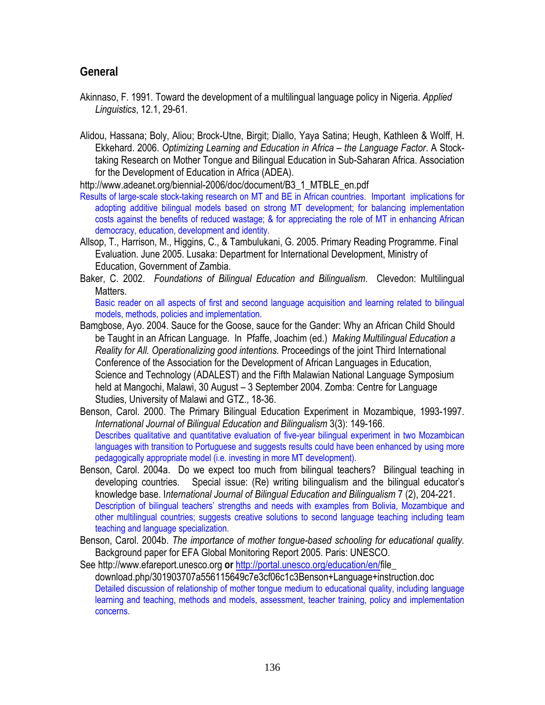### **General**

- Akinnaso, F. 1991. Toward the development of a multilingual language policy in Nigeria. *Applied Linguistics*, 12.1, 29-61.
- Alidou, Hassana; Boly, Aliou; Brock-Utne, Birgit; Diallo, Yaya Satina; Heugh, Kathleen & Wolff, H. Ekkehard. 2006. *Optimizing Learning and Education in Africa – the Language Factor*. A Stocktaking Research on Mother Tongue and Bilingual Education in Sub-Saharan Africa. Association for the Development of Education in Africa (ADEA).

http://www.adeanet.org/biennial-2006/doc/document/B3\_1\_MTBLE\_en.pdf

- Results of large-scale stock-taking research on MT and BE in African countries. Important implications for adopting additive bilingual models based on strong MT development; for balancing implementation costs against the benefits of reduced wastage; & for appreciating the role of MT in enhancing African democracy, education, development and identity.
- Allsop, T., Harrison, M., Higgins, C., & Tambulukani, G. 2005. Primary Reading Programme. Final Evaluation. June 2005. Lusaka: Department for International Development, Ministry of Education, Government of Zambia.
- Baker, C. 2002. *Foundations of Bilingual Education and Bilingualism*. Clevedon: Multilingual **Matters**

Basic reader on all aspects of first and second language acquisition and learning related to bilingual models, methods, policies and implementation.

- Bamgbose, Ayo. 2004. Sauce for the Goose, sauce for the Gander: Why an African Child Should be Taught in an African Language. In Pfaffe, Joachim (ed.) *Making Multilingual Education a Reality for All. Operationalizing good intentions.* Proceedings of the joint Third International Conference of the Association for the Development of African Languages in Education, Science and Technology (ADALEST) and the Fifth Malawian National Language Symposium held at Mangochi, Malawi, 30 August – 3 September 2004. Zomba: Centre for Language Studies, University of Malawi and GTZ., 18-36.
- Benson, Carol. 2000. The Primary Bilingual Education Experiment in Mozambique, 1993-1997. *International Journal of Bilingual Education and Bilingualism* 3(3): 149-166. Describes qualitative and quantitative evaluation of five-year bilingual experiment in two Mozambican languages with transition to Portuguese and suggests results could have been enhanced by using more pedagogically appropriate model (i.e. investing in more MT development).
- Benson, Carol. 2004a. Do we expect too much from bilingual teachers? Bilingual teaching in developing countries. Special issue: (Re) writing bilingualism and the bilingual educator's knowledge base. I*nternational Journal of Bilingual Education and Bilingualism* 7 (2), 204-221. Description of bilingual teachers' strengths and needs with examples from Bolivia, Mozambique and other multilingual countries; suggests creative solutions to second language teaching including team teaching and language specialization.
- Benson, Carol. 2004b. *The importance of mother tongue-based schooling for educational quality.* Background paper for EFA Global Monitoring Report 2005. Paris: UNESCO.

See http://www.efareport.unesco.org **or** http://portal.unesco.org/education/en/file\_ download.php/301903707a556115649c7e3cf06c1c3Benson+Language+instruction.doc Detailed discussion of relationship of mother tongue medium to educational quality, including language learning and teaching, methods and models, assessment, teacher training, policy and implementation concerns.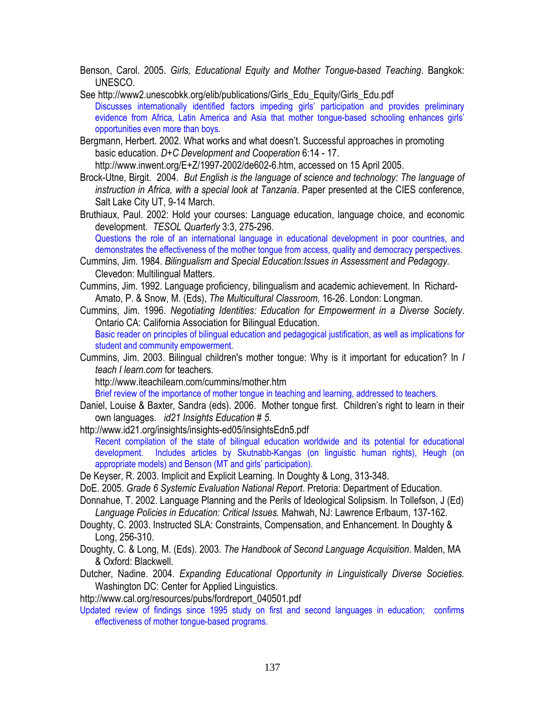Benson, Carol. 2005. *Girls, Educational Equity and Mother Tongue-based Teaching*. Bangkok: UNESCO.

- See http://www2.unescobkk.org/elib/publications/Girls\_Edu\_Equity/Girls\_Edu.pdf Discusses internationally identified factors impeding girls' participation and provides preliminary evidence from Africa, Latin America and Asia that mother tongue-based schooling enhances girls' opportunities even more than boys.
- Bergmann, Herbert. 2002. What works and what doesn't. Successful approaches in promoting basic education. *D+C Development and Cooperation* 6:14 - 17. http://www.inwent.org/E+Z/1997-2002/de602-6.htm, accessed on 15 April 2005.

Brock-Utne, Birgit. 2004. *But English is the language of science and technology: The language of instruction in Africa, with a special look at Tanzania*. Paper presented at the CIES conference, Salt Lake City UT, 9-14 March.

Bruthiaux, Paul. 2002: Hold your courses: Language education, language choice, and economic development. *TESOL Quarterly* 3:3, 275-296.

Questions the role of an international language in educational development in poor countries, and demonstrates the effectiveness of the mother tongue from access, quality and democracy perspectives.

- Cummins, Jim. 1984. *Bilingualism and Special Education:Issues in Assessment and Pedagogy.*  Clevedon: Multilingual Matters.
- Cummins, Jim. 1992. Language proficiency, bilingualism and academic achievement. In Richard-Amato, P. & Snow, M. (Eds), *The Multicultural Classroom,* 16-26. London: Longman.

Cummins, Jim. 1996. *Negotiating Identities: Education for Empowerment in a Diverse Society*. Ontario CA: California Association for Bilingual Education.

Basic reader on principles of bilingual education and pedagogical justification, as well as implications for student and community empowerment.

Cummins, Jim. 2003. Bilingual children's mother tongue: Why is it important for education? In *I teach I learn.com* for teachers.

http://www.iteachilearn.com/cummins/mother.htm

Brief review of the importance of mother tongue in teaching and learning, addressed to teachers.

Daniel, Louise & Baxter, Sandra (eds). 2006. Mother tongue first. Children's right to learn in their own languages. *id21 Insights Education # 5*.

http://www.id21.org/insights/insights-ed05/insightsEdn5.pdf Recent compilation of the state of bilingual education worldwide and its potential for educational development. Includes articles by Skutnabb-Kangas (on linguistic human rights), Heugh (on appropriate models) and Benson (MT and girls' participation).

De Keyser, R. 2003. Implicit and Explicit Learning. In Doughty & Long, 313-348.

DoE. 2005. *Grade 6 Systemic Evaluation National Report*. Pretoria: Department of Education.

- Donnahue, T. 2002. Language Planning and the Perils of Ideological Solipsism. In Tollefson, J (Ed) *Language Policies in Education: Critical Issues.* Mahwah, NJ: Lawrence Erlbaum, 137-162.
- Doughty, C. 2003. Instructed SLA: Constraints, Compensation, and Enhancement. In Doughty & Long, 256-310.
- Doughty, C. & Long, M. (Eds). 2003. *The Handbook of Second Language Acquisition*. Malden, MA & Oxford: Blackwell.
- Dutcher, Nadine. 2004. *Expanding Educational Opportunity in Linguistically Diverse Societies.* Washington DC: Center for Applied Linguistics.

http://www.cal.org/resources/pubs/fordreport\_040501.pdf

Updated review of findings since 1995 study on first and second languages in education; confirms effectiveness of mother tongue-based programs.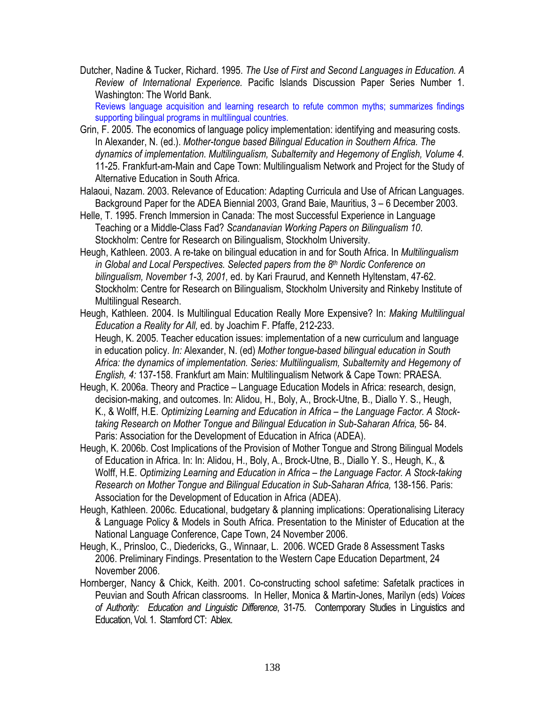Dutcher, Nadine & Tucker, Richard. 1995. *The Use of First and Second Languages in Education. A Review of International Experience.* Pacific Islands Discussion Paper Series Number 1. Washington: The World Bank.

Reviews language acquisition and learning research to refute common myths; summarizes findings supporting bilingual programs in multilingual countries.

- Grin, F. 2005. The economics of language policy implementation: identifying and measuring costs. In Alexander, N. (ed.). *Mother-tongue based Bilingual Education in Southern Africa. The dynamics of implementation. Multilingualism, Subalternity and Hegemony of English, Volume 4.* 11-25. Frankfurt-am-Main and Cape Town: Multilingualism Network and Project for the Study of Alternative Education in South Africa.
- Halaoui, Nazam. 2003. Relevance of Education: Adapting Curricula and Use of African Languages. Background Paper for the ADEA Biennial 2003, Grand Baie, Mauritius, 3 – 6 December 2003.
- Helle, T. 1995. French Immersion in Canada: The most Successful Experience in Language Teaching or a Middle-Class Fad? *Scandanavian Working Papers on Bilingualism 10*. Stockholm: Centre for Research on Bilingualism, Stockholm University.
- Heugh, Kathleen. 2003. A re-take on bilingual education in and for South Africa. In *Multilingualism in Global and Local Perspectives. Selected papers from the 8th Nordic Conference on bilingualism, November 1-3, 2001,* ed. by Kari Fraurud, and Kenneth Hyltenstam, 47-62. Stockholm: Centre for Research on Bilingualism, Stockholm University and Rinkeby Institute of Multilingual Research.
- Heugh, Kathleen. 2004. Is Multilingual Education Really More Expensive? In: *Making Multilingual Education a Reality for All,* ed. by Joachim F. Pfaffe, 212-233. Heugh, K. 2005. Teacher education issues: implementation of a new curriculum and language in education policy. *In:* Alexander, N. (ed) *Mother tongue-based bilingual education in South Africa: the dynamics of implementation. Series: Multilingualism, Subalternity and Hegemony of English, 4:* 137-158. Frankfurt am Main: Multilingualism Network & Cape Town: PRAESA.
- Heugh, K. 2006a. Theory and Practice Language Education Models in Africa: research, design, decision-making, and outcomes. In: Alidou, H., Boly, A., Brock-Utne, B., Diallo Y. S., Heugh, K., & Wolff, H.E. *Optimizing Learning and Education in Africa – the Language Factor. A Stocktaking Research on Mother Tongue and Bilingual Education in Sub-Saharan Africa,* 56- 84. Paris: Association for the Development of Education in Africa (ADEA).
- Heugh, K. 2006b. Cost Implications of the Provision of Mother Tongue and Strong Bilingual Models of Education in Africa. In: In: Alidou, H., Boly, A., Brock-Utne, B., Diallo Y. S., Heugh, K., & Wolff, H.E. *Optimizing Learning and Education in Africa – the Language Factor. A Stock-taking Research on Mother Tongue and Bilingual Education in Sub-Saharan Africa, 138-156. Paris:* Association for the Development of Education in Africa (ADEA).
- Heugh, Kathleen. 2006c. Educational, budgetary & planning implications: Operationalising Literacy & Language Policy & Models in South Africa. Presentation to the Minister of Education at the National Language Conference, Cape Town, 24 November 2006.
- Heugh, K., Prinsloo, C., Diedericks, G., Winnaar, L. 2006. WCED Grade 8 Assessment Tasks 2006. Preliminary Findings. Presentation to the Western Cape Education Department, 24 November 2006.
- Hornberger, Nancy & Chick, Keith. 2001. Co-constructing school safetime: Safetalk practices in Peuvian and South African classrooms. In Heller, Monica & Martin-Jones, Marilyn (eds) *Voices of Authority: Education and Linguistic Difference*, 31-75. Contemporary Studies in Linguistics and Education, Vol. 1. Stamford CT: Ablex.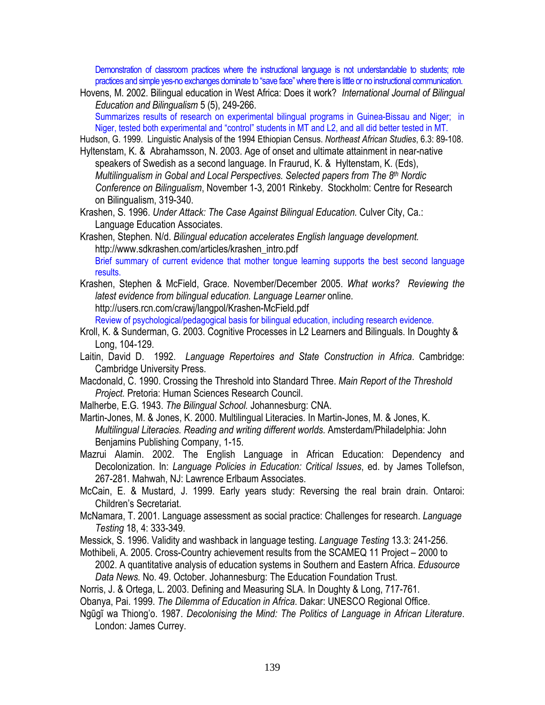Demonstration of classroom practices where the instructional language is not understandable to students; rote practices and simple yes-no exchanges dominate to "save face" where there is little or no instructional communication.

Hovens, M. 2002. Bilingual education in West Africa: Does it work? *International Journal of Bilingual Education and Bilingualism* 5 (5), 249-266. Summarizes results of research on experimental bilingual programs in Guinea-Bissau and Niger; in

Niger, tested both experimental and "control" students in MT and L2, and all did better tested in MT.

Hudson, G. 1999. Linguistic Analysis of the 1994 Ethiopian Census. *Northeast African Studies*, 6.3: 89-108.

- Hyltenstam, K. & Abrahamsson, N. 2003. Age of onset and ultimate attainment in near-native speakers of Swedish as a second language. In Fraurud, K. & Hyltenstam, K. (Eds), *Multilingualism in Gobal and Local Perspectives. Selected papers from The 8th Nordic Conference on Bilingualism*, November 1-3, 2001 Rinkeby. Stockholm: Centre for Research on Bilingualism, 319-340.
- Krashen, S. 1996. *Under Attack: The Case Against Bilingual Education.* Culver City, Ca.: Language Education Associates.
- Krashen, Stephen. N/d. *Bilingual education accelerates English language development.*  http://www.sdkrashen.com/articles/krashen\_intro.pdf Brief summary of current evidence that mother tongue learning supports the best second language results.
- Krashen, Stephen & McField, Grace. November/December 2005. *What works? Reviewing the latest evidence from bilingual education. Language Learner* online. http://users.rcn.com/crawj/langpol/Krashen-McField.pdf

Review of psychological/pedagogical basis for bilingual education, including research evidence.

- Kroll, K. & Sunderman, G. 2003. Cognitive Processes in L2 Learners and Bilinguals. In Doughty & Long, 104-129.
- Laitin, David D. 1992. *Language Repertoires and State Construction in Africa*. Cambridge: Cambridge University Press.
- Macdonald, C. 1990. Crossing the Threshold into Standard Three. *Main Report of the Threshold Project.* Pretoria: Human Sciences Research Council.
- Malherbe, E.G. 1943. *The Bilingual School.* Johannesburg: CNA.

Martin-Jones, M. & Jones, K. 2000. Multilingual Literacies. In Martin-Jones, M. & Jones, K. *Multilingual Literacies. Reading and writing different worlds.* Amsterdam/Philadelphia: John Benjamins Publishing Company, 1-15.

Mazrui Alamin. 2002. The English Language in African Education: Dependency and Decolonization. In: *Language Policies in Education: Critical Issues*, ed. by James Tollefson, 267-281. Mahwah, NJ: Lawrence Erlbaum Associates.

McCain, E. & Mustard, J. 1999. Early years study: Reversing the real brain drain. Ontaroi: Children's Secretariat.

McNamara, T. 2001. Language assessment as social practice: Challenges for research. *Language Testing* 18, 4: 333-349.

Messick, S. 1996. Validity and washback in language testing. *Language Testing* 13.3: 241-256.

Mothibeli, A. 2005. Cross-Country achievement results from the SCAMEQ 11 Project – 2000 to 2002. A quantitative analysis of education systems in Southern and Eastern Africa. *Edusource Data News.* No. 49. October. Johannesburg: The Education Foundation Trust.

Norris, J. & Ortega, L. 2003. Defining and Measuring SLA. In Doughty & Long, 717-761.

Obanya, Pai. 1999. *The Dilemma of Education in Africa*. Dakar: UNESCO Regional Office.

Ngũgĩ wa Thiong'o. 1987. *Decolonising the Mind: The Politics of Language in African Literature*. London: James Currey.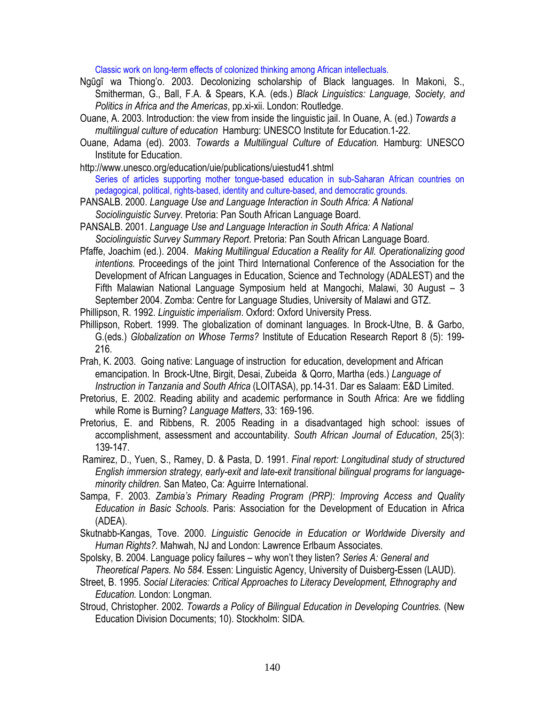Classic work on long-term effects of colonized thinking among African intellectuals.

- Ngũgĩ wa Thiong'o. 2003. Decolonizing scholarship of Black languages. In Makoni, S., Smitherman, G., Ball, F.A. & Spears, K.A. (eds.) *Black Linguistics: Language, Society, and Politics in Africa and the Americas*, pp.xi-xii. London: Routledge.
- Ouane, A. 2003. Introduction: the view from inside the linguistic jail. In Ouane, A. (ed.) *Towards a multilingual culture of education* Hamburg: UNESCO Institute for Education.1-22.
- Ouane, Adama (ed). 2003. *Towards a Multilingual Culture of Education.* Hamburg: UNESCO Institute for Education.
- http://www.unesco.org/education/uie/publications/uiestud41.shtml Series of articles supporting mother tongue-based education in sub-Saharan African countries on pedagogical, political, rights-based, identity and culture-based, and democratic grounds.
- PANSALB. 2000. *Language Use and Language Interaction in South Africa: A National Sociolinguistic Survey*. Pretoria: Pan South African Language Board.
- PANSALB. 2001. *Language Use and Language Interaction in South Africa: A National Sociolinguistic Survey Summary Report*. Pretoria: Pan South African Language Board.
- Pfaffe, Joachim (ed.). 2004. *Making Multilingual Education a Reality for All. Operationalizing good intentions.* Proceedings of the joint Third International Conference of the Association for the Development of African Languages in Education, Science and Technology (ADALEST) and the Fifth Malawian National Language Symposium held at Mangochi, Malawi, 30 August – 3 September 2004. Zomba: Centre for Language Studies, University of Malawi and GTZ.
- Phillipson, R. 1992. *Linguistic imperialism*. Oxford: Oxford University Press.
- Phillipson, Robert. 1999. The globalization of dominant languages. In Brock-Utne, B. & Garbo, G.(eds.) *Globalization on Whose Terms?* Institute of Education Research Report 8 (5): 199- 216.
- Prah, K. 2003. Going native: Language of instruction for education, development and African emancipation. In Brock-Utne, Birgit, Desai, Zubeida & Qorro, Martha (eds.) *Language of Instruction in Tanzania and South Africa* (LOITASA), pp.14-31. Dar es Salaam: E&D Limited.
- Pretorius, E. 2002. Reading ability and academic performance in South Africa: Are we fiddling while Rome is Burning? *Language Matters*, 33: 169-196.
- Pretorius, E. and Ribbens, R. 2005 Reading in a disadvantaged high school: issues of accomplishment, assessment and accountability. *South African Journal of Education*, 25(3): 139-147.
- Ramirez, D., Yuen, S., Ramey, D. & Pasta, D. 1991. *Final report: Longitudinal study of structured English immersion strategy, early-exit and late-exit transitional bilingual programs for languageminority children.* San Mateo, Ca: Aguirre International.
- Sampa, F. 2003. *Zambia's Primary Reading Program (PRP): Improving Access and Quality Education in Basic Schools*. Paris: Association for the Development of Education in Africa (ADEA).
- Skutnabb-Kangas, Tove. 2000. *Linguistic Genocide in Education or Worldwide Diversity and Human Rights?.* Mahwah, NJ and London: Lawrence Erlbaum Associates.
- Spolsky, B. 2004. Language policy failures why won't they listen? *Series A: General and Theoretical Papers. No 584.* Essen: Linguistic Agency, University of Duisberg-Essen (LAUD).
- Street, B. 1995. *Social Literacies: Critical Approaches to Literacy Development, Ethnography and Education.* London: Longman*.*
- Stroud, Christopher. 2002. *Towards a Policy of Bilingual Education in Developing Countries.* (New Education Division Documents; 10). Stockholm: SIDA.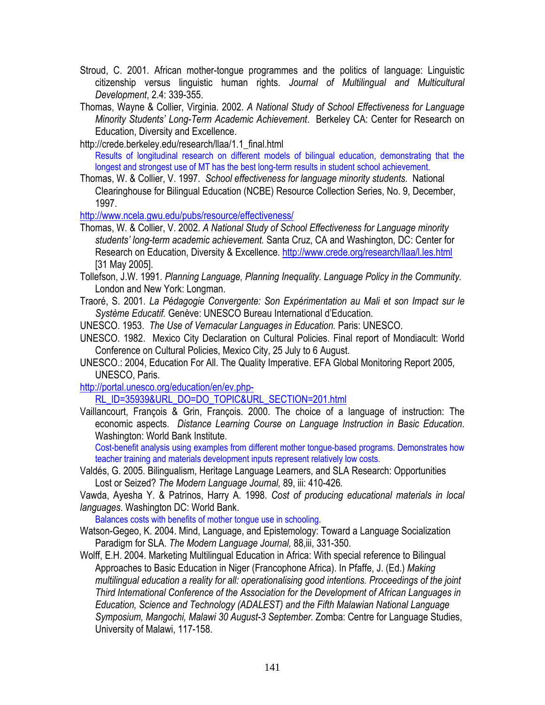- Stroud, C. 2001. African mother-tongue programmes and the politics of language: Linguistic citizenship versus linguistic human rights. *Journal of Multilingual and Multicultural Development*, 2.4: 339-355.
- Thomas, Wayne & Collier, Virginia. 2002. *A National Study of School Effectiveness for Language Minority Students' Long-Term Academic Achievement*. Berkeley CA: Center for Research on Education, Diversity and Excellence.
- http://crede.berkeley.edu/research/llaa/1.1\_final.html Results of longitudinal research on different models of bilingual education, demonstrating that the longest and strongest use of MT has the best long-term results in student school achievement.
- Thomas, W. & Collier, V. 1997. *School effectiveness for language minority students.* National Clearinghouse for Bilingual Education (NCBE) Resource Collection Series, No. 9, December, 1997.

http://www.ncela.gwu.edu/pubs/resource/effectiveness/

- Thomas, W. & Collier, V. 2002. *A National Study of School Effectiveness for Language minority students' long-term academic achievement.* Santa Cruz, CA and Washington, DC: Center for Research on Education, Diversity & Excellence. http://www.crede.org/research/llaa/l.les.html [31 May 2005].
- Tollefson, J.W. 1991. *Planning Language, Planning Inequality. Language Policy in the Community.* London and New York: Longman.
- Traoré, S. 2001. *La Pédagogie Convergente: Son Expérimentation au Mali et son Impact sur le Système Educatif.* Genève: UNESCO Bureau International d'Education.
- UNESCO. 1953. *The Use of Vernacular Languages in Education.* Paris: UNESCO.
- UNESCO. 1982. Mexico City Declaration on Cultural Policies. Final report of Mondiacult: World Conference on Cultural Policies, Mexico City, 25 July to 6 August.
- UNESCO.: 2004, Education For All. The Quality Imperative. EFA Global Monitoring Report 2005, UNESCO, Paris.

http://portal.unesco.org/education/en/ev.php-

RL\_ID=35939&URL\_DO=DO\_TOPIC&URL\_SECTION=201.html

Vaillancourt, François & Grin, François. 2000. The choice of a language of instruction: The economic aspects. *Distance Learning Course on Language Instruction in Basic Education*. Washington: World Bank Institute.

Cost-benefit analysis using examples from different mother tongue-based programs. Demonstrates how teacher training and materials development inputs represent relatively low costs.

Valdés, G. 2005. Bilingualism, Heritage Language Learners, and SLA Research: Opportunities Lost or Seized? *The Modern Language Journal,* 89, iii: 410-426*.* 

Vawda, Ayesha Y. & Patrinos, Harry A. 1998. *Cost of producing educational materials in local languages*. Washington DC: World Bank.

Balances costs with benefits of mother tongue use in schooling.

- Watson-Gegeo, K. 2004. Mind, Language, and Epistemology: Toward a Language Socialization Paradigm for SLA. *The Modern Language Journal,* 88,iii, 331-350.
- Wolff, E.H. 2004. Marketing Multilingual Education in Africa: With special reference to Bilingual Approaches to Basic Education in Niger (Francophone Africa). In Pfaffe, J. (Ed.) *Making multilingual education a reality for all: operationalising good intentions. Proceedings of the joint Third International Conference of the Association for the Development of African Languages in Education, Science and Technology (ADALEST) and the Fifth Malawian National Language Symposium, Mangochi, Malawi 30 August-3 September.* Zomba: Centre for Language Studies, University of Malawi, 117-158.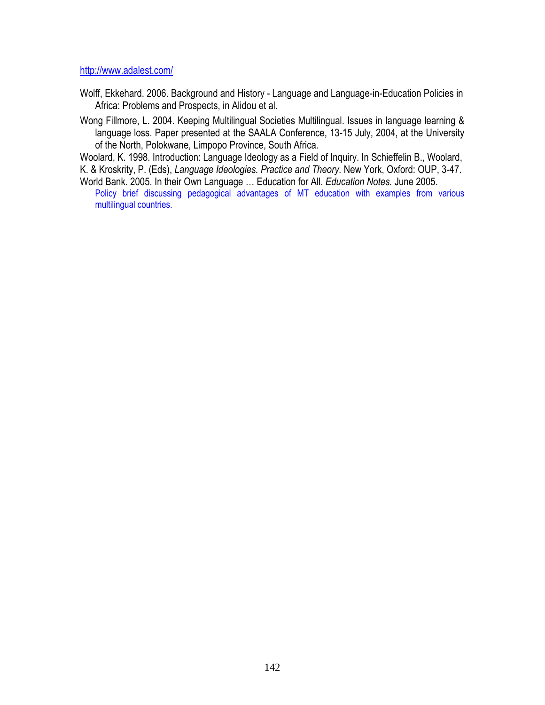http://www.adalest.com/

- Wolff, Ekkehard. 2006. Background and History Language and Language-in-Education Policies in Africa: Problems and Prospects, in Alidou et al.
- Wong Fillmore, L. 2004. Keeping Multilingual Societies Multilingual. Issues in language learning & language loss. Paper presented at the SAALA Conference, 13-15 July, 2004, at the University of the North, Polokwane, Limpopo Province, South Africa.

Woolard, K. 1998. Introduction: Language Ideology as a Field of Inquiry. In Schieffelin B., Woolard, K. & Kroskrity, P. (Eds), *Language Ideologies. Practice and Theory.* New York, Oxford: OUP, 3-47.

World Bank. 2005. In their Own Language … Education for All. *Education Notes.* June 2005. Policy brief discussing pedagogical advantages of MT education with examples from various multilingual countries.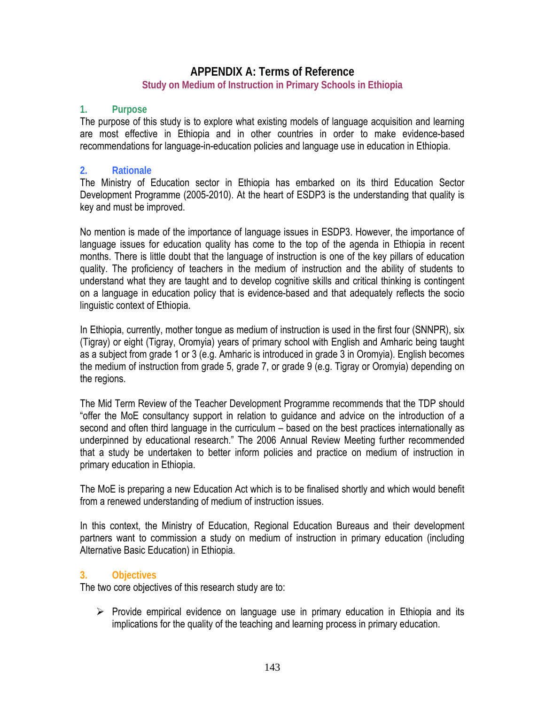### **APPENDIX A: Terms of Reference**

#### **Study on Medium of Instruction in Primary Schools in Ethiopia**

#### **1. Purpose**

The purpose of this study is to explore what existing models of language acquisition and learning are most effective in Ethiopia and in other countries in order to make evidence-based recommendations for language-in-education policies and language use in education in Ethiopia.

#### **2. Rationale**

The Ministry of Education sector in Ethiopia has embarked on its third Education Sector Development Programme (2005-2010). At the heart of ESDP3 is the understanding that quality is key and must be improved.

No mention is made of the importance of language issues in ESDP3. However, the importance of language issues for education quality has come to the top of the agenda in Ethiopia in recent months. There is little doubt that the language of instruction is one of the key pillars of education quality. The proficiency of teachers in the medium of instruction and the ability of students to understand what they are taught and to develop cognitive skills and critical thinking is contingent on a language in education policy that is evidence-based and that adequately reflects the socio linguistic context of Ethiopia.

In Ethiopia, currently, mother tongue as medium of instruction is used in the first four (SNNPR), six (Tigray) or eight (Tigray, Oromyia) years of primary school with English and Amharic being taught as a subject from grade 1 or 3 (e.g. Amharic is introduced in grade 3 in Oromyia). English becomes the medium of instruction from grade 5, grade 7, or grade 9 (e.g. Tigray or Oromyia) depending on the regions.

The Mid Term Review of the Teacher Development Programme recommends that the TDP should "offer the MoE consultancy support in relation to guidance and advice on the introduction of a second and often third language in the curriculum – based on the best practices internationally as underpinned by educational research." The 2006 Annual Review Meeting further recommended that a study be undertaken to better inform policies and practice on medium of instruction in primary education in Ethiopia.

The MoE is preparing a new Education Act which is to be finalised shortly and which would benefit from a renewed understanding of medium of instruction issues.

In this context, the Ministry of Education, Regional Education Bureaus and their development partners want to commission a study on medium of instruction in primary education (including Alternative Basic Education) in Ethiopia.

#### **3. Objectives**

The two core objectives of this research study are to:

 $\triangleright$  Provide empirical evidence on language use in primary education in Ethiopia and its implications for the quality of the teaching and learning process in primary education.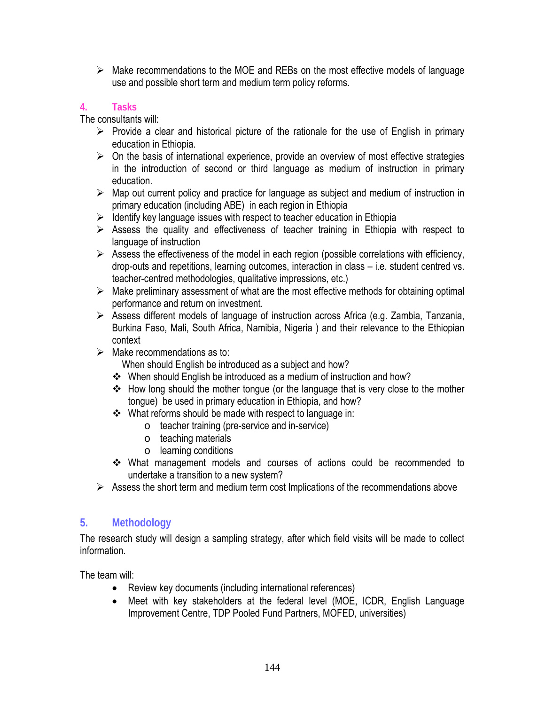$\triangleright$  Make recommendations to the MOE and REBs on the most effective models of language use and possible short term and medium term policy reforms.

### **4. Tasks**

The consultants will:

- $\triangleright$  Provide a clear and historical picture of the rationale for the use of English in primary education in Ethiopia.
- $\triangleright$  On the basis of international experience, provide an overview of most effective strategies in the introduction of second or third language as medium of instruction in primary education.
- $\triangleright$  Map out current policy and practice for language as subject and medium of instruction in primary education (including ABE) in each region in Ethiopia
- $\triangleright$  Identify key language issues with respect to teacher education in Ethiopia
- $\triangleright$  Assess the quality and effectiveness of teacher training in Ethiopia with respect to language of instruction
- $\triangleright$  Assess the effectiveness of the model in each region (possible correlations with efficiency, drop-outs and repetitions, learning outcomes, interaction in class – i.e. student centred vs. teacher-centred methodologies, qualitative impressions, etc.)
- $\triangleright$  Make preliminary assessment of what are the most effective methods for obtaining optimal performance and return on investment.
- ¾ Assess different models of language of instruction across Africa (e.g. Zambia, Tanzania, Burkina Faso, Mali, South Africa, Namibia, Nigeria ) and their relevance to the Ethiopian context
- $\triangleright$  Make recommendations as to:
	- When should English be introduced as a subject and how?
	- \* When should English be introduced as a medium of instruction and how?
	- How long should the mother tongue (or the language that is very close to the mother tongue) be used in primary education in Ethiopia, and how?
	- What reforms should be made with respect to language in:
		- o teacher training (pre-service and in-service)
		- o teaching materials
		- o learning conditions
	- What management models and courses of actions could be recommended to undertake a transition to a new system?
- $\triangleright$  Assess the short term and medium term cost Implications of the recommendations above

# **5. Methodology**

The research study will design a sampling strategy, after which field visits will be made to collect information.

The team will:

- Review key documents (including international references)
- Meet with key stakeholders at the federal level (MOE, ICDR, English Language Improvement Centre, TDP Pooled Fund Partners, MOFED, universities)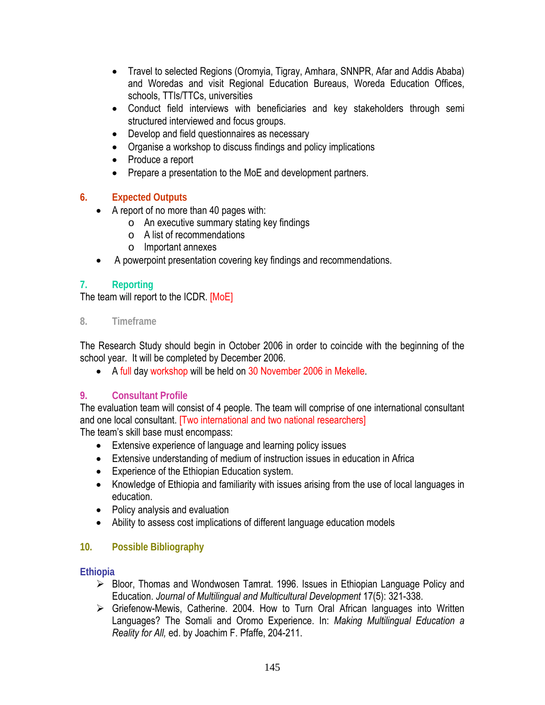- Travel to selected Regions (Oromyia, Tigray, Amhara, SNNPR, Afar and Addis Ababa) and Woredas and visit Regional Education Bureaus, Woreda Education Offices, schools, TTIs/TTCs, universities
- Conduct field interviews with beneficiaries and key stakeholders through semi structured interviewed and focus groups.
- Develop and field questionnaires as necessary
- Organise a workshop to discuss findings and policy implications
- Produce a report
- Prepare a presentation to the MoE and development partners.

### **6. Expected Outputs**

- A report of no more than 40 pages with:
	- o An executive summary stating key findings
	- o A list of recommendations
	- o Important annexes
- A powerpoint presentation covering key findings and recommendations.

### **7. Reporting**

The team will report to the ICDR. [MoE]

**8. Timeframe**

The Research Study should begin in October 2006 in order to coincide with the beginning of the school year. It will be completed by December 2006.

• A full day workshop will be held on 30 November 2006 in Mekelle.

### **9. Consultant Profile**

The evaluation team will consist of 4 people. The team will comprise of one international consultant and one local consultant. [Two international and two national researchers]

The team's skill base must encompass:

- Extensive experience of language and learning policy issues
- Extensive understanding of medium of instruction issues in education in Africa
- Experience of the Ethiopian Education system.
- Knowledge of Ethiopia and familiarity with issues arising from the use of local languages in education.
- Policy analysis and evaluation
- Ability to assess cost implications of different language education models

### **10. Possible Bibliography**

#### **Ethiopia**

- ¾ Bloor, Thomas and Wondwosen Tamrat. 1996. Issues in Ethiopian Language Policy and Education. *Journal of Multilingual and Multicultural Development* 17(5): 321-338.
- $\triangleright$  Griefenow-Mewis, Catherine. 2004. How to Turn Oral African languages into Written Languages? The Somali and Oromo Experience. In: *Making Multilingual Education a Reality for All,* ed. by Joachim F. Pfaffe, 204-211.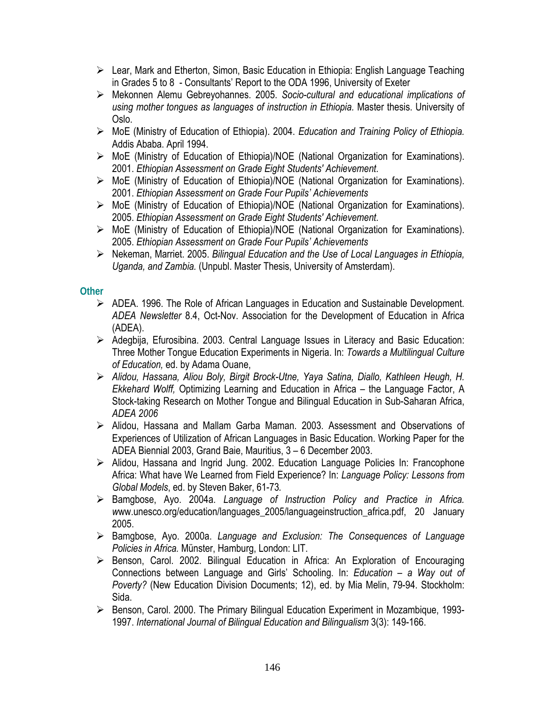- $\triangleright$  Lear, Mark and Etherton, Simon, Basic Education in Ethiopia: English Language Teaching in Grades 5 to 8 - Consultants' Report to the ODA 1996, University of Exeter
- ¾ Mekonnen Alemu Gebreyohannes. 2005. *Socio-cultural and educational implications of using mother tongues as languages of instruction in Ethiopia.* Master thesis. University of Oslo.
- ¾ MoE (Ministry of Education of Ethiopia). 2004. *Education and Training Policy of Ethiopia.*  Addis Ababa. April 1994.
- ¾ MoE (Ministry of Education of Ethiopia)/NOE (National Organization for Examinations). 2001. *Ethiopian Assessment on Grade Eight Students' Achievement.*
- ¾ MoE (Ministry of Education of Ethiopia)/NOE (National Organization for Examinations). 2001. *Ethiopian Assessment on Grade Four Pupils' Achievements*
- ¾ MoE (Ministry of Education of Ethiopia)/NOE (National Organization for Examinations). 2005. *Ethiopian Assessment on Grade Eight Students' Achievement.*
- ¾ MoE (Ministry of Education of Ethiopia)/NOE (National Organization for Examinations). 2005. *Ethiopian Assessment on Grade Four Pupils' Achievements*
- ¾ Nekeman, Marriet. 2005. *Bilingual Education and the Use of Local Languages in Ethiopia, Uganda, and Zambia.* (Unpubl. Master Thesis, University of Amsterdam).

### **Other**

- ¾ ADEA. 1996. The Role of African Languages in Education and Sustainable Development. *ADEA Newsletter* 8.4, Oct-Nov. Association for the Development of Education in Africa (ADEA).
- $\triangleright$  Adegbija, Efurosibina. 2003. Central Language Issues in Literacy and Basic Education: Three Mother Tongue Education Experiments in Nigeria. In: *Towards a Multilingual Culture of Education,* ed. by Adama Ouane,
- ¾ *Alidou, Hassana, Aliou Boly, Birgit Brock-Utne, Yaya Satina, Diallo, Kathleen Heugh, H. Ekkehard Wolff,* Optimizing Learning and Education in Africa – the Language Factor, A Stock-taking Research on Mother Tongue and Bilingual Education in Sub-Saharan Africa, *ADEA 2006*
- ¾ Alidou, Hassana and Mallam Garba Maman. 2003. Assessment and Observations of Experiences of Utilization of African Languages in Basic Education. Working Paper for the ADEA Biennial 2003, Grand Baie, Mauritius, 3 – 6 December 2003.
- ¾ Alidou, Hassana and Ingrid Jung. 2002. Education Language Policies In: Francophone Africa: What have We Learned from Field Experience? In: *Language Policy: Lessons from Global Models*, ed. by Steven Baker, 61-73*.*
- ¾ Bamgbose, Ayo. 2004a. *Language of Instruction Policy and Practice in Africa. w*ww.unesco.org/education/languages\_2005/languageinstruction\_africa.pdf, 20 January 2005.
- ¾ Bamgbose, Ayo. 2000a. *Language and Exclusion: The Consequences of Language Policies in Africa.* Münster, Hamburg, London: LIT.
- ¾ Benson, Carol. 2002. Bilingual Education in Africa: An Exploration of Encouraging Connections between Language and Girls' Schooling. In: *Education – a Way out of Poverty?* (New Education Division Documents; 12), ed. by Mia Melin, 79-94. Stockholm: Sida.
- ¾ Benson, Carol. 2000. The Primary Bilingual Education Experiment in Mozambique, 1993- 1997. *International Journal of Bilingual Education and Bilingualism* 3(3): 149-166.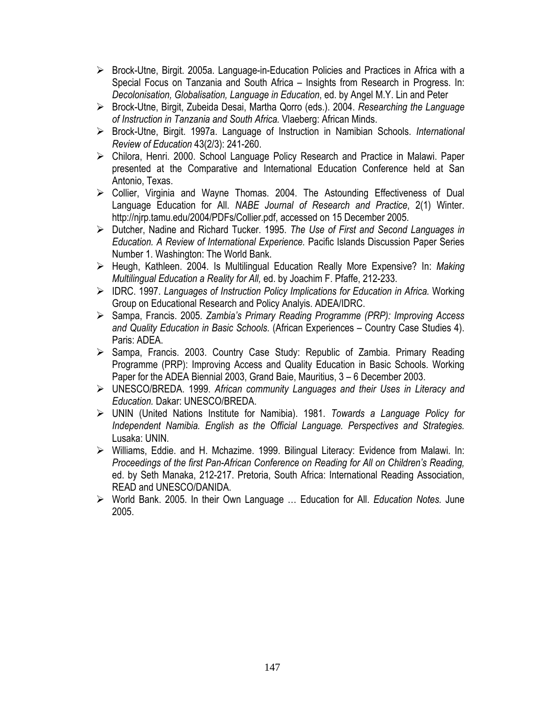- $\triangleright$  Brock-Utne, Birgit. 2005a. Language-in-Education Policies and Practices in Africa with a Special Focus on Tanzania and South Africa – Insights from Research in Progress. In: *Decolonisation, Globalisation, Language in Education*, ed. by Angel M.Y. Lin and Peter
- ¾ Brock-Utne, Birgit, Zubeida Desai, Martha Qorro (eds.). 2004. *Researching the Language of Instruction in Tanzania and South Africa.* Vlaeberg: African Minds.
- ¾ Brock-Utne, Birgit. 1997a. Language of Instruction in Namibian Schools. *International Review of Education* 43(2/3): 241-260.
- ¾ Chilora, Henri. 2000. School Language Policy Research and Practice in Malawi. Paper presented at the Comparative and International Education Conference held at San Antonio, Texas.
- ¾ Collier, Virginia and Wayne Thomas. 2004. The Astounding Effectiveness of Dual Language Education for All. *NABE Journal of Research and Practice*, 2(1) Winter. http://njrp.tamu.edu/2004/PDFs/Collier.pdf, accessed on 15 December 2005.
- ¾ Dutcher, Nadine and Richard Tucker. 1995. *The Use of First and Second Languages in Education. A Review of International Experience.* Pacific Islands Discussion Paper Series Number 1. Washington: The World Bank.
- ¾ Heugh, Kathleen. 2004. Is Multilingual Education Really More Expensive? In: *Making Multilingual Education a Reality for All,* ed. by Joachim F. Pfaffe, 212-233.
- ¾ IDRC. 1997. *Languages of Instruction Policy Implications for Education in Africa.* Working Group on Educational Research and Policy Analyis. ADEA/IDRC.
- ¾ Sampa, Francis. 2005. *Zambia's Primary Reading Programme (PRP): Improving Access and Quality Education in Basic Schools.* (African Experiences – Country Case Studies 4). Paris: ADEA.
- ¾ Sampa, Francis. 2003. Country Case Study: Republic of Zambia. Primary Reading Programme (PRP): Improving Access and Quality Education in Basic Schools. Working Paper for the ADEA Biennial 2003, Grand Baie, Mauritius, 3 – 6 December 2003.
- ¾ UNESCO/BREDA. 1999. *African community Languages and their Uses in Literacy and Education.* Dakar: UNESCO/BREDA.
- ¾ UNIN (United Nations Institute for Namibia). 1981. *Towards a Language Policy for Independent Namibia. English as the Official Language. Perspectives and Strategies.*  Lusaka: UNIN.
- ¾ Williams, Eddie. and H. Mchazime. 1999. Bilingual Literacy: Evidence from Malawi. In: *Proceedings of the first Pan-African Conference on Reading for All on Children's Reading,*  ed. by Seth Manaka, 212-217. Pretoria, South Africa: International Reading Association, READ and UNESCO/DANIDA.
- ¾ World Bank. 2005. In their Own Language … Education for All. *Education Notes.* June 2005.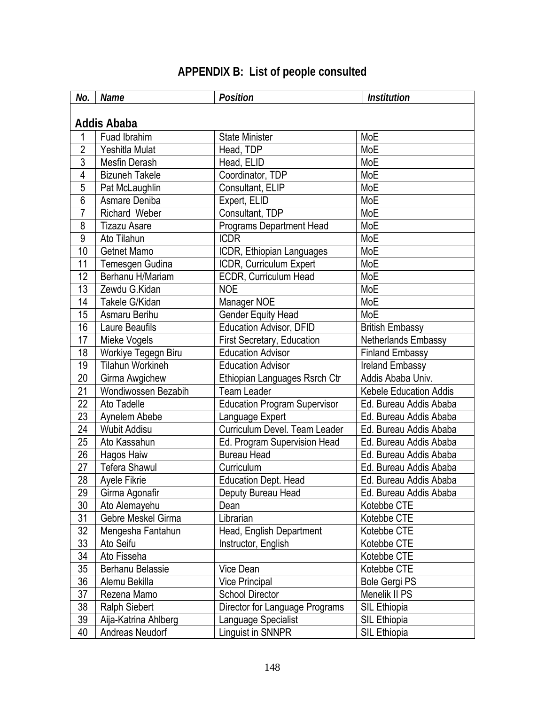| No.             | <b>Name</b>             | <b>Position</b>                     | <b>Institution</b>            |
|-----------------|-------------------------|-------------------------------------|-------------------------------|
|                 |                         |                                     |                               |
|                 | <b>Addis Ababa</b>      |                                     |                               |
| 1               | Fuad Ibrahim            | <b>State Minister</b>               | MoE                           |
| $\overline{2}$  | Yeshitla Mulat          | Head, TDP                           | MoE                           |
| 3               | Mesfin Derash           | Head, ELID                          | MoE                           |
| $\overline{4}$  | <b>Bizuneh Takele</b>   | Coordinator, TDP                    | MoE                           |
| 5               | Pat McLaughlin          | Consultant, ELIP                    | MoE                           |
| 6               | Asmare Deniba           | Expert, ELID                        | MoE                           |
| $\overline{7}$  | <b>Richard Weber</b>    | Consultant, TDP                     | MoE                           |
| 8               | <b>Tizazu Asare</b>     | <b>Programs Department Head</b>     | MoE                           |
| 9               | Ato Tilahun             | <b>ICDR</b>                         | MoE                           |
| 10              | Getnet Mamo             | ICDR, Ethiopian Languages           | MoE                           |
| 11              | Temesgen Gudina         | ICDR, Curriculum Expert             | MoE                           |
| 12              | Berhanu H/Mariam        | ECDR, Curriculum Head               | MoE                           |
| 13              | Zewdu G.Kidan           | <b>NOE</b>                          | MoE                           |
| 14              | Takele G/Kidan          | Manager NOE                         | MoE                           |
| 15              | Asmaru Berihu           | <b>Gender Equity Head</b>           | MoE                           |
| 16              | Laure Beaufils          | Education Advisor, DFID             | <b>British Embassy</b>        |
| 17              | Mieke Vogels            | First Secretary, Education          | Netherlands Embassy           |
| 18              | Workiye Tegegn Biru     | <b>Education Advisor</b>            | <b>Finland Embassy</b>        |
| 19              | <b>Tilahun Workineh</b> | <b>Education Advisor</b>            | Ireland Embassy               |
| 20              | Girma Awgichew          | Ethiopian Languages Rsrch Ctr       | Addis Ababa Univ.             |
| 21              | Wondiwossen Bezabih     | <b>Team Leader</b>                  | <b>Kebele Education Addis</b> |
| 22              | Ato Tadelle             | <b>Education Program Supervisor</b> | Ed. Bureau Addis Ababa        |
| 23              | Aynelem Abebe           | Language Expert                     | Ed. Bureau Addis Ababa        |
| 24              | <b>Wubit Addisu</b>     | Curriculum Devel. Team Leader       | Ed. Bureau Addis Ababa        |
| 25              | Ato Kassahun            | Ed. Program Supervision Head        | Ed. Bureau Addis Ababa        |
| 26              | Hagos Haiw              | <b>Bureau Head</b>                  | Ed. Bureau Addis Ababa        |
| 27              | <b>Tefera Shawul</b>    | Curriculum                          | Ed. Bureau Addis Ababa        |
| 28              | Ayele Fikrie            | <b>Education Dept. Head</b>         | Ed. Bureau Addis Ababa        |
| $\overline{29}$ | Girma Agonafir          | Deputy Bureau Head                  | Ed. Bureau Addis Ababa        |
| 30              | Ato Alemayehu           | Dean                                | Kotebbe CTE                   |
| 31              | Gebre Meskel Girma      | Librarian                           | Kotebbe CTE                   |
| 32              | Mengesha Fantahun       | Head, English Department            | Kotebbe CTE                   |
| 33              | Ato Seifu               | Instructor, English                 | Kotebbe CTE                   |
| 34              | Ato Fisseha             |                                     | Kotebbe CTE                   |
| 35              | Berhanu Belassie        | Vice Dean                           | Kotebbe CTE                   |
| 36              | Alemu Bekilla           | <b>Vice Principal</b>               | <b>Bole Gergi PS</b>          |
| 37              | Rezena Mamo             | School Director                     | Menelik II PS                 |
| 38              | <b>Ralph Siebert</b>    | Director for Language Programs      | SIL Ethiopia                  |
| 39              | Aija-Katrina Ahlberg    | Language Specialist                 | SIL Ethiopia                  |
| 40              | Andreas Neudorf         | Linguist in SNNPR                   | SIL Ethiopia                  |

# **APPENDIX B: List of people consulted**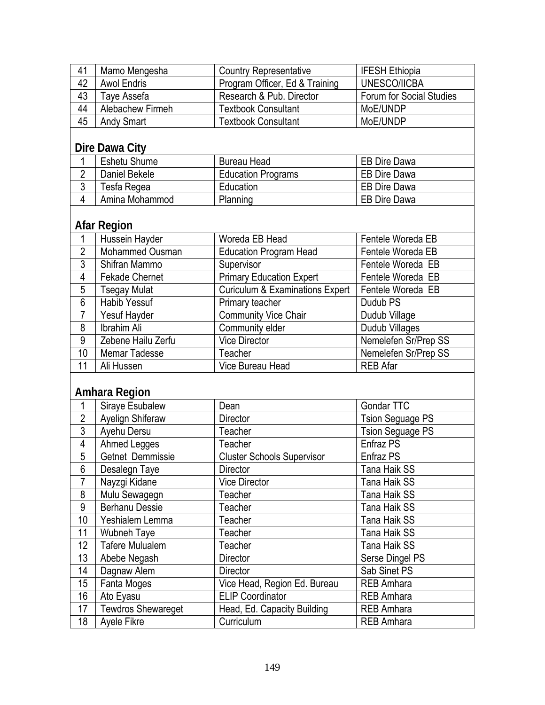| 41 | Mamo Mengesha      | <b>Country Representative</b>  | <b>IFESH Ethiopia</b>    |
|----|--------------------|--------------------------------|--------------------------|
| 42 | <b>Awol Endris</b> | Program Officer, Ed & Training | UNESCO/IICBA             |
| 43 | Tave Assefa        | Research & Pub. Director       | Forum for Social Studies |
| 44 | Alebachew Firmeh   | <b>Textbook Consultant</b>     | MoE/UNDP                 |
| 45 | <b>Andy Smart</b>  | <b>Textbook Consultant</b>     | MoE/UNDP                 |

## **Dire Dawa City**

| <b>Eshetu Shume</b> | <b>Bureau Head</b>        | EB Dire Dawa        |
|---------------------|---------------------------|---------------------|
| Daniel Bekele       | <b>Education Programs</b> | EB Dire Dawa        |
| Tesfa Regea         | Education                 | <b>EB Dire Dawa</b> |
| Amina Mohammod      | Planning                  | <b>EB Dire Dawa</b> |

## **Afar Region**

|    | Hussein Hayder        | Woreda EB Head                             | Fentele Woreda EB    |
|----|-----------------------|--------------------------------------------|----------------------|
| 2  | Mohammed Ousman       | <b>Education Program Head</b>              | Fentele Woreda EB    |
| 3  | Shifran Mammo         | Supervisor                                 | Fentele Woreda EB    |
| 4  | <b>Fekade Chernet</b> | <b>Primary Education Expert</b>            | Fentele Woreda EB    |
| 5  | <b>Tsegay Mulat</b>   | <b>Curiculum &amp; Examinations Expert</b> | Fentele Woreda EB    |
| 6  | <b>Habib Yessuf</b>   | Primary teacher                            | Dudub <sub>PS</sub>  |
|    | Yesuf Hayder          | <b>Community Vice Chair</b>                | Dudub Village        |
| 8  | Ibrahim Ali           | Community elder                            | Dudub Villages       |
| 9  | Zebene Hailu Zerfu    | <b>Vice Director</b>                       | Nemelefen Sr/Prep SS |
| 10 | Memar Tadesse         | Teacher                                    | Nemelefen Sr/Prep SS |
| 11 | Ali Hussen            | Vice Bureau Head                           | <b>REB Afar</b>      |

## **Amhara Region**

|                 | Siraye Esubalew           | Dean                              | Gondar TTC              |
|-----------------|---------------------------|-----------------------------------|-------------------------|
| $\overline{2}$  | Ayelign Shiferaw          | Director                          | <b>Tsion Seguage PS</b> |
| 3               | Ayehu Dersu               | Teacher                           | <b>Tsion Seguage PS</b> |
| 4               | Ahmed Legges              | Teacher                           | Enfraz PS               |
| 5               | Getnet Demmissie          | <b>Cluster Schools Supervisor</b> | Enfraz PS               |
| 6               | Desalegn Taye             | <b>Director</b>                   | Tana Haik SS            |
| $\overline{7}$  | Nayzgi Kidane             | <b>Vice Director</b>              | Tana Haik SS            |
| 8               | Mulu Sewagegn             | Teacher                           | Tana Haik SS            |
| 9               | <b>Berhanu Dessie</b>     | Teacher                           | Tana Haik SS            |
| 10 <sup>1</sup> | Yeshialem Lemma           | Teacher                           | Tana Haik SS            |
| 11              | Wubneh Taye               | Teacher                           | Tana Haik SS            |
| 12              | <b>Tafere Mulualem</b>    | Teacher                           | Tana Haik SS            |
| 13              | Abebe Negash              | <b>Director</b>                   | Serse Dingel PS         |
| 14              | Dagnaw Alem               | Director                          | Sab Sinet PS            |
| 15 <sup>2</sup> | Fanta Moges               | Vice Head, Region Ed. Bureau      | <b>REB Amhara</b>       |
| 16              | Ato Eyasu                 | <b>ELIP Coordinator</b>           | <b>REB Amhara</b>       |
| 17              | <b>Tewdros Shewareget</b> | Head, Ed. Capacity Building       | <b>REB Amhara</b>       |
| 18              | <b>Ayele Fikre</b>        | Curriculum                        | <b>REB Amhara</b>       |
|                 |                           |                                   |                         |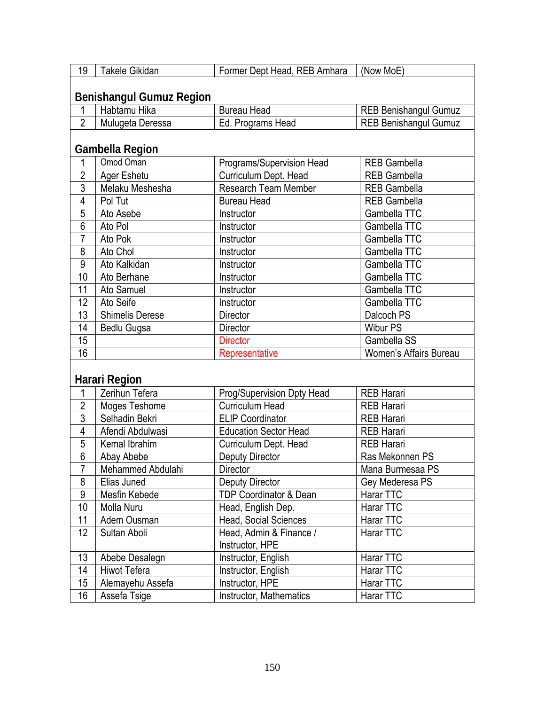| 19             | Takele Gikidan                  | Former Dept Head, REB Amhara      | (Now MoE)                    |  |
|----------------|---------------------------------|-----------------------------------|------------------------------|--|
|                | <b>Benishangul Gumuz Region</b> |                                   |                              |  |
| 1              | Habtamu Hika                    | <b>Bureau Head</b>                | <b>REB Benishangul Gumuz</b> |  |
| $\overline{2}$ | Mulugeta Deressa                | Ed. Programs Head                 | <b>REB Benishangul Gumuz</b> |  |
|                |                                 |                                   |                              |  |
|                | <b>Gambella Region</b>          |                                   |                              |  |
| 1              | Omod Oman                       | Programs/Supervision Head         | <b>REB Gambella</b>          |  |
| $\overline{2}$ | Ager Eshetu                     | Curriculum Dept. Head             | <b>REB Gambella</b>          |  |
| $\overline{3}$ | Melaku Meshesha                 | Research Team Member              | <b>REB Gambella</b>          |  |
| 4              | Pol Tut                         | <b>Bureau Head</b>                | <b>REB Gambella</b>          |  |
| 5              | Ato Asebe                       | Instructor                        | Gambella TTC                 |  |
| $\overline{6}$ | Ato Pol                         | Instructor                        | Gambella TTC                 |  |
| 7              | Ato Pok                         | Instructor                        | Gambella TTC                 |  |
| 8              | Ato Chol                        | Instructor                        | Gambella TTC                 |  |
| 9              | Ato Kalkidan                    | Instructor                        | Gambella TTC                 |  |
| 10             | Ato Berhane                     | Instructor                        | Gambella TTC                 |  |
| 11             | Ato Samuel                      | Instructor                        | Gambella TTC                 |  |
| 12             | Ato Seife                       | Instructor                        | Gambella TTC                 |  |
| 13             | <b>Shimelis Derese</b>          | Director                          | Dalcoch PS                   |  |
| 14             | Bedlu Gugsa                     | <b>Director</b>                   | <b>Wibur PS</b>              |  |
| 15             |                                 | <b>Director</b>                   | Gambella SS                  |  |
| 16             |                                 | Representative                    | Women's Affairs Bureau       |  |
|                |                                 |                                   |                              |  |
|                | Harari Region                   |                                   |                              |  |
| 1              | Zerihun Tefera                  | Prog/Supervision Dpty Head        | <b>REB Harari</b>            |  |
| $\overline{2}$ | Moges Teshome                   | <b>Curriculum Head</b>            | <b>REB Harari</b>            |  |
| $\overline{3}$ | Selhadin Bekri                  | <b>ELIP Coordinator</b>           | <b>REB Harari</b>            |  |
| $\overline{4}$ | Afendi Abdulwasi                | <b>Education Sector Head</b>      | <b>REB Harari</b>            |  |
| $\overline{5}$ | Kemal Ibrahim                   | Curriculum Dept. Head             | <b>REB Harari</b>            |  |
| $\overline{6}$ | Abay Abebe                      | Deputy Director                   | Ras Mekonnen PS              |  |
| 7              | Mehammed Abdulahi               | Director                          | Mana Burmesaa PS             |  |
| 8              | Elias Juned                     | <b>Deputy Director</b>            | Gey Mederesa PS              |  |
| 9              | Mesfin Kebede                   | <b>TDP Coordinator &amp; Dean</b> | Harar TTC                    |  |
| 10             | Molla Nuru                      | Head, English Dep.                | Harar TTC                    |  |
| 11             | Adem Ousman                     | <b>Head, Social Sciences</b>      | Harar TTC                    |  |
| 12             | Sultan Aboli                    | Head, Admin & Finance /           | Harar TTC                    |  |
|                |                                 | Instructor, HPE                   |                              |  |
| 13             | Abebe Desalegn                  | Instructor, English               | Harar TTC                    |  |
| 14             | <b>Hiwot Tefera</b>             | Instructor, English               | Harar TTC                    |  |
| 15             | Alemayehu Assefa                | Instructor, HPE                   | Harar TTC                    |  |
| 16             | Assefa Tsige                    | Instructor, Mathematics           | Harar TTC                    |  |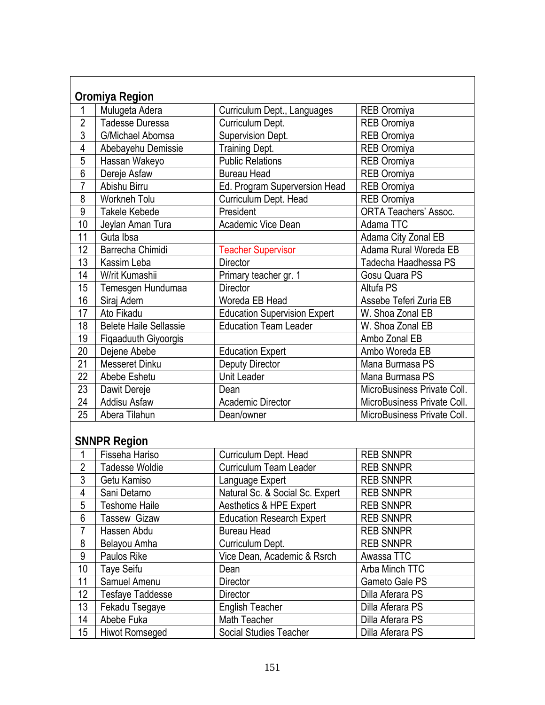|                 | Oromiya Region                |                                     |                              |
|-----------------|-------------------------------|-------------------------------------|------------------------------|
| 1               | Mulugeta Adera                | Curriculum Dept., Languages         | <b>REB Oromiya</b>           |
| $\overline{2}$  | <b>Tadesse Duressa</b>        | Curriculum Dept.                    | <b>REB Oromiya</b>           |
| $\overline{3}$  | G/Michael Abomsa              | Supervision Dept.                   | <b>REB Oromiya</b>           |
| 4               | Abebayehu Demissie            | <b>Training Dept.</b>               | <b>REB Oromiya</b>           |
| $\overline{5}$  | Hassan Wakeyo                 | <b>Public Relations</b>             | <b>REB</b> Oromiya           |
| $\overline{6}$  | Dereje Asfaw                  | <b>Bureau Head</b>                  | <b>REB Oromiya</b>           |
| $\overline{7}$  | Abishu Birru                  | Ed. Program Superversion Head       | <b>REB Oromiya</b>           |
| 8               | <b>Workneh Tolu</b>           | Curriculum Dept. Head               | <b>REB Oromiya</b>           |
| $\overline{9}$  | <b>Takele Kebede</b>          | President                           | <b>ORTA Teachers' Assoc.</b> |
| 10              | Jeylan Aman Tura              | Academic Vice Dean                  | Adama TTC                    |
| 11              | Guta Ibsa                     |                                     | Adama City Zonal EB          |
| 12              | Barrecha Chimidi              | <b>Teacher Supervisor</b>           | Adama Rural Woreda EB        |
| 13              | Kassim Leba                   | <b>Director</b>                     | Tadecha Haadhessa PS         |
| 14              | W/rit Kumashii                | Primary teacher gr. 1               | Gosu Quara PS                |
| 15              | Temesgen Hundumaa             | <b>Director</b>                     | Altufa PS                    |
| 16              | Siraj Adem                    | Woreda EB Head                      | Assebe Teferi Zuria EB       |
| 17              | Ato Fikadu                    | <b>Education Supervision Expert</b> | W. Shoa Zonal EB             |
| 18              | <b>Belete Haile Sellassie</b> | <b>Education Team Leader</b>        | W. Shoa Zonal EB             |
| 19              | Fiqaaduuth Giyoorgis          |                                     | Ambo Zonal EB                |
| 20              | Dejene Abebe                  | <b>Education Expert</b>             | Ambo Woreda EB               |
| $\overline{21}$ | <b>Messeret Dinku</b>         | <b>Deputy Director</b>              | Mana Burmasa PS              |
| 22              | Abebe Eshetu                  | <b>Unit Leader</b>                  | Mana Burmasa PS              |
| 23              | Dawit Dereje                  | Dean                                | MicroBusiness Private Coll.  |
| $\overline{24}$ | <b>Addisu Asfaw</b>           | Academic Director                   | MicroBusiness Private Coll.  |
| 25              | Abera Tilahun                 | Dean/owner                          | MicroBusiness Private Coll.  |
|                 | <b>SNNPR Region</b>           |                                     |                              |
| 1               | Fisseha Hariso                | Curriculum Dept. Head               | <b>REB SNNPR</b>             |
| $\overline{2}$  | <b>Tadesse Woldie</b>         | <b>Curriculum Team Leader</b>       | <b>REB SNNPR</b>             |
| 3               | Getu Kamiso                   | Language Expert                     | <b>REB SNNPR</b>             |
| 4               | Sani Detamo                   | Natural Sc. & Social Sc. Expert     | <b>REB SNNPR</b>             |
| $\overline{5}$  | <b>Teshome Haile</b>          | Aesthetics & HPE Expert             | <b>REB SNNPR</b>             |
| 6               | <b>Tassew Gizaw</b>           | <b>Education Research Expert</b>    | <b>REB SNNPR</b>             |
| $\overline{7}$  | Hassen Abdu                   | <b>Bureau Head</b>                  | <b>REB SNNPR</b>             |
| 8               | Belayou Amha                  | Curriculum Dept.                    | <b>REB SNNPR</b>             |
| $\overline{9}$  | Paulos Rike                   | Vice Dean, Academic & Rsrch         | Awassa TTC                   |
| 10              | Taye Seifu                    | Dean                                | Arba Minch TTC               |
| 11              | Samuel Amenu                  | Director                            | Gameto Gale PS               |
| 12              | <b>Tesfaye Taddesse</b>       | Director                            | Dilla Aferara PS             |
| 13              | Fekadu Tsegaye                | <b>English Teacher</b>              | Dilla Aferara PS             |
| 14              | Abebe Fuka                    | Math Teacher                        | Dilla Aferara PS             |
| 15              | Hiwot Romseged                | Social Studies Teacher              | Dilla Aferara PS             |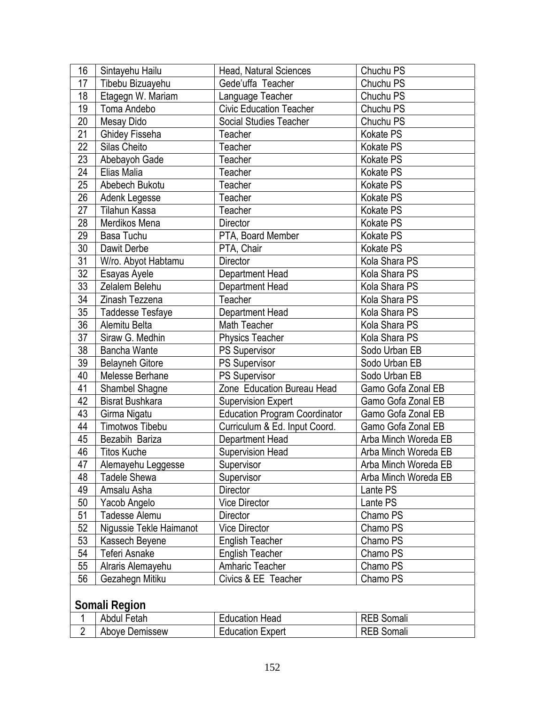| 16              | Sintayehu Hailu         | Head, Natural Sciences               | Chuchu PS            |  |
|-----------------|-------------------------|--------------------------------------|----------------------|--|
| 17              | Tibebu Bizuayehu        | Gede'uffa Teacher                    | Chuchu PS            |  |
| 18              | Etagegn W. Mariam       | Language Teacher                     | Chuchu PS            |  |
| 19              | Toma Andebo             | <b>Civic Education Teacher</b>       | Chuchu PS            |  |
| 20              | Mesay Dido              | Social Studies Teacher               | Chuchu PS            |  |
| 21              | <b>Ghidey Fisseha</b>   | Teacher                              | Kokate PS            |  |
| 22              | Silas Cheito            | Teacher                              | Kokate PS            |  |
| 23              | Abebayoh Gade           | Teacher                              | Kokate PS            |  |
| 24              | Elias Malia             | Teacher                              | Kokate PS            |  |
| 25              | Abebech Bukotu          | Teacher                              | <b>Kokate PS</b>     |  |
| 26              | Adenk Legesse           | Teacher                              | Kokate PS            |  |
| 27              | Tilahun Kassa           | Teacher                              | Kokate PS            |  |
| 28              | Merdikos Mena           | Director                             | Kokate PS            |  |
| 29              | Basa Tuchu              | PTA, Board Member                    | Kokate PS            |  |
| 30              | Dawit Derbe             | PTA, Chair                           | Kokate PS            |  |
| 31              | W/ro. Abyot Habtamu     | <b>Director</b>                      | Kola Shara PS        |  |
| 32              | Esayas Ayele            | Department Head                      | Kola Shara PS        |  |
| 33              | Zelalem Belehu          | Department Head                      | Kola Shara PS        |  |
| 34              | Zinash Tezzena          | Teacher                              | Kola Shara PS        |  |
| 35 <sub>2</sub> | <b>Taddesse Tesfaye</b> | Department Head                      | Kola Shara PS        |  |
| $\overline{36}$ | Alemitu Belta           | Math Teacher                         | Kola Shara PS        |  |
| $\overline{37}$ | Siraw G. Medhin         | <b>Physics Teacher</b>               | Kola Shara PS        |  |
| 38              | Bancha Wante            | PS Supervisor                        | Sodo Urban EB        |  |
| 39              | <b>Belayneh Gitore</b>  | <b>PS Supervisor</b>                 | Sodo Urban EB        |  |
| 40              | Melesse Berhane         | PS Supervisor                        | Sodo Urban EB        |  |
| 41              | Shambel Shagne          | Zone Education Bureau Head           | Gamo Gofa Zonal EB   |  |
| 42              | <b>Bisrat Bushkara</b>  | <b>Supervision Expert</b>            | Gamo Gofa Zonal EB   |  |
| 43              | Girma Nigatu            | <b>Education Program Coordinator</b> | Gamo Gofa Zonal EB   |  |
| 44              | Timotwos Tibebu         | Curriculum & Ed. Input Coord.        | Gamo Gofa Zonal EB   |  |
| 45              | Bezabih Bariza          | Department Head                      | Arba Minch Woreda EB |  |
| 46              | <b>Titos Kuche</b>      | Supervision Head                     | Arba Minch Woreda EB |  |
| 47              | Alemayehu Leggesse      | Supervisor                           | Arba Minch Woreda EB |  |
| 48              | <b>Tadele Shewa</b>     | Supervisor                           | Arba Minch Woreda EB |  |
| 49              | Amsalu Asha             | Director                             | Lante PS             |  |
| 50              | Yacob Angelo            | <b>Vice Director</b>                 | Lante PS             |  |
| 51              | Tadesse Alemu           | Director                             | Chamo PS             |  |
| 52              | Nigussie Tekle Haimanot | <b>Vice Director</b>                 | Chamo PS             |  |
| 53              | Kassech Beyene          | <b>English Teacher</b>               | Chamo PS             |  |
| 54              | <b>Teferi Asnake</b>    | <b>English Teacher</b>               | Chamo PS             |  |
| 55              | Alraris Alemayehu       | Amharic Teacher                      | Chamo PS             |  |
| 56              | Gezahegn Mitiku         | Civics & EE Teacher                  | Chamo PS             |  |
|                 | Somali Region           |                                      |                      |  |

|  | Abdul<br>Fetah | Education Head          | Somali<br>◝∟◡ |
|--|----------------|-------------------------|---------------|
|  | Aboye Demissew | <b>Education Expert</b> | Somali<br>◝∟◡ |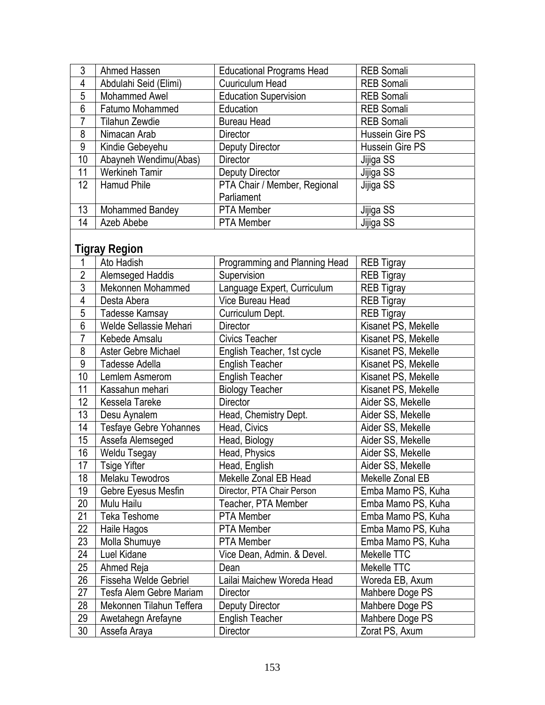| 3  | Ahmed Hassen          | <b>Educational Programs Head</b> | <b>REB Somali</b> |
|----|-----------------------|----------------------------------|-------------------|
| 4  | Abdulahi Seid (Elimi) | <b>Cuuriculum Head</b>           | <b>REB Somali</b> |
| 5  | Mohammed Awel         | <b>Education Supervision</b>     | <b>REB Somali</b> |
| 6  | Fatumo Mohammed       | Education                        | <b>REB Somali</b> |
| 7  | Tilahun Zewdie        | <b>Bureau Head</b>               | <b>REB Somali</b> |
| 8  | Nimacan Arab          | <b>Director</b>                  | Hussein Gire PS   |
| 9  | Kindie Gebeyehu       | <b>Deputy Director</b>           | Hussein Gire PS   |
| 10 | Abayneh Wendimu(Abas) | <b>Director</b>                  | Jijiga SS         |
| 11 | <b>Werkineh Tamir</b> | Deputy Director                  | Jijiga SS         |
| 12 | Hamud Phile           | PTA Chair / Member, Regional     | Jijiga SS         |
|    |                       | Parliament                       |                   |
| 13 | Mohammed Bandey       | <b>PTA Member</b>                | Jijiga SS         |
| 14 | Azeb Abebe            | PTA Member                       | Jijiga SS         |

# **Tigray Region**

| 1              | Ato Hadish                    | Programming and Planning Head | <b>REB Tigray</b>   |
|----------------|-------------------------------|-------------------------------|---------------------|
| $\overline{2}$ | Alemseged Haddis              | Supervision                   | <b>REB Tigray</b>   |
| $\overline{3}$ | Mekonnen Mohammed             | Language Expert, Curriculum   | <b>REB Tigray</b>   |
| 4              | Desta Abera                   | Vice Bureau Head              | <b>REB Tigray</b>   |
| $\overline{5}$ | Tadesse Kamsay                | Curriculum Dept.              | <b>REB Tigray</b>   |
| 6              | Welde Sellassie Mehari        | Director                      | Kisanet PS, Mekelle |
| $\overline{7}$ | Kebede Amsalu                 | <b>Civics Teacher</b>         | Kisanet PS, Mekelle |
| 8              | <b>Aster Gebre Michael</b>    | English Teacher, 1st cycle    | Kisanet PS, Mekelle |
| 9              | Tadesse Adella                | <b>English Teacher</b>        | Kisanet PS, Mekelle |
| 10             | Lemlem Asmerom                | <b>English Teacher</b>        | Kisanet PS, Mekelle |
| 11             | Kassahun mehari               | <b>Biology Teacher</b>        | Kisanet PS, Mekelle |
| 12             | Kessela Tareke                | <b>Director</b>               | Aider SS, Mekelle   |
| 13             | Desu Aynalem                  | Head, Chemistry Dept.         | Aider SS, Mekelle   |
| 14             | <b>Tesfaye Gebre Yohannes</b> | Head, Civics                  | Aider SS, Mekelle   |
| 15             | Assefa Alemseged              | Head, Biology                 | Aider SS, Mekelle   |
| 16             | Weldu Tsegay                  | Head, Physics                 | Aider SS, Mekelle   |
| 17             | <b>Tsige Yifter</b>           | Head, English                 | Aider SS, Mekelle   |
| 18             | Melaku Tewodros               | Mekelle Zonal EB Head         | Mekelle Zonal EB    |
| 19             | Gebre Eyesus Mesfin           | Director, PTA Chair Person    | Emba Mamo PS, Kuha  |
| 20             | Mulu Hailu                    | Teacher, PTA Member           | Emba Mamo PS, Kuha  |
| 21             | Teka Teshome                  | PTA Member                    | Emba Mamo PS, Kuha  |
| 22             | Haile Hagos                   | <b>PTA Member</b>             | Emba Mamo PS, Kuha  |
| 23             | Molla Shumuye                 | <b>PTA Member</b>             | Emba Mamo PS, Kuha  |
| 24             | Luel Kidane                   | Vice Dean, Admin. & Devel.    | Mekelle TTC         |
| 25             | Ahmed Reja                    | Dean                          | Mekelle TTC         |
| 26             | Fisseha Welde Gebriel         | Lailai Maichew Woreda Head    | Woreda EB, Axum     |
| 27             | Tesfa Alem Gebre Mariam       | Director                      | Mahbere Doge PS     |
| 28             | Mekonnen Tilahun Teffera      | Deputy Director               | Mahbere Doge PS     |
| 29             | Awetahegn Arefayne            | <b>English Teacher</b>        | Mahbere Doge PS     |
| 30             | Assefa Araya                  | Director                      | Zorat PS, Axum      |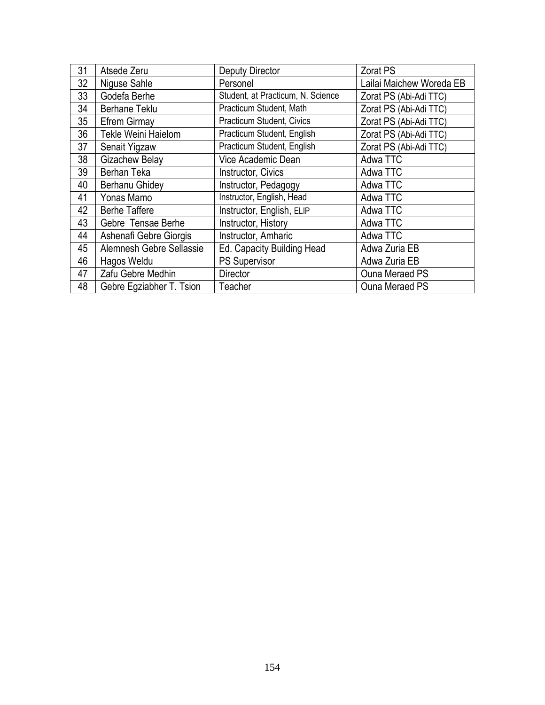| 31 | Atsede Zeru              | <b>Deputy Director</b>            | Zorat PS                 |
|----|--------------------------|-----------------------------------|--------------------------|
| 32 | Niguse Sahle             | Personel                          | Lailai Maichew Woreda EB |
| 33 | Godefa Berhe             | Student, at Practicum, N. Science | Zorat PS (Abi-Adi TTC)   |
| 34 | <b>Berhane Teklu</b>     | Practicum Student, Math           | Zorat PS (Abi-Adi TTC)   |
| 35 | <b>Efrem Girmay</b>      | Practicum Student, Civics         | Zorat PS (Abi-Adi TTC)   |
| 36 | Tekle Weini Haielom      | Practicum Student, English        | Zorat PS (Abi-Adi TTC)   |
| 37 | Senait Yigzaw            | Practicum Student, English        | Zorat PS (Abi-Adi TTC)   |
| 38 | <b>Gizachew Belay</b>    | Vice Academic Dean                | Adwa TTC                 |
| 39 | Berhan Teka              | Instructor, Civics                | Adwa TTC                 |
| 40 | Berhanu Ghidey           | Instructor, Pedagogy              | Adwa TTC                 |
| 41 | Yonas Mamo               | Instructor, English, Head         | Adwa TTC                 |
| 42 | <b>Berhe Taffere</b>     | Instructor, English, ELIP         | Adwa TTC                 |
| 43 | Gebre Tensae Berhe       | Instructor, History               | Adwa TTC                 |
| 44 | Ashenafi Gebre Giorgis   | Instructor, Amharic               | Adwa TTC                 |
| 45 | Alemnesh Gebre Sellassie | Ed. Capacity Building Head        | Adwa Zuria EB            |
| 46 | Hagos Weldu              | <b>PS Supervisor</b>              | Adwa Zuria EB            |
| 47 | Zafu Gebre Medhin        | <b>Director</b>                   | <b>Ouna Meraed PS</b>    |
| 48 | Gebre Egziabher T. Tsion | Teacher                           | <b>Ouna Meraed PS</b>    |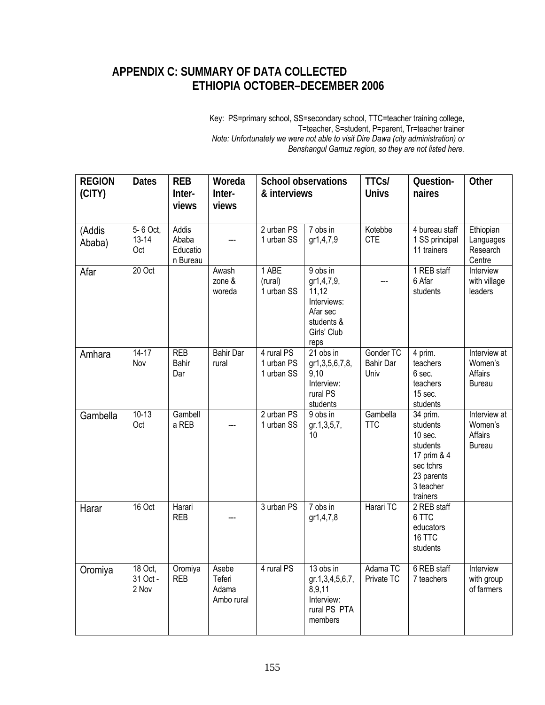### **APPENDIX C: SUMMARY OF DATA COLLECTED ETHIOPIA OCTOBER–DECEMBER 2006**

 Key: PS=primary school, SS=secondary school, TTC=teacher training college, T=teacher, S=student, P=parent, Tr=teacher trainer  *Note: Unfortunately we were not able to visit Dire Dawa (city administration) or Benshangul Gamuz region, so they are not listed here.* 

| <b>REGION</b><br>(CITY) | <b>Dates</b>                 | <b>REB</b><br>Inter-<br>views          | Woreda<br>Inter-<br>views              | <b>School observations</b><br>& interviews |                                                                                                 | <b>TTCs/</b><br><b>Univs</b>          | Question-<br>naires                                                                                            | Other                                               |
|-------------------------|------------------------------|----------------------------------------|----------------------------------------|--------------------------------------------|-------------------------------------------------------------------------------------------------|---------------------------------------|----------------------------------------------------------------------------------------------------------------|-----------------------------------------------------|
| (Addis<br>Ababa)        | 5-6 Oct,<br>$13 - 14$<br>Oct | Addis<br>Ababa<br>Educatio<br>n Bureau |                                        | 2 urban PS<br>1 urban SS                   | 7 obs in<br>gr1,4,7,9                                                                           | Kotebbe<br><b>CTE</b>                 | 4 bureau staff<br>1 SS principal<br>11 trainers                                                                | Ethiopian<br>Languages<br>Research<br>Centre        |
| Afar                    | 20 Oct                       |                                        | Awash<br>zone &<br>woreda              | 1 ABE<br>(rural)<br>1 urban SS             | 9 obs in<br>gr1,4,7,9,<br>11,12<br>Interviews:<br>Afar sec<br>students &<br>Girls' Club<br>reps |                                       | 1 REB staff<br>6 Afar<br>students                                                                              | Interview<br>with village<br>leaders                |
| Amhara                  | $14 - 17$<br>Nov             | <b>REB</b><br>Bahir<br>Dar             | <b>Bahir Dar</b><br>rural              | 4 rural PS<br>1 urban PS<br>1 urban SS     | 21 obs in<br>gr1,3,5,6,7,8,<br>9,10<br>Interview:<br>rural PS<br>students                       | Gonder TC<br><b>Bahir Dar</b><br>Univ | 4 prim.<br>teachers<br>6 sec.<br>teachers<br>15 sec.<br>students                                               | Interview at<br>Women's<br>Affairs<br><b>Bureau</b> |
| Gambella                | $10-13$<br>Oct               | Gambell<br>a REB                       |                                        | 2 urban PS<br>1 urban SS                   | 9 obs in<br>gr.1,3,5,7,<br>10                                                                   | Gambella<br><b>TTC</b>                | 34 prim.<br>students<br>10 sec.<br>students<br>17 prim & 4<br>sec tchrs<br>23 parents<br>3 teacher<br>trainers | Interview at<br>Women's<br>Affairs<br><b>Bureau</b> |
| Harar                   | 16 Oct                       | Harari<br><b>REB</b>                   |                                        | 3 urban PS                                 | 7 obs in<br>gr1,4,7,8                                                                           | Harari TC                             | 2 REB staff<br>6 TTC<br>educators<br>16 TTC<br>students                                                        |                                                     |
| Oromiya                 | 18 Oct,<br>31 Oct -<br>2 Nov | Oromiya<br><b>REB</b>                  | Asebe<br>Teferi<br>Adama<br>Ambo rural | 4 rural PS                                 | 13 obs in<br>gr.1,3,4,5,6,7,<br>8,9,11<br>Interview:<br>rural PS PTA<br>members                 | Adama TC<br>Private TC                | 6 REB staff<br>7 teachers                                                                                      | Interview<br>with group<br>of farmers               |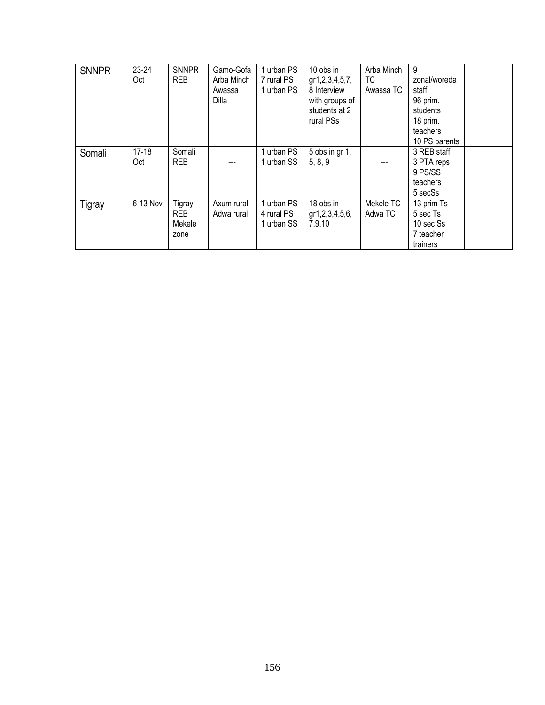| <b>SNNPR</b> | $23 - 24$<br>Oct | <b>SNNPR</b><br><b>REB</b>      | Gamo-Gofa<br>Arba Minch<br>Awassa<br>Dilla | 1 urban PS<br>7 rural PS<br>1 urban PS | 10 obs in<br>gr1, 2, 3, 4, 5, 7,<br>8 Interview<br>with groups of<br>students at 2<br>rural PSs | Arba Minch<br>ТC<br>Awassa TC | 9<br>zonal/woreda<br>staff<br>96 prim.<br>students<br>18 prim.<br>teachers<br>10 PS parents |  |
|--------------|------------------|---------------------------------|--------------------------------------------|----------------------------------------|-------------------------------------------------------------------------------------------------|-------------------------------|---------------------------------------------------------------------------------------------|--|
| Somali       | $17 - 18$<br>Oct | Somali<br><b>REB</b>            |                                            | 1 urban PS<br>1 urban SS               | $5$ obs in gr 1,<br>5, 8, 9                                                                     |                               | 3 REB staff<br>3 PTA reps<br>9 PS/SS<br>teachers<br>5 secSs                                 |  |
| Tigray       | 6-13 Nov         | Tigray<br>REB<br>Mekele<br>zone | Axum rural<br>Adwa rural                   | 1 urban PS<br>4 rural PS<br>1 urban SS | 18 obs in<br>gr1,2,3,4,5,6,<br>7,9,10                                                           | Mekele TC<br>Adwa TC          | 13 prim Ts<br>5 sec Ts<br>10 sec Ss<br>7 teacher<br>trainers                                |  |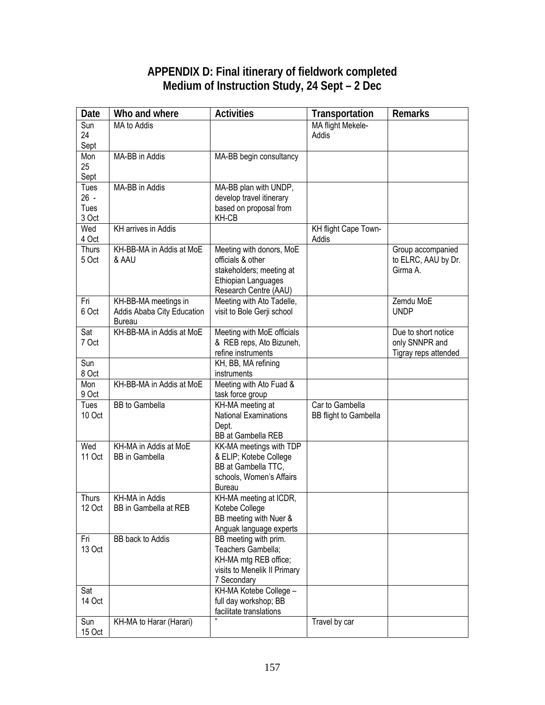### **APPENDIX D: Final itinerary of fieldwork completed Medium of Instruction Study, 24 Sept – 2 Dec**

| Date                   | Who and where                           | <b>Activities</b>                                  | Transportation        | <b>Remarks</b>       |
|------------------------|-----------------------------------------|----------------------------------------------------|-----------------------|----------------------|
| Sun                    | MA to Addis                             |                                                    | MA flight Mekele-     |                      |
| 24                     |                                         |                                                    | Addis                 |                      |
| Sept<br>Mon            | MA-BB in Addis                          | MA-BB begin consultancy                            |                       |                      |
| 25                     |                                         |                                                    |                       |                      |
| Sept                   |                                         |                                                    |                       |                      |
| Tues                   | MA-BB in Addis                          | MA-BB plan with UNDP,                              |                       |                      |
| $26 -$                 |                                         | develop travel itinerary                           |                       |                      |
| Tues                   |                                         | based on proposal from                             |                       |                      |
| 3 Oct<br>Wed           | <b>KH</b> arrives in Addis              | KH-CB                                              | KH flight Cape Town-  |                      |
| 4 Oct                  |                                         |                                                    | Addis                 |                      |
| <b>Thurs</b>           | KH-BB-MA in Addis at MoE                | Meeting with donors, MoE                           |                       | Group accompanied    |
| 5 Oct                  | & AAU                                   | officials & other                                  |                       | to ELRC, AAU by Dr.  |
|                        |                                         | stakeholders; meeting at                           |                       | Girma A.             |
|                        |                                         | Ethiopian Languages                                |                       |                      |
| Fri                    | KH-BB-MA meetings in                    | Research Centre (AAU)<br>Meeting with Ato Tadelle, |                       | Zemdu MoE            |
| 6 Oct                  | Addis Ababa City Education              | visit to Bole Gerji school                         |                       | <b>UNDP</b>          |
|                        | <b>Bureau</b>                           |                                                    |                       |                      |
| Sat                    | KH-BB-MA in Addis at MoE                | Meeting with MoE officials                         |                       | Due to short notice  |
| 7 Oct                  |                                         | & REB reps, Ato Bizuneh,                           |                       | only SNNPR and       |
|                        |                                         | refine instruments                                 |                       | Tigray reps attended |
| Sun<br>8 Oct           |                                         | KH, BB, MA refining<br>instruments                 |                       |                      |
| Mon                    | KH-BB-MA in Addis at MoE                | Meeting with Ato Fuad &                            |                       |                      |
| 9 Oct                  |                                         | task force group                                   |                       |                      |
| <b>Tues</b>            | <b>BB</b> to Gambella                   | KH-MA meeting at                                   | Car to Gambella       |                      |
| 10 Oct                 |                                         | <b>National Examinations</b>                       | BB flight to Gambella |                      |
|                        |                                         | Dept.<br>BB at Gambella REB                        |                       |                      |
| Wed                    | KH-MA in Addis at MoE                   | KK-MA meetings with TDP                            |                       |                      |
| 11 Oct                 | <b>BB</b> in Gambella                   | & ELIP; Kotebe College                             |                       |                      |
|                        |                                         | BB at Gambella TTC,                                |                       |                      |
|                        |                                         | schools, Women's Affairs                           |                       |                      |
|                        |                                         | <b>Bureau</b>                                      |                       |                      |
| <b>Thurs</b><br>12 Oct | KH-MA in Addis<br>BB in Gambella at REB | KH-MA meeting at ICDR,<br>Kotebe College           |                       |                      |
|                        |                                         | BB meeting with Nuer &                             |                       |                      |
|                        |                                         | Anguak language experts                            |                       |                      |
| Fri                    | BB back to Addis                        | BB meeting with prim.                              |                       |                      |
| 13 Oct                 |                                         | Teachers Gambella;                                 |                       |                      |
|                        |                                         | KH-MA mtg REB office;                              |                       |                      |
|                        |                                         | visits to Menelik II Primary<br>7 Secondary        |                       |                      |
| Sat                    |                                         | KH-MA Kotebe College -                             |                       |                      |
| 14 Oct                 |                                         | full day workshop; BB                              |                       |                      |
|                        |                                         | facilitate translations                            |                       |                      |
| Sun                    | KH-MA to Harar (Harari)                 |                                                    | Travel by car         |                      |
| 15 Oct                 |                                         |                                                    |                       |                      |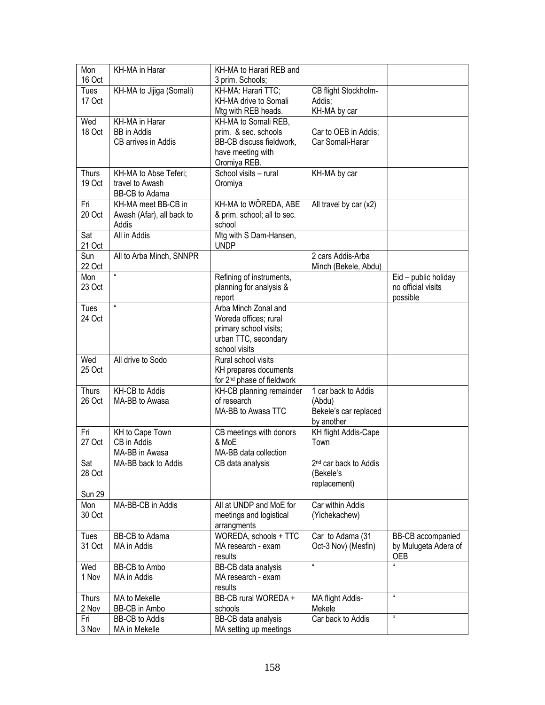| Mon           | KH-MA in Harar            | KH-MA to Harari REB and                 |                                    |                      |
|---------------|---------------------------|-----------------------------------------|------------------------------------|----------------------|
| 16 Oct        |                           | 3 prim. Schools;                        |                                    |                      |
| Tues          | KH-MA to Jijiga (Somali)  | KH-MA: Harari TTC:                      | CB flight Stockholm-               |                      |
| 17 Oct        |                           | KH-MA drive to Somali                   | Addis;                             |                      |
|               |                           | Mtg with REB heads.                     | KH-MA by car                       |                      |
| Wed           | <b>KH-MA</b> in Harar     | KH-MA to Somali REB,                    |                                    |                      |
| 18 Oct        | <b>BB</b> in Addis        | prim. & sec. schools                    | Car to OEB in Addis;               |                      |
|               | CB arrives in Addis       | BB-CB discuss fieldwork,                | Car Somali-Harar                   |                      |
|               |                           | have meeting with                       |                                    |                      |
|               |                           | Oromiya REB.                            |                                    |                      |
| <b>Thurs</b>  | KH-MA to Abse Teferi;     | School visits - rural                   | KH-MA by car                       |                      |
| 19 Oct        | travel to Awash           | Oromiya                                 |                                    |                      |
|               | BB-CB to Adama            |                                         |                                    |                      |
| Fri           | KH-MA meet BB-CB in       | KH-MA to WÖREDA, ABE                    | All travel by car (x2)             |                      |
| 20 Oct        | Awash (Afar), all back to | & prim. school; all to sec.             |                                    |                      |
|               | Addis                     | school                                  |                                    |                      |
| Sat           | All in Addis              | Mtg with S Dam-Hansen,                  |                                    |                      |
| 21 Oct        |                           | <b>UNDP</b>                             |                                    |                      |
| Sun           | All to Arba Minch, SNNPR  |                                         | 2 cars Addis-Arba                  |                      |
| 22 Oct        | $\pmb{u}$                 |                                         | Minch (Bekele, Abdu)               |                      |
| Mon           |                           | Refining of instruments,                |                                    | Eid - public holiday |
| 23 Oct        |                           | planning for analysis &                 |                                    | no official visits   |
|               | $\alpha$                  | report                                  |                                    | possible             |
| Tues          |                           | Arba Minch Zonal and                    |                                    |                      |
| 24 Oct        |                           | Woreda offices; rural                   |                                    |                      |
|               |                           | primary school visits;                  |                                    |                      |
|               |                           | urban TTC, secondary                    |                                    |                      |
|               |                           | school visits                           |                                    |                      |
| Wed           | All drive to Sodo         | Rural school visits                     |                                    |                      |
| 25 Oct        |                           | KH prepares documents                   |                                    |                      |
| <b>Thurs</b>  | KH-CB to Addis            | for 2 <sup>nd</sup> phase of fieldwork  | 1 car back to Addis                |                      |
| 26 Oct        | MA-BB to Awasa            | KH-CB planning remainder<br>of research |                                    |                      |
|               |                           | MA-BB to Awasa TTC                      | (Abdu)<br>Bekele's car replaced    |                      |
|               |                           |                                         |                                    |                      |
| Fri           | KH to Cape Town           | CB meetings with donors                 | by another<br>KH flight Addis-Cape |                      |
| 27 Oct        | CB in Addis               | & MoE                                   | Town                               |                      |
|               | MA-BB in Awasa            | MA-BB data collection                   |                                    |                      |
| Sat           | MA-BB back to Addis       | CB data analysis                        | 2 <sup>nd</sup> car back to Addis  |                      |
| 28 Oct        |                           |                                         | (Bekele's                          |                      |
|               |                           |                                         | replacement)                       |                      |
| <b>Sun 29</b> |                           |                                         |                                    |                      |
| Mon           | MA-BB-CB in Addis         | All at UNDP and MoE for                 | Car within Addis                   |                      |
| 30 Oct        |                           | meetings and logistical                 | (Yichekachew)                      |                      |
|               |                           | arrangments                             |                                    |                      |
| Tues          | BB-CB to Adama            | WOREDA, schools + TTC                   | Car to Adama (31                   | BB-CB accompanied    |
| 31 Oct        | MA in Addis               | MA research - exam                      | Oct-3 Nov) (Mesfin)                | by Mulugeta Adera of |
|               |                           | results                                 |                                    | <b>OEB</b>           |
| Wed           | <b>BB-CB</b> to Ambo      | BB-CB data analysis                     | $\mathbf{u}$                       |                      |
| 1 Nov         | MA in Addis               | MA research - exam                      |                                    |                      |
|               |                           | results                                 |                                    |                      |
| <b>Thurs</b>  | MA to Mekelle             | BB-CB rural WOREDA +                    | MA flight Addis-                   | $\pmb{\mathfrak{u}}$ |
| 2 Nov         | BB-CB in Ambo             | schools                                 | Mekele                             |                      |
| Fri           | <b>BB-CB</b> to Addis     | BB-CB data analysis                     | Car back to Addis                  | $\pmb{\mathfrak{u}}$ |
| 3 Nov         | MA in Mekelle             | MA setting up meetings                  |                                    |                      |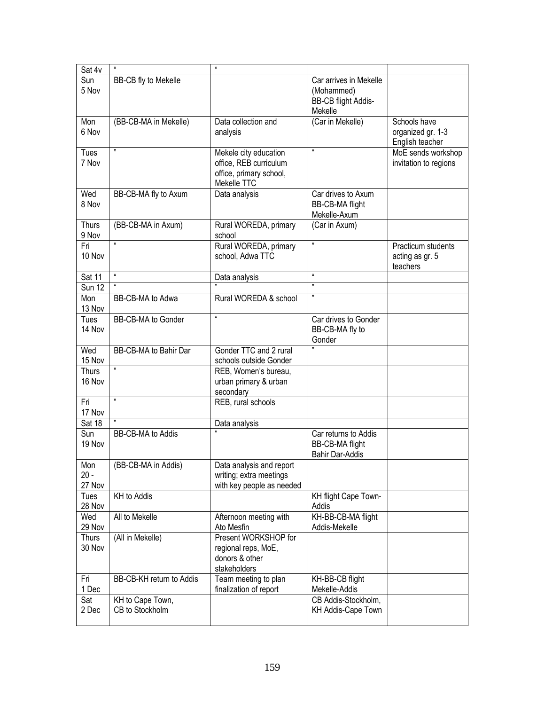| Sun<br>Car arrives in Mekelle<br>BB-CB fly to Mekelle<br>5 Nov<br>(Mohammed)<br>BB-CB flight Addis-<br>Mekelle<br>Mon<br>(BB-CB-MA in Mekelle)<br>Data collection and<br>(Car in Mekelle)<br>Schools have<br>6 Nov<br>organized gr. 1-3<br>analysis<br>English teacher<br>33<br>$\alpha$<br>Tues<br>Mekele city education<br>MoE sends workshop<br>office, REB curriculum<br>7 Nov<br>invitation to regions<br>office, primary school,<br>Mekelle TTC<br>Wed<br>Car drives to Axum<br>BB-CB-MA fly to Axum<br>Data analysis<br>8 Nov<br>BB-CB-MA flight<br>Mekelle-Axum<br><b>Thurs</b><br>(BB-CB-MA in Axum)<br>Rural WOREDA, primary<br>(Car in Axum)<br>9 Nov<br>school<br>n<br>33<br>Fri<br>Rural WOREDA, primary<br>Practicum students<br>10 Nov<br>school, Adwa TTC<br>acting as gr. 5<br>teachers<br>$\mathbf{u}$<br>$\boldsymbol{\mathfrak{u}}$<br>Sat 11<br>Data analysis<br>$\mathbf{u}$<br>n<br><b>Sun 12</b><br>n<br>BB-CB-MA to Adwa<br>Mon<br>Rural WOREDA & school<br>13 Nov<br>$\alpha$<br>Tues<br>Car drives to Gonder<br>BB-CB-MA to Gonder<br>14 Nov<br>BB-CB-MA fly to<br>Gonder<br>Gonder TTC and 2 rural<br>Wed<br>BB-CB-MA to Bahir Dar<br>15 Nov<br>schools outside Gonder<br>33<br><b>Thurs</b><br>REB, Women's bureau,<br>16 Nov<br>urban primary & urban<br>secondary<br>33<br>Fri<br>REB, rural schools<br>17 Nov<br>Sat 18<br>Data analysis<br>BB-CB-MA to Addis<br>Sun<br>Car returns to Addis<br>19 Nov<br>BB-CB-MA flight<br><b>Bahir Dar-Addis</b><br>(BB-CB-MA in Addis)<br>Mon<br>Data analysis and report<br>$20 -$<br>writing; extra meetings<br>27 Nov<br>with key people as needed<br>KH to Addis<br>KH flight Cape Town-<br>Tues<br>28 Nov<br>Addis<br>KH-BB-CB-MA flight<br>Afternoon meeting with<br>Wed<br>All to Mekelle<br>29 Nov<br>Addis-Mekelle<br>Ato Mesfin<br>(All in Mekelle)<br>Present WORKSHOP for<br><b>Thurs</b><br>30 Nov<br>regional reps, MoE,<br>donors & other<br>stakeholders<br>Team meeting to plan<br>Fri<br>BB-CB-KH return to Addis<br>KH-BB-CB flight<br>1 Dec<br>finalization of report<br>Mekelle-Addis<br>CB Addis-Stockholm,<br>KH to Cape Town,<br>Sat<br>CB to Stockholm<br>2 Dec<br>KH Addis-Cape Town | Sat 4v | $\pmb{u}$ | $\mathbf{a}$ |  |
|------------------------------------------------------------------------------------------------------------------------------------------------------------------------------------------------------------------------------------------------------------------------------------------------------------------------------------------------------------------------------------------------------------------------------------------------------------------------------------------------------------------------------------------------------------------------------------------------------------------------------------------------------------------------------------------------------------------------------------------------------------------------------------------------------------------------------------------------------------------------------------------------------------------------------------------------------------------------------------------------------------------------------------------------------------------------------------------------------------------------------------------------------------------------------------------------------------------------------------------------------------------------------------------------------------------------------------------------------------------------------------------------------------------------------------------------------------------------------------------------------------------------------------------------------------------------------------------------------------------------------------------------------------------------------------------------------------------------------------------------------------------------------------------------------------------------------------------------------------------------------------------------------------------------------------------------------------------------------------------------------------------------------------------------------------------------------------------------------------------------------------------------------------------------------------|--------|-----------|--------------|--|
|                                                                                                                                                                                                                                                                                                                                                                                                                                                                                                                                                                                                                                                                                                                                                                                                                                                                                                                                                                                                                                                                                                                                                                                                                                                                                                                                                                                                                                                                                                                                                                                                                                                                                                                                                                                                                                                                                                                                                                                                                                                                                                                                                                                    |        |           |              |  |
|                                                                                                                                                                                                                                                                                                                                                                                                                                                                                                                                                                                                                                                                                                                                                                                                                                                                                                                                                                                                                                                                                                                                                                                                                                                                                                                                                                                                                                                                                                                                                                                                                                                                                                                                                                                                                                                                                                                                                                                                                                                                                                                                                                                    |        |           |              |  |
|                                                                                                                                                                                                                                                                                                                                                                                                                                                                                                                                                                                                                                                                                                                                                                                                                                                                                                                                                                                                                                                                                                                                                                                                                                                                                                                                                                                                                                                                                                                                                                                                                                                                                                                                                                                                                                                                                                                                                                                                                                                                                                                                                                                    |        |           |              |  |
|                                                                                                                                                                                                                                                                                                                                                                                                                                                                                                                                                                                                                                                                                                                                                                                                                                                                                                                                                                                                                                                                                                                                                                                                                                                                                                                                                                                                                                                                                                                                                                                                                                                                                                                                                                                                                                                                                                                                                                                                                                                                                                                                                                                    |        |           |              |  |
|                                                                                                                                                                                                                                                                                                                                                                                                                                                                                                                                                                                                                                                                                                                                                                                                                                                                                                                                                                                                                                                                                                                                                                                                                                                                                                                                                                                                                                                                                                                                                                                                                                                                                                                                                                                                                                                                                                                                                                                                                                                                                                                                                                                    |        |           |              |  |
|                                                                                                                                                                                                                                                                                                                                                                                                                                                                                                                                                                                                                                                                                                                                                                                                                                                                                                                                                                                                                                                                                                                                                                                                                                                                                                                                                                                                                                                                                                                                                                                                                                                                                                                                                                                                                                                                                                                                                                                                                                                                                                                                                                                    |        |           |              |  |
|                                                                                                                                                                                                                                                                                                                                                                                                                                                                                                                                                                                                                                                                                                                                                                                                                                                                                                                                                                                                                                                                                                                                                                                                                                                                                                                                                                                                                                                                                                                                                                                                                                                                                                                                                                                                                                                                                                                                                                                                                                                                                                                                                                                    |        |           |              |  |
|                                                                                                                                                                                                                                                                                                                                                                                                                                                                                                                                                                                                                                                                                                                                                                                                                                                                                                                                                                                                                                                                                                                                                                                                                                                                                                                                                                                                                                                                                                                                                                                                                                                                                                                                                                                                                                                                                                                                                                                                                                                                                                                                                                                    |        |           |              |  |
|                                                                                                                                                                                                                                                                                                                                                                                                                                                                                                                                                                                                                                                                                                                                                                                                                                                                                                                                                                                                                                                                                                                                                                                                                                                                                                                                                                                                                                                                                                                                                                                                                                                                                                                                                                                                                                                                                                                                                                                                                                                                                                                                                                                    |        |           |              |  |
|                                                                                                                                                                                                                                                                                                                                                                                                                                                                                                                                                                                                                                                                                                                                                                                                                                                                                                                                                                                                                                                                                                                                                                                                                                                                                                                                                                                                                                                                                                                                                                                                                                                                                                                                                                                                                                                                                                                                                                                                                                                                                                                                                                                    |        |           |              |  |
|                                                                                                                                                                                                                                                                                                                                                                                                                                                                                                                                                                                                                                                                                                                                                                                                                                                                                                                                                                                                                                                                                                                                                                                                                                                                                                                                                                                                                                                                                                                                                                                                                                                                                                                                                                                                                                                                                                                                                                                                                                                                                                                                                                                    |        |           |              |  |
|                                                                                                                                                                                                                                                                                                                                                                                                                                                                                                                                                                                                                                                                                                                                                                                                                                                                                                                                                                                                                                                                                                                                                                                                                                                                                                                                                                                                                                                                                                                                                                                                                                                                                                                                                                                                                                                                                                                                                                                                                                                                                                                                                                                    |        |           |              |  |
|                                                                                                                                                                                                                                                                                                                                                                                                                                                                                                                                                                                                                                                                                                                                                                                                                                                                                                                                                                                                                                                                                                                                                                                                                                                                                                                                                                                                                                                                                                                                                                                                                                                                                                                                                                                                                                                                                                                                                                                                                                                                                                                                                                                    |        |           |              |  |
|                                                                                                                                                                                                                                                                                                                                                                                                                                                                                                                                                                                                                                                                                                                                                                                                                                                                                                                                                                                                                                                                                                                                                                                                                                                                                                                                                                                                                                                                                                                                                                                                                                                                                                                                                                                                                                                                                                                                                                                                                                                                                                                                                                                    |        |           |              |  |
|                                                                                                                                                                                                                                                                                                                                                                                                                                                                                                                                                                                                                                                                                                                                                                                                                                                                                                                                                                                                                                                                                                                                                                                                                                                                                                                                                                                                                                                                                                                                                                                                                                                                                                                                                                                                                                                                                                                                                                                                                                                                                                                                                                                    |        |           |              |  |
|                                                                                                                                                                                                                                                                                                                                                                                                                                                                                                                                                                                                                                                                                                                                                                                                                                                                                                                                                                                                                                                                                                                                                                                                                                                                                                                                                                                                                                                                                                                                                                                                                                                                                                                                                                                                                                                                                                                                                                                                                                                                                                                                                                                    |        |           |              |  |
|                                                                                                                                                                                                                                                                                                                                                                                                                                                                                                                                                                                                                                                                                                                                                                                                                                                                                                                                                                                                                                                                                                                                                                                                                                                                                                                                                                                                                                                                                                                                                                                                                                                                                                                                                                                                                                                                                                                                                                                                                                                                                                                                                                                    |        |           |              |  |
|                                                                                                                                                                                                                                                                                                                                                                                                                                                                                                                                                                                                                                                                                                                                                                                                                                                                                                                                                                                                                                                                                                                                                                                                                                                                                                                                                                                                                                                                                                                                                                                                                                                                                                                                                                                                                                                                                                                                                                                                                                                                                                                                                                                    |        |           |              |  |
|                                                                                                                                                                                                                                                                                                                                                                                                                                                                                                                                                                                                                                                                                                                                                                                                                                                                                                                                                                                                                                                                                                                                                                                                                                                                                                                                                                                                                                                                                                                                                                                                                                                                                                                                                                                                                                                                                                                                                                                                                                                                                                                                                                                    |        |           |              |  |
|                                                                                                                                                                                                                                                                                                                                                                                                                                                                                                                                                                                                                                                                                                                                                                                                                                                                                                                                                                                                                                                                                                                                                                                                                                                                                                                                                                                                                                                                                                                                                                                                                                                                                                                                                                                                                                                                                                                                                                                                                                                                                                                                                                                    |        |           |              |  |
|                                                                                                                                                                                                                                                                                                                                                                                                                                                                                                                                                                                                                                                                                                                                                                                                                                                                                                                                                                                                                                                                                                                                                                                                                                                                                                                                                                                                                                                                                                                                                                                                                                                                                                                                                                                                                                                                                                                                                                                                                                                                                                                                                                                    |        |           |              |  |
|                                                                                                                                                                                                                                                                                                                                                                                                                                                                                                                                                                                                                                                                                                                                                                                                                                                                                                                                                                                                                                                                                                                                                                                                                                                                                                                                                                                                                                                                                                                                                                                                                                                                                                                                                                                                                                                                                                                                                                                                                                                                                                                                                                                    |        |           |              |  |
|                                                                                                                                                                                                                                                                                                                                                                                                                                                                                                                                                                                                                                                                                                                                                                                                                                                                                                                                                                                                                                                                                                                                                                                                                                                                                                                                                                                                                                                                                                                                                                                                                                                                                                                                                                                                                                                                                                                                                                                                                                                                                                                                                                                    |        |           |              |  |
|                                                                                                                                                                                                                                                                                                                                                                                                                                                                                                                                                                                                                                                                                                                                                                                                                                                                                                                                                                                                                                                                                                                                                                                                                                                                                                                                                                                                                                                                                                                                                                                                                                                                                                                                                                                                                                                                                                                                                                                                                                                                                                                                                                                    |        |           |              |  |
|                                                                                                                                                                                                                                                                                                                                                                                                                                                                                                                                                                                                                                                                                                                                                                                                                                                                                                                                                                                                                                                                                                                                                                                                                                                                                                                                                                                                                                                                                                                                                                                                                                                                                                                                                                                                                                                                                                                                                                                                                                                                                                                                                                                    |        |           |              |  |
|                                                                                                                                                                                                                                                                                                                                                                                                                                                                                                                                                                                                                                                                                                                                                                                                                                                                                                                                                                                                                                                                                                                                                                                                                                                                                                                                                                                                                                                                                                                                                                                                                                                                                                                                                                                                                                                                                                                                                                                                                                                                                                                                                                                    |        |           |              |  |
|                                                                                                                                                                                                                                                                                                                                                                                                                                                                                                                                                                                                                                                                                                                                                                                                                                                                                                                                                                                                                                                                                                                                                                                                                                                                                                                                                                                                                                                                                                                                                                                                                                                                                                                                                                                                                                                                                                                                                                                                                                                                                                                                                                                    |        |           |              |  |
|                                                                                                                                                                                                                                                                                                                                                                                                                                                                                                                                                                                                                                                                                                                                                                                                                                                                                                                                                                                                                                                                                                                                                                                                                                                                                                                                                                                                                                                                                                                                                                                                                                                                                                                                                                                                                                                                                                                                                                                                                                                                                                                                                                                    |        |           |              |  |
|                                                                                                                                                                                                                                                                                                                                                                                                                                                                                                                                                                                                                                                                                                                                                                                                                                                                                                                                                                                                                                                                                                                                                                                                                                                                                                                                                                                                                                                                                                                                                                                                                                                                                                                                                                                                                                                                                                                                                                                                                                                                                                                                                                                    |        |           |              |  |
|                                                                                                                                                                                                                                                                                                                                                                                                                                                                                                                                                                                                                                                                                                                                                                                                                                                                                                                                                                                                                                                                                                                                                                                                                                                                                                                                                                                                                                                                                                                                                                                                                                                                                                                                                                                                                                                                                                                                                                                                                                                                                                                                                                                    |        |           |              |  |
|                                                                                                                                                                                                                                                                                                                                                                                                                                                                                                                                                                                                                                                                                                                                                                                                                                                                                                                                                                                                                                                                                                                                                                                                                                                                                                                                                                                                                                                                                                                                                                                                                                                                                                                                                                                                                                                                                                                                                                                                                                                                                                                                                                                    |        |           |              |  |
|                                                                                                                                                                                                                                                                                                                                                                                                                                                                                                                                                                                                                                                                                                                                                                                                                                                                                                                                                                                                                                                                                                                                                                                                                                                                                                                                                                                                                                                                                                                                                                                                                                                                                                                                                                                                                                                                                                                                                                                                                                                                                                                                                                                    |        |           |              |  |
|                                                                                                                                                                                                                                                                                                                                                                                                                                                                                                                                                                                                                                                                                                                                                                                                                                                                                                                                                                                                                                                                                                                                                                                                                                                                                                                                                                                                                                                                                                                                                                                                                                                                                                                                                                                                                                                                                                                                                                                                                                                                                                                                                                                    |        |           |              |  |
|                                                                                                                                                                                                                                                                                                                                                                                                                                                                                                                                                                                                                                                                                                                                                                                                                                                                                                                                                                                                                                                                                                                                                                                                                                                                                                                                                                                                                                                                                                                                                                                                                                                                                                                                                                                                                                                                                                                                                                                                                                                                                                                                                                                    |        |           |              |  |
|                                                                                                                                                                                                                                                                                                                                                                                                                                                                                                                                                                                                                                                                                                                                                                                                                                                                                                                                                                                                                                                                                                                                                                                                                                                                                                                                                                                                                                                                                                                                                                                                                                                                                                                                                                                                                                                                                                                                                                                                                                                                                                                                                                                    |        |           |              |  |
|                                                                                                                                                                                                                                                                                                                                                                                                                                                                                                                                                                                                                                                                                                                                                                                                                                                                                                                                                                                                                                                                                                                                                                                                                                                                                                                                                                                                                                                                                                                                                                                                                                                                                                                                                                                                                                                                                                                                                                                                                                                                                                                                                                                    |        |           |              |  |
|                                                                                                                                                                                                                                                                                                                                                                                                                                                                                                                                                                                                                                                                                                                                                                                                                                                                                                                                                                                                                                                                                                                                                                                                                                                                                                                                                                                                                                                                                                                                                                                                                                                                                                                                                                                                                                                                                                                                                                                                                                                                                                                                                                                    |        |           |              |  |
|                                                                                                                                                                                                                                                                                                                                                                                                                                                                                                                                                                                                                                                                                                                                                                                                                                                                                                                                                                                                                                                                                                                                                                                                                                                                                                                                                                                                                                                                                                                                                                                                                                                                                                                                                                                                                                                                                                                                                                                                                                                                                                                                                                                    |        |           |              |  |
|                                                                                                                                                                                                                                                                                                                                                                                                                                                                                                                                                                                                                                                                                                                                                                                                                                                                                                                                                                                                                                                                                                                                                                                                                                                                                                                                                                                                                                                                                                                                                                                                                                                                                                                                                                                                                                                                                                                                                                                                                                                                                                                                                                                    |        |           |              |  |
|                                                                                                                                                                                                                                                                                                                                                                                                                                                                                                                                                                                                                                                                                                                                                                                                                                                                                                                                                                                                                                                                                                                                                                                                                                                                                                                                                                                                                                                                                                                                                                                                                                                                                                                                                                                                                                                                                                                                                                                                                                                                                                                                                                                    |        |           |              |  |
|                                                                                                                                                                                                                                                                                                                                                                                                                                                                                                                                                                                                                                                                                                                                                                                                                                                                                                                                                                                                                                                                                                                                                                                                                                                                                                                                                                                                                                                                                                                                                                                                                                                                                                                                                                                                                                                                                                                                                                                                                                                                                                                                                                                    |        |           |              |  |
|                                                                                                                                                                                                                                                                                                                                                                                                                                                                                                                                                                                                                                                                                                                                                                                                                                                                                                                                                                                                                                                                                                                                                                                                                                                                                                                                                                                                                                                                                                                                                                                                                                                                                                                                                                                                                                                                                                                                                                                                                                                                                                                                                                                    |        |           |              |  |
|                                                                                                                                                                                                                                                                                                                                                                                                                                                                                                                                                                                                                                                                                                                                                                                                                                                                                                                                                                                                                                                                                                                                                                                                                                                                                                                                                                                                                                                                                                                                                                                                                                                                                                                                                                                                                                                                                                                                                                                                                                                                                                                                                                                    |        |           |              |  |
|                                                                                                                                                                                                                                                                                                                                                                                                                                                                                                                                                                                                                                                                                                                                                                                                                                                                                                                                                                                                                                                                                                                                                                                                                                                                                                                                                                                                                                                                                                                                                                                                                                                                                                                                                                                                                                                                                                                                                                                                                                                                                                                                                                                    |        |           |              |  |
|                                                                                                                                                                                                                                                                                                                                                                                                                                                                                                                                                                                                                                                                                                                                                                                                                                                                                                                                                                                                                                                                                                                                                                                                                                                                                                                                                                                                                                                                                                                                                                                                                                                                                                                                                                                                                                                                                                                                                                                                                                                                                                                                                                                    |        |           |              |  |
|                                                                                                                                                                                                                                                                                                                                                                                                                                                                                                                                                                                                                                                                                                                                                                                                                                                                                                                                                                                                                                                                                                                                                                                                                                                                                                                                                                                                                                                                                                                                                                                                                                                                                                                                                                                                                                                                                                                                                                                                                                                                                                                                                                                    |        |           |              |  |
|                                                                                                                                                                                                                                                                                                                                                                                                                                                                                                                                                                                                                                                                                                                                                                                                                                                                                                                                                                                                                                                                                                                                                                                                                                                                                                                                                                                                                                                                                                                                                                                                                                                                                                                                                                                                                                                                                                                                                                                                                                                                                                                                                                                    |        |           |              |  |
|                                                                                                                                                                                                                                                                                                                                                                                                                                                                                                                                                                                                                                                                                                                                                                                                                                                                                                                                                                                                                                                                                                                                                                                                                                                                                                                                                                                                                                                                                                                                                                                                                                                                                                                                                                                                                                                                                                                                                                                                                                                                                                                                                                                    |        |           |              |  |
|                                                                                                                                                                                                                                                                                                                                                                                                                                                                                                                                                                                                                                                                                                                                                                                                                                                                                                                                                                                                                                                                                                                                                                                                                                                                                                                                                                                                                                                                                                                                                                                                                                                                                                                                                                                                                                                                                                                                                                                                                                                                                                                                                                                    |        |           |              |  |
|                                                                                                                                                                                                                                                                                                                                                                                                                                                                                                                                                                                                                                                                                                                                                                                                                                                                                                                                                                                                                                                                                                                                                                                                                                                                                                                                                                                                                                                                                                                                                                                                                                                                                                                                                                                                                                                                                                                                                                                                                                                                                                                                                                                    |        |           |              |  |
|                                                                                                                                                                                                                                                                                                                                                                                                                                                                                                                                                                                                                                                                                                                                                                                                                                                                                                                                                                                                                                                                                                                                                                                                                                                                                                                                                                                                                                                                                                                                                                                                                                                                                                                                                                                                                                                                                                                                                                                                                                                                                                                                                                                    |        |           |              |  |
|                                                                                                                                                                                                                                                                                                                                                                                                                                                                                                                                                                                                                                                                                                                                                                                                                                                                                                                                                                                                                                                                                                                                                                                                                                                                                                                                                                                                                                                                                                                                                                                                                                                                                                                                                                                                                                                                                                                                                                                                                                                                                                                                                                                    |        |           |              |  |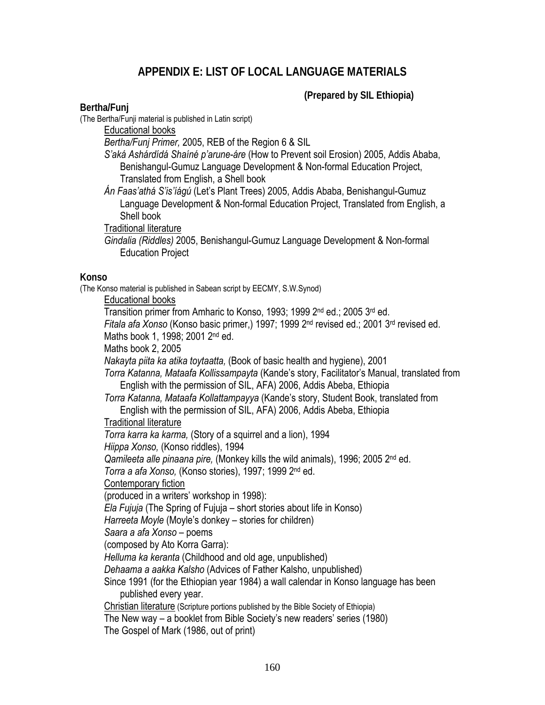### **APPENDIX E: LIST OF LOCAL LANGUAGE MATERIALS**

 **(Prepared by SIL Ethiopia)** 

#### **Bertha/Funj**

(The Bertha/Funji material is published in Latin script)

Educational books

*Bertha/Funj Primer,* 2005, REB of the Region 6 & SIL

*S'aká Ashárdídá Shaíné p'arune-áre* (How to Prevent soil Erosion) 2005, Addis Ababa, Benishangul-Gumuz Language Development & Non-formal Education Project, Translated from English, a Shell book

*Án Faas'athá S'is'íágú* (Let's Plant Trees) 2005, Addis Ababa, Benishangul-Gumuz Language Development & Non-formal Education Project, Translated from English, a Shell book

Traditional literature

*Gindalia (Riddles)* 2005, Benishangul-Gumuz Language Development & Non-formal Education Project

#### **Konso**

(The Konso material is published in Sabean script by EECMY, S.W.Synod)

Educational books

Transition primer from Amharic to Konso, 1993; 1999 2nd ed.; 2005 3rd ed.

*Fitala afa Xonso* (Konso basic primer,) 1997; 1999 2nd revised ed.; 2001 3rd revised ed.

Maths book 1, 1998; 2001 2<sup>nd</sup> ed.

Maths book 2, 2005

*Nakayta piita ka atika toytaatta,* (Book of basic health and hygiene), 2001

*Torra Katanna, Mataafa Kollissampayta* (Kande's story, Facilitator's Manual, translated from English with the permission of SIL, AFA) 2006, Addis Abeba, Ethiopia

*Torra Katanna, Mataafa Kollattampayya* (Kande's story, Student Book, translated from English with the permission of SIL, AFA) 2006, Addis Abeba, Ethiopia

#### Traditional literature

*Torra karra ka karma,* (Story of a squirrel and a lion), 1994

*Hiippa Xonso,* (Konso riddles), 1994

*Qamileeta alle pinaana pire,* (Monkey kills the wild animals), 1996; 2005 2nd ed.

*Torra a afa Xonso,* (Konso stories), 1997; 1999 2nd ed.

Contemporary fiction

(produced in a writers' workshop in 1998):

*Ela Fujuja* (The Spring of Fujuja – short stories about life in Konso)

*Harreeta Moyle* (Moyle's donkey – stories for children)

*Saara a afa Xonso* – poems

(composed by Ato Korra Garra):

*Helluma ka keranta* (Childhood and old age, unpublished)

*Dehaama a aakka Kalsho* (Advices of Father Kalsho, unpublished)

Since 1991 (for the Ethiopian year 1984) a wall calendar in Konso language has been published every year.

Christian literature (Scripture portions published by the Bible Society of Ethiopia)

The New way – a booklet from Bible Society's new readers' series (1980)

The Gospel of Mark (1986, out of print)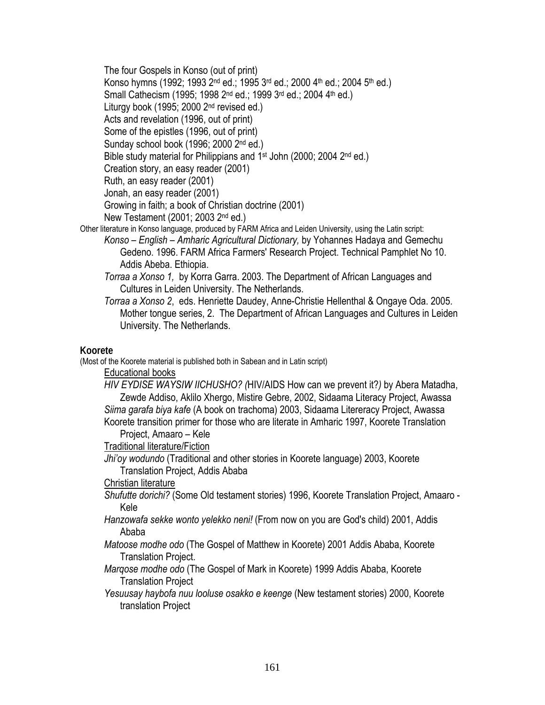The four Gospels in Konso (out of print) Konso hymns (1992; 1993 2<sup>nd</sup> ed.; 1995 3<sup>rd</sup> ed.; 2000 4<sup>th</sup> ed.; 2004 5<sup>th</sup> ed.) Small Cathecism (1995; 1998 2<sup>nd</sup> ed.; 1999 3<sup>rd</sup> ed.; 2004 4<sup>th</sup> ed.) Liturgy book (1995; 2000 2nd revised ed.) Acts and revelation (1996, out of print) Some of the epistles (1996, out of print) Sunday school book (1996; 2000 2nd ed.) Bible study material for Philippians and 1<sup>st</sup> John (2000; 2004 2<sup>nd</sup> ed.) Creation story, an easy reader (2001) Ruth, an easy reader (2001) Jonah, an easy reader (2001) Growing in faith; a book of Christian doctrine (2001) New Testament (2001; 2003 2nd ed.) Other literature in Konso language, produced by FARM Africa and Leiden University, using the Latin script:

- *Konso English Amharic Agricultural Dictionary,* by Yohannes Hadaya and Gemechu Gedeno. 1996. FARM Africa Farmers' Research Project. Technical Pamphlet No 10. Addis Abeba. Ethiopia.
	- *Torraa a Xonso 1,* by Korra Garra. 2003. The Department of African Languages and Cultures in Leiden University. The Netherlands.
	- *Torraa a Xonso 2*, eds. Henriette Daudey, Anne-Christie Hellenthal & Ongaye Oda. 2005. Mother tongue series, 2. The Department of African Languages and Cultures in Leiden University. The Netherlands.

#### **Koorete**

(Most of the Koorete material is published both in Sabean and in Latin script)

Educational books

*HIV EYDISE WAYSIW IICHUSHO? (*HIV/AIDS How can we prevent it?*)* by Abera Matadha, Zewde Addiso, Aklilo Xhergo, Mistire Gebre, 2002, Sidaama Literacy Project, Awassa *Siima garafa biya kafe* (A book on trachoma) 2003, Sidaama Litereracy Project, Awassa Koorete transition primer for those who are literate in Amharic 1997, Koorete Translation

Project, Amaaro – Kele

Traditional literature/Fiction

*Jhi'oy wodundo* (Traditional and other stories in Koorete language) 2003, Koorete Translation Project, Addis Ababa

#### Christian literature

- *Shufutte dorichi?* (Some Old testament stories) 1996, Koorete Translation Project, Amaaro Kele
- *Hanzowafa sekke wonto yelekko neni!* (From now on you are God's child) 2001, Addis Ababa
- *Matoose modhe odo* (The Gospel of Matthew in Koorete) 2001 Addis Ababa, Koorete Translation Project.
- *Marqose modhe odo* (The Gospel of Mark in Koorete) 1999 Addis Ababa, Koorete Translation Project
- *Yesuusay haybofa nuu looluse osakko e keenge* (New testament stories) 2000, Koorete translation Project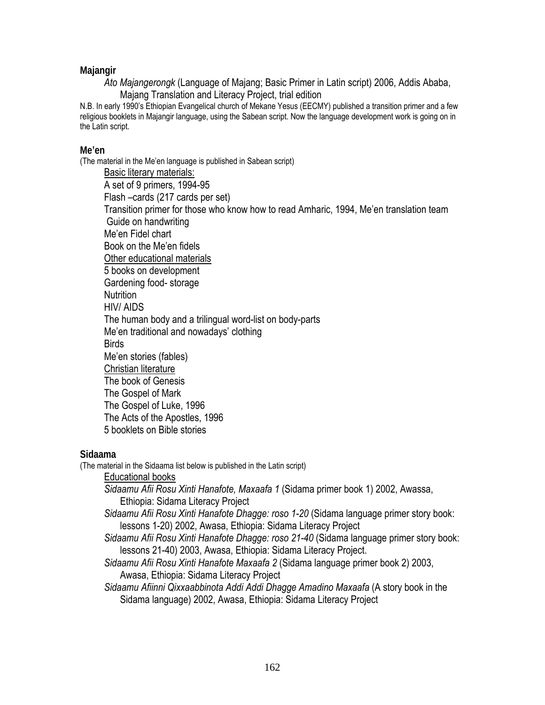#### **Majangir**

*Ato Majangerongk* (Language of Majang; Basic Primer in Latin script) 2006, Addis Ababa, Majang Translation and Literacy Project, trial edition

N.B. In early 1990's Ethiopian Evangelical church of Mekane Yesus (EECMY) published a transition primer and a few religious booklets in Majangir language, using the Sabean script. Now the language development work is going on in the Latin script.

#### **Me'en**

(The material in the Me'en language is published in Sabean script)

Basic literary materials: A set of 9 primers, 1994-95 Flash –cards (217 cards per set) Transition primer for those who know how to read Amharic, 1994, Me'en translation team Guide on handwriting Me'en Fidel chart Book on the Me'en fidels Other educational materials 5 books on development Gardening food- storage Nutrition HIV/ AIDS The human body and a trilingual word-list on body-parts Me'en traditional and nowadays' clothing **Birds** Me'en stories (fables) Christian literature The book of Genesis The Gospel of Mark The Gospel of Luke, 1996 The Acts of the Apostles, 1996 5 booklets on Bible stories

#### **Sidaama**

(The material in the Sidaama list below is published in the Latin script)

Educational books

- *Sidaamu Afii Rosu Xinti Hanafote, Maxaafa 1* (Sidama primer book 1) 2002, Awassa, Ethiopia: Sidama Literacy Project
- *Sidaamu Afii Rosu Xinti Hanafote Dhagge: roso 1-20* (Sidama language primer story book: lessons 1-20) 2002, Awasa, Ethiopia: Sidama Literacy Project
- *Sidaamu Afii Rosu Xinti Hanafote Dhagge: roso 21-40* (Sidama language primer story book: lessons 21-40) 2003, Awasa, Ethiopia: Sidama Literacy Project.
- *Sidaamu Afii Rosu Xinti Hanafote Maxaafa 2* (Sidama language primer book 2) 2003, Awasa, Ethiopia: Sidama Literacy Project

*Sidaamu Afiinni Qixxaabbinota Addi Addi Dhagge Amadino Maxaafa* (A story book in the Sidama language) 2002, Awasa, Ethiopia: Sidama Literacy Project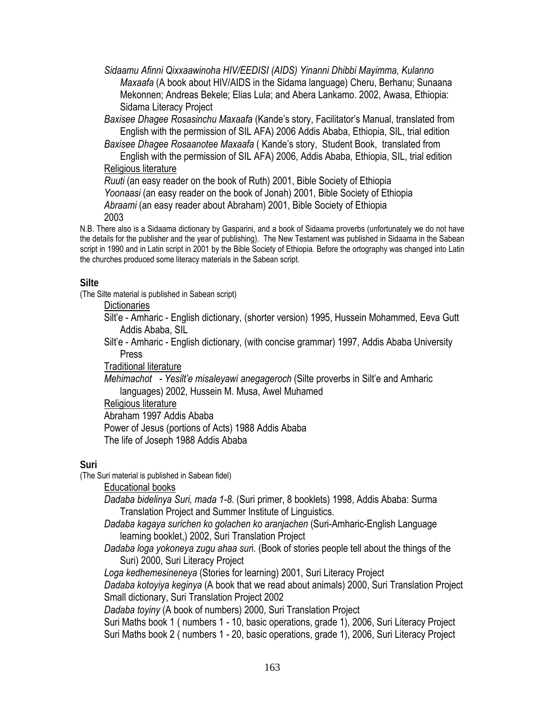*Sidaamu Afinni Qixxaawinoha HIV/EEDISI (AIDS) Yinanni Dhibbi Mayimma, Kulanno Maxaafa* (A book about HIV/AIDS in the Sidama language) Cheru, Berhanu; Sunaana Mekonnen; Andreas Bekele; Elias Lula; and Abera Lankamo. 2002, Awasa, Ethiopia: Sidama Literacy Project

*Baxisee Dhagee Rosasinchu Maxaafa* (Kande's story, Facilitator's Manual, translated from English with the permission of SIL AFA) 2006 Addis Ababa, Ethiopia, SIL, trial edition

*Baxisee Dhagee Rosaanotee Maxaafa* ( Kande's story, Student Book, translated from English with the permission of SIL AFA) 2006, Addis Ababa, Ethiopia, SIL, trial edition

#### Religious literature

*Ruuti* (an easy reader on the book of Ruth) 2001, Bible Society of Ethiopia

*Yoonaasi* (an easy reader on the book of Jonah) 2001, Bible Society of Ethiopia

*Abraami* (an easy reader about Abraham) 2001, Bible Society of Ethiopia 2003

N.B. There also is a Sidaama dictionary by Gasparini, and a book of Sidaama proverbs (unfortunately we do not have the details for the publisher and the year of publishing). The New Testament was published in Sidaama in the Sabean script in 1990 and in Latin script in 2001 by the Bible Society of Ethiopia. Before the ortography was changed into Latin the churches produced some literacy materials in the Sabean script.

#### **Silte**

(The Silte material is published in Sabean script)

#### **Dictionaries**

Silt'e - Amharic - English dictionary, (shorter version) 1995, Hussein Mohammed, Eeva Gutt Addis Ababa, SIL

Silt'e - Amharic - English dictionary, (with concise grammar) 1997, Addis Ababa University Press

Traditional literature

*Mehimachot - Yesilt'e misaleyawi anegageroch* (Silte proverbs in Silt'e and Amharic languages) 2002, Hussein M. Musa, Awel Muhamed

Religious literature

Abraham 1997 Addis Ababa Power of Jesus (portions of Acts) 1988 Addis Ababa

The life of Joseph 1988 Addis Ababa

### **Suri**

(The Suri material is published in Sabean fidel)

Educational books

*Dadaba bidelinya Suri, mada 1-8*. (Suri primer, 8 booklets) 1998, Addis Ababa: Surma Translation Project and Summer Institute of Linguistics.

*Dadaba kagaya surichen ko golachen ko aranjachen* (Suri-Amharic-English Language learning booklet,) 2002, Suri Translation Project

*Dadaba loga yokoneya zugu ahaa sur*i. (Book of stories people tell about the things of the Suri) 2000, Suri Literacy Project

*Loga kedhemesineneya* (Stories for learning) 2001, Suri Literacy Project

*Dadaba kotoyiya keginya* (A book that we read about animals) 2000, Suri Translation Project Small dictionary, Suri Translation Project 2002

*Dadaba toyiny* (A book of numbers) 2000, Suri Translation Project

Suri Maths book 1 ( numbers 1 - 10, basic operations, grade 1), 2006, Suri Literacy Project Suri Maths book 2 ( numbers 1 - 20, basic operations, grade 1), 2006, Suri Literacy Project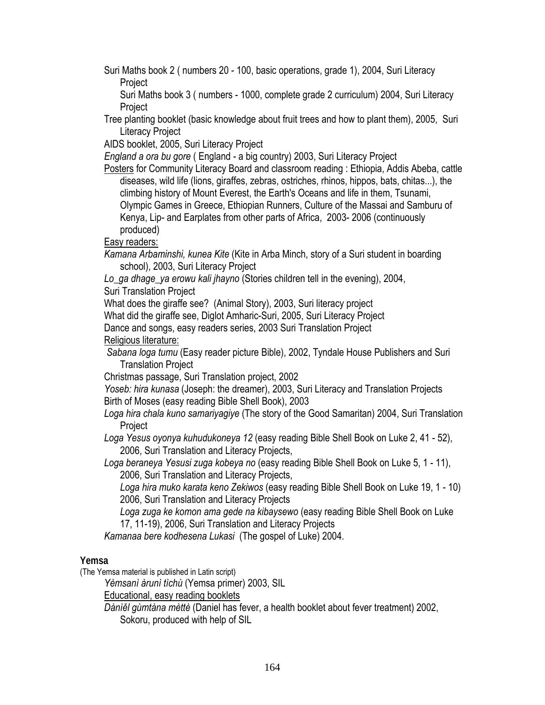Suri Maths book 2 ( numbers 20 - 100, basic operations, grade 1), 2004, Suri Literacy Project

Suri Maths book 3 ( numbers - 1000, complete grade 2 curriculum) 2004, Suri Literacy **Project** 

Tree planting booklet (basic knowledge about fruit trees and how to plant them), 2005, Suri Literacy Project

AIDS booklet, 2005, Suri Literacy Project

*England a ora bu gore* ( England - a big country) 2003, Suri Literacy Project

Posters for Community Literacy Board and classroom reading : Ethiopia, Addis Abeba, cattle diseases, wild life (lions, giraffes, zebras, ostriches, rhinos, hippos, bats, chitas...), the climbing history of Mount Everest, the Earth's Oceans and life in them, Tsunami, Olympic Games in Greece, Ethiopian Runners, Culture of the Massai and Samburu of Kenya, Lip- and Earplates from other parts of Africa, 2003- 2006 (continuously produced)

Easy readers:

*Kamana Arbaminshi, kunea Kite* (Kite in Arba Minch, story of a Suri student in boarding school), 2003, Suri Literacy Project

*Lo\_ga dhage\_ya erowu kali jhayno* (Stories children tell in the evening), 2004,

Suri Translation Project

What does the giraffe see? (Animal Story), 2003, Suri literacy project

What did the giraffe see, Diglot Amharic-Suri, 2005, Suri Literacy Project

Dance and songs, easy readers series, 2003 Suri Translation Project

Religious literature:

 *Sabana loga tumu* (Easy reader picture Bible), 2002, Tyndale House Publishers and Suri Translation Project

Christmas passage, Suri Translation project, 2002

*Yoseb: hira kunasa* (Joseph: the dreamer), 2003, Suri Literacy and Translation Projects Birth of Moses (easy reading Bible Shell Book), 2003

*Loga hira chala kuno samariyagiye* (The story of the Good Samaritan) 2004, Suri Translation Project

*Loga Yesus oyonya kuhudukoneya 12* (easy reading Bible Shell Book on Luke 2, 41 - 52), 2006, Suri Translation and Literacy Projects,

*Loga beraneya Yesusi zuga kobeya no* (easy reading Bible Shell Book on Luke 5, 1 - 11), 2006, Suri Translation and Literacy Projects,

*Loga hira muko karata keno Zekiwos* (easy reading Bible Shell Book on Luke 19, 1 - 10) 2006, Suri Translation and Literacy Projects

*Loga zuga ke komon ama gede na kibaysewo* (easy reading Bible Shell Book on Luke 17, 11-19), 2006, Suri Translation and Literacy Projects

*Kamanaa bere kodhesena Lukasi* (The gospel of Luke) 2004.

### **Yemsa**

(The Yemsa material is published in Latin script)

*Yèmsanì àrunì tìchù* (Yemsa primer) 2003, SIL

Educational, easy reading booklets

*Dànìěl gùmtàna mèttè* (Daniel has fever, a health booklet about fever treatment) 2002, Sokoru, produced with help of SIL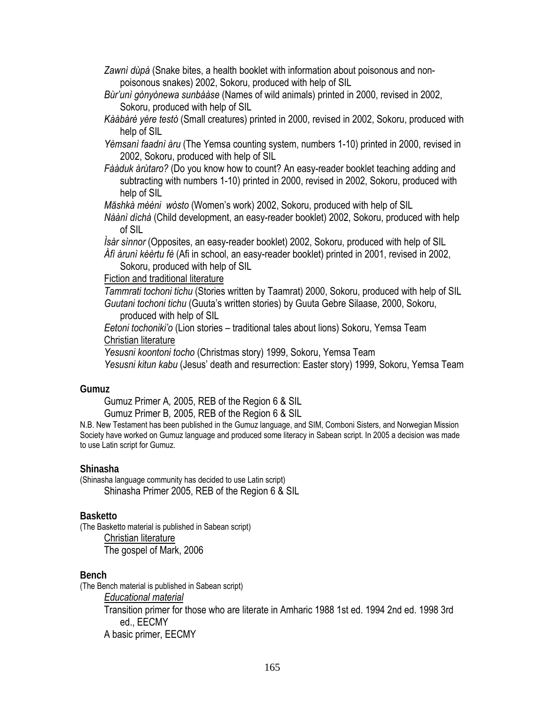*Zawnì dùpà* (Snake bites, a health booklet with information about poisonous and nonpoisonous snakes) 2002, Sokoru, produced with help of SIL

- *Bùr'unì gònyònewa sunbààse* (Names of wild animals) printed in 2000, revised in 2002, Sokoru, produced with help of SIL
- *Kààbàrè yère testò* (Small creatures) printed in 2000, revised in 2002, Sokoru, produced with help of SIL

*Yèmsanì faadnì àru* (The Yemsa counting system, numbers 1-10) printed in 2000, revised in 2002, Sokoru, produced with help of SIL

*Fààduk àrùtaro?* (Do you know how to count? An easy-reader booklet teaching adding and subtracting with numbers 1-10) printed in 2000, revised in 2002, Sokoru, produced with help of SIL

*Măshkà mèèni wòsto* (Women's work) 2002, Sokoru, produced with help of SIL

*Nàànì dìchà* (Child development, an easy-reader booklet) 2002, Sokoru, produced with help of SIL

*Ìsàr sìnnor* (Opposites, an easy-reader booklet) 2002, Sokoru, produced with help of SIL *Àfì àrunì kèèrtu fè* (Afi in school, an easy-reader booklet) printed in 2001, revised in 2002,

Sokoru, produced with help of SIL

#### Fiction and traditional literature

*Tammrati tochoni tichu* (Stories written by Taamrat) 2000, Sokoru, produced with help of SIL *Guutani tochoni tichu* (Guuta's written stories) by Guuta Gebre Silaase, 2000, Sokoru, produced with help of SIL

*Eetoni tochoniki'o* (Lion stories – traditional tales about lions) Sokoru, Yemsa Team Christian literature

*Yesusni koontoni tocho* (Christmas story) 1999, Sokoru, Yemsa Team

*Yesusni kitun kabu* (Jesus' death and resurrection: Easter story) 1999, Sokoru, Yemsa Team

#### **Gumuz**

Gumuz Primer A*,* 2005, REB of the Region 6 & SIL

Gumuz Primer B*,* 2005, REB of the Region 6 & SIL

N.B. New Testament has been published in the Gumuz language, and SIM, Comboni Sisters, and Norwegian Mission Society have worked on Gumuz language and produced some literacy in Sabean script. In 2005 a decision was made to use Latin script for Gumuz.

#### **Shinasha**

(Shinasha language community has decided to use Latin script) Shinasha Primer 2005, REB of the Region 6 & SIL

#### **Basketto**

(The Basketto material is published in Sabean script) Christian literature The gospel of Mark, 2006

#### **Bench**

(The Bench material is published in Sabean script) *Educational material*  Transition primer for those who are literate in Amharic 1988 1st ed. 1994 2nd ed. 1998 3rd ed., EECMY A basic primer, EECMY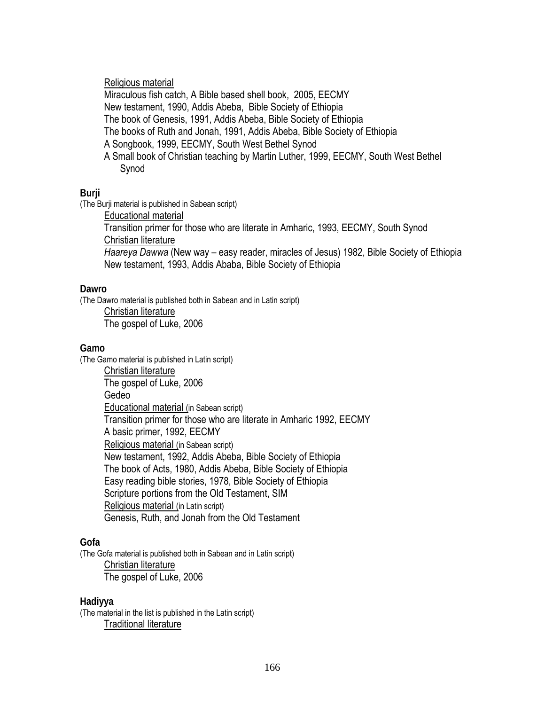#### Religious material

Miraculous fish catch, A Bible based shell book, 2005, EECMY New testament, 1990, Addis Abeba, Bible Society of Ethiopia The book of Genesis, 1991, Addis Abeba, Bible Society of Ethiopia The books of Ruth and Jonah, 1991, Addis Abeba, Bible Society of Ethiopia A Songbook, 1999, EECMY, South West Bethel Synod A Small book of Christian teaching by Martin Luther, 1999, EECMY, South West Bethel Synod

#### **Burji**

(The Burji material is published in Sabean script)

Educational material

Transition primer for those who are literate in Amharic, 1993, EECMY, South Synod Christian literature

*Haareya Dawwa* (New way – easy reader, miracles of Jesus) 1982, Bible Society of Ethiopia New testament, 1993, Addis Ababa, Bible Society of Ethiopia

#### **Dawro**

(The Dawro material is published both in Sabean and in Latin script)

Christian literature The gospel of Luke, 2006

#### **Gamo**

(The Gamo material is published in Latin script) Christian literature The gospel of Luke, 2006 Gedeo Educational material (in Sabean script) Transition primer for those who are literate in Amharic 1992, EECMY A basic primer, 1992, EECMY Religious material (in Sabean script) New testament, 1992, Addis Abeba, Bible Society of Ethiopia The book of Acts, 1980, Addis Abeba, Bible Society of Ethiopia Easy reading bible stories, 1978, Bible Society of Ethiopia Scripture portions from the Old Testament, SIM Religious material (in Latin script) Genesis, Ruth, and Jonah from the Old Testament

#### **Gofa**

(The Gofa material is published both in Sabean and in Latin script) Christian literature The gospel of Luke, 2006

#### **Hadiyya**

(The material in the list is published in the Latin script) Traditional literature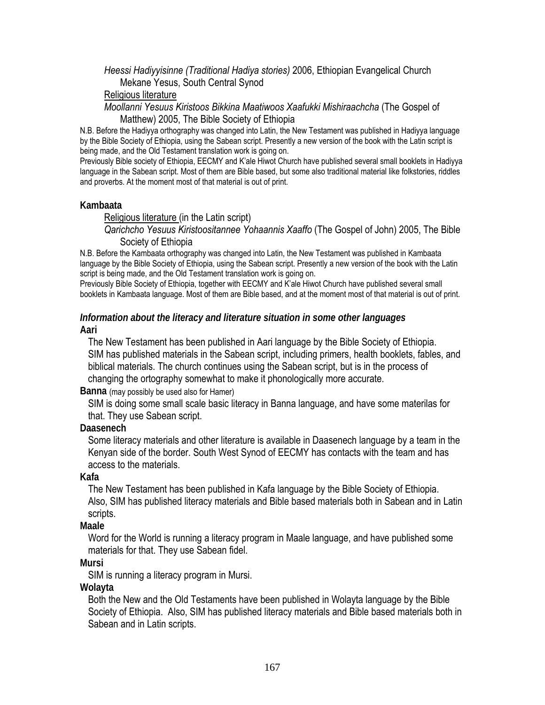#### *Heessi Hadiyyisinne (Traditional Hadiya stories)* 2006, Ethiopian Evangelical Church Mekane Yesus, South Central Synod

#### Religious literature

*Moollanni Yesuus Kiristoos Bikkina Maatiwoos Xaafukki Mishiraachcha* (The Gospel of Matthew) 2005, The Bible Society of Ethiopia

N.B. Before the Hadiyya orthography was changed into Latin, the New Testament was published in Hadiyya language by the Bible Society of Ethiopia, using the Sabean script. Presently a new version of the book with the Latin script is being made, and the Old Testament translation work is going on.

Previously Bible society of Ethiopia, EECMY and K'ale Hiwot Church have published several small booklets in Hadiyya language in the Sabean script. Most of them are Bible based, but some also traditional material like folkstories, riddles and proverbs. At the moment most of that material is out of print.

#### **Kambaata**

#### Religious literature (in the Latin script)

*Qarichcho Yesuus Kiristoositannee Yohaannis Xaaffo* (The Gospel of John) 2005, The Bible Society of Ethiopia

N.B. Before the Kambaata orthography was changed into Latin, the New Testament was published in Kambaata language by the Bible Society of Ethiopia, using the Sabean script. Presently a new version of the book with the Latin script is being made, and the Old Testament translation work is going on.

Previously Bible Society of Ethiopia, together with EECMY and K'ale Hiwot Church have published several small booklets in Kambaata language. Most of them are Bible based, and at the moment most of that material is out of print.

#### *Information about the literacy and literature situation in some other languages*  **Aari**

The New Testament has been published in Aari language by the Bible Society of Ethiopia. SIM has published materials in the Sabean script, including primers, health booklets, fables, and biblical materials. The church continues using the Sabean script, but is in the process of changing the ortography somewhat to make it phonologically more accurate.

#### **Banna** (may possibly be used also for Hamer)

SIM is doing some small scale basic literacy in Banna language, and have some materilas for that. They use Sabean script.

#### **Daasenech**

Some literacy materials and other literature is available in Daasenech language by a team in the Kenyan side of the border. South West Synod of EECMY has contacts with the team and has access to the materials.

#### **Kafa**

The New Testament has been published in Kafa language by the Bible Society of Ethiopia. Also, SIM has published literacy materials and Bible based materials both in Sabean and in Latin scripts.

#### **Maale**

Word for the World is running a literacy program in Maale language, and have published some materials for that. They use Sabean fidel.

#### **Mursi**

SIM is running a literacy program in Mursi.

#### **Wolayta**

Both the New and the Old Testaments have been published in Wolayta language by the Bible Society of Ethiopia. Also, SIM has published literacy materials and Bible based materials both in Sabean and in Latin scripts.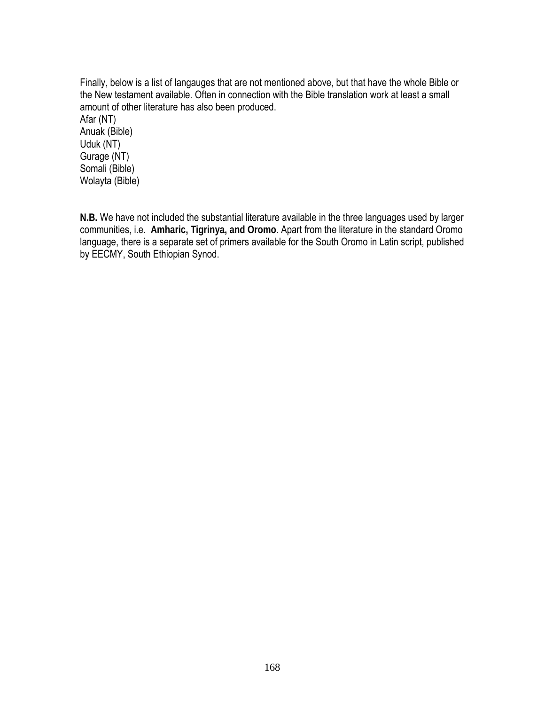Finally, below is a list of langauges that are not mentioned above, but that have the whole Bible or the New testament available. Often in connection with the Bible translation work at least a small amount of other literature has also been produced. Afar (NT) Anuak (Bible) Uduk (NT) Gurage (NT) Somali (Bible) Wolayta (Bible)

**N.B.** We have not included the substantial literature available in the three languages used by larger communities, i.e. **Amharic, Tigrinya, and Oromo**. Apart from the literature in the standard Oromo language, there is a separate set of primers available for the South Oromo in Latin script, published by EECMY, South Ethiopian Synod.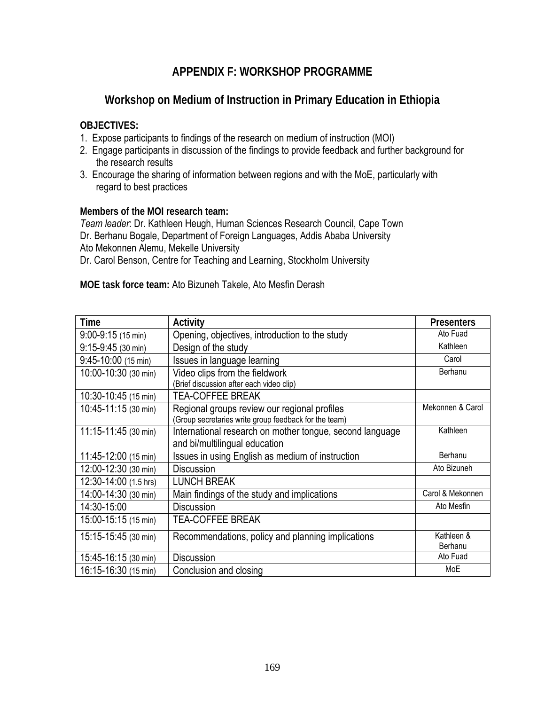### **APPENDIX F: WORKSHOP PROGRAMME**

### **Workshop on Medium of Instruction in Primary Education in Ethiopia**

#### **OBJECTIVES:**

- 1. Expose participants to findings of the research on medium of instruction (MOI)
- 2. Engage participants in discussion of the findings to provide feedback and further background for the research results
- 3. Encourage the sharing of information between regions and with the MoE, particularly with regard to best practices

#### **Members of the MOI research team:**

*Team leader*: Dr. Kathleen Heugh, Human Sciences Research Council, Cape Town Dr. Berhanu Bogale, Department of Foreign Languages, Addis Ababa University Ato Mekonnen Alemu, Mekelle University

Dr. Carol Benson, Centre for Teaching and Learning, Stockholm University

**MOE task force team:** Ato Bizuneh Takele, Ato Mesfin Derash

| <b>Time</b>              | <b>Activity</b>                                          | <b>Presenters</b> |
|--------------------------|----------------------------------------------------------|-------------------|
| $9:00-9:15(15 min)$      | Opening, objectives, introduction to the study           | Ato Fuad          |
| $9:15-9:45$ (30 min)     | Design of the study                                      | Kathleen          |
| $9:45-10:00$ (15 min)    | Issues in language learning                              | Carol             |
| 10:00-10:30 (30 min)     | Video clips from the fieldwork                           | Berhanu           |
|                          | (Brief discussion after each video clip)                 |                   |
| 10:30-10:45 (15 min)     | <b>TEA-COFFEE BREAK</b>                                  |                   |
| 10:45-11:15 (30 min)     | Regional groups review our regional profiles             | Mekonnen & Carol  |
|                          | (Group secretaries write group feedback for the team)    |                   |
| $11:15 - 11:45$ (30 min) | International research on mother tongue, second language | Kathleen          |
|                          | and bi/multilingual education                            |                   |
| 11:45-12:00 (15 min)     | Issues in using English as medium of instruction         | Berhanu           |
| 12:00-12:30 (30 min)     | <b>Discussion</b>                                        | Ato Bizuneh       |
| 12:30-14:00 (1.5 hrs)    | <b>LUNCH BREAK</b>                                       |                   |
| 14:00-14:30 (30 min)     | Main findings of the study and implications              | Carol & Mekonnen  |
| 14:30-15:00              | <b>Discussion</b>                                        | Ato Mesfin        |
| 15:00-15:15 (15 min)     | <b>TEA-COFFEE BREAK</b>                                  |                   |
| 15:15-15:45 (30 min)     | Recommendations, policy and planning implications        | Kathleen &        |
|                          |                                                          | Berhanu           |
| 15:45-16:15 (30 min)     | <b>Discussion</b>                                        | Ato Fuad          |
| 16:15-16:30 (15 min)     | Conclusion and closing                                   | MoE               |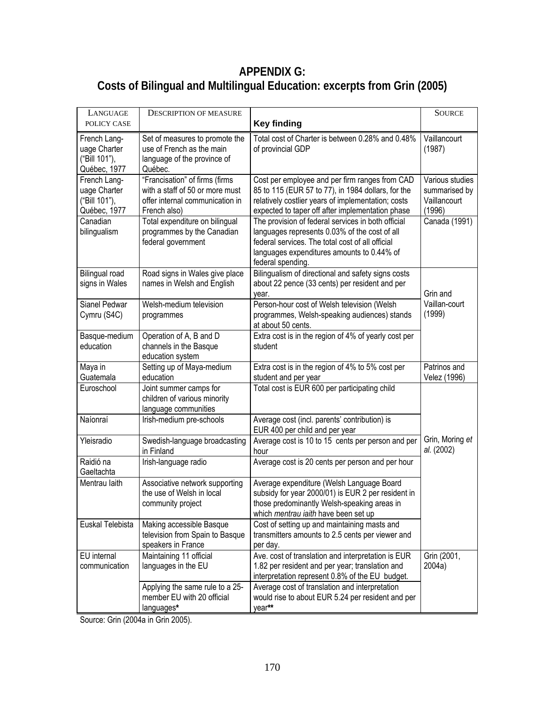## **APPENDIX G: Costs of Bilingual and Multilingual Education: excerpts from Grin (2005)**

| LANGUAGE<br>POLICY CASE                                                                   | <b>DESCRIPTION OF MEASURE</b>                                                                                                                                                        | <b>Key finding</b>                                                                                                                                                                                                                                                                                                    | <b>SOURCE</b>                                                               |
|-------------------------------------------------------------------------------------------|--------------------------------------------------------------------------------------------------------------------------------------------------------------------------------------|-----------------------------------------------------------------------------------------------------------------------------------------------------------------------------------------------------------------------------------------------------------------------------------------------------------------------|-----------------------------------------------------------------------------|
| French Lang-<br>uage Charter<br>("Bill 101"),<br>Québec, 1977                             | Set of measures to promote the<br>use of French as the main<br>language of the province of<br>Québec.                                                                                | Total cost of Charter is between 0.28% and 0.48%<br>of provincial GDP                                                                                                                                                                                                                                                 | Vaillancourt<br>(1987)                                                      |
| French Lang-<br>uage Charter<br>("Bill 101"),<br>Québec, 1977<br>Canadian<br>bilingualism | "Francisation" of firms (firms<br>with a staff of 50 or more must<br>offer internal communication in<br>French also)<br>Total expenditure on bilingual<br>programmes by the Canadian | Cost per employee and per firm ranges from CAD<br>85 to 115 (EUR 57 to 77), in 1984 dollars, for the<br>relatively costlier years of implementation; costs<br>expected to taper off after implementation phase<br>The provision of federal services in both official<br>languages represents 0.03% of the cost of all | Various studies<br>summarised by<br>Vaillancourt<br>(1996)<br>Canada (1991) |
|                                                                                           | federal government                                                                                                                                                                   | federal services. The total cost of all official<br>languages expenditures amounts to 0.44% of<br>federal spending.                                                                                                                                                                                                   |                                                                             |
| <b>Bilingual road</b><br>signs in Wales                                                   | Road signs in Wales give place<br>names in Welsh and English                                                                                                                         | Bilingualism of directional and safety signs costs<br>about 22 pence (33 cents) per resident and per<br>year.                                                                                                                                                                                                         | Grin and                                                                    |
| Sianel Pedwar<br>Cymru (S4C)                                                              | Welsh-medium television<br>programmes                                                                                                                                                | Person-hour cost of Welsh television (Welsh<br>programmes, Welsh-speaking audiences) stands<br>at about 50 cents.                                                                                                                                                                                                     | Vaillan-court<br>(1999)                                                     |
| Basque-medium<br>education                                                                | Operation of A, B and D<br>channels in the Basque<br>education system                                                                                                                | Extra cost is in the region of 4% of yearly cost per<br>student                                                                                                                                                                                                                                                       |                                                                             |
| Maya in<br>Guatemala                                                                      | Setting up of Maya-medium<br>education                                                                                                                                               | Extra cost is in the region of 4% to 5% cost per<br>student and per year                                                                                                                                                                                                                                              | Patrinos and<br>Velez (1996)                                                |
| Euroschool                                                                                | Joint summer camps for<br>children of various minority<br>language communities                                                                                                       | Total cost is EUR 600 per participating child                                                                                                                                                                                                                                                                         |                                                                             |
| Naíonraí                                                                                  | Irish-medium pre-schools                                                                                                                                                             | Average cost (incl. parents' contribution) is<br>EUR 400 per child and per year                                                                                                                                                                                                                                       |                                                                             |
| Yleisradio                                                                                | Swedish-language broadcasting<br>in Finland                                                                                                                                          | Average cost is 10 to 15 cents per person and per<br>hour                                                                                                                                                                                                                                                             | Grin, Moring et<br>al. (2002)                                               |
| Raidió na<br>Gaeltachta                                                                   | Irish-language radio                                                                                                                                                                 | Average cost is 20 cents per person and per hour                                                                                                                                                                                                                                                                      |                                                                             |
| Mentrau laith                                                                             | Associative network supporting<br>the use of Welsh in local<br>community project                                                                                                     | Average expenditure (Welsh Language Board<br>subsidy for year 2000/01) is EUR 2 per resident in<br>those predominantly Welsh-speaking areas in<br>which mentrau iaith have been set up                                                                                                                                |                                                                             |
| Euskal Telebista                                                                          | Making accessible Basque<br>television from Spain to Basque<br>speakers in France                                                                                                    | Cost of setting up and maintaining masts and<br>transmitters amounts to 2.5 cents per viewer and<br>per day.                                                                                                                                                                                                          |                                                                             |
| EU internal<br>communication                                                              | Maintaining 11 official<br>languages in the EU                                                                                                                                       | Ave. cost of translation and interpretation is EUR<br>1.82 per resident and per year; translation and<br>interpretation represent 0.8% of the EU budget.                                                                                                                                                              | Grin (2001,<br>2004a)                                                       |
|                                                                                           | Applying the same rule to a 25-<br>member EU with 20 official<br>languages*                                                                                                          | Average cost of translation and interpretation<br>would rise to about EUR 5.24 per resident and per<br>year**                                                                                                                                                                                                         |                                                                             |

Source: Grin (2004a in Grin 2005).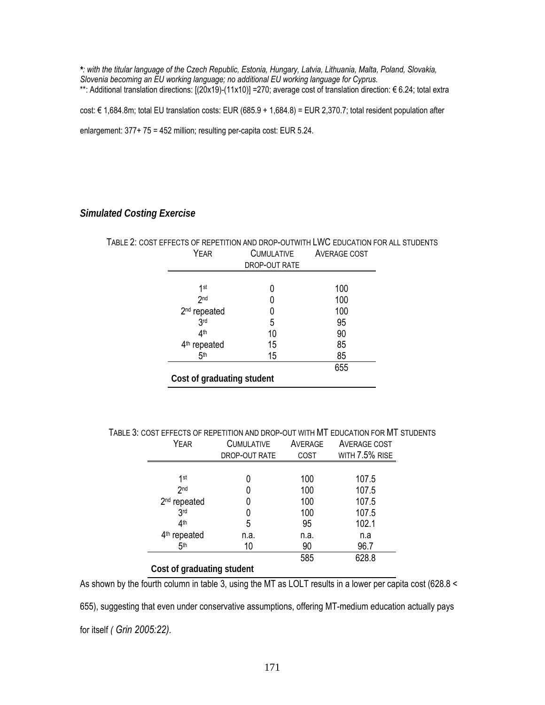*\*: with the titular language of the Czech Republic, Estonia, Hungary, Latvia, Lithuania, Malta, Poland, Slovakia, Slovenia becoming an EU working language; no additional EU working language for Cyprus.*  \*\*: Additional translation directions: [(20x19)-(11x10)] =270; average cost of translation direction: € 6.24; total extra

cost: € 1,684.8m; total EU translation costs: EUR (685.9 + 1,684.8) = EUR 2,370.7; total resident population after

enlargement: 377+ 75 = 452 million; resulting per-capita cost: EUR 5.24.

#### *Simulated Costing Exercise*

### TABLE 2: COST EFFECTS OF REPETITION AND DROP-OUTWITH LWC EDUCATION FOR ALL STUDENTS YEAR CUMULATIVE AVERAGE COST

| 1 LAIV                     | ◡◡┉◡∟◠⋯       |     |
|----------------------------|---------------|-----|
|                            | DROP-OUT RATE |     |
|                            |               |     |
| 1st                        |               | 100 |
| 2 <sub>nd</sub>            |               | 100 |
| 2 <sup>nd</sup> repeated   |               | 100 |
| 3 <sub>rd</sub>            | 5             | 95  |
| 4th                        | 10            | 90  |
| 4 <sup>th</sup> repeated   | 15            | 85  |
| 5 <sup>th</sup>            | 15            | 85  |
|                            |               | 655 |
| Cost of graduating student |               |     |

TABLE 3: COST EFFECTS OF REPETITION AND DROP-OUT WITH MT EDUCATION FOR MT STUDENTS

| YEAR                       | <b>CUMULATIVE</b><br>DROP-OUT RATE | AVERAGE<br>COST | AVERAGE COST<br>WITH 7.5% RISE |  |  |  |  |
|----------------------------|------------------------------------|-----------------|--------------------------------|--|--|--|--|
|                            |                                    |                 |                                |  |  |  |  |
| 1st                        |                                    | 100             | 107.5                          |  |  |  |  |
| 2 <sub>nd</sub>            | 0                                  | 100             | 107.5                          |  |  |  |  |
| 2 <sup>nd</sup> repeated   | 0                                  | 100             | 107.5                          |  |  |  |  |
| 3 <sub>rd</sub>            | 0                                  | 100             | 107.5                          |  |  |  |  |
| 4 <sup>th</sup>            | 5                                  | 95              | 102.1                          |  |  |  |  |
| 4 <sup>th</sup> repeated   | n.a.                               | n.a.            | n.a                            |  |  |  |  |
| 5 <sup>th</sup>            | 10                                 | 90              | 96.7                           |  |  |  |  |
|                            |                                    | 585             | 628.8                          |  |  |  |  |
| Cost of graduating student |                                    |                 |                                |  |  |  |  |

As shown by the fourth column in table 3, using the MT as LOLT results in a lower per capita cost (628.8 <

655), suggesting that even under conservative assumptions, offering MT-medium education actually pays for itself *( Grin 2005:22).*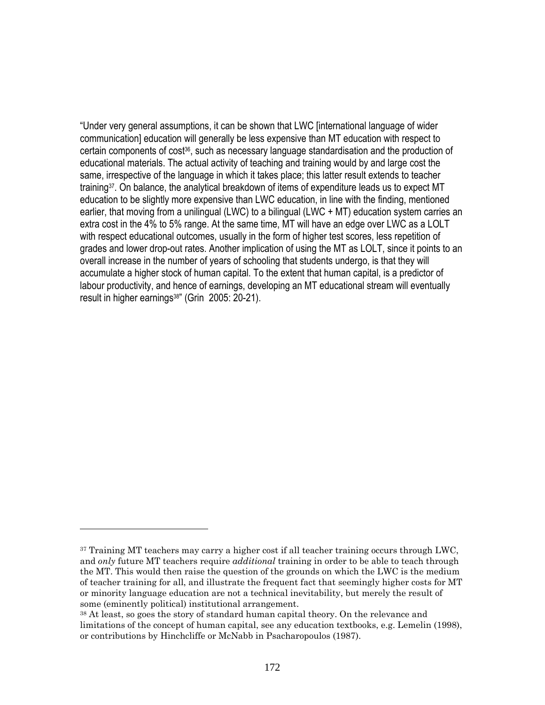"Under very general assumptions, it can be shown that LWC [international language of wider communication] education will generally be less expensive than MT education with respect to certain components of cost<sup>36</sup>, such as necessary language standardisation and the production of educational materials. The actual activity of teaching and training would by and large cost the same, irrespective of the language in which it takes place; this latter result extends to teacher training<sup>37</sup>. On balance, the analytical breakdown of items of expenditure leads us to expect MT education to be slightly more expensive than LWC education, in line with the finding, mentioned earlier, that moving from a unilingual (LWC) to a bilingual (LWC + MT) education system carries an extra cost in the 4% to 5% range. At the same time, MT will have an edge over LWC as a LOLT with respect educational outcomes, usually in the form of higher test scores, less repetition of grades and lower drop-out rates. Another implication of using the MT as LOLT, since it points to an overall increase in the number of years of schooling that students undergo, is that they will accumulate a higher stock of human capital. To the extent that human capital, is a predictor of labour productivity, and hence of earnings, developing an MT educational stream will eventually result in higher earnings38" (Grin 2005: 20-21).

 $\overline{a}$ 

<sup>&</sup>lt;sup>37</sup> Training MT teachers may carry a higher cost if all teacher training occurs through LWC, and *only* future MT teachers require *additional* training in order to be able to teach through the MT. This would then raise the question of the grounds on which the LWC is the medium of teacher training for all, and illustrate the frequent fact that seemingly higher costs for MT or minority language education are not a technical inevitability, but merely the result of some (eminently political) institutional arrangement.

<sup>38</sup> At least, so goes the story of standard human capital theory. On the relevance and limitations of the concept of human capital, see any education textbooks, e.g. Lemelin (1998), or contributions by Hinchcliffe or McNabb in Psacharopoulos (1987).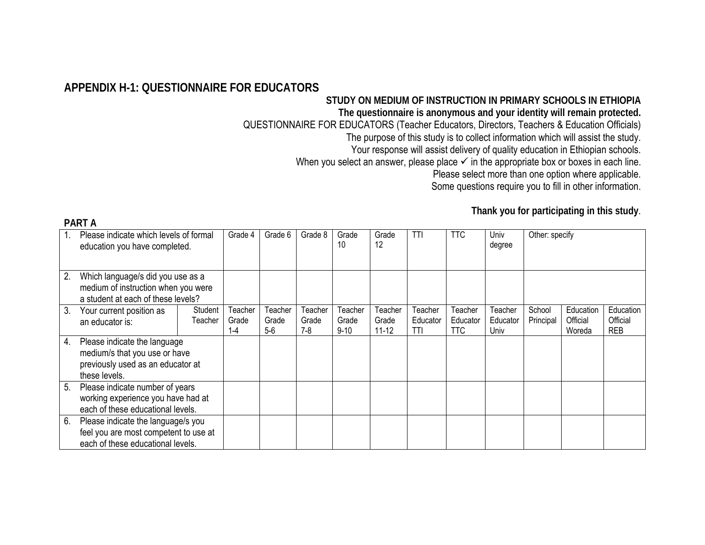### **APPENDIX H-1: QUESTIONNAIRE FOR EDUCATORS**

**PART A** 

## **STUDY ON MEDIUM OF INSTRUCTION IN PRIMARY SCHOOLS IN ETHIOPIA**

**The questionnaire is anonymous and your identity will remain protected.**  QUESTIONNAIRE FOR EDUCATORS (Teacher Educators, Directors, Teachers & Education Officials)

The purpose of this study is to collect information which will assist the study.

Your response will assist delivery of quality education in Ethiopian schools.

When you select an answer, please place  $\checkmark$  in the appropriate box or boxes in each line.

Please select more than one option where applicable.

Some questions require you to fill in other information.

|    | Please indicate which levels of formal<br>education you have completed.  |         | Grade 4 | Grade 6 | Grade 8 | Grade<br>10 | Grade<br>12 | TTI      | <b>TTC</b> | Univ<br>degree | Other: specify |           |            |
|----|--------------------------------------------------------------------------|---------|---------|---------|---------|-------------|-------------|----------|------------|----------------|----------------|-----------|------------|
| 2. | Which language/s did you use as a<br>medium of instruction when you were |         |         |         |         |             |             |          |            |                |                |           |            |
|    |                                                                          |         |         |         |         |             |             |          |            |                |                |           |            |
|    | a student at each of these levels?                                       |         |         |         |         |             |             |          |            |                |                |           |            |
| 3. | Your current position as                                                 | Student | Teacher | Teacher | Teacher | Teacher     | Teacher     | Teacher  | Teacher    | Teacher        | School         | Education | Education  |
|    | an educator is:                                                          | Teacher | Grade   | Grade   | Grade   | Grade       | Grade       | Educator | Educator   | Educator       | Principal      | Official  | Official   |
|    |                                                                          |         | 1-4     | $5-6$   | $7-8$   | $9 - 10$    | $11 - 12$   | TTI      | <b>TTC</b> | Univ           |                | Woreda    | <b>REB</b> |
| 4. | Please indicate the language                                             |         |         |         |         |             |             |          |            |                |                |           |            |
|    | medium/s that you use or have                                            |         |         |         |         |             |             |          |            |                |                |           |            |
|    | previously used as an educator at                                        |         |         |         |         |             |             |          |            |                |                |           |            |
|    | these levels.                                                            |         |         |         |         |             |             |          |            |                |                |           |            |
| 5. | Please indicate number of years                                          |         |         |         |         |             |             |          |            |                |                |           |            |
|    | working experience you have had at                                       |         |         |         |         |             |             |          |            |                |                |           |            |
|    | each of these educational levels.                                        |         |         |         |         |             |             |          |            |                |                |           |            |
| 6. | Please indicate the language/s you                                       |         |         |         |         |             |             |          |            |                |                |           |            |
|    | feel you are most competent to use at                                    |         |         |         |         |             |             |          |            |                |                |           |            |
|    | each of these educational levels.                                        |         |         |         |         |             |             |          |            |                |                |           |            |

**Thank you for participating in this study**.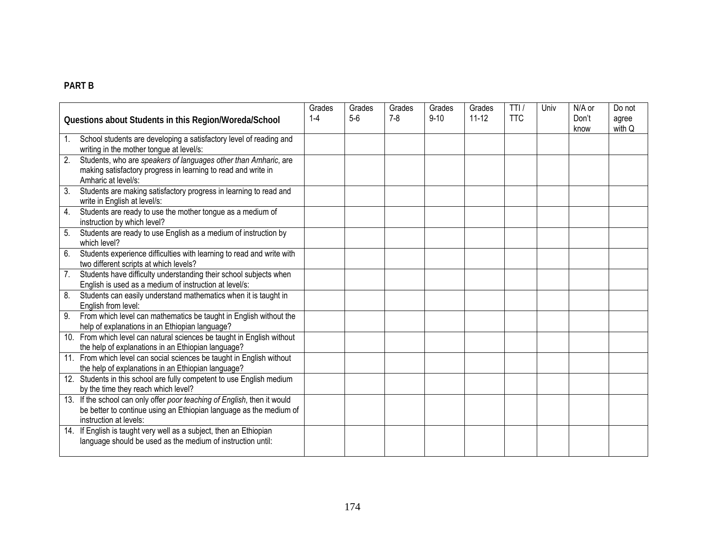#### **PART B**

|    | Questions about Students in this Region/Woreda/School                                                                                                                    | Grades<br>$1 - 4$ | Grades<br>$5-6$ | Grades<br>$7 - 8$ | Grades<br>$9 - 10$ | Grades<br>$11 - 12$ | TTI/<br><b>TTC</b> | Univ | N/A or<br>Don't<br>know | Do not<br>agree<br>with Q |
|----|--------------------------------------------------------------------------------------------------------------------------------------------------------------------------|-------------------|-----------------|-------------------|--------------------|---------------------|--------------------|------|-------------------------|---------------------------|
| 1. | School students are developing a satisfactory level of reading and<br>writing in the mother tongue at level/s:                                                           |                   |                 |                   |                    |                     |                    |      |                         |                           |
| 2. | Students, who are speakers of languages other than Amharic, are<br>making satisfactory progress in learning to read and write in<br>Amharic at level/s:                  |                   |                 |                   |                    |                     |                    |      |                         |                           |
| 3. | Students are making satisfactory progress in learning to read and<br>write in English at level/s:                                                                        |                   |                 |                   |                    |                     |                    |      |                         |                           |
| 4. | Students are ready to use the mother tongue as a medium of<br>instruction by which level?                                                                                |                   |                 |                   |                    |                     |                    |      |                         |                           |
| 5. | Students are ready to use English as a medium of instruction by<br>which level?                                                                                          |                   |                 |                   |                    |                     |                    |      |                         |                           |
| 6. | Students experience difficulties with learning to read and write with<br>two different scripts at which levels?                                                          |                   |                 |                   |                    |                     |                    |      |                         |                           |
| 7. | Students have difficulty understanding their school subjects when<br>English is used as a medium of instruction at level/s:                                              |                   |                 |                   |                    |                     |                    |      |                         |                           |
| 8. | Students can easily understand mathematics when it is taught in<br>English from level:                                                                                   |                   |                 |                   |                    |                     |                    |      |                         |                           |
| 9. | From which level can mathematics be taught in English without the<br>help of explanations in an Ethiopian language?                                                      |                   |                 |                   |                    |                     |                    |      |                         |                           |
|    | 10. From which level can natural sciences be taught in English without<br>the help of explanations in an Ethiopian language?                                             |                   |                 |                   |                    |                     |                    |      |                         |                           |
|    | 11. From which level can social sciences be taught in English without<br>the help of explanations in an Ethiopian language?                                              |                   |                 |                   |                    |                     |                    |      |                         |                           |
|    | 12. Students in this school are fully competent to use English medium<br>by the time they reach which level?                                                             |                   |                 |                   |                    |                     |                    |      |                         |                           |
|    | 13. If the school can only offer poor teaching of English, then it would<br>be better to continue using an Ethiopian language as the medium of<br>instruction at levels: |                   |                 |                   |                    |                     |                    |      |                         |                           |
|    | 14. If English is taught very well as a subject, then an Ethiopian<br>language should be used as the medium of instruction until:                                        |                   |                 |                   |                    |                     |                    |      |                         |                           |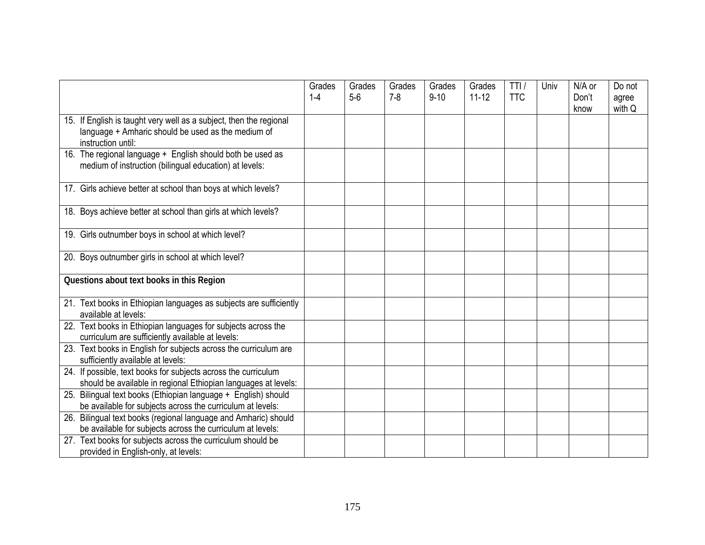|                                                                                                                                                | Grades<br>$1 - 4$ | Grades<br>$5-6$ | Grades<br>$7 - 8$ | Grades<br>$9 - 10$ | Grades<br>$11 - 12$ | TTI/<br><b>TTC</b> | Univ | N/A or<br>Don't<br>know | Do not<br>agree<br>with Q |
|------------------------------------------------------------------------------------------------------------------------------------------------|-------------------|-----------------|-------------------|--------------------|---------------------|--------------------|------|-------------------------|---------------------------|
| 15. If English is taught very well as a subject, then the regional<br>language + Amharic should be used as the medium of<br>instruction until: |                   |                 |                   |                    |                     |                    |      |                         |                           |
| 16. The regional language + English should both be used as<br>medium of instruction (bilingual education) at levels:                           |                   |                 |                   |                    |                     |                    |      |                         |                           |
| 17. Girls achieve better at school than boys at which levels?                                                                                  |                   |                 |                   |                    |                     |                    |      |                         |                           |
| 18. Boys achieve better at school than girls at which levels?                                                                                  |                   |                 |                   |                    |                     |                    |      |                         |                           |
| 19. Girls outnumber boys in school at which level?                                                                                             |                   |                 |                   |                    |                     |                    |      |                         |                           |
| 20. Boys outnumber girls in school at which level?                                                                                             |                   |                 |                   |                    |                     |                    |      |                         |                           |
| Questions about text books in this Region                                                                                                      |                   |                 |                   |                    |                     |                    |      |                         |                           |
| 21. Text books in Ethiopian languages as subjects are sufficiently<br>available at levels:                                                     |                   |                 |                   |                    |                     |                    |      |                         |                           |
| 22. Text books in Ethiopian languages for subjects across the<br>curriculum are sufficiently available at levels:                              |                   |                 |                   |                    |                     |                    |      |                         |                           |
| 23. Text books in English for subjects across the curriculum are<br>sufficiently available at levels:                                          |                   |                 |                   |                    |                     |                    |      |                         |                           |
| 24. If possible, text books for subjects across the curriculum<br>should be available in regional Ethiopian languages at levels:               |                   |                 |                   |                    |                     |                    |      |                         |                           |
| 25. Bilingual text books (Ethiopian language + English) should<br>be available for subjects across the curriculum at levels:                   |                   |                 |                   |                    |                     |                    |      |                         |                           |
| 26. Bilingual text books (regional language and Amharic) should<br>be available for subjects across the curriculum at levels:                  |                   |                 |                   |                    |                     |                    |      |                         |                           |
| 27. Text books for subjects across the curriculum should be<br>provided in English-only, at levels:                                            |                   |                 |                   |                    |                     |                    |      |                         |                           |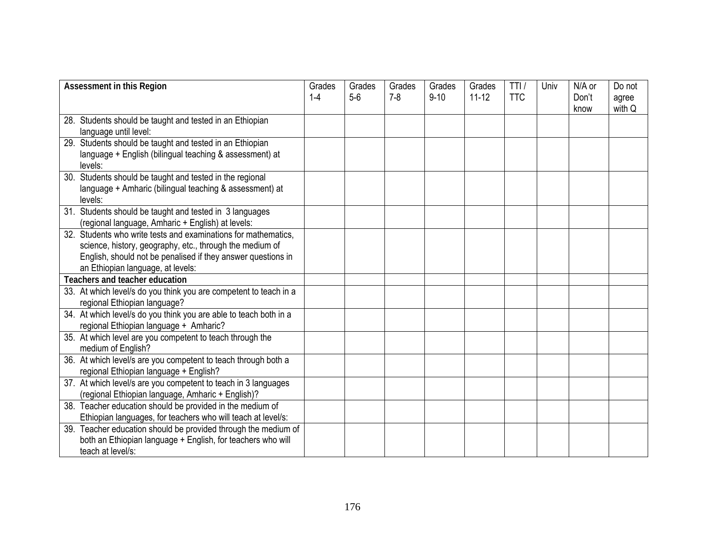| <b>Assessment in this Region</b>      |                                                                   | Grades<br>$1 - 4$ | Grades<br>$5-6$ | Grades<br>$7 - 8$ | Grades<br>$9 - 10$ | Grades<br>$11 - 12$ | TTI/<br><b>TTC</b> | Univ | N/A or<br>Don't | Do not<br>agree |
|---------------------------------------|-------------------------------------------------------------------|-------------------|-----------------|-------------------|--------------------|---------------------|--------------------|------|-----------------|-----------------|
|                                       |                                                                   |                   |                 |                   |                    |                     |                    |      | know            | with Q          |
|                                       | 28. Students should be taught and tested in an Ethiopian          |                   |                 |                   |                    |                     |                    |      |                 |                 |
|                                       | language until level:                                             |                   |                 |                   |                    |                     |                    |      |                 |                 |
|                                       | 29. Students should be taught and tested in an Ethiopian          |                   |                 |                   |                    |                     |                    |      |                 |                 |
|                                       | language + English (bilingual teaching & assessment) at           |                   |                 |                   |                    |                     |                    |      |                 |                 |
|                                       | levels:                                                           |                   |                 |                   |                    |                     |                    |      |                 |                 |
| 30.                                   | Students should be taught and tested in the regional              |                   |                 |                   |                    |                     |                    |      |                 |                 |
|                                       | language + Amharic (bilingual teaching & assessment) at           |                   |                 |                   |                    |                     |                    |      |                 |                 |
|                                       | levels:                                                           |                   |                 |                   |                    |                     |                    |      |                 |                 |
|                                       | 31. Students should be taught and tested in 3 languages           |                   |                 |                   |                    |                     |                    |      |                 |                 |
|                                       | (regional language, Amharic + English) at levels:                 |                   |                 |                   |                    |                     |                    |      |                 |                 |
|                                       | 32. Students who write tests and examinations for mathematics.    |                   |                 |                   |                    |                     |                    |      |                 |                 |
|                                       | science, history, geography, etc., through the medium of          |                   |                 |                   |                    |                     |                    |      |                 |                 |
|                                       | English, should not be penalised if they answer questions in      |                   |                 |                   |                    |                     |                    |      |                 |                 |
|                                       | an Ethiopian language, at levels:                                 |                   |                 |                   |                    |                     |                    |      |                 |                 |
| <b>Teachers and teacher education</b> |                                                                   |                   |                 |                   |                    |                     |                    |      |                 |                 |
|                                       | 33. At which level/s do you think you are competent to teach in a |                   |                 |                   |                    |                     |                    |      |                 |                 |
|                                       | regional Ethiopian language?                                      |                   |                 |                   |                    |                     |                    |      |                 |                 |
|                                       | 34. At which level/s do you think you are able to teach both in a |                   |                 |                   |                    |                     |                    |      |                 |                 |
|                                       | regional Ethiopian language + Amharic?                            |                   |                 |                   |                    |                     |                    |      |                 |                 |
|                                       | 35. At which level are you competent to teach through the         |                   |                 |                   |                    |                     |                    |      |                 |                 |
|                                       | medium of English?                                                |                   |                 |                   |                    |                     |                    |      |                 |                 |
|                                       | 36. At which level/s are you competent to teach through both a    |                   |                 |                   |                    |                     |                    |      |                 |                 |
|                                       | regional Ethiopian language + English?                            |                   |                 |                   |                    |                     |                    |      |                 |                 |
|                                       | 37. At which level/s are you competent to teach in 3 languages    |                   |                 |                   |                    |                     |                    |      |                 |                 |
|                                       | (regional Ethiopian language, Amharic + English)?                 |                   |                 |                   |                    |                     |                    |      |                 |                 |
|                                       | 38. Teacher education should be provided in the medium of         |                   |                 |                   |                    |                     |                    |      |                 |                 |
|                                       | Ethiopian languages, for teachers who will teach at level/s:      |                   |                 |                   |                    |                     |                    |      |                 |                 |
| 39.                                   | Teacher education should be provided through the medium of        |                   |                 |                   |                    |                     |                    |      |                 |                 |
|                                       | both an Ethiopian language + English, for teachers who will       |                   |                 |                   |                    |                     |                    |      |                 |                 |
|                                       | teach at level/s:                                                 |                   |                 |                   |                    |                     |                    |      |                 |                 |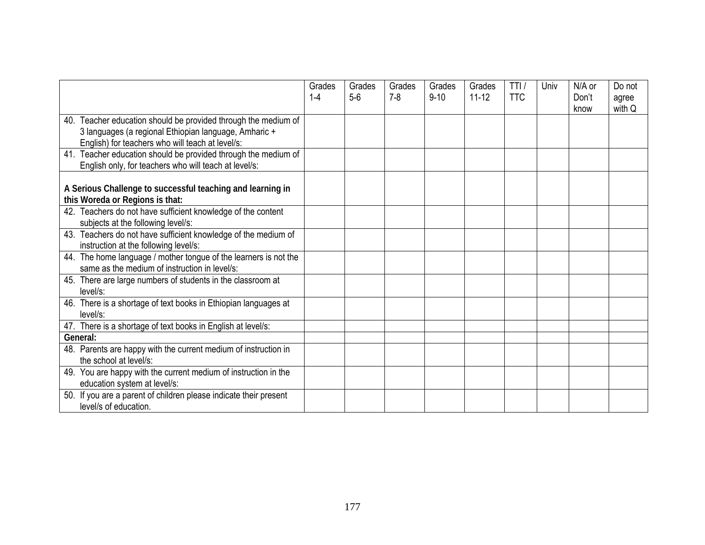|                                                                   | Grades<br>$1 - 4$ | Grades<br>$5-6$ | Grades<br>$7 - 8$ | Grades<br>$9 - 10$ | Grades<br>$11 - 12$ | TTI<br><b>TTC</b> | Univ | N/A or<br>Don't | Do not<br>agree |
|-------------------------------------------------------------------|-------------------|-----------------|-------------------|--------------------|---------------------|-------------------|------|-----------------|-----------------|
|                                                                   |                   |                 |                   |                    |                     |                   |      | know            | with Q          |
| Teacher education should be provided through the medium of<br>40. |                   |                 |                   |                    |                     |                   |      |                 |                 |
| 3 languages (a regional Ethiopian language, Amharic +             |                   |                 |                   |                    |                     |                   |      |                 |                 |
| English) for teachers who will teach at level/s:                  |                   |                 |                   |                    |                     |                   |      |                 |                 |
| 41. Teacher education should be provided through the medium of    |                   |                 |                   |                    |                     |                   |      |                 |                 |
| English only, for teachers who will teach at level/s:             |                   |                 |                   |                    |                     |                   |      |                 |                 |
|                                                                   |                   |                 |                   |                    |                     |                   |      |                 |                 |
| A Serious Challenge to successful teaching and learning in        |                   |                 |                   |                    |                     |                   |      |                 |                 |
| this Woreda or Regions is that:                                   |                   |                 |                   |                    |                     |                   |      |                 |                 |
| 42. Teachers do not have sufficient knowledge of the content      |                   |                 |                   |                    |                     |                   |      |                 |                 |
| subjects at the following level/s:                                |                   |                 |                   |                    |                     |                   |      |                 |                 |
| 43. Teachers do not have sufficient knowledge of the medium of    |                   |                 |                   |                    |                     |                   |      |                 |                 |
| instruction at the following level/s:                             |                   |                 |                   |                    |                     |                   |      |                 |                 |
| 44. The home language / mother tongue of the learners is not the  |                   |                 |                   |                    |                     |                   |      |                 |                 |
| same as the medium of instruction in level/s:                     |                   |                 |                   |                    |                     |                   |      |                 |                 |
| 45. There are large numbers of students in the classroom at       |                   |                 |                   |                    |                     |                   |      |                 |                 |
| $level/s$ :                                                       |                   |                 |                   |                    |                     |                   |      |                 |                 |
| 46. There is a shortage of text books in Ethiopian languages at   |                   |                 |                   |                    |                     |                   |      |                 |                 |
| level/s:                                                          |                   |                 |                   |                    |                     |                   |      |                 |                 |
| 47. There is a shortage of text books in English at level/s:      |                   |                 |                   |                    |                     |                   |      |                 |                 |
| General:                                                          |                   |                 |                   |                    |                     |                   |      |                 |                 |
| 48. Parents are happy with the current medium of instruction in   |                   |                 |                   |                    |                     |                   |      |                 |                 |
| the school at level/s:                                            |                   |                 |                   |                    |                     |                   |      |                 |                 |
| 49. You are happy with the current medium of instruction in the   |                   |                 |                   |                    |                     |                   |      |                 |                 |
| education system at level/s:                                      |                   |                 |                   |                    |                     |                   |      |                 |                 |
| 50. If you are a parent of children please indicate their present |                   |                 |                   |                    |                     |                   |      |                 |                 |
| level/s of education.                                             |                   |                 |                   |                    |                     |                   |      |                 |                 |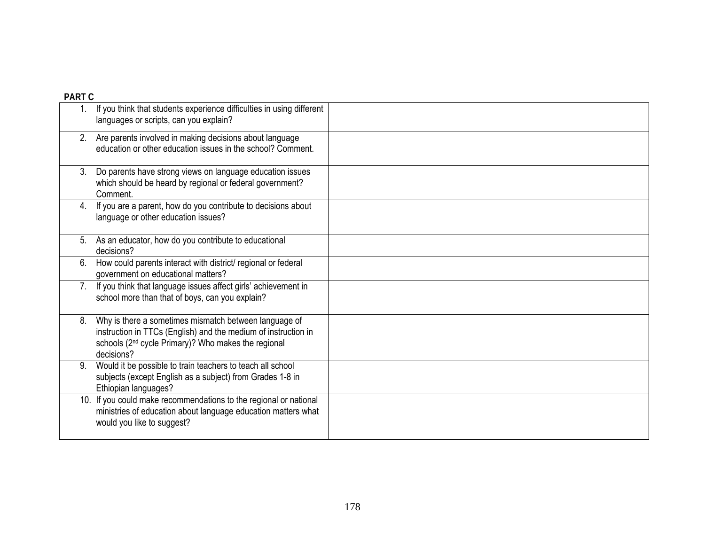| <b>PART C</b> |                                                                                                                                                                                                          |  |
|---------------|----------------------------------------------------------------------------------------------------------------------------------------------------------------------------------------------------------|--|
|               | 1. If you think that students experience difficulties in using different<br>languages or scripts, can you explain?                                                                                       |  |
|               | 2. Are parents involved in making decisions about language<br>education or other education issues in the school? Comment.                                                                                |  |
| 3.            | Do parents have strong views on language education issues<br>which should be heard by regional or federal government?<br>Comment.                                                                        |  |
| 4.            | If you are a parent, how do you contribute to decisions about<br>language or other education issues?                                                                                                     |  |
|               | 5. As an educator, how do you contribute to educational<br>decisions?                                                                                                                                    |  |
| 6.            | How could parents interact with district/ regional or federal<br>government on educational matters?                                                                                                      |  |
|               | 7. If you think that language issues affect girls' achievement in<br>school more than that of boys, can you explain?                                                                                     |  |
| 8.            | Why is there a sometimes mismatch between language of<br>instruction in TTCs (English) and the medium of instruction in<br>schools (2 <sup>nd</sup> cycle Primary)? Who makes the regional<br>decisions? |  |
| 9.            | Would it be possible to train teachers to teach all school<br>subjects (except English as a subject) from Grades 1-8 in<br>Ethiopian languages?                                                          |  |
|               | 10. If you could make recommendations to the regional or national<br>ministries of education about language education matters what<br>would you like to suggest?                                         |  |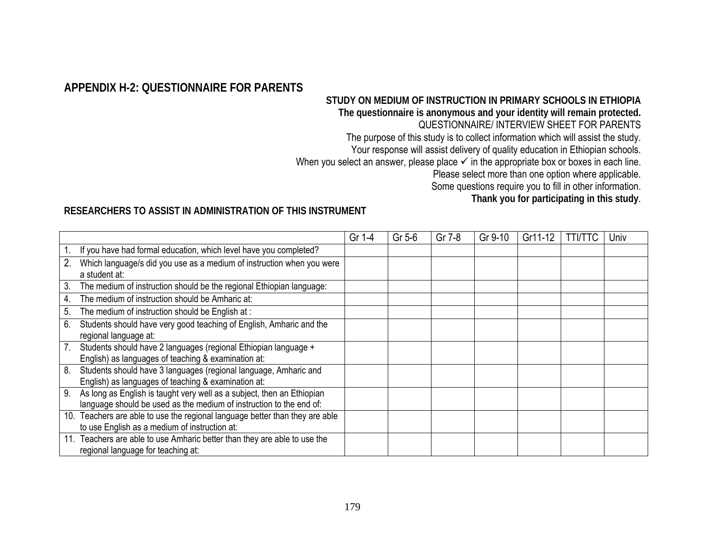### **APPENDIX H-2: QUESTIONNAIRE FOR PARENTS**

## **STUDY ON MEDIUM OF INSTRUCTION IN PRIMARY SCHOOLS IN ETHIOPIA**

**The questionnaire is anonymous and your identity will remain protected.** 

### QUESTIONNAIRE/ INTERVIEW SHEET FOR PARENTS

The purpose of this study is to collect information which will assist the study.

Your response will assist delivery of quality education in Ethiopian schools.

When you select an answer, please place  $\checkmark$  in the appropriate box or boxes in each line.

Please select more than one option where applicable.

Some questions require you to fill in other information.

**Thank you for participating in this study**.

#### **RESEARCHERS TO ASSIST IN ADMINISTRATION OF THIS INSTRUMENT**

|                |                                                                          | Gr 1-4 | Gr 5-6 | Gr 7-8 | Gr 9-10 | Gr11-12 | <b>TTI/TTC</b> | Univ |
|----------------|--------------------------------------------------------------------------|--------|--------|--------|---------|---------|----------------|------|
| 1 <sub>1</sub> | If you have had formal education, which level have you completed?        |        |        |        |         |         |                |      |
| 2.             | Which language/s did you use as a medium of instruction when you were    |        |        |        |         |         |                |      |
|                | a student at:                                                            |        |        |        |         |         |                |      |
| 3.             | The medium of instruction should be the regional Ethiopian language:     |        |        |        |         |         |                |      |
| 4.             | The medium of instruction should be Amharic at:                          |        |        |        |         |         |                |      |
| 5.             | The medium of instruction should be English at :                         |        |        |        |         |         |                |      |
| 6.             | Students should have very good teaching of English, Amharic and the      |        |        |        |         |         |                |      |
|                | regional language at:                                                    |        |        |        |         |         |                |      |
| 7.             | Students should have 2 languages (regional Ethiopian language +          |        |        |        |         |         |                |      |
|                | English) as languages of teaching & examination at:                      |        |        |        |         |         |                |      |
| 8.             | Students should have 3 languages (regional language, Amharic and         |        |        |        |         |         |                |      |
|                | English) as languages of teaching & examination at:                      |        |        |        |         |         |                |      |
| 9.             | As long as English is taught very well as a subject, then an Ethiopian   |        |        |        |         |         |                |      |
|                | language should be used as the medium of instruction to the end of:      |        |        |        |         |         |                |      |
| 10.            | Teachers are able to use the regional language better than they are able |        |        |        |         |         |                |      |
|                | to use English as a medium of instruction at:                            |        |        |        |         |         |                |      |
| 11.            | Teachers are able to use Amharic better than they are able to use the    |        |        |        |         |         |                |      |
|                | regional language for teaching at:                                       |        |        |        |         |         |                |      |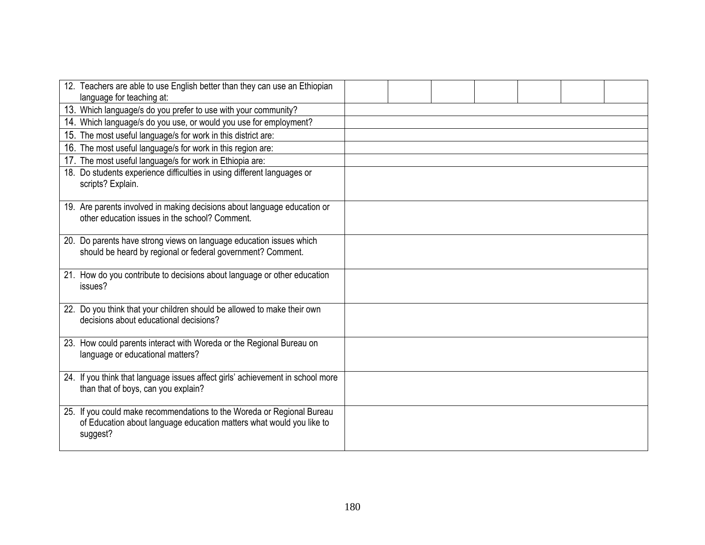|          | 12. Teachers are able to use English better than they can use an Ethiopian<br>language for teaching at:                                        |  |  |  |  |
|----------|------------------------------------------------------------------------------------------------------------------------------------------------|--|--|--|--|
|          | 13. Which language/s do you prefer to use with your community?                                                                                 |  |  |  |  |
|          | 14. Which language/s do you use, or would you use for employment?                                                                              |  |  |  |  |
|          | 15. The most useful language/s for work in this district are:                                                                                  |  |  |  |  |
|          | 16. The most useful language/s for work in this region are:                                                                                    |  |  |  |  |
|          | 17. The most useful language/s for work in Ethiopia are:                                                                                       |  |  |  |  |
|          | 18. Do students experience difficulties in using different languages or<br>scripts? Explain.                                                   |  |  |  |  |
|          | 19. Are parents involved in making decisions about language education or<br>other education issues in the school? Comment.                     |  |  |  |  |
|          | 20. Do parents have strong views on language education issues which<br>should be heard by regional or federal government? Comment.             |  |  |  |  |
| issues?  | 21. How do you contribute to decisions about language or other education                                                                       |  |  |  |  |
|          | 22. Do you think that your children should be allowed to make their own<br>decisions about educational decisions?                              |  |  |  |  |
|          | 23. How could parents interact with Woreda or the Regional Bureau on<br>language or educational matters?                                       |  |  |  |  |
|          | 24. If you think that language issues affect girls' achievement in school more<br>than that of boys, can you explain?                          |  |  |  |  |
| suggest? | 25. If you could make recommendations to the Woreda or Regional Bureau<br>of Education about language education matters what would you like to |  |  |  |  |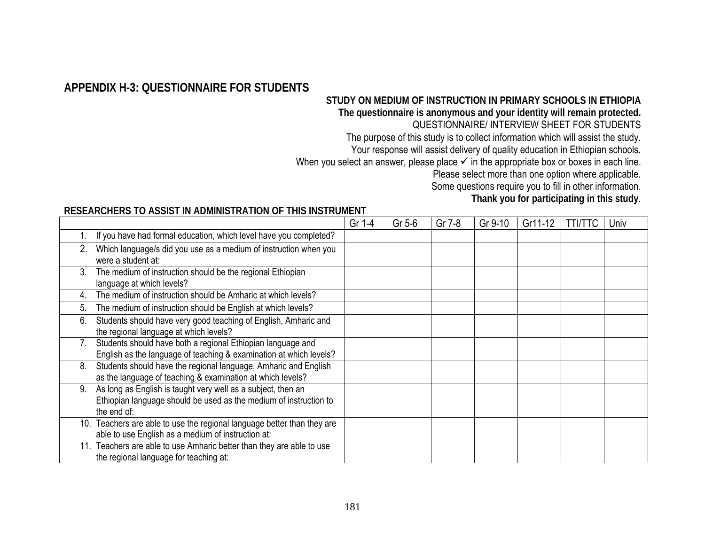# **APPENDIX H-3: QUESTIONNAIRE FOR STUDENTS**

# **STUDY ON MEDIUM OF INSTRUCTION IN PRIMARY SCHOOLS IN ETHIOPIA**

#### **The questionnaire is anonymous and your identity will remain protected.**

### QUESTIONNAIRE/ INTERVIEW SHEET FOR STUDENTS

The purpose of this study is to collect information which will assist the study.

Your response will assist delivery of quality education in Ethiopian schools.

When you select an answer, please place  $\checkmark$  in the appropriate box or boxes in each line.

Please select more than one option where applicable.

Some questions require you to fill in other information.

**Thank you for participating in this study**.

#### **RESEARCHERS TO ASSIST IN ADMINISTRATION OF THIS INSTRUMENT**

|    |                                                                                                                                                  | Gr 1-4 | Gr 5-6 | Gr 7-8 | Gr 9-10 | Gr11-12 | <b>TTI/TTC</b> | Univ |
|----|--------------------------------------------------------------------------------------------------------------------------------------------------|--------|--------|--------|---------|---------|----------------|------|
|    | If you have had formal education, which level have you completed?                                                                                |        |        |        |         |         |                |      |
| 2. | Which language/s did you use as a medium of instruction when you<br>were a student at:                                                           |        |        |        |         |         |                |      |
| 3. | The medium of instruction should be the regional Ethiopian<br>language at which levels?                                                          |        |        |        |         |         |                |      |
|    | The medium of instruction should be Amharic at which levels?                                                                                     |        |        |        |         |         |                |      |
| 5. | The medium of instruction should be English at which levels?                                                                                     |        |        |        |         |         |                |      |
| 6. | Students should have very good teaching of English, Amharic and<br>the regional language at which levels?                                        |        |        |        |         |         |                |      |
|    | Students should have both a regional Ethiopian language and<br>English as the language of teaching & examination at which levels?                |        |        |        |         |         |                |      |
| 8. | Students should have the regional language, Amharic and English<br>as the language of teaching & examination at which levels?                    |        |        |        |         |         |                |      |
| 9. | As long as English is taught very well as a subject, then an<br>Ethiopian language should be used as the medium of instruction to<br>the end of: |        |        |        |         |         |                |      |
|    | 10. Teachers are able to use the regional language better than they are<br>able to use English as a medium of instruction at:                    |        |        |        |         |         |                |      |
|    | 11. Teachers are able to use Amharic better than they are able to use<br>the regional language for teaching at:                                  |        |        |        |         |         |                |      |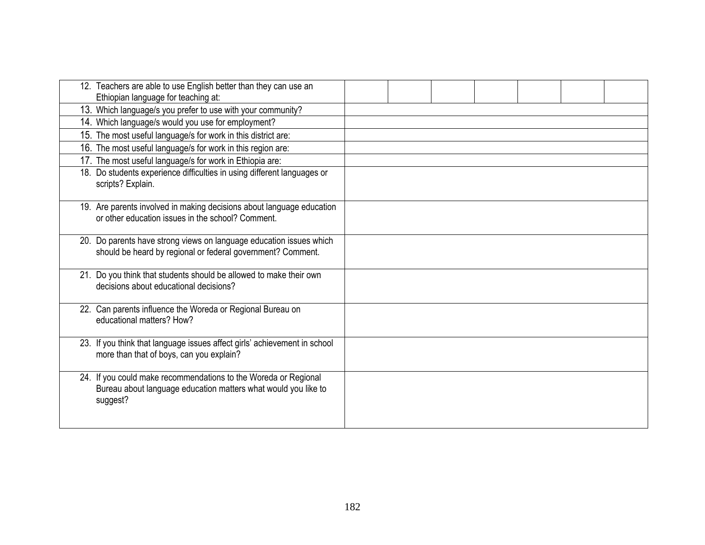| 12. Teachers are able to use English better than they can use an<br>Ethiopian language for teaching at:                                       |  |  |  |  |
|-----------------------------------------------------------------------------------------------------------------------------------------------|--|--|--|--|
| 13. Which language/s you prefer to use with your community?                                                                                   |  |  |  |  |
| 14. Which language/s would you use for employment?                                                                                            |  |  |  |  |
| 15. The most useful language/s for work in this district are:                                                                                 |  |  |  |  |
| 16. The most useful language/s for work in this region are:                                                                                   |  |  |  |  |
| 17. The most useful language/s for work in Ethiopia are:                                                                                      |  |  |  |  |
| 18. Do students experience difficulties in using different languages or<br>scripts? Explain.                                                  |  |  |  |  |
| 19. Are parents involved in making decisions about language education<br>or other education issues in the school? Comment.                    |  |  |  |  |
| 20. Do parents have strong views on language education issues which<br>should be heard by regional or federal government? Comment.            |  |  |  |  |
| 21. Do you think that students should be allowed to make their own<br>decisions about educational decisions?                                  |  |  |  |  |
| 22. Can parents influence the Woreda or Regional Bureau on<br>educational matters? How?                                                       |  |  |  |  |
| 23. If you think that language issues affect girls' achievement in school<br>more than that of boys, can you explain?                         |  |  |  |  |
| 24. If you could make recommendations to the Woreda or Regional<br>Bureau about language education matters what would you like to<br>suggest? |  |  |  |  |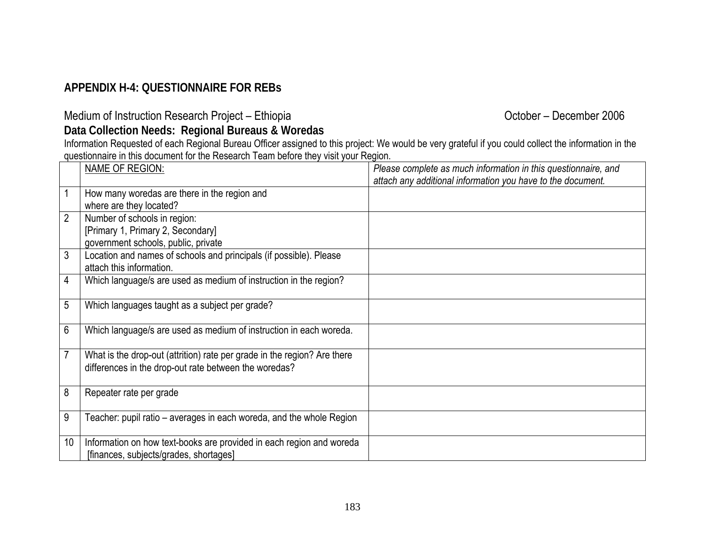# **APPENDIX H-4: QUESTIONNAIRE FOR REBs**

Medium of Instruction Research Project – Ethiopia **Community Community Construction Research Project – Ethiopia** 

**Data Collection Needs: Regional Bureaus & Woredas** 

Information Requested of each Regional Bureau Officer assigned to this project: We would be very grateful if you could collect the information in the questionnaire in this document for the Research Team before they visit your Region.

|                | <b>NAME OF REGION:</b>                                                                                                            | Please complete as much information in this questionnaire, and<br>attach any additional information you have to the document. |
|----------------|-----------------------------------------------------------------------------------------------------------------------------------|-------------------------------------------------------------------------------------------------------------------------------|
|                | How many woredas are there in the region and<br>where are they located?                                                           |                                                                                                                               |
| $\overline{2}$ | Number of schools in region:<br>[Primary 1, Primary 2, Secondary]<br>government schools, public, private                          |                                                                                                                               |
| 3              | Location and names of schools and principals (if possible). Please<br>attach this information.                                    |                                                                                                                               |
| 4              | Which language/s are used as medium of instruction in the region?                                                                 |                                                                                                                               |
| 5              | Which languages taught as a subject per grade?                                                                                    |                                                                                                                               |
| 6              | Which language/s are used as medium of instruction in each woreda.                                                                |                                                                                                                               |
| $\overline{7}$ | What is the drop-out (attrition) rate per grade in the region? Are there<br>differences in the drop-out rate between the woredas? |                                                                                                                               |
| 8              | Repeater rate per grade                                                                                                           |                                                                                                                               |
| 9              | Teacher: pupil ratio - averages in each woreda, and the whole Region                                                              |                                                                                                                               |
| 10             | Information on how text-books are provided in each region and woreda<br>[finances, subjects/grades, shortages]                    |                                                                                                                               |